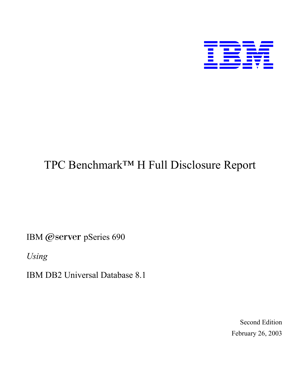

# TPC Benchmark™ H Full Disclosure Report

IBM @server pSeries 690

*Using*

IBM DB2 Universal Database 8.1

Second Edition February 26, 2003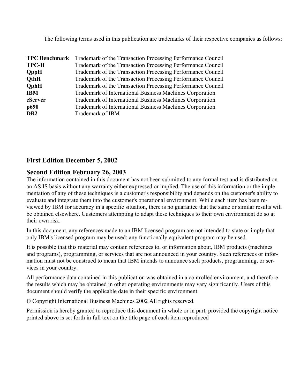The following terms used in this publication are trademarks of their respective companies as follows:

| <b>TPC Benchmark</b> | Trademark of the Transaction Processing Performance Council |
|----------------------|-------------------------------------------------------------|
| <b>TPC-H</b>         | Trademark of the Transaction Processing Performance Council |
| <b>QppH</b>          | Trademark of the Transaction Processing Performance Council |
| <b>QthH</b>          | Trademark of the Transaction Processing Performance Council |
| <b>QphH</b>          | Trademark of the Transaction Processing Performance Council |
| <b>IBM</b>           | Trademark of International Business Machines Corporation    |
| eServer              | Trademark of International Business Machines Corporation    |
| p690                 | Trademark of International Business Machines Corporation    |
| D <sub>B2</sub>      | Trademark of IBM                                            |

### **First Edition December 5, 2002**

#### **Second Edition February 26, 2003**

The information contained in this document has not been submitted to any formal test and is distributed on an AS IS basis without any warranty either expressed or implied. The use of this information or the implementation of any of these techniques is a customer's responsibility and depends on the customer's ability to evaluate and integrate them into the customer's operational environment. While each item has been reviewed by IBM for accuracy in a specific situation, there is no guarantee that the same or similar results will be obtained elsewhere. Customers attempting to adapt these techniques to their own environment do so at their own risk.

In this document, any references made to an IBM licensed program are not intended to state or imply that only IBM's licensed program may be used; any functionally equivalent program may be used.

It is possible that this material may contain references to, or information about, IBM products (machines and programs), programming, or services that are not announced in your country. Such references or information must not be construed to mean that IBM intends to announce such products, programming, or services in your country.

All performance data contained in this publication was obtained in a controlled environment, and therefore the results which may be obtained in other operating environments may vary significantly. Users of this document should verify the applicable date in their specific environment.

© Copyright International Business Machines 2002 All rights reserved.

Permission is hereby granted to reproduce this document in whole or in part, provided the copyright notice printed above is set forth in full text on the title page of each item reproduced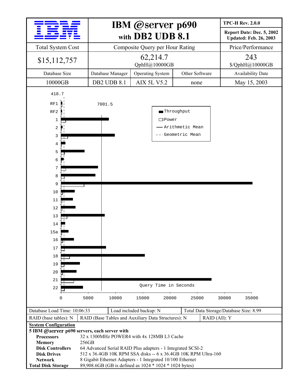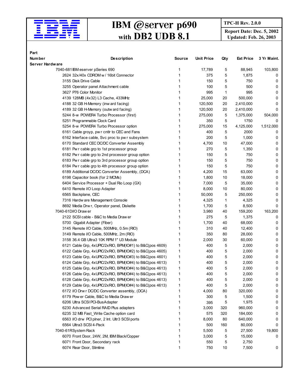

## **IBM @Server p690 IBM** *<u>PFC-H Rev. 2.0.0</u>* **with DB2 UDB 8.1**

**Report Date: Dec. 5, 2002**<br> **Updated: Feb. 26, 2003** 

| Part<br><b>Number</b> |                                                                                     |        |                   |          | <b>Ext Price</b> |             |
|-----------------------|-------------------------------------------------------------------------------------|--------|-------------------|----------|------------------|-------------|
| Server Hardware       | <b>Description</b>                                                                  | Source | <b>Unit Price</b> | Qty      |                  | 3 Yr Maint. |
|                       | 7040-681 IBM eserver pSeries 690                                                    | 1      | 17,789            |          | 88,945           | 103,800     |
|                       | 2624 32x/40x CDROM w / 16bit Connector                                              |        | 375               | 5<br>5   | 1,875            | 0           |
|                       | 3155 Disk Drive Cable                                                               |        | 150               | 5        | 750              | 0           |
|                       | 3255 Operator panel Attachment cable                                                |        | 100               | 5        | 500              | 0           |
|                       | 3627 P76 Color Monitor                                                              |        | 995               | 1        | 995              | 0           |
|                       | 4139 128MB (4x32) L3 Cache, 433MHz                                                  |        | 25,000            | 20       | 500,000          | 0           |
|                       | 4188 32 GB H-Memory (inw ard facing)                                                |        | 120,500           | 20       | 2,410,000        | 0           |
|                       | 4189 32 GB H-Memory (outw ard facing)                                               |        | 120,500           | 20       | 2,410,000        | 0           |
|                       | 5244 8-w POWER4 Turbo Processor (first)                                             |        | 275,000           | 5        | 1,375,000        | 504,000     |
|                       | 5251 Programmable Clock Card                                                        |        | 350               | 5        | 1750             | 0           |
|                       | 5254 8-w POWER4 Turbo Processor option                                              |        | 275,000           | 15       | 4,125,000        | 1,512,000   |
|                       | 6161 Cable groyp, pw r cntlr to CEC and Fans                                        |        | 400               | 5        | 2000             | 0           |
|                       | 6162 Interface cable, Svc proc to pw r subsystem                                    |        | 200               | 5        | 1,000            | 0           |
|                       | 6170 Standard CEC DC/DC Converter Assembly                                          |        | 4,700             | 10       | 47,000           | 0           |
|                       | 6181 Pw r cable grp to 1st processor group                                          |        | 270               | 5        | 1,350            | 0           |
|                       | 6182 Pw r cable grp to 2nd processor group option                                   |        | 150               | 5        | 750              | 0           |
|                       | 6183 Pw r cable grp to 3rd processor group option                                   |        | 150               | 5        | 750              | 0           |
|                       | 6184 Pw r cable grp to 4th processor group option                                   |        | 150               | 5        | 750              | 0           |
|                       | 6189 Additional DC/DC Converter Assembly, (DCA)                                     |        | 4,200             | 15       | 63,000           | 0           |
|                       | 6198 Capacitor book (for 2 MCMs)                                                    |        | 1,800             | 10       | 18,000           | 0           |
|                       | 6404 Service Processor + Dual Rio Loop (GX)                                         |        | 7,000             | 5        | 35,000           | 0           |
|                       |                                                                                     |        |                   |          |                  |             |
|                       | 6410 Remote I/O Loop Adapter                                                        |        | 8,000             | 10       | 80,000           | 0           |
|                       | 6565 Backplane, CEC                                                                 |        | 50,000            | 5        | 250,000          | 0           |
|                       | 7316 Hardw are Management Console                                                   |        | 4,325             | 1        | 4,325            | 0           |
|                       | 8692 Media Drw r, Operator panel, Diskette                                          |        | 1,700             | 5        | 8,500            | 0           |
|                       | 7040-61DI/O Draw er                                                                 |        | 3,980             | 40       | 159,200          | 163,200     |
|                       | 2122 SCSI cable - B&C to Media Draw er                                              |        | 275               | 5        | 1,375            | 0           |
|                       | 5700 Gigabit Adapter (Fiber)                                                        |        | 1,700<br>310      | 40       | 68,000           | 0<br>0      |
|                       | 3145 Remote I/O Cable, 500MHz, 0.5m (RIO)                                           | 1      | 350               | 40<br>80 | 12,400           | 0           |
|                       | 3149 Remote I/O Cable, 500MHz, 2m (RIO)<br>3158 36.4 GB Ultra3 10K RPM 1" U3 Module | 1      | 2,000             | 30       | 28,000           | 0           |
|                       |                                                                                     | 1      | 400               | 5        | 60,000           | 0           |
|                       | 6121 Cable Grp, 4xUPIC/2xRIO, BPM(IO#1) to B&C(pos 4609)                            |        |                   |          | 2,000            | 0           |
|                       | 6122 Cable Grp, 4xUPIC/2xRIO, BPM(IO#2) to B&C(pos 4605)                            | 1      | 400               | 5        | 2,000            |             |
|                       | 6123 Cable Grp, 4xUPIC/2xRIO, BPM(IO#3) to B&C(pos 4601)                            | 1      | 400               | 5        | 2,000            | 0           |
|                       | 6124 Cable Grp, 4xUPIC/2xRIO, BPM(IO#4) to B&C(pos 4613)                            | 1      | 400               | 5<br>5   | 2,000            | 0           |
|                       | 6125 Cable Grp, 4xUPIC/2xRIO, BPM(IO#4) to B&C(pos 4613)                            | 1      | 400               |          | 2,000            | 0           |
|                       | 6126 Cable Grp, 4xUPIC/2xRIO, BPM(IO#4) to B&C(pos 4613)                            | 1      | 400               | 5        | 2,000            | 0           |
|                       | 6128 Cable Grp, 4xUPIC/2xRIO, BPM(IO#4) to B&C(pos 4613)                            | 1      | 400               | 5        | 2,000            | 0           |
|                       | 6129 Cable Grp, 4xUPIC/2xRIO, BPM(IO#4) to B&C(pos 4613)                            | 1      | 400               | 5        | 2,000            | 0           |
|                       | 6172 I/O Drw r DC/DC Converter assembly, (DCA)                                      | 1<br>1 | 4,000             | 80       | 320,000          | 0           |
|                       | 6179 Pow er Cable, B&C to Media Draw er                                             |        | 300               | 5        | 1,500            | 0           |
|                       | 6206 Ultra SCSI PCI-BusAdapter                                                      |        | 395               | 5        | 1,975            | 0           |
|                       | 6230 Advanced Serial RAID Plus adapters                                             |        | 3,000             | 320      | 960,000          | 0           |
|                       | 6235 32 MB Fast_Write Cache option card                                             |        | 575               | 320      | 184,000          | 0           |
|                       | 6563 I/O drw PCI plner, 2 Int. Ultr3 SCSI ports                                     |        | 8,000             | 80       | 640,000          | 0           |
|                       | 6564 Ultra3 SCSI 4-Pack                                                             |        | 500               | 160      | 80,000           | 0           |
|                       | 7040-61RSystem Rack                                                                 |        | 5,500             | 5        | 27,500           | 19,800      |
|                       | 6070 Front Door, 24W, 2M, IBM Black/Copper                                          |        | 3,000             | 5        | 15,000           | 0           |
|                       | 6071 Front Door, Secondary rack                                                     |        | 550               | 5        | 2,750            |             |
|                       | 6074 Rear Door, Slimline                                                            | 1      | 750               | 10       | 7,500            | 0           |
|                       |                                                                                     |        |                   |          |                  |             |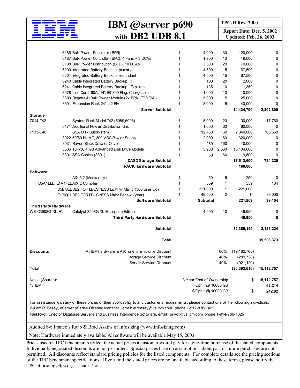

## **IBM @Server p690 IBM Report Date: Dec. 5, 2002 with DB2 UDB 8.1**

**Updated: Feb. 26, 2003** 

|                      | 6186 Bulk Pow er Regulator (BPR)                                                                                                                | 1 | 4,000                    | 30    | 120,000        | 0            |
|----------------------|-------------------------------------------------------------------------------------------------------------------------------------------------|---|--------------------------|-------|----------------|--------------|
|                      | 6187 Bulk Pow er Controller (BPC), 4 Fans + 3 DCAs                                                                                              | 1 | 1,900                    | 10    | 19,000         | 0            |
|                      | 6188 Bulk Pow er Distribution (BPD), 10 DCAs                                                                                                    | 1 | 3,500                    | 20    | 70,000         | 0            |
|                      | 6200 Integrated Battery Backup, primary                                                                                                         | 1 | 4,500                    | 15    | 67,500         | 0            |
|                      | 6201 Integrated Battery Backup, redundant                                                                                                       | 1 | 4,500                    | 15    | 67,500         | 0            |
|                      | 6240 Cable Integrated Battery Backup, t                                                                                                         | 1 | 100                      | 20    | 2,000          | 0            |
|                      | 6241 Cable Integrated Battery Backup, Exp. rack                                                                                                 | 1 | 135                      | 10    | 1,350          | 0            |
|                      |                                                                                                                                                 | 1 |                          |       |                |              |
|                      | 8678 Line Cord, 60A, 14', IEC309 Plug, Chargeable                                                                                               |   | 1,000                    | 10    | 10,000         | 0            |
|                      | 8690 Regatta-H Bulk Pow er Module (2x BPA, EPO PNL)                                                                                             | 1 | 5,000                    | 5     | 25,000         | 0            |
|                      | 8691 Expansion Rack 24", 42 EIA                                                                                                                 | 1 | 8,000                    | 5     | 40,000         | 0            |
|                      | <b>Server Subtotal</b>                                                                                                                          |   |                          |       | 14,434,790     | 2,302,800    |
| <b>Storage</b>       |                                                                                                                                                 |   |                          |       |                |              |
| 7014-T42             | System Rack Model T42 (6089,6098)                                                                                                               | 1 | 5,000                    | 20    | 100,000        | 17,760       |
|                      | 6171 Additional Pow er Distribution Unit                                                                                                        | 1 | 1,000                    | 60    | 60,000         | 0            |
| 7133-D40             | SSA Disk Subsystem                                                                                                                              | 1 | 12,750                   | 160   | 2,040,000      | 706,560      |
|                      | 8022 50/60 Hz AC, 300 VDC Pow er Supply                                                                                                         | 1 | 2,000                    | 160   | 320,000        | 0            |
|                      | 8031 Raven Black Draw er Cover                                                                                                                  | 1 | 250                      | 160   | 40,000         | 0            |
|                      | 8536 10K/36.4 GB Advanced Disk Drive Module                                                                                                     | 1 | 5,900                    | 2,560 | 15,104,000     | 0            |
|                      |                                                                                                                                                 | 1 |                          | 160   |                | 0            |
|                      | 8801 SSA Cables (8801)                                                                                                                          |   | 60                       |       | 9,600          |              |
|                      | <b>DASD Storage Subtotal</b>                                                                                                                    |   |                          |       | 17,513,600     | 724,320      |
|                      | <b>RACK Hardware Subtotal</b>                                                                                                                   |   |                          |       | 160,000        |              |
| <b>Software</b>      |                                                                                                                                                 |   |                          |       |                |              |
|                      | AIX 5.2 (Media only)                                                                                                                            | 1 | 50                       | 5     | 250            | 0            |
|                      | D5A1ELL, E1A1FLLAIX C Compiler                                                                                                                  | 1 | 559                      | 1     | 559            | 104          |
|                      | D5BISLLDB2 FOR EBUSINESS Lic/1 yr Maint (500 user Lic)                                                                                          |   | 221,000                  | 1     | 221,000        |              |
|                      | E1BIQLLDB2 FOR EBUSINESS Maint Renew (year)                                                                                                     | 1 | 49,500                   | 2     | 0              | 99,000       |
|                      | Software Subtotal                                                                                                                               |   | <b>Subtotal</b>          |       | 221,809        | 99,104       |
| Third Party Hardware |                                                                                                                                                 |   |                          |       |                |              |
| WS-C3508G-XL-EN      | Catalyst 3508G XL Enterprise Edition                                                                                                            |   | 4,995                    | 10    | 49,950         | 0            |
|                      | Third Party Hardware Subtotal                                                                                                                   |   |                          |       | 49,950         | 0            |
|                      |                                                                                                                                                 |   |                          |       |                |              |
|                      | <b>Subtotal</b>                                                                                                                                 |   |                          |       | 32,380,149     | 3,126,224    |
|                      |                                                                                                                                                 |   |                          |       |                |              |
|                      | <b>Total</b>                                                                                                                                    |   |                          |       |                | 35,506,373   |
|                      |                                                                                                                                                 |   |                          |       |                |              |
|                      | All IBM hardw are & AIX one time volume Discount                                                                                                |   |                          | 60%   |                |              |
| <b>Discounts</b>     |                                                                                                                                                 |   |                          |       | (19, 182, 768) |              |
|                      | Storage Service Discount                                                                                                                        |   |                          | 40%   | (289, 728)     |              |
|                      | Server Service Discount                                                                                                                         |   |                          | 40%   | (921, 120)     |              |
| Total                |                                                                                                                                                 |   |                          |       | (20, 393, 616) | 15,112,757   |
|                      |                                                                                                                                                 |   |                          |       |                |              |
| Notes (Source):      |                                                                                                                                                 |   | 3 Year Cost of Ownership |       | \$             | 15, 112, 757 |
| 1. IBM               |                                                                                                                                                 |   | QphH @ 10000 GB          |       |                | 62,214       |
|                      |                                                                                                                                                 |   | \$/QphH @ 10000 GB       |       | \$             | 242.92       |
|                      |                                                                                                                                                 |   |                          |       |                |              |
|                      | For assistance with any of these prices or their applicability to any customer's requirements, please contact one of the following individuals: |   |                          |       |                |              |
|                      | William R. Casey, eServer pSeries Offering Manager, email: w rcasey@us.ibm.com, phone 1-512-838-1422                                            |   |                          |       |                |              |
|                      | Paul Rivot, Director Database Servers and Business Intelligence Software, email: privot@us.ibm.com, phone 1-914-766-1325                        |   |                          |       |                |              |
|                      |                                                                                                                                                 |   |                          |       |                |              |

Audited by: Francois Raab & Brad Askins of Infosizing (www.infosizing.com)

Note: Hardware immediately available. All software will be available May 15, 2003

Prices used in TPC benchmarks reflect the actual prices a customer would pay for a one-time purchase of the stated components. Individually negotiated discounts are not permitted. Special prices base on assumptions about past or future purchases are not permitted. All discounts reflect standard pricing policies for the listed components. For complete details see the pricing sections of the TPC benchmark specifications. If you find the stated prices are not available according to these terms, please notify the TPC at pricing@tpc.org. Thank You.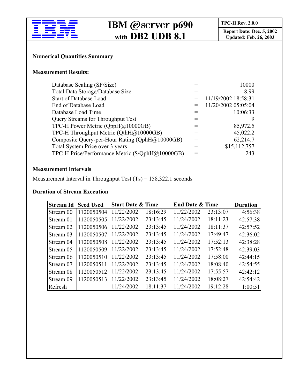

## **IBM @Server p690 IBM Report Date: Dec.** 5, 2002 **with DB2 UDB 8.1**

**Updated: Feb. 26, 2003** 

#### **Numerical Quantities Summary**

#### **Measurement Results:**

| Database Scaling (SF/Size)                       | 10000               |
|--------------------------------------------------|---------------------|
| Total Data Storage/Database Size                 | 8.99                |
| <b>Start of Database Load</b>                    | 11/19/2002 18:58:31 |
| End of Database Load                             | 11/20/2002 05:05:04 |
| Database Load Time                               | 10:06:33            |
| <b>Query Streams for Throughput Test</b>         |                     |
| TPC-H Power Metric (QppH@10000GB)                | 85,972.5            |
| TPC-H Throughput Metric (QthH@10000GB)           | 45,022.2            |
| Composite Query-per-Hour Rating (QphH@10000GB)   | 62,214.7            |
| Total System Price over 3 years                  | \$15,112,757        |
| TPC-H Price/Performance Metric (\$/QphH@10000GB) | 243                 |

#### **Measurement Intervals**

Measurement Interval in Throughput Test (Ts) = 158,322.1 seconds

#### **Duration of Stream Execution**

| <b>Stream Id</b> | <b>Seed Used</b> | <b>Start Date &amp; Time</b> |          | <b>End Date &amp; Time</b> |          | <b>Duration</b> |
|------------------|------------------|------------------------------|----------|----------------------------|----------|-----------------|
| Stream 00        | 1120050504       | 11/22/2002                   | 18:16:29 | 11/22/2002                 | 23:13:07 | 4:56:38         |
| <b>Stream 01</b> | 1120050505       | 11/22/2002                   | 23:13:45 | 11/24/2002                 | 18:11:23 | 42:57:38        |
| Stream 02        | 1120050506       | 11/22/2002                   | 23:13:45 | 11/24/2002                 | 18:11:37 | 42:57:52        |
| Stream 03        | 1120050507       | 11/22/2002                   | 23:13:45 | 11/24/2002                 | 17:49:47 | 42:36:02        |
| Stream 04        | 1120050508       | 11/22/2002                   | 23:13:45 | 11/24/2002                 | 17:52:13 | 42:38:28        |
| Stream 05        | 1120050509       | 11/22/2002                   | 23:13:45 | 11/24/2002                 | 17:52:48 | 42:39:03        |
| Stream 06        | 1120050510       | 11/22/2002                   | 23:13:45 | 11/24/2002                 | 17:58:00 | 42:44:15        |
| Stream 07        | 1120050511       | 11/22/2002                   | 23:13:45 | 11/24/2002                 | 18:08:40 | 42:54:55        |
| Stream 08        | 1120050512       | 11/22/2002                   | 23:13:45 | 11/24/2002                 | 17:55:57 | 42:42:12        |
| Stream 09        | 1120050513       | 11/22/2002                   | 23:13:45 | 11/24/2002                 | 18:08:27 | 42:54:42        |
| Refresh          |                  | 11/24/2002                   | 18:11:37 | 11/24/2002                 | 19:12:28 | 1:00:51         |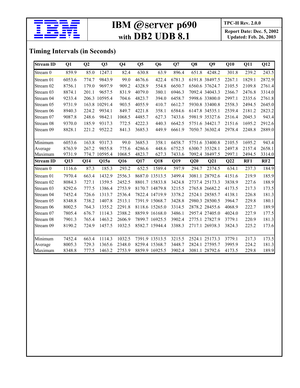

## **IBM @Server p690 IBM**  $\frac{\text{TPC-H Rev. 2.0.0}}{\text{Renort Date: Dec}}$ **with DB2 UDB 8.1**

**Updated: Feb. 26, 2003** 

## **Timing Intervals (in Seconds)**

| <b>Stream ID</b> | Q1     | Q2    | Q <sub>3</sub> | Q <sub>4</sub> | Q <sub>5</sub>     | Q <sub>6</sub> | Q7     | Q8     | Q9             | Q10    | Q11    | Q12    |
|------------------|--------|-------|----------------|----------------|--------------------|----------------|--------|--------|----------------|--------|--------|--------|
| Stream 0         | 859.9  | 85.0  | 1247.1         | 82.4           | 630.8              | 63.9           | 896.4  | 651.8  | 4248.2         | 301.8  | 239.2  | 243.5  |
| Stream 01        | 6053.6 | 774.7 | 9843.9         | 99.0           | 4676.6             | 422.4          | 6781.3 |        | 6191.8 38497.5 | 2267.1 | 1829.1 | 2872.9 |
| Stream 02        | 8756.1 | 179.0 | 9697.9         | 909.2          | 4328.9             | 554.8          | 6650.7 |        | 6560.6 37624.7 | 2105.5 | 2109.8 | 2761.4 |
| Stream 03        | 8874.1 | 201.1 | 9657.5         | 831.9          | 4079.0             | 380.1          | 6946.3 |        | 7092.4 34043.3 | 2366.7 | 2476.8 | 3314.0 |
| Stream 04        | 9233.4 |       | 206.3 10595.4  | 704.6          | 4823.7             | 394.0          | 6458.7 |        | 5998.6 33800.0 | 2997.1 | 2335.6 | 2761.8 |
| Stream 05        | 9731.9 |       | 163.8 10291.4  | 903.5          | 4055.9             | 410.7          | 6612.7 |        | 5930.8 33400.8 | 2558.3 | 2494.5 | 2645.0 |
| Stream 06        | 8940.3 | 224.2 | 9934.1         | 849.7          | 4221.8             | 358.1          | 6584.6 |        | 6147.8 34535.1 | 2539.4 | 2181.2 | 2823.2 |
| Stream 07        | 9087.8 | 248.6 | 9842.1         | 1068.5         | 4485.7             | 627.3          | 7433.6 |        | 5981.9 35327.6 | 2516.4 | 2045.3 | 943.4  |
| Stream 08        | 9370.0 | 185.9 | 9317.3         | 772.5          | 4222.3             | 440.3          | 6642.5 |        | 5751.6 34421.7 | 2151.6 | 1695.2 | 2912.6 |
| Stream 09        | 8828.1 | 221.2 | 9522.2         | 841.3          | 3685.3             | 449.9          | 6661.9 |        | 7050.7 36302.4 | 2978.4 | 2248.8 | 2889.0 |
| Minimum          | 6053.6 | 163.8 | 9317.3         | 99.0           | 3685.3             | 358.1          | 6458.7 |        | 5751.6 33400.8 | 2105.5 | 1695.2 | 943.4  |
| Average          | 8763.9 | 267.2 | 9855.8         | 775.6          | 4286.6             | 448.6          | 6752.5 |        | 6300.7 35328.1 | 2497.8 | 2157.4 | 2658.1 |
| Maximum          | 9731.9 |       | 774.7 10595.4  | 1068.5         | 4823.7             | 627.3          | 7433.6 |        | 7092.4 38497.5 | 2997.1 | 2494.5 | 3314.0 |
|                  |        |       |                |                |                    |                |        |        |                |        |        |        |
| <b>Stream ID</b> | Q13    | Q14   | Q15a           | Q16            | Q17                | Q18            | Q19    | Q20    | Q21            | Q22    | RF1    | RF2    |
| Stream 0         | 1116.6 | 87.3  | 185.3          | 293.2          | $\overline{652.5}$ | 1589.4         | 597.9  | 294.7  | 2374.5         | 634.1  | 237.3  | 184.9  |
| Stream 01        | 7970.4 | 663.4 | 1432.9         | 2556.3         |                    | 8687.0 13513.5 | 3499.4 |        | 3081.1 28792.6 | 4151.6 | 219.9  | 185.9  |
| Stream 02        | 8084.3 | 727.1 | 1359.5         | 2452.5         |                    | 8801.7 15833.8 | 3424.8 |        | 2737.4 25173.3 | 3838.9 | 227.6  | 188.9  |
| Stream 03        | 8292.6 | 777.5 | 1386.4         | 2753.9         |                    | 8170.7 14879.8 | 3215.5 |        | 2765.8 26682.2 | 4173.5 | 217.3  | 173.5  |
| Stream 04        | 7452.4 | 726.6 | 1313.7         | 2536.4         |                    | 7822.4 14719.9 | 3378.2 |        | 2524.1 28585.7 | 4138.1 | 226.8  | 181.3  |
| Stream 05        | 8348.8 | 738.2 | 1407.8         | 2513.1         |                    | 7391.9 15068.7 | 3428.8 |        | 2980.3 28500.5 | 3964.7 | 229.8  | 180.1  |
| Stream 06        | 8002.5 | 764.3 | 1355.2         | 2291.8         |                    | 8118.6 15265.0 | 3314.5 |        | 2878.2 28455.6 | 4068.9 | 222.7  | 189.9  |
| Stream 07        | 7805.4 | 676.7 | 1114.3         | 2388.2         |                    | 8859.9 16168.0 | 3486.1 |        | 2957.4 27405.0 | 4024.0 | 227.9  | 177.5  |
| Stream 08        | 7901.3 | 765.4 | 1463.2         | 2606.9         |                    | 7899.7 16925.5 | 3902.4 |        | 2775.1 27827.9 | 3779.1 | 220.9  | 181.3  |
| Stream 09        | 8190.2 | 724.9 | 1457.5         | 1032.5         |                    | 8582.7 15944.4 | 3388.3 |        | 2717.1 26938.3 | 3824.3 | 225.2  | 173.6  |
| Minimum          | 7452.4 | 663.4 | 1114.3         | 1032.5         |                    | 7391.9 13513.5 | 3215.5 | 2524.1 | 25173.3        | 3779.1 | 217.3  | 173.5  |
| Average          | 8005.3 | 729.3 | 1365.6         | 2348.0         |                    | 8259.4 15368.7 | 3448.7 | 2824.1 | 27595.7        | 3995.9 | 224.2  | 181.3  |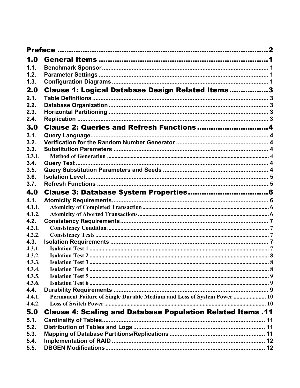| 1.0    |                                                                         |  |
|--------|-------------------------------------------------------------------------|--|
| 1.1.   |                                                                         |  |
| 1.2.   |                                                                         |  |
| 1.3.   |                                                                         |  |
| 2.0    | Clause 1: Logical Database Design Related Items3                        |  |
| 2.1.   |                                                                         |  |
| 2.2.   |                                                                         |  |
| 2.3.   |                                                                         |  |
| 2.4.   |                                                                         |  |
| 3.0    | Clause 2: Queries and Refresh Functions4                                |  |
| 3.1.   |                                                                         |  |
| 3.2.   |                                                                         |  |
| 3.3.   |                                                                         |  |
| 3.3.1. |                                                                         |  |
| 3.4.   |                                                                         |  |
| 3.5.   |                                                                         |  |
| 3.6.   |                                                                         |  |
| 3.7.   |                                                                         |  |
| 4.0    |                                                                         |  |
| 4.1.   |                                                                         |  |
| 4.1.1. |                                                                         |  |
| 4.1.2. |                                                                         |  |
| 4.2.   |                                                                         |  |
| 4.2.1. |                                                                         |  |
| 4.2.2. |                                                                         |  |
| 4.3.   |                                                                         |  |
| 4.3.1. |                                                                         |  |
| 4.3.2. |                                                                         |  |
| 4.3.3. |                                                                         |  |
| 4.3.4. |                                                                         |  |
| 4.3.5. |                                                                         |  |
| 4.3.6. |                                                                         |  |
| 4.4.   |                                                                         |  |
| 4.4.1. | Permanent Failure of Single Durable Medium and Loss of System Power  10 |  |
| 4.4.2. |                                                                         |  |
| 5.0    | Clause 4: Scaling and Database Population Related Items .11             |  |
| 5.1.   |                                                                         |  |
| 5.2.   |                                                                         |  |
| 5.3.   |                                                                         |  |
| 5.4.   |                                                                         |  |
| 5.5.   |                                                                         |  |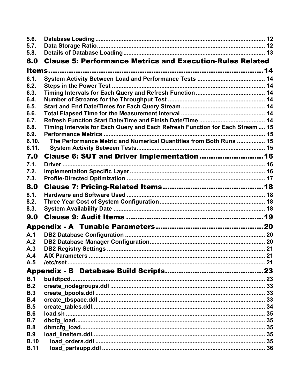| 5.6.        |                                                                              |  |
|-------------|------------------------------------------------------------------------------|--|
| 5.7.        |                                                                              |  |
| 5.8.        |                                                                              |  |
| 6.0         | <b>Clause 5: Performance Metrics and Execution-Rules Related</b>             |  |
|             |                                                                              |  |
| 6.1.        |                                                                              |  |
| 6.2.        |                                                                              |  |
| 6.3.        |                                                                              |  |
| 6.4.        |                                                                              |  |
| 6.5.        |                                                                              |  |
| 6.6.        |                                                                              |  |
| 6.7.        |                                                                              |  |
| 6.8.        | Timing Intervals for Each Query and Each Refresh Function for Each Stream 15 |  |
| 6.9.        |                                                                              |  |
| 6.10.       | The Performance Metric and Numerical Quantities from Both Runs  15           |  |
| 6.11.       |                                                                              |  |
| 7.0         | Clause 6: SUT and Driver Implementation  16                                  |  |
| 7.1.        |                                                                              |  |
| 7.2.        |                                                                              |  |
| 7.3.        |                                                                              |  |
| 8.0         |                                                                              |  |
| 8.1.        |                                                                              |  |
| 8.2.        |                                                                              |  |
| 8.3.        |                                                                              |  |
| 9.0         |                                                                              |  |
|             |                                                                              |  |
| A.1         |                                                                              |  |
| A.2         |                                                                              |  |
| A.3         |                                                                              |  |
| A.4         |                                                                              |  |
| A.5         |                                                                              |  |
|             |                                                                              |  |
| B.1         |                                                                              |  |
| B.2         |                                                                              |  |
| <b>B.3</b>  |                                                                              |  |
| B.4         |                                                                              |  |
| B.5         |                                                                              |  |
| <b>B.6</b>  |                                                                              |  |
| B.7         |                                                                              |  |
| B.8         |                                                                              |  |
| <b>B.9</b>  |                                                                              |  |
| <b>B.10</b> |                                                                              |  |
| <b>B.11</b> |                                                                              |  |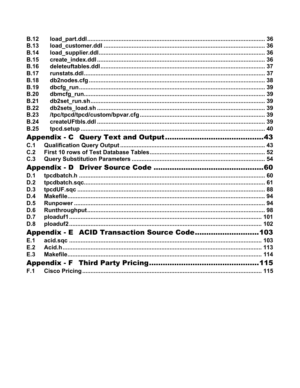| <b>B.12</b> |                                              |  |
|-------------|----------------------------------------------|--|
| <b>B.13</b> |                                              |  |
| <b>B.14</b> |                                              |  |
| <b>B.15</b> |                                              |  |
| <b>B.16</b> |                                              |  |
| <b>B.17</b> |                                              |  |
| <b>B.18</b> |                                              |  |
| <b>B.19</b> |                                              |  |
| <b>B.20</b> |                                              |  |
| <b>B.21</b> |                                              |  |
| <b>B.22</b> |                                              |  |
| <b>B.23</b> |                                              |  |
| <b>B.24</b> |                                              |  |
| <b>B.25</b> |                                              |  |
|             |                                              |  |
| C.1         |                                              |  |
| C.2         |                                              |  |
| C.3         |                                              |  |
|             |                                              |  |
| D.1         |                                              |  |
| D.2         |                                              |  |
| D.3         |                                              |  |
| D.4         |                                              |  |
| D.5         |                                              |  |
| D.6         |                                              |  |
| D.7         |                                              |  |
| D.8         |                                              |  |
|             | Appendix - E ACID Transaction Source Code103 |  |
| E.1         |                                              |  |
| E.2         |                                              |  |
| E.3         |                                              |  |
|             |                                              |  |
| F.1         |                                              |  |
|             |                                              |  |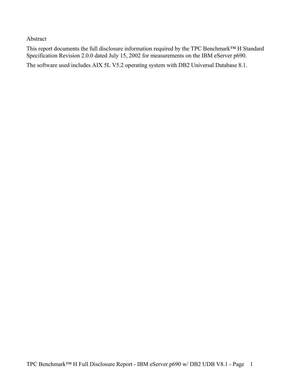#### Abstract

This report documents the full disclosure information required by the TPC Benchmark™ H Standard Specification Revision 2.0.0 dated July 15, 2002 for measurements on the IBM eServer p690.

The software used includes AIX 5L V5.2 operating system with DB2 Universal Database 8.1.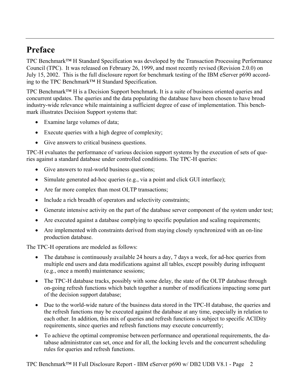## **Preface**

TPC Benchmark™ H Standard Specification was developed by the Transaction Processing Performance Council (TPC). It was released on February 26, 1999, and most recently revised (Revision 2.0.0) on July 15, 2002. This is the full disclosure report for benchmark testing of the IBM eServer p690 according to the TPC Benchmark™ H Standard Specification.

TPC Benchmark™ H is a Decision Support benchmark. It is a suite of business oriented queries and concurrent updates. The queries and the data populating the database have been chosen to have broad industry-wide relevance while maintaining a sufficient degree of ease of implementation. This benchmark illustrates Decision Support systems that:

- Examine large volumes of data;
- Execute queries with a high degree of complexity;
- Give answers to critical business questions.

TPC-H evaluates the performance of various decision support systems by the execution of sets of queries against a standard database under controlled conditions. The TPC-H queries:

- Give answers to real-world business questions;
- Simulate generated ad-hoc queries (e.g., via a point and click GUI interface);
- Are far more complex than most OLTP transactions;
- Include a rich breadth of operators and selectivity constraints;
- Generate intensive activity on the part of the database server component of the system under test;
- Are executed against a database complying to specific population and scaling requirements;
- Are implemented with constraints derived from staying closely synchronized with an on-line production database.

The TPC-H operations are modeled as follows:

- The database is continuously available 24 hours a day, 7 days a week, for ad-hoc queries from multiple end users and data modifications against all tables, except possibly during infrequent (e.g., once a month) maintenance sessions;
- The TPC-H database tracks, possibly with some delay, the state of the OLTP database through on-going refresh functions which batch together a number of modifications impacting some part of the decision support database;
- Due to the world-wide nature of the business data stored in the TPC-H database, the queries and the refresh functions may be executed against the database at any time, especially in relation to each other. In addition, this mix of queries and refresh functions is subject to specific ACIDity requirements, since queries and refresh functions may execute concurrently;
- To achieve the optimal compromise between performance and operational requirements, the database administrator can set, once and for all, the locking levels and the concurrent scheduling rules for queries and refresh functions.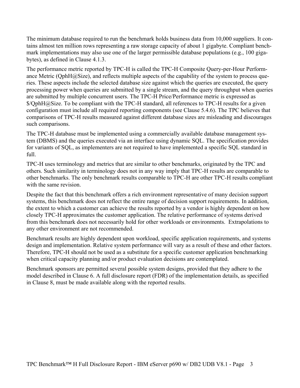The minimum database required to run the benchmark holds business data from 10,000 suppliers. It contains almost ten million rows representing a raw storage capacity of about 1 gigabyte. Compliant benchmark implementations may also use one of the larger permissible database populations (e.g., 100 gigabytes), as defined in Clause 4.1.3.

The performance metric reported by TPC-H is called the TPC-H Composite Query-per-Hour Performance Metric (QphH@Size), and reflects multiple aspects of the capability of the system to process queries. These aspects include the selected database size against which the queries are executed, the query processing power when queries are submitted by a single stream, and the query throughput when queries are submitted by multiple concurrent users. The TPC-H Price/Performance metric is expressed as \$/QphH@Size. To be compliant with the TPC-H standard, all references to TPC-H results for a given configuration must include all required reporting components (see Clause 5.4.6). The TPC believes that comparisons of TPC-H results measured against different database sizes are misleading and discourages such comparisons.

The TPC-H database must be implemented using a commercially available database management system (DBMS) and the queries executed via an interface using dynamic SQL. The specification provides for variants of SQL, as implementers are not required to have implemented a specific SQL standard in full.

TPC-H uses terminology and metrics that are similar to other benchmarks, originated by the TPC and others. Such similarity in terminology does not in any way imply that TPC-H results are comparable to other benchmarks. The only benchmark results comparable to TPC-H are other TPC-H results compliant with the same revision.

Despite the fact that this benchmark offers a rich environment representative of many decision support systems, this benchmark does not reflect the entire range of decision support requirements. In addition, the extent to which a customer can achieve the results reported by a vendor is highly dependent on how closely TPC-H approximates the customer application. The relative performance of systems derived from this benchmark does not necessarily hold for other workloads or environments. Extrapolations to any other environment are not recommended.

Benchmark results are highly dependent upon workload, specific application requirements, and systems design and implementation. Relative system performance will vary as a result of these and other factors. Therefore, TPC-H should not be used as a substitute for a specific customer application benchmarking when critical capacity planning and/or product evaluation decisions are contemplated.

Benchmark sponsors are permitted several possible system designs, provided that they adhere to the model described in Clause 6. A full disclosure report (FDR) of the implementation details, as specified in Clause 8, must be made available along with the reported results.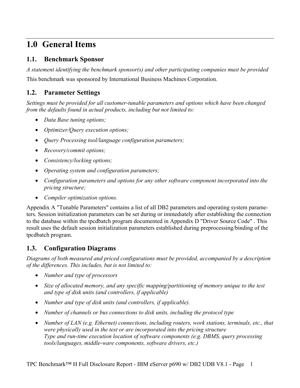## **1.0 General Items**

### **1.1. Benchmark Sponsor**

*A statement identifying the benchmark sponsor(s) and other participating companies must be provided*  This benchmark was sponsored by International Business Machines Corporation.

## **1.2. Parameter Settings**

*Settings must be provided for all customer-tunable parameters and options which have been changed from the defaults found in actual products, including but not limited to:* 

- *Data Base tuning options;*
- *Optimizer/Query execution options;*
- *Query Processing tool/language configuration parameters;*
- *Recovery/commit options;*
- *Consistency/locking options;*
- *Operating system and configuration parameters;*
- *Configuration parameters and options for any other software component incorporated into the pricing structure;*
- *Compiler optimization options.*

Appendix A "Tunable Parameters" contains a list of all DB2 parameters and operating system parameters. Session initialization parameters can be set during or immediately after establishing the connection to the database within the tpcdbatch program documented in Appendix D "Driver Source Code" . This result uses the default session initialization parameters established during preprocessing/binding of the tpcdbatch program.

## **1.3. Configuration Diagrams**

*Diagrams of both measured and priced configurations must be provided, accompanied by a description of the differences. This includes, but is not limited to:* 

- *Number and type of processors*
- *Size of allocated memory, and any specific mapping/partitioning of memory unique to the test and type of disk units (and controllers, if applicable)*
- *Number and type of disk units (and controllers, if applicable).*
- *Number of channels or bus connections to disk units, including the protocol type*
- *Number of LAN (e.g. Ethernet) connections, including routers, work stations, terminals, etc., that were physically used in the test or are incorporated into the pricing structure Type and run-time execution location of software components (e.g. DBMS, query processing tools/languages, middle-ware components, software drivers, etc.)*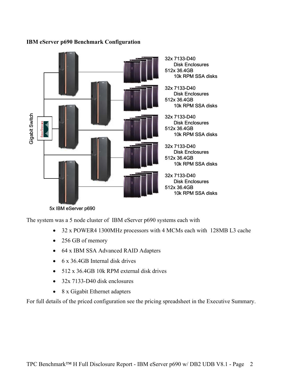#### 32x 7133-D40 Disk Enclosures 512x 36.4GB 10k RPM SSA disks 32x 7133-D40 Disk Enclosures 512x 36.4GB 10k RPM SSA disks Gigabit Switch Gigabit Switch 32x 7133-D40 Disk Enclosures 512x 36.4GB 10k RPM SSA disks 32x 7133-D40 Disk Enclosures 512x 36.4GB 10k RPM SSA disks 32x 7133-D40 Disk Enclosures 512x 36.4GB 10k RPM SSA disks

#### **IBM eServer p690 Benchmark Configuration**

5x IBM eServer p690

The system was a 5 node cluster of IBM eServer p690 systems each with

- 32 x POWER4 1300MHz processors with 4 MCMs each with 128MB L3 cache
- 256 GB of memory
- 64 x IBM SSA Advanced RAID Adapters
- 6 x 36.4GB Internal disk drives
- 512 x 36.4GB 10k RPM external disk drives
- 32x 7133-D40 disk enclosures
- 8 x Gigabit Ethernet adapters

For full details of the priced configuration see the pricing spreadsheet in the Executive Summary.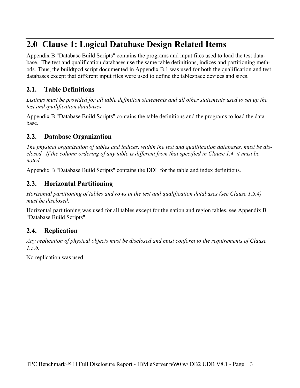## **2.0 Clause 1: Logical Database Design Related Items**

Appendix B "Database Build Scripts" contains the programs and input files used to load the test database. The test and qualification databases use the same table definitions, indices and partitioning methods. Thus, the buildtpcd script documented in Appendix B.1 was used for both the qualification and test databases except that different input files were used to define the tablespace devices and sizes.

## **2.1. Table Definitions**

*Listings must be provided for all table definition statements and all other statements used to set up the test and qualification databases.* 

Appendix B "Database Build Scripts" contains the table definitions and the programs to load the database.

## **2.2. Database Organization**

*The physical organization of tables and indices, within the test and qualification databases, must be disclosed. If the column ordering of any table is different from that specified in Clause 1.4, it must be noted.* 

Appendix B "Database Build Scripts" contains the DDL for the table and index definitions.

### **2.3. Horizontal Partitioning**

*Horizontal partitioning of tables and rows in the test and qualification databases (see Clause 1.5.4) must be disclosed.* 

Horizontal partitioning was used for all tables except for the nation and region tables, see Appendix B "Database Build Scripts".

## **2.4. Replication**

*Any replication of physical objects must be disclosed and must conform to the requirements of Clause 1.5.6.* 

No replication was used.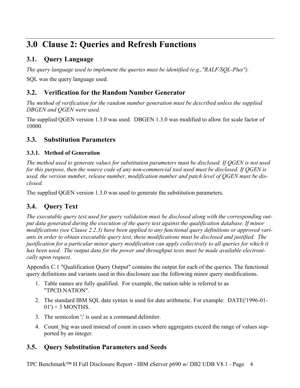## **3.0 Clause 2: Queries and Refresh Functions**

## **3.1. Query Language**

*The query language used to implement the queries must be identified (e.g.,"RALF/SQL-Plus").* 

SQL was the query language used.

## **3.2. Verification for the Random Number Generator**

*The method of verification for the random number generation must be described unless the supplied DBGEN and QGEN were used.* 

The supplied QGEN version 1.3.0 was used. DBGEN 1.3.0 was modified to allow for scale factor of 10000.

## **3.3. Substitution Parameters**

#### **3.3.1. Method of Generation**

*The method used to generate values for substitution parameters must be disclosed. If QGEN is not used for this purpose, then the source code of any non-commercial tool used must be disclosed. If QGEN is used, the version number, release number, modification number and patch level of QGEN must be disclosed.* 

The supplied QGEN version 1.3.0 was used to generate the substitution parameters.

## **3.4. Query Text**

*The executable query text used for query validation must be disclosed along with the corresponding output data generated during the execution of the query text against the qualification database. If minor modifications (see Clause 2.2.3) have been applied to any functional query definitions or approved variants in order to obtain executable query text, these modifications must be disclosed and justified. The justification for a particular minor query modification can apply collectively to all queries for which it has been used. The output data for the power and throughput tests must be made available electronically upon request.* 

Appendix C.1 "Qualification Query Output" contains the output for each of the queries. The functional query definitions and variants used in this disclosure use the following minor query modifications.

- 1. Table names are fully qualified. For example, the nation table is referred to as "TPCD.NATION".
- 2. The standard IBM SQL date syntax is used for date arithmetic. For example: DATE('1996-01-  $01'$ ) + 3 MONTHS.
- 3. The semicolon ';' is used as a command delimiter.
- 4. Count big was used instead of count in cases where aggregates exceed the range of values supported by an integer.

## **3.5. Query Substitution Parameters and Seeds**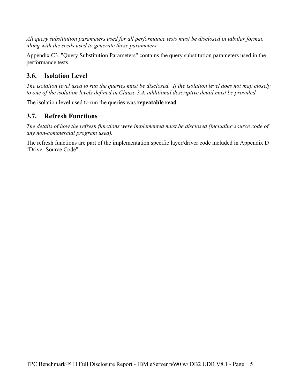*All query substitution parameters used for all performance tests must be disclosed in tabular format, along with the seeds used to generate these parameters.* 

Appendix C3, "Query Substitution Parameters" contains the query substitution parameters used in the performance tests.

## **3.6. Isolation Level**

*The isolation level used to run the queries must be disclosed. If the isolation level does not map closely to one of the isolation levels defined in Clause 3.4, additional descriptive detail must be provided.* 

The isolation level used to run the queries was **repeatable read**.

## **3.7. Refresh Functions**

*The details of how the refresh functions were implemented must be disclosed (including source code of any non-commercial program used).* 

The refresh functions are part of the implementation specific layer/driver code included in Appendix D "Driver Source Code".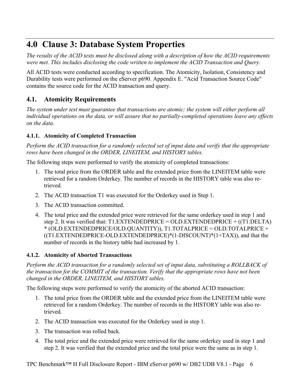## **4.0 Clause 3: Database System Properties**

*The results of the ACID tests must be disclosed along with a description of how the ACID requirements were met. This includes disclosing the code written to implement the ACID Transaction and Query.* 

All ACID tests were conducted according to specification. The Atomicity, Isolation, Consistency and Durability tests were performed on the eServer p690. Appendix E. "Acid Transaction Source Code" contains the source code for the ACID transaction and query.

## **4.1. Atomicity Requirements**

*The system under test must guarantee that transactions are atomic; the system will either perform all individual operations on the data, or will assure that no partially-completed operations leave any effects on the data.* 

### **4.1.1. Atomicity of Completed Transaction**

*Perform the ACID transaction for a randomly selected set of input data and verify that the appropriate rows have been changed in the ORDER, LINEITEM, and HISTORY tables.* 

The following steps were performed to verify the atomicity of completed transactions:

- 1. The total price from the ORDER table and the extended price from the LINEITEM table were retrieved for a random Orderkey. The number of records in the HISTORY table was also retrieved.
- 2. The ACID transaction T1 was executed for the Orderkey used in Step 1.
- 3. The ACID transaction committed.
- 4. The total price and the extended price were retrieved for the same orderkey used in step 1 and step 2. It was verified that: T1.EXTENDEDPRICE = OLD.EXTENDEDPRICE +  $($ T1.DELTA) \* (OLD.EXTENDEDPRICE/OLD.QUANTITY)), T1.TOTALPRICE = OLD.TOTALPRICE + ((T1.EXTENDEDPRICE-OLD.EXTENDEDPRICE)\*(1-DISCOUNT)\*(1+TAX)), and that the number of records in the history table had increased by 1.

### **4.1.2. Atomicity of Aborted Transactions**

*Perform the ACID transaction for a randomly selected set of input data, substituting a ROLLBACK of the transaction for the COMMIT of the transaction. Verify that the appropriate rows have not been changed in the ORDER, LINEITEM, and HISTORY tables.* 

The following steps were performed to verify the atomicity of the aborted ACID transaction:

- 1. The total price from the ORDER table and the extended price from the LINEITEM table were retrieved for a random Orderkey. The number of records in the HISTORY table was also retrieved.
- 2. The ACID transaction was executed for the Orderkey used in step 1.
- 3. The transaction was rolled back.
- 4. The total price and the extended price were retrieved for the same orderkey used in step 1 and step 2. It was verified that the extended price and the total price were the same as in step 1.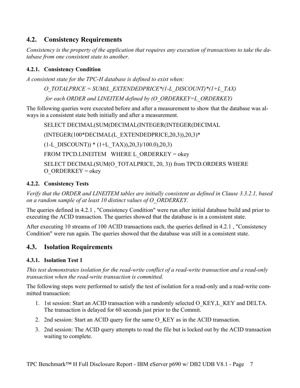## **4.2. Consistency Requirements**

*Consistency is the property of the application that requires any execution of transactions to take the database from one consistent state to another.* 

#### **4.2.1. Consistency Condition**

*A consistent state for the TPC-H database is defined to exist when:* 

*O\_TOTALPRICE = SUM(L\_EXTENDEDPRICE\*(1-L\_DISCOUNT)\*(1+L\_TAX) for each ORDER and LINEITEM defined by (O\_ORDERKEY=L\_ORDERKEY)* 

The following queries were executed before and after a measurement to show that the database was always in a consistent state both initially and after a measurement.

SELECT DECIMAL(SUM(DECIMAL(INTEGER(INTEGER(DECIMAL

(INTEGER(100\*DECIMAL(L\_EXTENDEDPRICE,20,3)),20,3)\*

 $(1-L$  DISCOUNT)) \*  $(1+L$  TAX)),20,3)/100.0),20,3)

FROM TPCD.LINEITEM WHERE L ORDERKEY = okey

SELECT DECIMAL(SUM(O\_TOTALPRICE, 20, 3)) from TPCD.ORDERS WHERE  $O$  ORDERKEY = okey

#### **4.2.2. Consistency Tests**

*Verify that the ORDER and LINEITEM tables are initially consistent as defined in Clause 3.3.2.1, based on a random sample of at least 10 distinct values of O\_ORDERKEY.* 

The queries defined in 4.2.1 , "Consistency Condition" were run after initial database build and prior to executing the ACID transaction. The queries showed that the database is in a consistent state.

After executing 10 streams of 100 ACID transactions each, the queries defined in 4.2.1 , "Consistency Condition" were run again. The queries showed that the database was still in a consistent state.

## **4.3. Isolation Requirements**

#### **4.3.1. Isolation Test 1**

*This test demonstrates isolation for the read-write conflict of a read-write transaction and a read-only transaction when the read-write transaction is committed.* 

The following steps were performed to satisfy the test of isolation for a read-only and a read-write committed transaction:

- 1. 1st session: Start an ACID transaction with a randomly selected O\_KEY,L\_KEY and DELTA. The transaction is delayed for 60 seconds just prior to the Commit.
- 2. 2nd session: Start an ACID query for the same O\_KEY as in the ACID transaction.
- 3. 2nd session: The ACID query attempts to read the file but is locked out by the ACID transaction waiting to complete.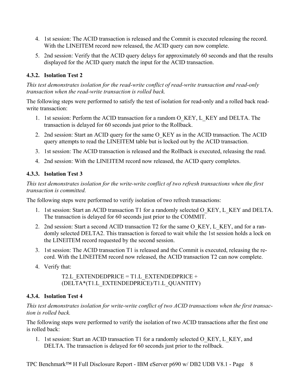- 4. 1st session: The ACID transaction is released and the Commit is executed releasing the record. With the LINEITEM record now released, the ACID query can now complete.
- 5. 2nd session: Verify that the ACID query delays for approximately 60 seconds and that the results displayed for the ACID query match the input for the ACID transaction.

#### **4.3.2. Isolation Test 2**

*This test demonstrates isolation for the read-write conflict of read-write transaction and read-only transaction when the read-write transaction is rolled back.* 

The following steps were performed to satisfy the test of isolation for read-only and a rolled back readwrite transaction:

- 1. 1st session: Perform the ACID transaction for a random O\_KEY, L\_KEY and DELTA. The transaction is delayed for 60 seconds just prior to the Rollback.
- 2. 2nd session: Start an ACID query for the same O\_KEY as in the ACID transaction. The ACID query attempts to read the LINEITEM table but is locked out by the ACID transaction.
- 3. 1st session: The ACID transaction is released and the Rollback is executed, releasing the read.
- 4. 2nd session: With the LINEITEM record now released, the ACID query completes.

#### **4.3.3. Isolation Test 3**

*This test demonstrates isolation for the write-write conflict of two refresh transactions when the first transaction is committed.* 

The following steps were performed to verify isolation of two refresh transactions:

- 1. 1st session: Start an ACID transaction T1 for a randomly selected O\_KEY, L\_KEY and DELTA. The transaction is delayed for 60 seconds just prior to the COMMIT.
- 2. 2nd session: Start a second ACID transaction T2 for the same O\_KEY, L\_KEY, and for a randomly selected DELTA2. This transaction is forced to wait while the 1st session holds a lock on the LINEITEM record requested by the second session.
- 3. 1st session: The ACID transaction T1 is released and the Commit is executed, releasing the record. With the LINEITEM record now released, the ACID transaction T2 can now complete.
- 4. Verify that:

T2.L\_EXTENDEDPRICE = T1.L\_EXTENDEDPRICE + (DELTA\*(T1.L\_EXTENDEDPRICE)/T1.L\_QUANTITY)

#### **4.3.4. Isolation Test 4**

*This test demonstrates isolation for write-write conflict of two ACID transactions when the first transaction is rolled back.* 

The following steps were performed to verify the isolation of two ACID transactions after the first one is rolled back:

1. 1st session: Start an ACID transaction T1 for a randomly selected O KEY, L KEY, and DELTA. The transaction is delayed for 60 seconds just prior to the rollback.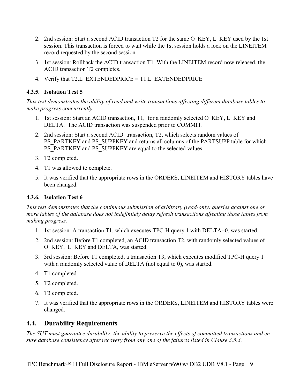- 2. 2nd session: Start a second ACID transaction T2 for the same O\_KEY, L\_KEY used by the 1st session. This transaction is forced to wait while the 1st session holds a lock on the LINEITEM record requested by the second session.
- 3. 1st session: Rollback the ACID transaction T1. With the LINEITEM record now released, the ACID transaction T2 completes.
- 4. Verify that T2.L\_EXTENDEDPRICE = T1.L\_EXTENDEDPRICE

#### **4.3.5. Isolation Test 5**

*This test demonstrates the ability of read and write transactions affecting different database tables to make progress concurrently.* 

- 1. 1st session: Start an ACID transaction, T1, for a randomly selected O\_KEY, L\_KEY and DELTA. The ACID transaction was suspended prior to COMMIT.
- 2. 2nd session: Start a second ACID transaction, T2, which selects random values of PS\_PARTKEY and PS\_SUPPKEY and returns all columns of the PARTSUPP table for which PS\_PARTKEY and PS\_SUPPKEY are equal to the selected values.
- 3. T2 completed.
- 4. T1 was allowed to complete.
- 5. It was verified that the appropriate rows in the ORDERS, LINEITEM and HISTORY tables have been changed.

#### **4.3.6. Isolation Test 6**

*This test demonstrates that the continuous submission of arbitrary (read-only) queries against one or more tables of the database does not indefinitely delay refresh transactions affecting those tables from making progress.* 

- 1. 1st session: A transaction T1, which executes TPC-H query 1 with DELTA=0, was started.
- 2. 2nd session: Before T1 completed, an ACID transaction T2, with randomly selected values of O\_KEY, L\_KEY and DELTA, was started.
- 3. 3rd session: Before T1 completed, a transaction T3, which executes modified TPC-H query 1 with a randomly selected value of DELTA (not equal to 0), was started.
- 4. T1 completed.
- 5. T2 completed.
- 6. T3 completed.
- 7. It was verified that the appropriate rows in the ORDERS, LINEITEM and HISTORY tables were changed.

### **4.4. Durability Requirements**

*The SUT must guarantee durability: the ability to preserve the effects of committed transactions and ensure database consistency after recovery from any one of the failures listed in Clause 3.5.3.*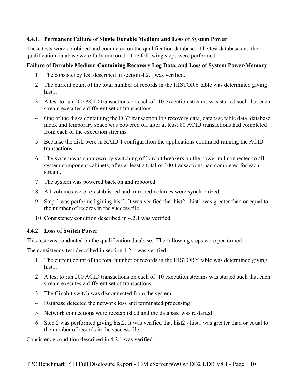#### **4.4.1. Permanent Failure of Single Durable Medium and Loss of System Power**

These tests were combined and conducted on the qualification database. The test database and the qualification database were fully mirrored. The following steps were performed:

#### **Failure of Durable Medium Containing Recovery Log Data, and Loss of System Power/Memory**

- 1. The consistency test described in section 4.2.1 was verified.
- 2. The current count of the total number of records in the HISTORY table was determined giving hist1
- 3. A test to run 200 ACID transactions on each of 10 execution streams was started such that each stream executes a different set of transactions.
- 4. One of the disks containing the DB2 transaction log recovery data, database table data, database index and temporary space was powered off after at least 80 ACID transactions had completed from each of the execution streams.
- 5. Because the disk were in RAID 1 configuration the applications continued running the ACID transactions.
- 6. The system was shutdown by switching off circuit breakers on the power rail connected to all system component cabinets, after at least a total of 100 transactions had completed for each stream.
- 7. The system was powered back on and rebooted.
- 8. All volumes were re-established and mirrored volumes were synchronized.
- 9. Step 2 was performed giving hist2. It was verified that hist2 hist1 was greater than or equal to the number of records in the success file.
- 10. Consistency condition described in 4.2.1 was verified.

#### **4.4.2. Loss of Switch Power**

This test was conducted on the qualification database. The following steps were performed:

The consistency test described in section 4.2.1 was verified.

- 1. The current count of the total number of records in the HISTORY table was determined giving hist1
- 2. A test to run 200 ACID transactions on each of 10 execution streams was started such that each stream executes a different set of transactions.
- 3. The Gigabit switch was disconnected from the system.
- 4. Database detected the network loss and terminated processing
- 5. Network connections were reestablished and the database was restarted
- 6. Step 2 was performed giving hist2. It was verified that hist2 hist1 was greater than or equal to the number of records in the success file.

Consistency condition described in 4.2.1 was verified.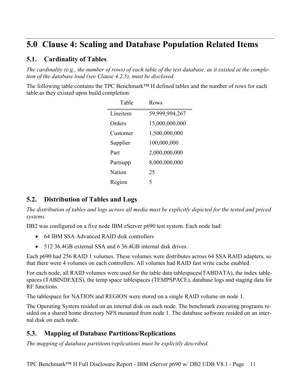## **5.0 Clause 4: Scaling and Database Population Related Items**

## **5.1. Cardinality of Tables**

*The cardinality (e.g., the number of rows) of each table of the test database, as it existed at the completion of the database load (see Clause 4.2.5), must be disclosed.* 

The following table contains the TPC Benchmark™ H defined tables and the number of rows for each table as they existed upon build completion:

| Table    | Rows           |
|----------|----------------|
| Lineitem | 59,999,994,267 |
| Orders   | 15,000,000,000 |
| Customer | 1,500,000,000  |
| Supplier | 100,000,000    |
| Part     | 2,000,000,000  |
| Partsupp | 8,000,000,000  |
| Nation   | 25             |
| Region   | 5              |

## **5.2. Distribution of Tables and Logs**

*The distribution of tables and logs across all media must be explicitly depicted for the tested and priced systems.* 

DB2 was configured on a five node IBM eServer p690 test system. Each node had:

- 64 IBM SSA Advanced RAID disk controllers
- 512 36.4GB external SSA and 6 36.4GB internal disk drives.

Each p690 had 256 RAID 1 volumes. These volumes were distributes across 64 SSA RAID adapters, so that there were 4 volumes on each controllers. All volumes had RAID fast write cache enabled.

For each node, all RAID volumes were used for the table data tablespaces(TABDATA), the index tablespaces (TABINDEXES), the temp space tablespaces (TEMPSPACE), database logs and staging data for RF functions.

The tablespace for NATION and REGION were stored on a single RAID volume on node 1.

The Operating System resided on an internal disk on each node. The benchmark executing programs resided on a shared home directory NFS mounted from node 1. The database software resided on an internal disk on each node.

## **5.3. Mapping of Database Partitions/Replications**

*The mapping of database partitions/replications must be explicitly described.*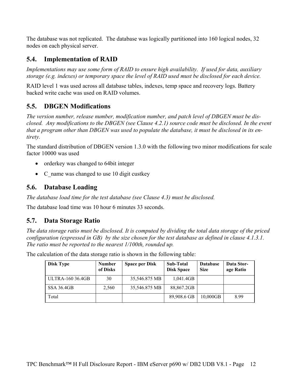The database was not replicated. The database was logically partitioned into 160 logical nodes, 32 nodes on each physical server.

## **5.4. Implementation of RAID**

*Implementations may use some form of RAID to ensure high availability. If used for data, auxiliary storage (e.g. indexes) or temporary space the level of RAID used must be disclosed for each device.* 

RAID level 1 was used across all database tables, indexes, temp space and recovery logs. Battery backed write cache was used on RAID volumes.

## **5.5. DBGEN Modifications**

*The version number, release number, modification number, and patch level of DBGEN must be disclosed. Any modifications to the DBGEN (see Clause 4.2.1) source code must be disclosed. In the event that a program other than DBGEN was used to populate the database, it must be disclosed in its entirety.* 

The standard distribution of DBGEN version 1.3.0 with the following two minor modifications for scale factor 10000 was used

- orderkey was changed to 64bit integer
- C\_name was changed to use 10 digit custkey

### **5.6. Database Loading**

*The database load time for the test database (see Clause 4.3) must be disclosed.* 

The database load time was 10 hour 6 minutes 33 seconds.

## **5.7. Data Storage Ratio**

*The data storage ratio must be disclosed. It is computed by dividing the total data storage of the priced configuration (expressed in GB) by the size chosen for the test database as defined in clause 4.1.3.1. The ratio must be reported to the nearest 1/100th, rounded up.* 

The calculation of the data storage ratio is shown in the following table:

| Disk Type               | <b>Number</b><br>of Disks | <b>Space per Disk</b> | <b>Sub-Total</b><br><b>Disk Space</b> | <b>Database</b><br><b>Size</b> | Data Stor-<br>age Ratio |
|-------------------------|---------------------------|-----------------------|---------------------------------------|--------------------------------|-------------------------|
| <b>ULTRA-160 36.4GB</b> | 30                        | 35,546.875 MB         | 1,041.4GB                             |                                |                         |
| <b>SSA 36.4GB</b>       | 2,560                     | 35,546.875 MB         | 88,867.2GB                            |                                |                         |
| Total                   |                           |                       | 89,908.6 GB                           | 10,000GB                       | 8.99                    |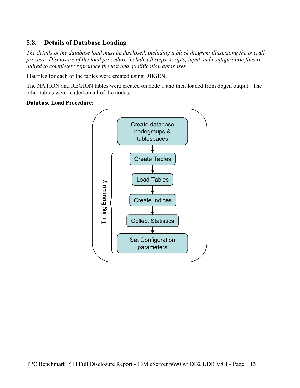## **5.8. Details of Database Loading**

*The details of the database load must be disclosed, including a block diagram illustrating the overall process. Disclosure of the load procedure include all steps, scripts, input and configuration files required to completely reproduce the test and qualification databases.* 

Flat files for each of the tables were created using DBGEN.

The NATION and REGION tables were created on node 1 and then loaded from dbgen output. The other tables were loaded on all of the nodes.

#### **Database Load Procedure:**

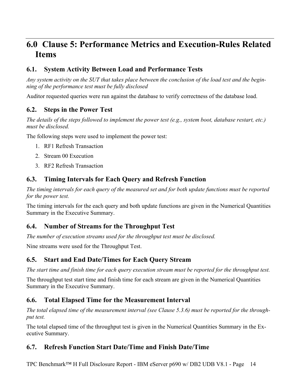## **6.0 Clause 5: Performance Metrics and Execution-Rules Related Items**

## **6.1. System Activity Between Load and Performance Tests**

*Any system activity on the SUT that takes place between the conclusion of the load test and the beginning of the performance test must be fully disclosed* 

Auditor requested queries were run against the database to verify correctness of the database load.

### **6.2. Steps in the Power Test**

*The details of the steps followed to implement the power test (e.g., system boot, database restart, etc.) must be disclosed.* 

The following steps were used to implement the power test:

- 1. RF1 Refresh Transaction
- 2. Stream 00 Execution
- 3. RF2 Refresh Transaction

### **6.3. Timing Intervals for Each Query and Refresh Function**

*The timing intervals for each query of the measured set and for both update functions must be reported for the power test.* 

The timing intervals for the each query and both update functions are given in the Numerical Quantities Summary in the Executive Summary.

### **6.4. Number of Streams for the Throughput Test**

*The number of execution streams used for the throughput test must be disclosed.* 

Nine streams were used for the Throughput Test.

## **6.5. Start and End Date/Times for Each Query Stream**

*The start time and finish time for each query execution stream must be reported for the throughput test.* 

The throughput test start time and finish time for each stream are given in the Numerical Quantities Summary in the Executive Summary.

## **6.6. Total Elapsed Time for the Measurement Interval**

*The total elapsed time of the measurement interval (see Clause 5.3.6) must be reported for the throughput test.* 

The total elapsed time of the throughput test is given in the Numerical Quantities Summary in the Executive Summary.

## **6.7. Refresh Function Start Date/Time and Finish Date/Time**

TPC Benchmark™ H Full Disclosure Report - IBM eServer p690 w/ DB2 UDB V8.1 - Page 14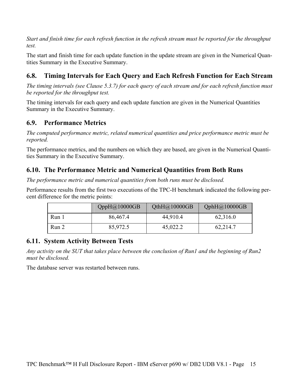*Start and finish time for each refresh function in the refresh stream must be reported for the throughput test.* 

The start and finish time for each update function in the update stream are given in the Numerical Quantities Summary in the Executive Summary.

## **6.8. Timing Intervals for Each Query and Each Refresh Function for Each Stream**

*The timing intervals (see Clause 5.3.7) for each query of each stream and for each refresh function must be reported for the throughput test.* 

The timing intervals for each query and each update function are given in the Numerical Quantities Summary in the Executive Summary.

### **6.9. Performance Metrics**

*The computed performance metric, related numerical quantities and price performance metric must be reported.* 

The performance metrics, and the numbers on which they are based, are given in the Numerical Quantities Summary in the Executive Summary.

## **6.10. The Performance Metric and Numerical Quantities from Both Runs**

*The performance metric and numerical quantities from both runs must be disclosed.* 

Performance results from the first two executions of the TPC-H benchmark indicated the following percent difference for the metric points:

|       | QppH@10000GB | QthH@10000GB | QphH@10000GB |
|-------|--------------|--------------|--------------|
| Run 1 | 86,467.4     | 44,910.4     | 62,316.0     |
| Run 2 | 85,972.5     | 45,022.2     | 62,214.7     |

## **6.11. System Activity Between Tests**

*Any activity on the SUT that takes place between the conclusion of Run1 and the beginning of Run2 must be disclosed.* 

The database server was restarted between runs.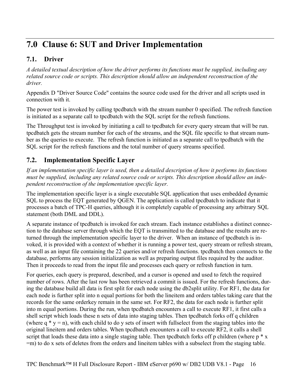## **7.0 Clause 6: SUT and Driver Implementation**

## **7.1. Driver**

*A detailed textual description of how the driver performs its functions must be supplied, including any related source code or scripts. This description should allow an independent reconstruction of the driver.* 

Appendix D "Driver Source Code" contains the source code used for the driver and all scripts used in connection with it.

The power test is invoked by calling tpcdbatch with the stream number 0 specified. The refresh function is initiated as a separate call to tpcdbatch with the SQL script for the refresh functions.

The Throughput test is invoked by initiating a call to tpcdbatch for every query stream that will be run. tpcdbatch gets the stream number for each of the streams, and the SQL file specific to that stream number as the queries to execute. The refresh function is initiated as a separate call to tpcdbatch with the SQL script for the refresh functions and the total number of query streams specified.

## **7.2. Implementation Specific Layer**

*If an implementation specific layer is used, then a detailed description of how it performs its functions must be supplied, including any related source code or scripts. This description should allow an independent reconstruction of the implementation specific layer.* 

The implementation specific layer is a single executable SQL application that uses embedded dynamic SQL to process the EQT generated by QGEN. The application is called tpcdbatch to indicate that it processes a batch of TPC-H queries, although it is completely capable of processing any arbitrary SQL statement (both DML and DDL).

A separate instance of tpcdbatch is invoked for each stream. Each instance establishes a distinct connection to the database server through which the EQT is transmitted to the database and the results are returned through the implementation specific layer to the driver. When an instance of tpcdbatch is invoked, it is provided with a context of whether it is running a power test, query stream or refresh stream, as well as an input file containing the 22 queries and/or refresh functions. tpcdbatch then connects to the database, performs any session initialization as well as preparing output files required by the auditor. Then it proceeds to read from the input file and processes each query or refresh function in turn.

For queries, each query is prepared, described, and a cursor is opened and used to fetch the required number of rows. After the last row has been retrieved a commit is issued. For the refresh functions, during the database build all data is first split for each node using the db2split utility. For RF1, the data for each node is further split into n equal portions for both the lineitem and orders tables taking care that the records for the same orderkey remain in the same set. For RF2, the data for each node is further split into m equal portions. During the run, when tpcdbatch encounters a call to execute RF1, it first calls a shell script which loads these n sets of data into staging tables. Then tpcdbatch forks off q children (where  $q * y = n$ ), with each child to do y sets of insert with fullselect from the staging tables into the original lineitem and orders tables. When tpcdbatch encounters a call to execute RF2, it calls a shell script that loads these data into a single staging table. Then tpcdbatch forks off p children (where p  $*$  x =m) to do x sets of deletes from the orders and lineitem tables with a subselect from the staging table.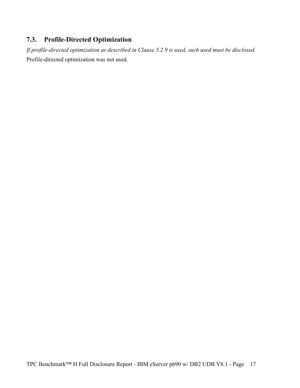## **7.3. Profile-Directed Optimization**

*If profile-directed optimization as described in Clause 5.2.9 is used, such used must be disclosed.*  Profile-directed optimization was not used.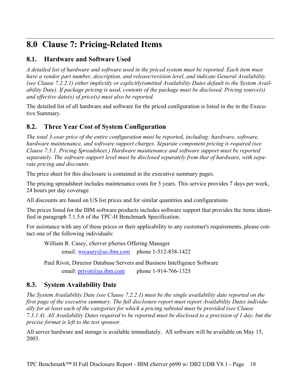## **8.0 Clause 7: Pricing-Related Items**

## **8.1. Hardware and Software Used**

*A detailed list of hardware and software used in the priced system must be reported. Each item must have a vendor part number, description, and release/revision level, and indicate General Availability (see Clause 7.2.2.1) either implicitly or explicitly(omitted Availability Dates default to the System Availability Date). If package pricing is used, contents of the package must be disclosed. Pricing source(s) and effective date(s) of price(s) must also be reported.* 

The detailed list of all hardware and software for the priced configuration is listed in the in the Executive Summary.

## **8.2. Three Year Cost of System Configuration**

*The total 3-year price of the entire configuration must be reported, including: hardware, software, hardware maintenance, and software support charges. Separate component pricing is required (see Clause 7.3.1. Pricing Spreadsheet.) Hardware maintenance and software support must be reported separately. The software support level must be disclosed separately from that of hardware, with separate pricing and discounts.* 

The price sheet for this disclosure is contained in the executive summary pages.

The pricing spreadsheet includes maintenance costs for 3 years. This service provides 7 days per week, 24 hours per day coverage.

All discounts are based on US list prices and for similar quantities and configurations

The prices listed for the IBM software products includes software support that provides the items identified in paragraph 7.1.5.6 of the TPC-H Benchmark Specification.

For assistance with any of these prices or their applicability to any customer's requirements, please contact one of the following individuals:

William R. Casey, eServer pSeries Offering Manager

email:  $wrcasey(a)$ us.ibm.com phone 1-512-838-1422

Paul Rivot, Director Database Servers and Business Intelligence Software email:  $privot@us.ibm.com$  phone 1-914-766-1325

## **8.3. System Availability Date**

*The System Availability Date (see Clause 7.2.2.1) must be the single availability date reported on the first page of the executive summary. The full disclosure report must report Availability Dates individually for at least each of the categories for which a pricing subtotal must be provided (see Clause 7.3.1.4). All Availability Dates required to be reported must be disclosed to a precision of 1 day, but the precise format is left to the test sponsor.* 

All server hardware and storage is available immediately. All software will be available on May 15, 2003.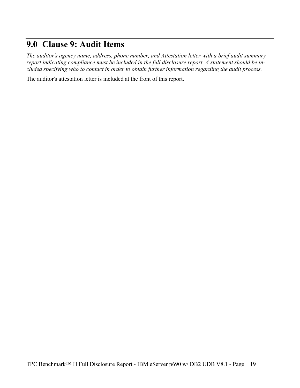## **9.0 Clause 9: Audit Items**

*The auditor's agency name, address, phone number, and Attestation letter with a brief audit summary report indicating compliance must be included in the full disclosure report. A statement should be included specifying who to contact in order to obtain further information regarding the audit process.* 

The auditor's attestation letter is included at the front of this report.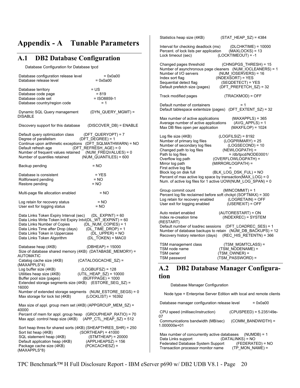## **Appendix - A Tunable Parameters**

#### **A.1 DB2 Database Configuration**

Database Configuration for Database tpcd

| Database configuration release level<br>Database release level                                                                                                                                                                                             | $= 0x0a00$<br>$= 0x0a00$                                                                   |
|------------------------------------------------------------------------------------------------------------------------------------------------------------------------------------------------------------------------------------------------------------|--------------------------------------------------------------------------------------------|
| Database territory<br>Database code page<br>Database code set<br>Database country/region code                                                                                                                                                              | = US<br>$= 819$<br>= ISO8859-1<br>$= 1$                                                    |
| Dynamic SQL Query management<br><b>DISABLE</b>                                                                                                                                                                                                             | (DYN_QUERY_MGMT) =                                                                         |
| Discovery support for this database                                                                                                                                                                                                                        | (DISCOVER_DB) = ENABLE                                                                     |
| Default query optimization class<br>Degree of parallelism<br>Continue upon arithmetic exceptions (DFT_SQLMATHWARN) = NO<br>Default refresh age<br>Number of frequent values retained (NUM_FREQVALUES) = 0<br>Number of quantiles retained                  | (DFT QUERYOPT) = 7<br>$(DFT DEGREE) = 1$<br>(DFT_REFRESH_AGE) = 0<br>(NUM_QUANTILES) = 600 |
| Backup pending                                                                                                                                                                                                                                             | = NO                                                                                       |
| Database is consistent<br>Rollforward pending<br>Restore pending                                                                                                                                                                                           | $=$ YES<br>$= NO$<br>$= NO$                                                                |
| Multi-page file allocation enabled                                                                                                                                                                                                                         | $= NO$                                                                                     |
| Log retain for recovery status<br>User exit for logging status                                                                                                                                                                                             | $= NO$<br>$= NO$                                                                           |
| Data Links Token Expiry Interval (sec) (DL_EXPINT) = 60<br>Data Links Write Token Init Expiry Intvl(DL_WT_IEXPINT) = 60<br>Data Links Number of Copies<br>Data Links Time after Drop (days)<br>Data Links Token in Uppercase<br>Data Links Token Algorithm | (DL_NUM_COPIES) = 1<br>$(DL$ _TIME_DROP) = 1<br>$(DL_UPPER) = NO$<br>(DL_TOKEN) = MAC0     |
| Database heap (4KB)<br>Size of database shared memory (4KB) (DATABASE_MEMORY) =<br>AUTOMATIC                                                                                                                                                               | $(DBHEAP) = 15000$                                                                         |
| Catalog cache size (4KB)<br>(MAXAPPLS*4)                                                                                                                                                                                                                   | (CATALOGCACHE_SZ) =                                                                        |
| Log buffer size (4KB)<br>Utilities heap size (4KB)<br>Buffer pool size (pages)<br>Extended storage segments size (4KB) (ESTORE_SEG_SZ) =<br>16000                                                                                                          | $(LOGBUFSZ) = 128$<br>(UTIL_HEAP_SZ) = 10000<br>$(BUFFPAGE) = 1000$                        |
| Number of extended storage segments (NUM_ESTORE_SEGS) = 0<br>Max storage for lock list (4KB)                                                                                                                                                               | $(LOCKLIST) = 16392$                                                                       |
| Max size of appl. group mem set (4KB) (APPGROUP_MEM_SZ) =<br>40000                                                                                                                                                                                         |                                                                                            |
| Percent of mem for appl. group heap (GROUPHEAP RATIO) = 70<br>Max appl. control heap size (4KB)                                                                                                                                                            | $(APP$ CTL HEAP SZ) = 512                                                                  |
| Sort heap thres for shared sorts (4KB) (SHEAPTHRES_SHR) = 250<br>Sort list heap (4KB)<br>SQL statement heap (4KB)<br>Default application heap (4KB)<br>Package cache size (4KB)<br>(MAXAPPLS*8)                                                            | $(SORTHEAP) = 41000$<br>$(STMTHEAP) = 20000$<br>$(APPLHEAPSZ) = 156$<br>$(PCKCACHESZ) =$   |

| Statistics heap size (4KB)                                                                                                                                                                                                                                                                            | $(STAT_HEAP_SZ) = 4384$                                                                                                                                                                                                                            |  |
|-------------------------------------------------------------------------------------------------------------------------------------------------------------------------------------------------------------------------------------------------------------------------------------------------------|----------------------------------------------------------------------------------------------------------------------------------------------------------------------------------------------------------------------------------------------------|--|
| Interval for checking deadlock (ms)<br>Percent. of lock lists per application<br>Lock timeout (sec)                                                                                                                                                                                                   | (DLCHKTIME) = 10000<br>$(MAXLOCKS) = 13$<br>(LOCKTIMEOUT) = -1                                                                                                                                                                                     |  |
| Changed pages threshold<br>Number of I/O servers<br>Index sort flag<br>Sequential detect flag<br>Default prefetch size (pages)                                                                                                                                                                        | (CHNGPGS THRESH) = 15<br>Number of asynchronous page cleaners (NUM_IOCLEANERS) = 1<br>(NUM IOSERVERS) = $16$<br>$(INDEXSORT) = YES$<br>$(SEQDETECT) = YES$<br>$(DFT_PREFETCH_SZ) = 32$                                                             |  |
| Track modified pages                                                                                                                                                                                                                                                                                  | (TRACKMOD) = OFF                                                                                                                                                                                                                                   |  |
| Default number of containers<br>Default tablespace extentsize (pages)                                                                                                                                                                                                                                 | = 1<br>$(DFT\_EXTENT_SZ) = 32$                                                                                                                                                                                                                     |  |
| Max number of active applications<br>Average number of active applications<br>Max DB files open per application                                                                                                                                                                                       | $(MAXAPPLS) = 365$<br>$(AVG APPLS) = 1$<br>$(MAXFILOP) = 1024$                                                                                                                                                                                     |  |
| Log file size (4KB)<br>Number of primary log files<br>Number of secondary log files<br>Changed path to log files<br>Path to log files<br>Overflow log path<br>Mirror log path<br>First active log file<br>Block log on disk full<br>Percent of max active log space by transaction(MAX_LOG) = 0       | $(LOGFILSIZ) = 8192$<br>$(LOGPRIMARY) = 25$<br>$(LOGSECOND) = 10$<br>(NEWLOGPATH) =<br>$=$ /db/tpcd/NODE0001/<br>(OVERFLOWLOGPATH) =<br>(MIRRORLOGPATH) =<br>(BLK LOG DSK FUL) = NO<br>Num. of active log files for 1 active UOW(NUM_LOG_SPAN) = 0 |  |
| Group commit count<br>Percent log file reclaimed before soft chckpt (SOFTMAX) = 300<br>Log retain for recovery enabled<br>User exit for logging enabled                                                                                                                                               | (MINCOMMIT) = 1<br>$(LOGRETAIN) = OFF$<br>$(USEREXIT) = OFF$                                                                                                                                                                                       |  |
| (AUTORESTART) = ON<br>Auto restart enabled<br>(INDEXREC) = SYSTEM<br>Index re-creation time<br>(RESTART)<br>Default number of loadrec sessions<br>(DFT_LOADREC_SES) = 1<br>Number of database backups to retain (NUM DB BACKUPS) = 12<br>(REC_HIS_RETENTN) = 366<br>Recovery history retention (days) |                                                                                                                                                                                                                                                    |  |
| TSM management class<br>TSM node name<br>TSM owner<br>TSM password                                                                                                                                                                                                                                    | (TSM MGMTCLASS) =<br>(TSM_NODENAME) =<br>(TSM_OWNER) =<br>(TSM_PASSWORD) =                                                                                                                                                                         |  |

### **A.2 DB2 Database Manager Configuration**

#### Database Manager Configuration

Node type = Enterprise Server Edition with local and remote clients

|                                                                                                          | Database manager configuration release level      | $= 0x0a00$              |
|----------------------------------------------------------------------------------------------------------|---------------------------------------------------|-------------------------|
| 07                                                                                                       | CPU speed (millisec/instruction)                  | (CPUSPEED) = 5.235149e- |
|                                                                                                          | Communications bandwidth (MB/sec)<br>1.000000e+01 | (COMM BANDWIDTH) =      |
| Max number of concurrently active databases<br>$(NUMDB) = 1$<br>$(DATALINKS) = NO$<br>Data Links support |                                                   |                         |
|                                                                                                          | Federated Database System Support                 | $(FEDERATED) = NO$      |
|                                                                                                          | Transaction processor monitor name                | $(TP MON NAME) =$       |

TPC Benchmark™ H Full Disclosure Report - IBM eServer p690 w/ DB2 UDB V8.1 - Page 20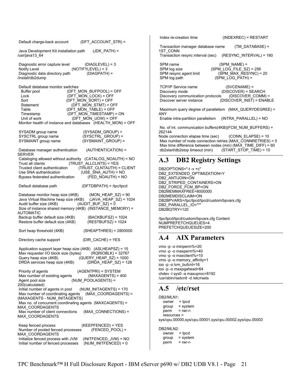|                                                                                                                                                                                                                                                                                                                                                                                   | $(INDEXREC) = RESTART$<br>Index re-creation time                                                                                                                                                                                                                                                                                                    |
|-----------------------------------------------------------------------------------------------------------------------------------------------------------------------------------------------------------------------------------------------------------------------------------------------------------------------------------------------------------------------------------|-----------------------------------------------------------------------------------------------------------------------------------------------------------------------------------------------------------------------------------------------------------------------------------------------------------------------------------------------------|
| (DFT ACCOUNT STR) =<br>Default charge-back account                                                                                                                                                                                                                                                                                                                                | Transaction manager database name<br>$(TM$ DATABASE) =                                                                                                                                                                                                                                                                                              |
| $(JDK_PATH) =$<br>Java Development Kit installation path<br>/usr/java13 64                                                                                                                                                                                                                                                                                                        | 1ST CONN<br>Transaction resync interval (sec)<br>(RESYNC INTERVAL) = 180                                                                                                                                                                                                                                                                            |
| $(DIAGLEYEL) = 3$<br>Diagnostic error capture level<br>$(NOTIFYLEVEL) = 3$<br>Notify Level<br>Diagnostic data directory path<br>$(DIAGPATH) =$<br>/install/db2dump                                                                                                                                                                                                                | SPM name<br>$(SPM NAME) =$<br>SPM log size<br>$(SPM\_LOG\_FILE\_SZ) = 256$<br>(SPM_MAX_RESYNC) = 20<br>SPM resync agent limit<br>$(SPM\_LOG\_PATH) =$<br>SPM log path                                                                                                                                                                               |
| Default database monitor switches<br>(DFT_MON_BUFPOOL) = OFF<br>Buffer pool<br>(DFT_MON_LOCK) = OFF<br>Lock<br>(DFT_MON_SORT) = OFF<br>Sort<br>(DFT_MON_STMT) = OFF<br>Statement<br>Table<br>(DFT MON TABLE) = OFF<br>(DFT_MON_TIMESTAMP) = ON<br>Timestamp<br>(DFT_MON_UOW) = OFF<br>Unit of work<br>Monitor health of instance and databases (HEALTH_MON) = OFF                 | <b>TCP/IP Service name</b><br>$(SVCENAME) =$<br>(DISCOVER) = SEARCH<br>Discovery mode<br>Discovery communication protocols<br>$(DISCOVER COMM) =$<br>Discover server instance<br>$(DISCOVER_INST) = ENABLE$<br>Maximum query degree of parallelism (MAX QUERYDEGREE) =<br><b>ANY</b><br>Enable intra-partition parallelism<br>(INTRA PARALLEL) = NO |
| (SYSADM GROUP) =<br>SYSADM group name                                                                                                                                                                                                                                                                                                                                             | No. of int. communication buffers(4KB)(FCM_NUM_BUFFERS) =<br>262144                                                                                                                                                                                                                                                                                 |
| SYSCTRL group name<br>(SYSCTRL GROUP) =                                                                                                                                                                                                                                                                                                                                           | Node connection elapse time (sec)<br>$(CONN$ ELAPSE) = 10                                                                                                                                                                                                                                                                                           |
| SYSMAINT group name<br>(SYSMAINT_GROUP) =<br>Database manager authentication<br>(AUTHENTICATION) =                                                                                                                                                                                                                                                                                | Max number of node connection retries (MAX_CONNRETRIES) = 5<br>Max time difference between nodes (min) ( $\overline{MAX}$ TIME DIFF) = 60<br>db2start/db2stop timeout (min)<br>(START STOP TIME) = 10                                                                                                                                               |
| <b>SERVER</b><br>Cataloging allowed without authority (CATALOG NOAUTH) = NO                                                                                                                                                                                                                                                                                                       | A.3<br><b>DB2 Registry Settings</b>                                                                                                                                                                                                                                                                                                                 |
| $(TRUST ALLCLNTS) = YES$<br>Trust all clients<br>(TRUST CLNTAUTH) = CLIENT<br>Trusted client authentication                                                                                                                                                                                                                                                                       |                                                                                                                                                                                                                                                                                                                                                     |
| (USE_SNA_AUTH) = NO<br>Use SNA authentication                                                                                                                                                                                                                                                                                                                                     | DB2OPTIONS="-t-v+c"<br>DB2 EXTENDED OPTIMIZATION=Y                                                                                                                                                                                                                                                                                                  |
| (FED NOAUTH) = NO<br>Bypass federated authentication                                                                                                                                                                                                                                                                                                                              | DB2_ANTIJOIN=ON                                                                                                                                                                                                                                                                                                                                     |
| $(DFTDBPATH) = /tpc/tpcd$<br>Default database path                                                                                                                                                                                                                                                                                                                                | DB2_STRIPED_CONTAINERS=ON<br>DB2_FORCE_FCM_BP=ON                                                                                                                                                                                                                                                                                                    |
| (MON HEAP $SZ$ ) = 90<br>Database monitor heap size (4KB)<br>Java Virtual Machine heap size (4KB) (JAVA_HEAP_SZ) = 1024<br>$(AUDIT_BUF_SZ) = 0$<br>Audit buffer size (4KB)<br>Size of instance shared memory (4KB) (INSTANCE_MEMORY) =<br><b>AUTOMATIC</b>                                                                                                                        | DB2MEMMAXFREE=8000000<br>DB2MEMDISCLAIM=ON<br>DB2BPVARS=/tpc/tpcd/tpcd/custom/bpvars.cfg<br>DB2_PARALLEL_IO="*"<br>DB2BQTRY=120                                                                                                                                                                                                                     |
| Backup buffer default size (4KB)<br>$(BACKBUFSZ) = 1024$<br>Restore buffer default size (4KB)<br>$(RESTBUFSZ) = 1024$                                                                                                                                                                                                                                                             | /tpc/tpcd/tpcd/custom/bpvars.cfg Content<br>NUMPREFETCHQUEUES=4<br>PREFETCHQUEUESIZE=200                                                                                                                                                                                                                                                            |
| (SHEAPTHRES) = 2800000<br>Sort heap threshold (4KB)                                                                                                                                                                                                                                                                                                                               |                                                                                                                                                                                                                                                                                                                                                     |
| $(DIR CACHE) = YES$<br>Directory cache support                                                                                                                                                                                                                                                                                                                                    | <b>AIX Parameters</b><br>A.4                                                                                                                                                                                                                                                                                                                        |
| Application support layer heap size (4KB) (ASLHEAPSZ) = 15<br>Max requester I/O block size (bytes) (RQRIOBLK) = 32767<br>(QUERY_HEAP_SZ) = 1000<br>Query heap size (4KB)<br>$(DRDA_HEAP_SZ) = 128$<br>DRDA services heap size (4KB)<br>(AGENTPRI) = SYSTEM<br>Priority of agents<br>Max number of existing agents<br>$(MAXAGENTS) = 400$<br>Agent pool size<br>(NUM POOLAGENTS) = | vmo -p -o minperm%=20<br>vmo -p -o maxperm%=40<br>vmo -p -o maxclient%=10<br>vmo -p -o memory_affinity=1<br>ioo -p -o lvm_bufcnt=16<br>ioo -p -o maxpgahead=64<br>chdev - sys0 - a maxuproc=8192<br>/usr/sbin/rsetcntl -d /etc/rsets                                                                                                                |
| 200(calculated)<br>Initial number of agents in pool<br>(NUM INITAGENTS) = 170                                                                                                                                                                                                                                                                                                     | A.5<br>/etc/rset                                                                                                                                                                                                                                                                                                                                    |
| Max number of coordinating agents<br>(MAX COORDAGENTS) =                                                                                                                                                                                                                                                                                                                          |                                                                                                                                                                                                                                                                                                                                                     |
| (MAXAGENTS - NUM_INITAGENTS)<br>Max no. of concurrent coordinating agents (MAXCAGENTS) =                                                                                                                                                                                                                                                                                          | DB2/MLN1:<br>$=$ tpcd<br>owner                                                                                                                                                                                                                                                                                                                      |
| MAX COORDAGENTS                                                                                                                                                                                                                                                                                                                                                                   | $=$ system<br>group                                                                                                                                                                                                                                                                                                                                 |
| Max number of client connections<br>(MAX CONNECTIONS) =<br>MAX_COORDAGENTS                                                                                                                                                                                                                                                                                                        | perm<br>$=$ rwr-r-<br>$resources =$<br>sys/cpu.00000,sys/cpu.00001,sys/cpu.00002,sys/cpu.00003                                                                                                                                                                                                                                                      |
| $(KEEPFENCED) = YES$<br>Keep fenced process                                                                                                                                                                                                                                                                                                                                       |                                                                                                                                                                                                                                                                                                                                                     |
| Number of pooled fenced processes<br>$(FENCED POOL) =$<br>MAX COORDAGENTS                                                                                                                                                                                                                                                                                                         | DB2/MLN2:<br>$=$ tpcd<br>owner                                                                                                                                                                                                                                                                                                                      |
| Initialize fenced process with JVM<br>$(INITERICED$ JVM $) = NO$                                                                                                                                                                                                                                                                                                                  | $=$ system<br>group                                                                                                                                                                                                                                                                                                                                 |
| (NUM INITFENCED) = $0$<br>Initial number of fenced processes                                                                                                                                                                                                                                                                                                                      | $=$ rwr-r-<br>perm                                                                                                                                                                                                                                                                                                                                  |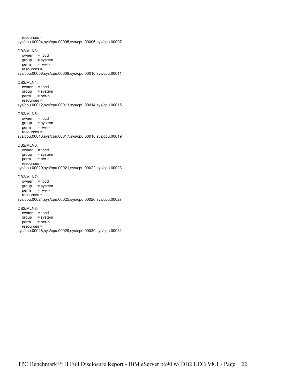resources = sys/cpu.00004,sys/cpu.00005,sys/cpu.00006,sys/cpu.00007 DB2/MLN3:  $owner = *tpcd*$  group = system perm = rwr-r resources = sys/cpu.00008,sys/cpu.00009,sys/cpu.00010,sys/cpu.00011 DB2/MLN4:  $owner = *tpcd*$  group = system perm = rwr-r resources = sys/cpu.00012,sys/cpu.00013,sys/cpu.00014,sys/cpu.00015 DB2/MLN5: owner = tpcd  $qroup = system$  $perm = rwr-r$  resources = sys/cpu.00016,sys/cpu.00017,sys/cpu.00018,sys/cpu.00019 DB2/MLN6: owner = tpcd group = system perm = rwr-r resources = sys/cpu.00020,sys/cpu.00021,sys/cpu.00022,sys/cpu.00023 DB2/MLN7: owner = tpcd group = system perm = rwr-r resources = sys/cpu.00024,sys/cpu.00025,sys/cpu.00026,sys/cpu.00027 DB2/MLN8: owner = tpcd group = system perm = rwr-r resources = sys/cpu.00028,sys/cpu.00029,sys/cpu.00030,sys/cpu.00031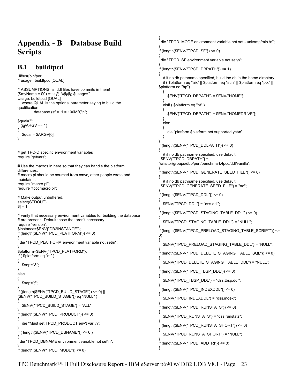# **Appendix - B Database Build Scripts**

## **B.1 buildtpcd**

 #!/usr/bin/perl # usage buildtpcd [QUAL]

# ASSUMPTIONS: all ddl files have commits in them! (\$myName = \$0) =~ s@.\*/@@; \$usage=" Usage: buildtpcd [QUAL] where QUAL is the optional parameter saying to build the qualification database (sf =  $.1$  = 100MB)\n"; \$qual=""; if  $(Q \triangle RGV == 1)$ {  $$quad = $ARGV[0];$ } # get TPC-D specific environment variables require 'getvars'; # Use the macros in here so that they can handle the platform differences. # macro.pl should be sourced from cmvc, other people wrote and maintain it. require "macro.pl"; require "tpcdmacro.pl"; # Make output unbuffered. select(STDOUT);  $|S| = 1$ ; # verify that necessary environment variables for building the database # are present. Default those that aren't necessary require "version"; \$instance=\$ENV{"DB2INSTANCE"}; if (length( $ENV$ <sup>T</sup>PCD\_PLATFORM"}) <= 0) { die "TPCD\_PLATFORM environment variable not set\n"; } \$platform=\$ENV{"TPCD\_PLATFORM"}; if ( \$platform eq "nt" ) { \$sep="&"; } else { \$sep=";"; }  $if$  ((length(\$ENV{"TPCD\_BUILD\_STAGE"}) <= 0) ||  $(SENVY'TPCD)$  BUILD  $STAGE''$ ) eq "NULL" ) { \$ENV{"TPCD\_BUILD\_STAGE"} = "ALL"; } if (length(\$ENV{"TPCD\_PRODUCT"}) <= 0) { die "Must set TPCD\_PRODUCT env't var.\n"; } if (  $length(SENV{TPCD}$  DBNAME"}) <= 0 ) { die "TPCD\_DBNAME environment variable not set\n"; } if (length(\$ENV{"TPCD\_MODE"}) <= 0)

{ die "TPCD\_MODE environment variable not set - uni/smp/mln \n"; } if (length(\$ENV{"TPCD\_SF"}) <= 0) { die "TPCD\_SF environment variable not set\n"; } if (length(\$ENV{"TPCD\_DBPATH"}) <= 1) { # if no db pathname specified, build the db in the home directory if ( \$platform eq "aix" || \$platform eq "sun" || \$platform eq "ptx" || \$platform eq "hp") { \$ENV{"TPCD\_DBPATH"} = \$ENV{"HOME"}; } elsif ( \$platform eq "nt" ) { \$ENV{"TPCD\_DBPATH"} = \$ENV{"HOMEDRIVE"}; } else { die "platform \$platform not supported yet\n"; } } if (length(\$ENV{"TPCD\_DDLPATH"}) <= 0) { # if no db pathname specified, use default \$ENV{"TPCD\_DBPATH"} = "/afs/tor/groups/dbp/perf/benchmark/tpcd/ddl/vanilla"; } if (length(\$ENV{"TPCD\_GENERATE\_SEED\_FILE"}) <= 0) { # if no db pathname specified, use default \$ENV{"TPCD\_GENERATE\_SEED\_FILE"} = "no"; } if (length( $ENV$ {"TPCD\_DDL"}) <= 0) { \$ENV{"TPCD\_DDL"} = "dss.ddl"; } if (length(\$ENV{"TPCD\_STAGING\_TABLE\_DDL"}) <= 0) { \$ENV{"TPCD\_STAGING\_TABLE\_DDL"} = "NULL"; } if (length(\$ENV{"TPCD\_PRELOAD\_STAGING\_TABLE\_SCRIPT"}) <= 0) { \$ENV{"TPCD\_PRELOAD\_STAGING\_TABLE\_DDL"} = "NULL"; } if (length(\$ENV{"TPCD\_DELETE\_STAGING\_TABLE\_SQL"}) <= 0) { \$ENV{"TPCD\_DELETE\_STAGING\_TABLE\_DDL"} = "NULL"; } if (length( $ENV$ {"TPCD\_TBSP\_DDL"}) <= 0) { \$ENV{"TPCD\_TBSP\_DDL"} = "dss.tbsp.ddl"; } if (length(\$ENV{"TPCD\_INDEXDDL"}) <= 0) { \$ENV{"TPCD\_INDEXDDL"} = "dss.index"; } if (length(\$ENV{"TPCD\_RUNSTATS"}) <= 0) { \$ENV{"TPCD\_RUNSTATS"} = "dss.runstats"; } if (length(\$ENV{"TPCD\_RUNSTATSHORT"}) <= 0) { \$ENV{"TPCD\_RUNSTATSHORT"} = "NULL"; } if (length( $ENV$ {"TPCD ADD RI"}) <= 0)

{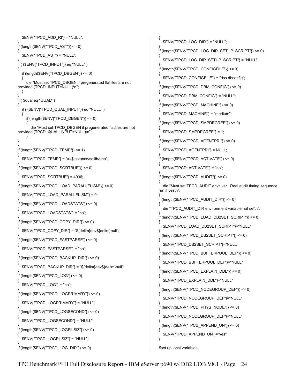```
 $ENV{"TPCD_ADD_RI"} = "NULL"; 
} 
if (length(<math>SENV</math> (TPCD_AST<sup>n</sup>)) <math>\leq 0</math>){ 
   $ENV{"TPCD_AST"} = "NULL"; 
} 
if ( ($ENV{"TPCD_INPUT"}) eq "NULL" ) 
{ 
  if (length(ENV{"TPCD_DBGEN"}) <= 0)
 { 
     die "Must set TPCD_DBGEN if pregenerated flatfiles are not 
provided (TPCD_INPUT=NULL)\n"; 
   } 
} 
if ( $qual eq "QUAL" ) 
{ 
   if ( ($ENV{"TPCD_QUAL_INPUT"}) eq "NULL" ) 
 { 
     if (length($ENV{"TPCD_DBGEN"}) <= 0) 
     { 
        die "Must set TPCD_DBGEN if pregenerated flatfiles are not 
provided (TPCD_QUAL_INPUT=NULL)\n";
     } 
} 
} 
if (length(ENV{"TPCD_TEMP"}) <= 1)
{ 
   $ENV{"TPCD_TEMP"} = "/u/$instance/sqllib/tmp"; 
} 
if (length($ENV{"TPCD_SORTBUF"}) <= 0) 
{ 
  $ENV{"TPCD_SORTBUF"} = 4096;
} 
if (length($ENV{"TPCD_LOAD_PARALLELISM"}) <= 0) 
{ 
   $ENV{"TPCD_LOAD_PARALLELISM"} = 0; 
} 
if (length($ENV{"TPCD_LOADSTATS"}) <= 0) 
{ 
   $ENV{"TPCD_LOADSTATS"} = "no"; 
} 
if (length($ENV{"TPCD_COPY_DIR"}) <= 0) 
{ 
   $ENV{"TPCD_COPY_DIR"} = "${delim}dev${delim}null"; 
} 
if (length($ENV{"TPCD_FASTPARSE"}) <= 0) 
{ 
   $ENV{"TPCD_FASTPARSE"} = "no"; 
} 
if (length($ENV{"TPCD_BACKUP_DIR"}) <= 0) 
{ 
   $ENV{"TPCD_BACKUP_DIR"} = "${delim}dev${delim}null"; 
} 
if (length($ENV{"TPCD_LOG"}) \le 0){ 
   $ENV{"TPCD_LOG"} = "no"; 
} 
if (length($ENV{"TPCD_LOGPRIMARY"}) <= 0) 
{ 
   $ENV{"TPCD_LOGPRIMARY"} = "NULL"; 
} 
if (length($ENV{"TPCD_LOGSECOND"}) <= 0) 
{ 
   $ENV{"TPCD_LOGSECOND"} = "NULL"; 
} 
if (length($ENV{"TPCD_LOGFILSIZ"}) <= 0) 
{ 
   $ENV{"TPCD_LOGFILSIZ"} = "NULL"; 
} 
if (length($ENV{"TPCD_LOG_DIR"}) <= 0) 
                                                                              { 
                                                                                 $ENV{"TPCD_LOG_DIR"} = "NULL"; 
                                                                              } 
                                                                              if (length($ENV{"TPCD_LOG_DIR_SETUP_SCRIPT"}) <= 0) 
                                                                              { 
                                                                                 $ENV{"TPCD_LOG_DIR_SETUP_SCRIPT"} = "NULL"; 
                                                                              } 
                                                                              if (length($ENV{"TPCD_CONFIGFILE"}) <= 0) 
                                                                              { 
                                                                                 $ENV{"TPCD_CONFIGFILE"} = "dss.dbconfig"; 
                                                                              } 
                                                                              if (length($ENV{"TPCD_DBM_CONFIG"}) <= 0) 
                                                                              { 
                                                                                 $ENV{"TPCD_DBM_CONFIG"} = "NULL"; 
                                                                              } 
                                                                              if (length($ENV{"TPCD_MACHINE"}) <= 0) 
                                                                              { 
                                                                                 $ENV{"TPCD_MACHINE"} = "medium"; 
                                                                              } 
                                                                              if (length($ENV{"TPCD_SMPDEGREE"}) <= 0) 
                                                                              { 
                                                                                $ENV{"TPCD_SMPDEGREE"} = 1;
                                                                              } 
                                                                              if (length($ENV{"TPCD_AGENTPRI"}) <= 0) 
                                                                              { 
                                                                                 $ENV{"TPCD_AGENTPRI"} = NULL; 
                                                                              } 
                                                                              if (length($ENV{"TPCD_ACTIVATE"}) <= 0) 
                                                                              { 
                                                                                 $ENV{"TPCD_ACTIVATE"} = "no"; 
                                                                              } 
                                                                              if (length(<math>SENV</math>{"TPCD_AUDIT") <math>\leq 0</math>){ 
                                                                                 die "Must set TPCD_AUDIT env't var. Real audit timing sequence 
                                                                              run if yes\n"; 
                                                                              } 
                                                                              if (length($ENV{"TPCD_AUDIT_DIR"}) <= 0) 
                                                                              { 
                                                                                die "TPCD_AUDIT_DIR environment variable not set\n";
                                                                              } 
                                                                              if (length($ENV{"TPCD_LOAD_DB2SET_SCRIPT"}) <= 0) 
                                                                              { 
                                                                                 $ENV{"TPCD_LOAD_DB2SET_SCRIPT"}="NULL" 
                                                                              } 
                                                                              if (length($ENV{"TPCD_DB2SET_SCRIPT"}) <= 0) 
                                                                              { 
                                                                                 $ENV{"TPCD_DB2SET_SCRIPT"}="NULL" 
                                                                              } 
                                                                              if (length($ENV{"TPCD_BUFFERPOOL_DEF"}) <= 0) 
                                                                              { 
                                                                                 $ENV{"TPCD_BUFFERPOOL_DEF"}="NULL" 
                                                                              } 
                                                                              if (length($ENV{"TPCD_EXPLAIN_DDL"}) <= 0) 
                                                                              { 
                                                                                 $ENV{"TPCD_EXPLAIN_DDL"}="NULL" 
                                                                              } 
                                                                              if (length($ENV{"TPCD_NODEGROUP_DEF"}) <= 0) 
                                                                              { 
                                                                                 $ENV{"TPCD_NODEGROUP_DEF"}="NULL" 
                                                                              } 
                                                                              if (length($ENV{"TPCD_PHYS_NODE"}) <= 0) 
                                                                              { 
                                                                                 $ENV{"TPCD_NODEGROUP_DEF"}="NULL" 
                                                                              } 
                                                                              if (length($ENV{"TPCD_APPEND_ON"}) <= 0) 
                                                                              { 
                                                                                 $ENV{"TPCD_APPEND_ON"}="yes" 
                                                                              } 
                                                                              #set up local variables
```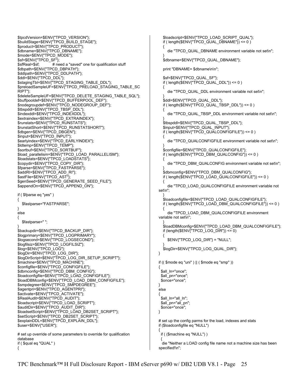\$tpcdVersion=\$ENV{"TPCD\_VERSION"}; \$buildStage=\$ENV{"TPCD\_BUILD\_STAGE"}; \$product=\$ENV{"TPCD\_PRODUCT"}; \$dbname=\$ENV{"TPCD\_DBNAME"}; \$mode=\$ENV{"TPCD\_MODE"}; \$sf=\$ENV{"TPCD\_SF"}; \$sfReal=\$sf; # need a "saved" one for qualification stuff \$dbpath=\$ENV{"TPCD\_DBPATH"}; \$ddlpath=\$ENV{"TPCD\_DDLPATH"}; \$ddl=\$ENV{"TPCD\_DDL"} \$stagingTbl=\$ENV{"TPCD\_STAGING\_TABLE\_DDL"}; \$preloadSampleUF=\$ENV{"TPCD\_PRELOAD\_STAGING\_TABLE\_SC RIPT"}; \$deleteSampleUF=\$ENV{"TPCD\_DELETE\_STAGING\_TABLE\_SQL"}; \$buffpooldef=\$ENV{"TPCD\_BUFFERPOOL\_DEF"}; \$nodegroupdef=\$ENV{"TPCD\_NODEGROUP\_DEF"}; \$tbspddl=\$ENV{"TPCD\_TBSP\_DDL"}; \$indexddl=\$ENV{"TPCD\_INDEXDDL"}; \$extraindex=\$ENV{"TPCD\_EXTRAINDEX"}; \$runstats=\$ENV{"TPCD\_RUNSTATS"}; \$runstatShort=\$ENV{"TPCD\_RUNSTATSHORT"}; \$dbgen=\$ENV{"TPCD\_DBGEN"}; \$input=\$ENV{"TPCD\_INPUT"}; \$earlyindex=\$ENV{"TPCD\_EARLYINDEX"}; \$ldtemp=\$ENV{"TPCD\_TEMP"}; \$sortbuf=\$ENV{"TPCD\_SORTBUF"}; \$load\_parallelism=\$ENV{"TPCD\_LOAD\_PARALLELISM"}; \$loadstats=\$ENV{"TPCD\_LOADSTATS"}; \$copydir=\$ENV{"TPCD\_COPY\_DIR"}; \$fparse=\$ENV{"TPCD\_FASTPARSE"}; \$addRI=\$ENV{"TPCD\_ADD\_RI"}; \$astFile=\$ENV{"TPCD\_AST"}; \$genSeed=\$ENV{"TPCD\_GENERATE\_SEED\_FILE"}; \$appendOn=\$ENV{"TPCD\_APPEND\_ON"}; if ( \$fparse eq "yes" ) { \$fastparse="FASTPARSE"; } else { \$fastparse=" "; } \$backupdir=\$ENV{"TPCD\_BACKUP\_DIR"}; \$logprimary=\$ENV{"TPCD\_LOGPRIMARY"}; \$logsecond=\$ENV{"TPCD\_LOGSECOND"}; \$logfilsiz=\$ENV{"TPCD\_LOGFILSIZ"}; \$log=\$ENV{"TPCD\_LOG"}; \$logDir=\$ENV{"TPCD\_LOG\_DIR"}; \$logDirScript=\$ENV{"TPCD\_LOG\_DIR\_SETUP\_SCRIPT"}; \$machine=\$ENV{"TPCD\_MACHINE"}; \$configfile=\$ENV{"TPCD\_CONFIGFILE"}; \$dbmconfig=\$ENV{"TPCD\_DBM\_CONFIG"}; \$loadconfigfile=\$ENV{"TPCD\_LOAD\_CONFIGFILE"}; \$loadDBMconfig=\$ENV{"TPCD\_LOAD\_DBM\_CONFIGFILE"}; \$smpdegree=\$ENV{"TPCD\_SMPDEGREE"}; \$agentpri=\$ENV{"TPCD\_AGENTPRI"}; \$activate=\$ENV{"TPCD\_ACTIVATE"}; \$RealAudit=\$ENV{"TPCD\_AUDIT"}; \$loadscript=\$ENV{"TPCD\_LOAD\_SCRIPT"}; \$auditDir=\$ENV{"TPCD\_AUDIT\_DIR"} \$loadsetScript=\$ENV{"TPCD\_LOAD\_DB2SET\_SCRIPT"}; \$setScript=\$ENV{"TPCD\_DB2SET\_SCRIPT"}; \$explainDDL=\$ENV{"TPCD\_EXPLAIN\_DDL"}; \$user=\$ENV{"USER"}; # set up override of some parameters to override for qualification database if ( \$qual eq "QUAL" )

{

```
 $loadscript=$ENV{"TPCD_LOAD_SCRIPT_QUAL"}; 
   if ( length($ENV{"TPCD_QUAL_DBNAME"}) <= 0 ) 
   { 
     die "TPCD_QUAL_DBNAME environment variable not set\n"; 
 } 
  $dbname=$ENV{"TPCD_QUAL_DBNAME"};
   print "DBNAME= $dbname\n\n"; 
  $sf=$ENV{"TPCD_QUAL_SF"};
  if ( length($ENV{TPCD_QUAL_DDL"}}) <= 0 )
   { 
     die "TPCD_QUAL_DDL environment variable not set\n"; 
 } 
   $ddl=$ENV{"TPCD_QUAL_DDL"}; 
  if ( length($ENV{"TPCD_QUAL_TBSP_DDL"}) <= 0 )
   { 
     die "TPCD_QUAL_TBSP_DDL environment variable not set\n"; 
 } 
  $tbspddl=$ENV{"TPCD_QUAL_TBSP_DDL"};
   $input=$ENV{"TPCD_QUAL_INPUT"}; 
   if ( length($ENV{"TPCD_QUALCONFIGFILE"}) <= 0 ) 
 { 
     die "TPCD_QUALCONFIGFILE environment variable not set\n"; 
 } 
   $configfile=$ENV{"TPCD_QUALCONFIGFILE"}; 
   if ( length($ENV{"TPCD_DBM_QUALCONFIG"}) <= 0 ) 
   { 
     die "TPCD_DBM_QUALCONFIG environment variable not set\n"; 
 } 
   $dbmconfig=$ENV{"TPCD_DBM_QUALCONFIG"}; 
  if ( length(\SENV(TFCD LOAD QUALCONFIGFILE"}) <= 0 )
 { 
     die "TPCD_LOAD_QUALCONFIGFILE environment variable not 
set\n"; 
 } 
   $loadconfigfile=$ENV{"TPCD_LOAD_QUALCONFIGFILE"}; 
   if ( length($ENV{"TPCD_LOAD_DBM_QUALCONFIGFILE"}) <= 0 ) 
 { 
     die "TPCD_LOAD_DBM_QUALCONFIGFILE environment 
variable not set\n"; 
 } 
   $loadDBMconfig=$ENV{"TPCD_LOAD_DBM_QUALCONFIGFILE"}; 
  if (length($ENV{"TPCD_LOG_DIR"}) <= 0)
 { 
     $ENV{"TPCD_LOG_DIR"} = "NULL"; 
 } 
   $logDir=$ENV{"TPCD_LOG_QUAL_DIR"}; 
if (( $mode eq "uni" ) || ( $mode eq "smp" ))
 $all_In="once";
  $all_pn="once"; 
  $once="once"; 
else 
 $all_ln="all_ln";
 $all_pn="all_pn";
  $once="once"; 
# set up the config parms for the load, indexes and stats 
if ($loadconfigfile eq "NULL") 
  if ( ($machine eq "NULL") ) 
 {
```
 die "Neither a LOAD config file name not a machine size has been specified!\n";

}

{

}

{

}

{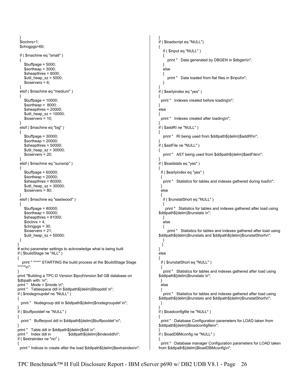```
 } 
 $ioclnrs=1;
  $chngpgs=60; 
  if ( $machine eq "small" ) 
  { 
    $bufferage = 5000;$sortheap = 3000; $sheapthres = 8000; 
     $util_heap_sz = 5000; 
    $ioservers = 6;
  } 
  elsif ( $machine eq "medium" ) 
  { 
     $buffpage = 10000; 
    $sortheap = 8000; $sheapthres = 20000; 
    $util heap sz = 10000;
     $ioservers = 10; 
  } 
  elsif ( $machine eq "big" ) 
  { 
     $buffpage = 30000; 
     $sortheap = 20000; 
     $sheapthres = 50000; 
    $util heap sz = 30000; $ioservers = 20; 
  } 
  elsif ( $machine eq "sunsmp" ) 
  { 
     $buffpage = 60000; 
     $sortheap = 20000; 
     $sheapthres = 80000; 
     $util_heap_sz = 30000; 
    $ioservers = 80;
  } 
  elsif ( $machine eq "eastwood" ) 
  { 
     $buffpage = 80000; 
     $sortheap = 50000; 
     $sheapthres = 81000; 
    $ioclnrs = 4;
     $chngpgs = 30; 
     $ioservers = 21; 
    $util heap sz = 50000;
  } 
} 
# echo parameter settings to acknowledge what is being built 
if ( $buildStage ne "ALL" ) 
{ 
   print " ***** STARTING the build process at the $buildStage Stage 
*****\n"; 
} 
print "Building a TPC-D Version $tpcdVersion $sf GB database on 
$dbpath with: \n";
print " Mode = $mode \n"; 
print " Tablespace ddl in $ddlpath${delim}$tbspddl \n"; 
if ( $nodegroupdef ne "NULL" ) 
  print " Nodegroup ddl in $ddlpath${delim}$nodegroupdef \n";
} 
if ( $buffpooldef ne "NULL" ) 
 print " Bufferpool ddl in $ddlpath${delim}$buffpooldef \n";
} 
print " Table ddl in $ddlpath${delim}$ddl \n";<br>print " Index ddl in $ddlpath${delim
                               $ddlpath${delim}$indexddl\n";
if ( $extraindex ne "no" ) 
{ 
 print " Indices to create after the load $ddlpath${delim}$extraindex\n";
                                                                                         } 
                                                                                         if ( $loadscript eq "NULL") 
                                                                                         { 
                                                                                            if ( $input eq "NULL" ) 
                                                                                            { 
                                                                                              print " Data generated by DBGEN in $dbgen\n";
                                                                                          } 
                                                                                            else 
                                                                                          { 
                                                                                              print " Data loaded from flat files in $input\n";
                                                                                            } 
                                                                                         } 
                                                                                         if ( $earlyindex eq "yes" ) 
                                                                                         { 
                                                                                          print " Indexes created before loading\n";
                                                                                        } 
                                                                                         else 
                                                                                         { 
                                                                                          print " Indexes created after loading\n";
                                                                                         } 
                                                                                         if ( $addRI ne "NULL" ) 
                                                                                         { 
                                                                                           print " RI being used from $ddlpath${delim}$addRI\n";
                                                                                         } 
                                                                                         if ( $astFile ne "NULL" ) 
                                                                                         { 
                                                                                           print " AST being used from $ddlpath${delim}$astFile\n";
                                                                                         } 
                                                                                         if ( $loadstats eq "yes" ) 
                                                                                         { 
                                                                                           if ( $earlyindex eq "yes" ) 
                                                                                          { 
                                                                                           print " Statistics for tables and indexes gathered during load\n";
                                                                                           } 
                                                                                           else 
                                                                                           { 
                                                                                            if ( $runstatShort eq "NULL" ) 
                                                                                          { 
                                                                                              print " Statistics for tables and indexes gathered after load using 
                                                                                         $ddlpath${delim}$runstats \n"; 
                                                                                            } 
                                                                                            else 
                                                                                            { 
                                                                                               print " Statistics for tables and indexes gathered after load using 
                                                                                         $ddlpath${delim}$runstats and $ddlpath${delim}$runstatShort\n"; 
                                                                                          } 
                                                                                           } 
                                                                                         } 
                                                                                         else 
                                                                                         { 
                                                                                           if ( $runstatShort eq "NULL" ) 
                                                                                           { 
                                                                                            print " Statistics for tables and indexes gathered after load using 
                                                                                         $ddlpath${delim}$runstats \n"; 
                                                                                           } 
                                                                                           else 
                                                                                           { 
                                                                                            print " Statistics for tables and indexes gathered after load using 
                                                                                         $ddlpath${delim}$runstats and $ddlpath${delim}$runstatShort\n"; 
                                                                                           } 
                                                                                         } 
                                                                                         if ( $loadconfigfile ne "NULL" ) 
                                                                                         { 
                                                                                           print " Database Configuration parameters for LOAD taken from 
                                                                                         $ddlpath${delim}$loadconfigfile\n"; 
                                                                                         } 
                                                                                         if ( $loadDBMconfig ne "NULL" ) 
                                                                                         { 
                                                                                           print " Database manager Configuration parameters for LOAD taken 
                                                                                         from $ddlpath${delim}$loadDBMconfig\n";
```
{

{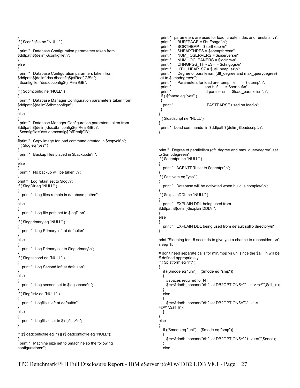```
} 
if ( $configfile ne "NULL" ) 
{ 
  print " Database Configuration parameters taken from 
$ddlpath${delim}$configfile\n"; 
} 
else 
{ 
  print " Database Configuration paramters taken from 
$ddlpath${delim}dss.dbconfig${sfReal}GB\n"; 
  $configfile="dss.dbconfig${sfReal}GB"; 
} 
if ( $dbmconfig ne "NULL" ) 
{ 
  print " Database Manager Configuration parameters taken from 
$ddlpath${delim}$dbmconfig\n"; 
} 
else 
{ 
  print " Database Manager Configuration paramters taken from 
$ddlpath${delim}dss.dbmconfig${sfReal}GB\n"; 
  $configfile="dss.dbmconfig${sfReal}GB"; 
} 
#print " Copy image for load command created in $copydir\n";
if ( $log eq "yes" ) 
{ 
 print " Backup files placed in $backupdir\n";
} 
else 
{ 
 print " No backup will be taken.\n";
} 
print " Log retain set to $log\n"; 
if ( $logDir eq "NULL" ) 
{ 
   print " Log files remain in database path\n"; 
} 
else 
{ 
  print " Log file path set to $logDir\n";
} 
if ( $logprimary eq "NULL" ) 
{ 
  print " Log Primary left at default\n";
} 
else 
{ 
   print " Log Primary set to $logprimary\n"; 
} 
if ( $logsecond eq "NULL" ) 
{ 
  print " Log Second left at default\n";
} 
else 
{ 
   print " Log second set to $logsecond\n"; 
} 
if ( $logfilsiz eq "NULL" ) 
{ 
  print " Logfilsiz left at default\n";
} 
else 
{ 
  print " Logfilsiz set to $logfilsiz\n";
} 
if (($loadconfigfile eq "") || ($loadconfigfile eq "NULL")) 
{ 
  print " Machine size set to $machine so the following 
configuration\n"; 
                                                                                         print " parameters are used for load, create index and runstats: \n";
                                                                                         print " BUFFPAGE = $buffpage \n";
                                                                                         print " SORTHEAP = $sortheap \n";<br>print " SHEAPTHRES = $sheapthre
                                                                                         print " SHEAPTHRES = $sheapthres\n";<br>print " NUM_IOSERVERS = $ioservers\r
                                                                                                   NUM_IOSERVERS = $ioservers\n";
                                                                                          print " NUM_IOCLEANERS = $ioclnrs\n"; 
                                                                                         print " CHNGPGS_THRESH = $chngpgs\n";
                                                                                         print " UTIL_HEAP_SZ = $util_heap_sz\n";
                                                                                          print " Degree of parallelism (dft_degree and max_querydegree) 
                                                                                        set to $smpdegree\n"; 
                                                                                         print " Parameters for load are: temp file = $ldtemp\n";<br>print " sort buf = $sortbuf\n":
                                                                                                                    sort buf = $sortbuf\n";
                                                                                         print " ld parallelism = $load_parallelism\n";
                                                                                          if ( $fparse eq "yes" ) 
                                                                                         {<br>" print 
                                                                                                                     FASTPARSE used on load\n";
                                                                                          } 
                                                                                        } 
                                                                                        if ( $loadscript ne "NULL") 
                                                                                       { 
                                                                                         print " Load commands in $ddlpath${delim}$loadscript\n";
                                                                                       } 
                                                                                        print " Degree of parallelism (dft_degree and max_querydegree) set 
                                                                                        to $smpdegree\n"; 
                                                                                        if ( $agentpri ne "NULL" ) 
                                                                                        { 
                                                                                          print " AGENTPRI set to $agentpri\n";
                                                                                        } 
                                                                                        if ( $activate eq "yes" ) 
                                                                                        { 
                                                                                          print " Database will be activated when build is complete\n";
                                                                                        } 
                                                                                        if ( $explainDDL ne "NULL" ) 
                                                                                        { 
                                                                                           print " EXPLAIN DDL being used from 
                                                                                        $ddlpath${delim}$explainDDL\n"; 
                                                                                        } 
                                                                                        else 
                                                                                        { 
                                                                                          print " EXPLAIN DDL being used from default sqllib directory\n";
                                                                                       } 
                                                                                        print "Sleeping for 15 seconds to give you a chance to reconsider...\n"; 
                                                                                        sleep 15; 
                                                                                        # don't need separate calls for mln/mpp vs uni since the $all_ln will be 
                                                                                       # defined appropriately 
                                                                                       if ( $platform eq "nt" ) 
                                                                                        { 
                                                                                           if (($mode eq "uni") || ($mode eq "smp")) 
                                                                                           { 
                                                                                             #spaces required for NT 
                                                                                             $rc=&dodb_noconn("db2set DB2OPTIONS=\" -t -v +c\"",$all_ln); 
                                                                                           } 
                                                                                           else 
                                                                                         { 
                                                                                             $rc=&dodb_noconn("db2set DB2OPTIONS=\\\" -t -v 
                                                                                        +c\\\"",$all_ln); 
                                                                                           } 
                                                                                       } 
                                                                                        else 
                                                                                        { 
                                                                                           if (($mode eq "uni") || ($mode eq "smp")) 
                                                                                           { 
                                                                                             $rc=&dodb_noconn("db2set DB2OPTIONS=\"-t -v +c\"",$once); 
                                                                                         } 
                                                                                           else
```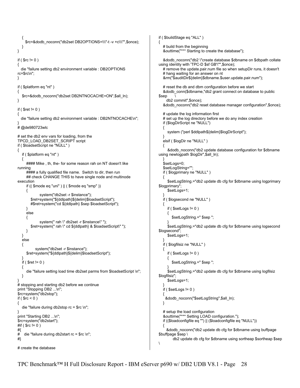```
 { 
      $rc=&dodb_noconn("db2set DB2OPTIONS=\\\"-t -v +c\\\"",$once); 
    } 
} 
if ( $rc != 0 ){ 
   die "failure setting db2 environment variable : DB2OPTIONS 
rc=$rc\n"; 
} 
if ( $platform eq "nt" ) 
{ 
    $rc=&dodb_noconn("db2set DB2NTNOCACHE=ON",$all_ln); 
} 
if ( $ret != 0 )
{ 
   die "failure setting db2 environment variable : DB2NTNOCACHE\n"; 
} 
# @de980723wlc 
# set the db2 env vars for loading, from the 
TPCD_LOAD_DB2SET_SCRIPT script 
if ( $loadsetScript ne "NULL" ) 
{ 
    if ( $platform eq "nt" ) 
    { 
       #### Mike , th, the- for some reason rah on NT doesn't like 
running 
      ##### a fully qualified file name. Switch to dir, then run
      ## check CHANGE THIS to have single node and multinode
execution 
       if (( $mode eq "uni" ) || ( $mode eq "smp" )) 
       { 
                system("db2set -r $instance"); 
          $ret=system("${ddlpath}${delim}$loadsetScript"); 
          #$ret=system("cd ${ddlpath} $sep $loadsetScript"); 
       } 
       else 
       { 
               system(" rah \" db2set -r $instance\"");
          $ret=system(" rah \" cd ${ddlpath} & $loadsetScript\" "); 
       } 
    } 
    else 
    { 
             system("db2set -r $instance"); 
       $ret=system("${ddlpath}${delim}$loadsetScript"); 
 } 
   if ( $ret != 0 ) { 
       die "failure setting load time db2set parms from $loadsetScript \n"; 
    } 
} 
# stopping and starting db2 before we continue 
print "Stopping DB2 ...\n";
$rc=system("db2stop"); 
if ($rc < 0)
{ 
    die "failure during db2stop rc = $rc \n"; 
} 
print "Starting DB2 ...\n";
$rc=system("db2start"); 
#if ( $rc != 0 ) 
#{ 
# die "failure during db2start rc = $rc \n"; 
#} 
# create the database 
                                                                                                 if ( $buildStage eq "ALL" ) 
                                                                                                 { 
                                                                                                     # build from the beginning 
                                                                                                     &outtime("*** Starting to create the database"); 
                                                                                                     &dodb_noconn("db2 \"create database $dbname on $dbpath collate 
                                                                                                 using identity with 'TPC-D $sf GB'\"",$once); 
                                                                                                     # remove the update.pair.num file so when setupDir runs, it doesn't 
                                                                                                     # hang waiting for an answer on nt 
                                                                                                     &rm("$auditDir${delim}$dbname.$user.update.pair.num"); 
                                                                                                     # reset the db and dbm configuration before we start 
                                                                                                     &dodb_conn($dbname,"db2 grant connect on database to public 
                                                                                                 $sep \ 
                                                                                                       db2 commit",$once); 
                                                                                                     &dodb_noconn("db2 reset database manager configuration",$once); 
                                                                                                     # update the log information first 
                                                                                                     # set up the log directory before we do any index creation 
                                                                                                     if ($logDirScript ne "NULL") 
                                                                                                     { 
                                                                                                        system ("perl $ddlpath${delim}$logDirScript"); 
                                                                                                  } 
                                                                                                     elsif ( $logDir ne "NULL" ) 
                                                                                                  { 
                                                                                                        &dodb_noconn("db2 update database configuration for $dbname 
                                                                                                 using newlogpath $logDir",$all_ln); 
                                                                                                  } 
                                                                                                     $setLogs=0; 
                                                                                                     $setLogString=""; 
                                                                                                     if ( $logprimary ne "NULL" ) 
                                                                                                  { 
                                                                                                       $setLogString.="db2 update db cfg for $dbname using logprimary 
                                                                                                 $logprimary"; 
                                                                                                        $setLogs=1; 
                                                                                                  } 
                                                                                                    if ( $logsecond ne "NULL" ) 
                                                                                                     { 
                                                                                                       if ($setLog = 0)
                                                                                                 \{ \cdot \cdot \cdot \cdot \cdot \cdot \cdot \cdot \cdot \cdot \cdot \cdot \cdot \cdot \cdot \cdot \cdot \cdot \cdot \cdot \cdot \cdot \cdot \cdot \cdot \cdot \cdot \cdot \cdot \cdot \cdot \cdot \cdot \cdot \cdot \cdot 
                                                                                                           $setLogString.=" $sep "; 
                                                                                                  } 
                                                                                                        $setLogString.="db2 update db cfg for $dbname using logsecond 
                                                                                                 $logsecond"; 
                                                                                                        $setLogs=1; 
                                                                                                  } 
                                                                                                     if ( $logfilsiz ne "NULL" ) 
                                                                                                  { 
                                                                                                       if ($setLogs != 0 )\{ \cdot \cdot \cdot \cdot \cdot \cdot \cdot \cdot \cdot \cdot \cdot \cdot \cdot \cdot \cdot \cdot \cdot \cdot \cdot \cdot \cdot \cdot \cdot \cdot \cdot \cdot \cdot \cdot \cdot \cdot \cdot \cdot \cdot \cdot \cdot \cdot 
                                                                                                           $setLogString.=" $sep "; 
                                                                                                  } 
                                                                                                        $setLogString.="db2 update db cfg for $dbname using logfilsiz 
                                                                                                 $logfilsiz"; 
                                                                                                        $setLogs=1; 
                                                                                                  } 
                                                                                                    if ($setLog != 0)
                                                                                                  { 
                                                                                                      &dodb_noconn("$setLogString",$all_ln); 
                                                                                                     } 
                                                                                                     # setup the load configuration 
                                                                                                     &outtime("*** Setting LOAD configuration."); 
                                                                                                     if (($loadconfigfile eq "") || ($loadconfigfile eq "NULL")) 
                                                                                                  { 
                                                                                                       &dodb_noconn("db2 update db cfg for $dbname using buffpage 
                                                                                                 $buffpage $sep \ 
                                                                                                            db2 update db cfg for $dbname using sortheap $sortheap $sep 
                                                                                                 \
```
TPC Benchmark™ H Full Disclosure Report - IBM eServer p690 w/ DB2 UDB V8.1 - Page 28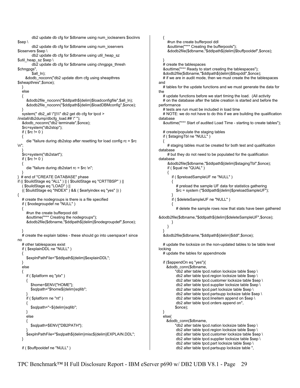db2 update db cfg for \$dbname using num\_iocleaners \$ioclnrs \$sep \ db2 update db cfg for \$dbname using num\_ioservers \$ioservers \$sep \ db2 update db cfg for \$dbname using util heap sz \$util\_heap\_sz \$sep \ db2 update db cfg for \$dbname using chngpgs\_thresh \$chngpgs", \$all\_ln); &dodb\_noconn("db2 update dbm cfg using sheapthres \$sheapthres",\$once); } else { &dodb2file\_noconn("\$ddlpath\${delim}\$loadconfigfile",\$all\_ln); &dodb2file\_noconn("\$ddlpath\${delim}\$loadDBMconfig",\$once); } system(" db2\_all \"||\\\" db2 get db cfg for tpcd > /install/db2dump/dbcfg\_load.## \" "); &dodb\_noconn("db2 terminate",\$once); \$rc=system("db2stop");  $if ( $rc != 0 )$  { die "failure during db2stop after resetting for load config rc = \$rc \n"; } \$rc=system("db2start"); if (  $\text{S}$ rc != 0 ) { die "failure during db2start rc = \$rc \n"; } } # end of "CREATE DATABASE" phase if (( \$buildStage eq "ALL" ) || ( \$buildStage eq "CRTTBSP" ) || ( \$buildStage eq "LOAD" ) || (( \$buildStage eq "INDEX" ) && ( \$earlyindex eq "yes" )) ) { # create the nodegroups is there is a file specified if ( \$nodegroupdef ne "NULL" ) { #run the create bufferpool ddl &outtime("\*\*\* Creating the nodegroups"); &dodb2file(\$dbname,"\$ddlpath\${delim}\$nodegroupdef",\$once); } # create the explain tables - these should go into userspace1 since no # other tablespaces exist if ( \$explainDDL ne "NULL" ) { \$explnPathFile="\$ddlpath\${delim}\$explainDDL"; } else { if ( \$platform eq "ptx" ) { \$home=\$ENV{"HOME"}; \$sqlpath="\$home\${delim}sqllib"; } if ( \$platform ne "nt" ) { \$sqlpath="~\${delim}sqllib"; } else { \$sqlpath=\$ENV{"DB2PATH"}; } \$explnPathFile="\$sqlpath\${delim}misc\${delim}EXPLAIN.DDL"; } if ( \$buffpooldef ne "NULL" ) { #run the create bufferpool ddl &outtime("\*\*\* Creating the bufferpools"); &dodb2file(\$dbname,"\$ddlpath\${delim}\$buffpooldef",\$once); } # create the tablespaces &outtime("\*\*\* Ready to start creating the tablespaces"); &dodb2file(\$dbname,"\$ddlpath\${delim}\$tbspddl",\$once); # if we are in audit mode, then we must create the the tablespaces and # tables for the update functions and we must generate the data for the # update functions before we start timing the load. (All activity # on the database after the table creation is started and before the performance # tests are run must be included in load time # NOTE: we do not have to do this if we are building the qualification database &outtime("\*\*\* Start of audited Load Time - starting to create tables"); # create/populate the staging tables if ( \$stagingTbl ne "NULL" ) { # staging tables must be created for both test and qualification database # but they do not need to be populated for the qualification database &dodb2file(\$dbname,"\$ddlpath\${delim}\$stagingTbl",\$once); if ( \$qual ne "QUAL" ) { if ( \$preloadSampleUF ne "NULL" )  $\{$  # preload the sample UF data for statistics gathering \$rc = system ("\$ddlpath\${delim}\$preloadSampleUF"); } if ( \$deleteSampleUF ne "NULL" )  $\{$ # delete the sample rows now that stats have been gathered &dodb2file(\$dbname,"\$ddlpath\${delim}\$deleteSampleUF",\$once); } } } &dodb2file(\$dbname,"\$ddlpath\${delim}\$ddl",\$once); # update the locksize on the non-updated tables to be table level locking # update the tables for appendmode if (\$appendOn eq "yes"){ &dodb\_conn(\$dbname, "db2 alter table tpcd.nation locksize table \$sep \ db2 alter table tpcd.region locksize table \$sep \ db2 alter table tpcd.customer locksize table \$sep \ db2 alter table tpcd.supplier locksize table \$sep \ db2 alter table tpcd.part locksize table \$sep \ db2 alter table tpcd.partsupp locksize table \$sep \ db2 alter table tpcd.lineitem append on \$sep \ db2 alter table tpcd.orders append on", \$once); } else{ &dodb\_conn(\$dbname, "db2 alter table tpcd.nation locksize table \$sep \ db2 alter table tpcd.region locksize table \$sep \ db2 alter table tpcd.customer locksize table \$sep \ db2 alter table tpcd.supplier locksize table \$sep \ db2 alter table tpcd.part locksize table \$sep \ db2 alter table tpcd.partsupp locksize table ",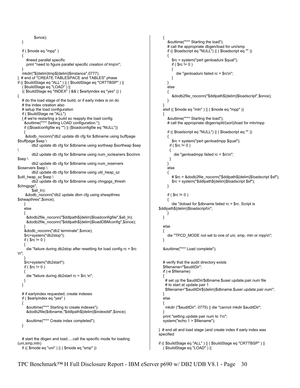```
 $once); 
   } 
    if ( $mode eq "mpp" ) 
 { 
       #need parallel specific 
      print "need to figure parallel specific creation of tmp\n";
 } 
    mkdir("${delim}tmp${delim}$instance",0777); 
  # end of "CREATE TABLESPACE and TABLES" phase
if (( $buildStage eq "ALL" ) || ( $buildStage eq "CRTTBSP" ) || 
    ( $buildStage eq "LOAD" ) || 
    (( $buildStage eq "INDEX" ) && ( $earlyindex eq "yes" )) ) 
{ 
   # do the load stage of the build, or if early index is on do
    # the index creation also 
    # setup the load configuration 
    if ( $buildStage ne "ALL") 
    { # we're restarting a build so reapply the load config 
     &outtime("*** Setting LOAD configuration."); 
     if (($loadconfigfile eq "") || ($loadconfigfile eq "NULL")) 
 { 
      &dodb_noconn("db2 update db cfg for $dbname using buffpage 
$buffpage $sep \ 
           db2 update db cfg for $dbname using sortheap $sortheap $sep 
\ 
           db2 update db cfg for $dbname using num_iocleaners $ioclnrs 
$sep \ 
           db2 update db cfg for $dbname using num_ioservers 
$ioservers $sep \ 
           db2 update db cfg for $dbname using util_heap_sz 
$util_heap_sz $sep \
           db2 update db cfg for $dbname using chngpgs_thresh 
$chngpgs", 
          Sall_In);
      &dodb_noconn("db2 update dbm cfg using sheapthres 
$sheapthres",$once); 
     } 
     else 
 { 
       &dodb2file_noconn("$ddlpath${delim}$loadconfigfile",$all_ln); 
       &dodb2file_noconn("$ddlpath${delim}$loadDBMconfig",$once); 
 } 
     &dodb_noconn("db2 terminate",$once); 
     $rc=system("db2stop"); 
    if ( $rc != 0 ) { 
       die "failure during db2stop after resetting for load config rc = $rc 
\n"; 
 } 
     $rc=system("db2start"); 
    if ($rc != 0))
     { 
       die "failure during db2start rc = $rc \n"; 
     } 
   } 
   # if earlyindex requested, create indexes
    if ( $earlyindex eq "yes" ) 
    { 
       &outtime("*** Starting to create indexes"); 
       &dodb2file($dbname,"$ddlpath${delim}$indexddl",$once); 
       &outtime("*** Create index completed"); 
   } 
   # start the dbgen and load.....call the specific mode for loading
(uni,smp,mln) 
    if (( $mode eq "uni" ) || ( $mode eq "smp" )) 
                                                                                                            { 
                                                                                                         { 
                                                                                                                  { 
                                                                                                                 } 
                                                                                                               } 
                                                                                                        \{ \cdot \cdot \cdot \cdot \cdot \cdot \cdot \cdot \cdot \cdot \cdot \cdot \cdot \cdot \cdot \cdot \cdot \cdot \cdot \cdot \cdot \cdot \cdot \cdot \cdot \cdot \cdot \cdot \cdot \cdot \cdot \cdot \cdot \cdot \cdot \cdot 
                                                                                                               } 
                                                                                                           } 
                                                                                                            { 
                                                                                                        \{ \cdot \cdot \cdot \cdot \cdot \cdot \cdot \cdot \cdot \cdot \cdot \cdot \cdot \cdot \cdot \cdot \cdot \cdot \cdot \cdot \cdot \cdot \cdot \cdot \cdot \cdot \cdot \cdot \cdot \cdot \cdot \cdot \cdot \cdot \cdot \cdot 
                                                                                                         { 
                                                                                                         } 
                                                                                                         } 
                                                                                                         { 
                                                                                                               } 
                                                                                                         { 
                                                                                                         } 
                                                                                                           } 
                                                                                                            else 
                                                                                                            { 
                                                                                                         } 
                                                                                                            { 
                                                                                                            } 
                                                                                                            else 
                                                                                                         { 
                                                                                                         } 
                                                                                                        specified
```

```
 &outtime("*** Starting the load"); 
      # call the appropriate dbgen/load for uni/smp 
      if (( $loadscript eq "NULL") || ( $loadscript eq "" )) 
         $rc = system("perl genloaduni $qual"); 
        if ( $rc != 0 ) die "genloaduni failed rc = $rc\n"; 
      else 
         &dodb2file_noconn("$ddlpath${delim}$loadscript",$once); 
   elsif (( $mode eq "mln" ) || ( $mode eq "mpp" )) 
      &outtime("*** Starting the load"); 
      # call the appropriate dbgen/split/(sort)/load for mln/mpp 
      if (( $loadscript eq "NULL") || ( $loadscript eq "" )) 
         $rc = system("perl genloadmpp $qual"); 
       if ( \text{S}rc != 0 )
          die "genloadmpp failed rc = $rc\n"; 
      else 
         # $rc = &dodb2file_noconn("$ddlpath${delim}$loadscript $sf"); 
         $rc = system("$ddlpath${delim}$loadscript $sf"); 
     if ( \text{S}rc != 0 )
         die "doload for $dbname failed rc = $rc. Script is 
$ddlpath${delim}$loadscript\n"; 
     die "TPCD MODE not set to one of uni, smp, mln or mpp\n";
   &outtime("*** Load complete"); 
   # verify that the audit directory exists 
   $filename="$auditDir"; 
   if (-e $filename) 
     # set up the $auditDir/$dbname.$user.update.pair.num file 
     # to start at update pair 1 
     $filename="$auditDir${delim}$dbname.$user.update.pair.num"; 
     mkdir ("$auditDir", 0775) || die "cannot mkdir $auditDir"; 
   print "setting update pair num to 1\n"; 
  system("echo 1 > $filename");
} # end all and load stage (and create index if early index was
```

```
if (( $buildStage eq "ALL" ) || ( $buildStage eq "CRTTBSP" ) || 
   ( $buildStage eq "LOAD" ) ||
```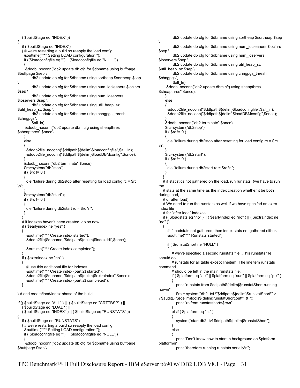```
{ 
    if ( $buildStage eq "INDEX") 
   { # we're restarting a build so reapply the load config 
     &outtime("*** Setting LOAD configuration."); 
     if (($loadconfigfile eq "") || ($loadconfigfile eq "NULL")) 
 { 
     &dodb_noconn("db2 update db cfg for $dbname using buffpage 
$buffpage $sep \ 
         db2 update db cfg for $dbname using sortheap $sortheap $sep 
\ 
         db2 update db cfg for $dbname using num_iocleaners $ioclnrs 
$sep \ 
         db2 update db cfg for $dbname using num_ioservers 
$ioservers $sep \ 
        db2 update db cfq for $dbname using util heap sz
$util_heap_sz $sep \ 
         db2 update db cfg for $dbname using chngpgs_thresh 
$chngpgs", 
        $all ln);
     &dodb_noconn("db2 update dbm cfg using sheapthres 
$sheapthres",$once); 
     } 
     else 
\{ &dodb2file_noconn("$ddlpath${delim}$loadconfigfile",$all_ln); 
      &dodb2file_noconn("$ddlpath${delim}$loadDBMconfig",$once); 
 } 
     &dodb_noconn("db2 terminate",$once); 
     $rc=system("db2stop"); 
    if ($rc != 0))
 { 
      die "failure during db2stop after resetting for load config rc = $rc 
\n"; 
 } 
     $rc=system("db2start"); 
    if (\text{Src} != 0)
     { 
      die "failure during db2start rc = $rc \n"; 
     } 
   } 
    # if indexes haven't been created, do so now 
    if ( $earlyindex ne "yes" ) 
    { 
      &outtime("*** Create index started"); 
      &dodb2file($dbname,"$ddlpath${delim}$indexddl",$once); 
      &outtime("*** Create index completed"); 
   } 
   if ( $extraindex ne "no" ) 
    { 
      # use this additional file for indexes 
      &outtime("*** Create index (part 2) started"); 
      &dodb2file($dbname,"$ddlpath${delim}$extraindex",$once); 
      &outtime("*** Create index (part 2) completed"); 
   } 
} # end create/load/index phase of the build 
if (( $buildStage eq "ALL" ) || ( $buildStage eq "CRTTBSP" ) || 
     ( $buildStage eq "LOAD" ) || 
    ( $buildStage eq "INDEX" ) || ( $buildStage eq "RUNSTATS" )) 
{ 
    if ( $buildStage eq "RUNSTATS") 
   { # we're restarting a build so reapply the load config 
     &outtime("*** Setting LOAD configuration."); 
     if (($loadconfigfile eq "") || ($loadconfigfile eq "NULL")) 
 { 
     &dodb_noconn("db2 update db cfg for $dbname using buffpage 
$buffpage $sep \
```
( \$buildStage eq "INDEX" ))

```
 db2 update db cfg for $dbname using sortheap $sortheap $sep 
\lambda db2 update db cfg for $dbname using num_iocleaners $ioclnrs 
$sep \ 
          db2 update db cfg for $dbname using num_ioservers 
$ioservers $sep \ 
          db2 update db cfg for $dbname using util_heap_sz 
$util_heap_sz $sep \ 
          db2 update db cfg for $dbname using chngpgs_thresh 
$chngpgs", 
         $all_In);
      &dodb_noconn("db2 update dbm cfg using sheapthres 
$sheapthres",$once); 
     } 
     else 
 { 
       &dodb2file_noconn("$ddlpath${delim}$loadconfigfile",$all_ln); 
       &dodb2file_noconn("$ddlpath${delim}$loadDBMconfig",$once); 
 } 
     &dodb_noconn("db2 terminate",$once); 
     $rc=system("db2stop"); 
    if (\text{Src} != 0)
\{ die "failure during db2stop after resetting for load config rc = $rc 
\n"; 
 } 
     $rc=system("db2start"); 
    if ( $rc != 0 ) { 
       die "failure during db2start rc = $rc \n"; 
     } 
 } 
  # if statistics not gathered on the load, run runstats (we have to run
the 
   # stats at the same time as the index creation whether it be both 
during load, 
    # or after load) 
    # We need to run the runstats as well if we have specifed an extra 
index file 
    # for "after load" indexes 
    if (( $loadstats eq "no" ) || ( $earlyindex eq "no" ) || ( $extraindex ne 
"no" )) 
 { 
      # if loadstats not gathered, then index stats not gathered either.
       &outtime("*** Runstats started"); 
       if ( $runstatShort ne "NULL" ) 
\{ \cdot \cdot \cdot \cdot \cdot \cdot \cdot \cdot \cdot \cdot \cdot \cdot \cdot \cdot \cdot \cdot \cdot \cdot \cdot \cdot \cdot \cdot \cdot \cdot \cdot \cdot \cdot \cdot \cdot \cdot \cdot \cdot \cdot \cdot \cdot \cdot 
          # we've specified a second runstats file...This runstats file 
should do 
         # runstats for all table except lineitem. The lineitem runstats 
command 
         # should be left in the main runstats file. 
          if ( $platform eq "aix" || $platform eq "sun" || $platform eq "ptx" ) 
\left\{\begin{array}{ccc} \end{array}\right\} print "runstats from $ddlpath${delim}$runstatShort running 
now\n"; 
             $rc = system("db2 -tvf \"$ddlpath${delim}$runstatShort\" > 
\"$auditDir${delim}tools${delim}runstatShort.out\" & "); 
             print "rc from runstatshort=$rc\n"; 
 } 
          elsif ( $platform eq "nt" ) 
          { 
             system("start db2 -tvf $ddlpath${delim}$runstatShort"); 
         } 
          else 
          { 
             print "Don't know how to start in background on $platform 
platform\n"; 
            print "therefore running runstats serially\n";
```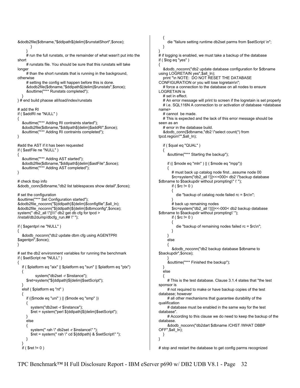```
&dodb2file($dbname,"$ddlpath${delim}$runstatShort",$once); 
         } 
 } 
      # run the full runstats, or the remainder of what wasn't put into the 
short 
      # runstats file. You should be sure that this runstats will take 
longer 
     # than the short runstats that is running in the background,
otherwise 
      # setting the config will happen before this is done. 
      &dodb2file($dbname,"$ddlpath${delim}$runstats",$once); 
      &outtime("*** Runstats completed"); 
 } 
} # end build phaose all/load/index/runstats 
# add the RI
if ( $addRI ne "NULL" ) 
{ 
    &outtime("*** Adding RI contraints started"); 
    &dodb2file($dbname,"$ddlpath${delim}$addRI",$once); 
    &outtime("*** Adding RI contraints completed"); 
} 
#add the AST if it has been requested 
if ( $astFile ne "NULL" ) 
{ 
    &outtime("*** Adding AST started"); 
    &dodb2file($dbname,"$ddlpath${delim}$astFile",$once); 
    &outtime("*** Adding AST completed"); 
} 
# check tbsp info 
&dodb_conn($dbname,"db2 list tablespaces show detail",$once); 
# set the configuration 
&outtime("*** Set Configuration started"); 
&dodb2file_noconn("${ddlpath}${delim}$configfile",$all_ln); 
&dodb2file_noconn("${ddlpath}${delim}$dbmconfig",$once); 
system(" db2_all \"||\\\" db2 get db cfg for tpcd >
/install/db2dump/dbcfq_run.## \" ");
if ( $agentpri ne "NULL" ) 
{ 
    &dodb_noconn("db2 update dbm cfg using AGENTPRI 
$agentpri",$once); 
} 
# set the db2 environment variables for running the benchmark
if ( $setScript ne "NULL" ) 
{ 
    if ( $platform eq "aix" || $platform eq "sun" || $platform eq "ptx") 
   { 
            system("db2set -r $instance"); 
      $ret=system("${ddlpath}${delim}$setScript"); 
   } 
    elsif ( $platform eq "nt" ) 
    { 
      if (($mode eq "uni" ) || ($mode eq "smp" )) 
      { 
         system("db2set -r $instance"); 
         $ret = system("perl ${ddlpath}${delim}$setScript"); 
      } 
      else 
      { 
         system(" rah \" db2set -r $instance\" "); 
         $ret = system(" rah \" cd ${ddlpath} & $setScript\" "); 
      } 
 } 
   if ( $ret != 0 ) } 
                                                                                        } 
                                                                                        if ( $log eq "yes" ) 
                                                                                        { 
                                                                                        LOGRETAIN is 
                                                                                          # set in effect.
                                                                                        name> 
                                                                                            # cannot be made. 
                                                                                        seen as an 
                                                                                        tpcd.region\"",$all_ln); 
                                                                                         { 
                                                                                              { 
                                                                                                if ( $rc != 0 ) { 
                                                                                         } 
                                                                                                if (\text{Src} != 0)
                                                                                                 { 
                                                                                                 } 
                                                                                              } 
                                                                                              else 
                                                                                         { 
                                                                                        $backupdir",$once); 
                                                                                         } 
                                                                                            } 
                                                                                            else 
                                                                                         { 
                                                                                        sponsor is 
                                                                                        database; however 
                                                                                        qualification 
                                                                                        database". 
                                                                                        database. 
                                                                                        OFF",$all_ln); 
                                                                                           } 
                                                                                        }
```
 { die "failure setting runtime db2set parms from \$setScript \n"; # if logging is enabled, we must take a backup of the database &dodb\_noconn("db2 update database configuration for \$dbname using LOGRETAIN yes", \$all\_In); print "\n NOTE: DO NOT RESET THE DATABASE CONFIGURATION or you will lose logretain\n"; # force a connection to the database on all nodes to ensure # An error message will print to screen if the logretain is set properly # i.e. SQL116N A connection to or activation of database <database # This is expected and the lack of this error message should be # error in the database build. &dodb\_conn(\$dbname,"db2 \"select count(\*) from if ( \$qual eq "QUAL" ) &outtime("\*\*\* Starting the backup"); if (( \$mode eq "mln" ) || ( \$mode eq "mpp")) # must back up catalog node first...assume node 00 \$rc=system("db2\_all \'}]<<+000< db2 \"backup database \$dbname to \$backupdir without prompting\" \' "); die "backup of catalog node failed rc = \$rc\n"; # back up remaining nodes \$rc=system("db2\_all \'||}]<<-000< db2 backup database \$dbname to \$backupdir without prompting\' "); die "backup of remaining nodes failed  $rc =$  \$rc $\ln$ "; &dodb\_noconn("db2 backup database \$dbname to &outtime("\*\*\* Finished the backup"); # This is the test database. Clause 3.1.4 states that "the test # not required to make or have backup copies of the test # all other mechanisms that guarantee durability of the # database must be enabled in the same way for the test # According to this clause we do need to keep the backup of the &dodb\_noconn("db2dart \$dbname /CHST /WHAT DBBP

# stop and restart the database to get config parms recognized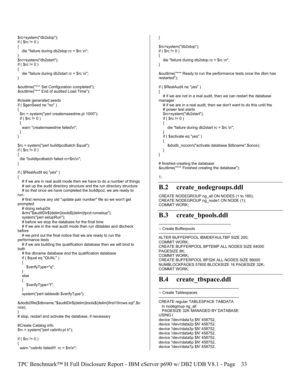```
$rc=system("db2stop"); 
if ( \text{S}rc != 0 )
{ 
   die "failure during db2stop rc = $rc \n"; 
} 
$rc=system("db2start"); 
if ($rc = 0))
{ 
   die "failure during db2start rc = $rc \n"; 
} 
&outtime("*** Set Configuration completed"); 
&outtime("*** End of audited Load Time"); 
#create generated seeds 
if ( $genSeed ne "no" ) 
{ 
  $rc = system("perl createmseedme.pl 1000"); 
 if ( \text{Src} != 0 )
  { 
   warn "createmseedme failed\n"; 
  } 
} 
$rc = system("perl buildtpcdbatch $qual"); 
if ( $rc != 0 ){ 
  die "buildtpcdbatch failed rc=$rc\n"; 
} 
if ( $RealAudit eq "yes" ) 
{ 
  # if we are in real audit mode then we have to do a number of things
  # set up the audit directory structure and the run directory structure
   # so that once we have completed the buildtpcd, we are ready to 
run. 
   # first remove any old "update pair number" file so we won't get 
prompted 
   # doing setupDir 
   &rm("$auditDir${delim}tools${delim}tpcd.runsetup"); 
   system("perl setupRun"); 
   # before we stop the database for the final time 
  # if we are in the real audit mode then run dbtables and dbcheck
before 
   # we print out the final notice that we are ready to run the 
performance tests 
  # if we are building the qualification database then we will bind to
both 
  # the dbname database and the qualification database
    if ( $qual eq "QUAL" ) 
    { 
      $verifyType="q"; 
 } 
   else 
 { 
      $verifyType="t"; 
 } 
   system("perl tablesdb $verifyType"); 
&dodb2file($dbname,"$auditDir${delim}tools${delim}first10rows.sql",$o
nce); 
} 
# stop, restart and activate the database, if necessary 
#Create Catalog info 
$rc = system("perl catinfo.pl b"); 
if ( $rc != 0 ){
```

```
warn "catinfo failed!!! rc = $rc\n";
```

```
$rc=system("db2stop"); 
if ( \text{S}rc != 0 )
```
die "failure during db2stop rc = \$rc \n";

&outtime("\*\*\* Ready to run the performance tests once the dbm has restarted");

```
if ( $RealAudit ne "yes" ) 
{
```
# if we are not in a real audit, then we can restart the database manager

```
# if we are in a real audit, then we don't want to do this until the
 # power test starts
```

```
 $rc=system("db2start"); 
if ( \text{S}rc != 0 )
```

```
 die "failure during db2start rc = $rc \n";
```
}

```
 if ( $activate eq "yes" ) 
 {
```

```
 &dodb_noconn("activate database $dbname",$once);
```
 } }

{

}

{

}

# finished creating the database &outtime("\*\*\* Finished creating the database");

```
1;
```
## **B.2 create\_nodegroups.ddl**

CREATE NODEGROUP ng\_all ON NODES (1 to 160); CREATE NODEGROUP ng\_node1 ON NODE (1); COMMIT WORK;

# **B.3 create\_bpools.ddl**

-------------------------------------------------------- -- Create Bufferpools

-------------------------------------------------------- ALTER BUFFERPOOL IBMDEFAULTBP SIZE 200; COMMIT WORK; CREATE BUFFERPOOL BPTEMP ALL NODES SIZE 64000 PAGESIZE 8K; COMMIT WORK; CREATE BUFFERPOOL BP32K ALL NODES SIZE 96000 NUMBLOCKPAGES 57600 BLOCKSIZE 16 PAGESIZE 32K; COMMIT WORK;

## **B.4 create\_tbspace.ddl**

```
-------------------------------------------------------------- 
-- Create Tablespaces
```

```
-------------------------------------------------------------- 
CREATE regular TABLESPACE TABDATA 
  in nodegroup ng_all 
  PAGESIZE 32K MANAGED BY DATABASE 
USING ( 
device '/dev/rdata1p $N' 458752, 
device '/dev/rdata2p $N' 458752, 
device '/dev/rdata3p $N' 458752, 
device '/dev/rdata4p $N' 458752, 
device '/dev/rdata5p $N' 458752, 
device '/dev/rdata6p $N' 458752, 
device '/dev/rdata7p $N' 458752,
```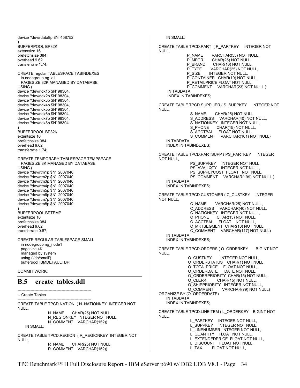device '/dev/rdata8p \$N' 458752 ) BUFFERPOOL BP32K extentsize 16 prefetchsize 384 overhead 9.62 transferrate 1.74; CREATE regular TABLESPACE TABINDEXES in nodegroup ng\_all PAGESIZE 32K MANAGED BY DATABASE USING ( device '/dev/ridx1p \$N' 98304, device '/dev/ridx2p \$N' 98304, device '/dev/ridx3p \$N' 98304, device '/dev/ridx4p \$N' 98304, device '/dev/ridx5p \$N' 98304, device '/dev/ridx6p \$N' 98304, device '/dev/ridx7p \$N' 98304, device '/dev/ridx8p \$N' 98304 ) BUFFERPOOL BP32K extentsize 16 prefetchsize 384 overhead 9.62 transferrate 1.74; CREATE TEMPORARY TABLESPACE TEMPSPACE PAGESIZE 8K MANAGED BY DATABASE USING ( device '/dev/rtm1p \$N' 2007040, device '/dev/rtm2p \$N' 2007040, device '/dev/rtm3p \$N' 2007040, device '/dev/rtm4p \$N' 2007040, device '/dev/rtm5p \$N' 2007040, device '/dev/rtm6p \$N' 2007040, device '/dev/rtm7p \$N' 2007040, device '/dev/rtm8p \$N' 2007040 ) BUFFERPOOL BPTEMP extentsize 16 prefetchsize 384 overhead 9.62 transferrate 0.87; CREATE REGULAR TABLESPACE SMALL in nodegroup ng\_node1 pagesize 4K managed by system using ('/db/small') bufferpool IBMDEFAULTBP; COMMIT WORK; **B.5 create\_tables.ddl**  --------------------------------------------------------- -- Create Tables --------------------------------------------------------- CREATE TABLE TPCD.NATION ( N\_NATIONKEY INTEGER NOT  $N$  $\parallel$  $\parallel$  N\_NAME CHAR(25) NOT NULL, N\_REGIONKEY INTEGER NOT NULL, N\_COMMENT VARCHAR(152)) IN SMALL; CREATE TABLE TPCD.REGION ( R\_REGIONKEY INTEGER NOT NULL, R\_NAME CHAR(25) NOT NULL, R\_COMMENT VARCHAR(152)) IN SMALL; CREATE TABLE TPCD.PART ( P\_PARTKEY INTEGER NOT NULL, P\_NAME VARCHAR(55) NOT NULL,<br>P\_MFGR CHAR(25) NOT NULL. P\_MFGR CHAR(25) NOT NULL,<br>P\_BRAND CHAR(10) NOT NULL, P\_BRAND CHAR(10) NOT NULL<br>P\_TYPE VARCHAR(25) NOT NU VARCHAR(25) NOT NULL, P\_SIZE INTEGER NOT NULL, P\_CONTAINER CHAR(10) NOT NULL, P\_RETAILPRICE FLOAT NOT NULL, P\_COMMENT VARCHAR(23) NOT NULL ) IN TABDATA INDEX IN TABINDEXES; CREATE TABLE TPCD.SUPPLIER ( S\_SUPPKEY INTEGER NOT NULL, S\_NAME CHAR(25) NOT NULL, S\_ADDRESS VARCHAR(40) NOT NULL, S\_NATIONKEY INTEGER NOT NULL, S\_PHONE CHAR(15) NOT NULL, S\_ACCTBAL FLOAT NOT NULL, S\_COMMENT VARCHAR(101) NOT NULL) IN TABDATA INDEX IN TABINDEXES; CREATE TABLE TPCD.PARTSUPP ( PS\_PARTKEY INTEGER NOT NULL, PS\_SUPPKEY INTEGER NOT NULL, PS\_AVAILQTY INTEGER NOT NULL, PS<sup>SUPPLYCOST FLOAT NOT NULL,</sup> PS\_COMMENT VARCHAR(199) NOT NULL ) IN TABDATA INDEX IN TABINDEXES; CREATE TABLE TPCD.CUSTOMER ( C\_CUSTKEY INTEGER NOT NULL, C\_NAME VARCHAR(25) NOT NULL, C\_ADDRESS VARCHAR(40) NOT NULL, C\_NATIONKEY INTEGER NOT NULL, C\_PHONE CHAR(15) NOT NULL, C\_ACCTBAL FLOAT NOT NULL, C\_MKTSEGMENT CHAR(10) NOT NULL, C\_COMMENT VARCHAR(117) NOT NULL) IN TABDATA INDEX IN TABINDEXES; CREATE TABLE TPCD.ORDERS ( O\_ORDERKEY BIGINT NOT NULL, O\_CUSTKEY INTEGER NOT NULL, O\_ORDERSTATUS CHAR(1) NOT NULL, O\_TOTALPRICE FLOAT NOT NULL, O\_ORDERDATE DATE NOT NULL, O\_ORDERPRIORITY CHAR(15) NOT NULL, O\_CLERK CHAR(15) NOT NULL, O\_SHIPPRIORITY INTEGER NOT NULL<br>O COMMENT VARCHAR(79) NOT N VARCHAR(79) NOT NULL) ORGANIZE BY (O\_ORDERDATE) IN TABDATA INDEX IN TABINDEXES; CREATE TABLE TPCD.LINEITEM ( L\_ORDERKEY BIGINT NOT NULL, L\_PARTKEY INTEGER NOT NULL, L\_COMMITTED INTEGERTIES INTERNATION L\_LINENUMBER INTEGER NOT NULL, L\_QUANTITY FLOAT NOT NULL, L\_EXTENDEDPRICE FLOAT NOT NULL, L\_DISCOUNT FLOAT NOT NULL, L\_TAX FLOAT NOT NULL,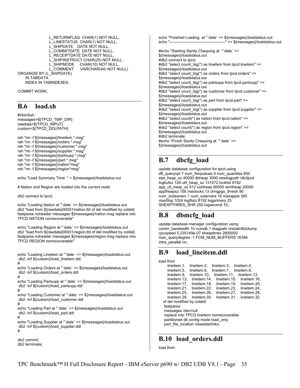L\_RETURNFLAG CHAR(1) NOT NULL, L\_LINESTATUS CHAR(1) NOT NULL, L\_SHIPDATE DATE NOT NULL, L\_COMMITDATE DATE NOT NULL, L\_RECEIPTDATE DATE NOT NULL, L\_SHIPINSTRUCT CHAR(25) NOT NULL,<br>L\_SHIPMODE CHAR(10) NOT NULL, CHAR(10) NOT NULL, L\_COMMENT VARCHAR(44) NOT NULL) ORGANIZE BY (L\_SHIPDATE) IN TABDATA INDEX IN TABINDEXES;

COMMIT WORK;

### **B.6 load.sh**

#!/bin/ksh messages=\${TPCD\_TMP\_DIR} rawdata=\${TPCD\_INPUT} custom=\${TPCD\_DDLPATH}

rah "rm -f \${messages}/lineitem.\*.msg" rah "rm -f \${messages}/orders.\*.msg" rah "rm -f \${messages}/customer.\*.msg" rah "rm -f \${messages}/supplier.\*.msg" rah "rm -f \${messages}/partsupp.\*.msg" rah "rm -f \${messages}/part.\*.msg" rah "rm -f \${messages}/nation\*msg" rah "rm -f \${messages}/region\*msg"

echo "Load Summary Time: " > \${messages}/loadstatus.out

# Nation and Region are loaded into the current node

db2 connect to tpcd;

db2 terminate;

echo "Loading Nation at "`date` >> \${messages}/loadstatus.out db2 "load from \${rawdata}00001/nation.tbl of del modified by coldel| fastparse noheader messages \${messages}/nation.msg replace into TPCD.NATION nonrecoverable"

echo "Loading Region at "`date` >> \${messages}/loadstatus.out db2 "load from \${rawdata}00001/region.tbl of del modified by coldel| fastparse noheader messages \${messages}/region.msg replace into TPCD.REGION nonrecoverable"

echo "Loading Lineitem at "`date` >> \${messages}/loadstatus.out db2 -tvf \${custom}/load\_lineitem.ddl # echo "Loading Orders at "`date` >> \${messages}/loadstatus.out db2 -tvf \${custom}/load\_orders.ddl # echo "Loading Partsupp at "`date` >> \${messages}/loadstatus.out db2 -tvf \${custom}/load\_partsupp.ddl # echo "Loading Customer at "`date` >> \${messages}/loadstatus.out db2 -tvf \${custom}/load\_customer.ddl # echo "Loading Part at "`date` >> \${messages}/loadstatus.out db2 -tvf \${custom}/load\_part.ddl # echo "Loading Supplier at "`date` >> \${messages}/loadstatus.out db2 -tvf \${custom}/load\_supplier.ddl # db2 commit;

echo "Finished Loading at "`date` >> \${messages}/loadstatus.out echo "-------------------------------------------" >> \${messages}/loadstatus.out #echo "Starting Sanity Chequing at "`date` >> \${messages}/loadstatus.out #db2 connect to tpcd; #db2 "select count\_big(\*) as lineitem from tpcd.lineitem" >> \${messages}/loadstatus.out #db2 "select count big(\*) as orders from tpcd.orders" >> \${messages}/loadstatus.out #db2 "select count\_big(\*) as partsupp from tpcd.partsupp" >> \${messages}/loadstatus.out #db2 "select count\_big(\*) as customer from tpcd.customer" >> \${messages}/loadstatus.out #db2 "select count\_big(\*) as part from tpcd.part" >> \${messages}/loadstatus.out #db2 "select count\_big(\*) as supplier from tpcd.supplier" >> \${messages}/loadstatus.out #db2 "select count(\*) as nation from tpcd.nation" >> \${messages}/loadstatus.out #db2 "select count(\*) as region from tpcd.region" >> \${messages}/loadstatus.out #db2 terminate; #echo "Finish Sanity Chequing at "`date` >> \${messages}/loadstatus.out

## **B.7 dbcfg\_load**

update database configuration for tpcd using dft\_queryopt 7 num\_freqvalues 0 num\_quantiles 600 stat\_heap\_sz 40000 dbheap 3000 newlogpath /db/tpcd logbufsz 128 util\_heap\_sz 131072 locklist 8192 app\_ctl\_heap\_sz 512 sortheap 60000 stmtheap 20000 applheapsz 156 maxlocks 13 chngpgs\_thresh 90 num\_iocleaners 1 num\_ioservers 16 maxappls 365 maxfilop 1024 logfilsiz 8192 logprimary 25 SHEAPTHRES\_SHR 250 logsecond 10;

## **B.8 dbmcfg\_load**

update database manager configuration using comm\_bandwidth 10 numdb 1 diagpath /install/db2dump cpuspeed 5.235149e-07 sheapthres 2800000 max\_querydegree -1 FCM\_NUM\_BUFFERS 16384 intra\_parallel no;

## **B.9 load\_lineitem.ddl**

|                                           | load trom                            |                                    |                         |                           |  |
|-------------------------------------------|--------------------------------------|------------------------------------|-------------------------|---------------------------|--|
|                                           | lineitem.1.                          | lineitem.2.                        | lineitem.3. lineitem.4. |                           |  |
|                                           | lineitem.5.                          | lineitem.6.                        | lineitem.7. lineitem.8. |                           |  |
|                                           | lineitem.9.                          | lineitem.10.                       |                         | lineitem.11. lineitem.12. |  |
|                                           | lineitem 13.                         | lineitem 14.                       |                         | lineitem.15. lineitem.16. |  |
|                                           | lineitem.17.                         | lineitem.18.                       |                         | lineitem.19. lineitem.20. |  |
|                                           | lineitem.21,                         | lineitem.22,                       | lineitem.23,            | lineitem.24.              |  |
|                                           | lineitem.25.                         | lineitem.26.                       | lineitem.27.            | lineitem.28,              |  |
|                                           | lineitem.29.                         | lineitem.30.                       | lineitem.31.            | lineitem.32               |  |
|                                           | of del modified by coldell           |                                    |                         |                           |  |
|                                           | fastparse                            |                                    |                         |                           |  |
|                                           | messages /dev/null                   |                                    |                         |                           |  |
| replace into TPCD.lineitem nonrecoverable |                                      |                                    |                         |                           |  |
|                                           | partitioned db config mode load only |                                    |                         |                           |  |
|                                           |                                      | part file location /rawdata/links; |                         |                           |  |
|                                           |                                      |                                    |                         |                           |  |

## **B.10 load\_orders.ddl**

load from

lo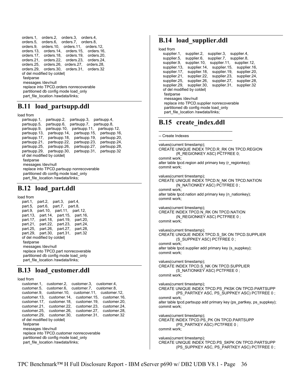```
 orders.1, orders.2, orders.3, orders.4, 
 orders.5, orders.6, orders.7, orders.8, 
 orders.9, orders.10, orders.11, orders.12, 
 orders.13, orders.14, orders.15, orders.16, 
 orders.17, orders.18, orders.19, orders.20, 
 orders.21, orders.22, orders.23, orders.24, 
 orders.25, orders.26, orders.27, orders.28, 
 orders.29, orders.30, orders.31, orders.32 
 of del modified by coldel| 
fastparse
 messages /dev/null 
 replace into TPCD.orders nonrecoverable 
 partitioned db config mode load_only 
part_file_location /rawdata/links;
```
### **B.11 load\_partsupp.ddl**

load from

| partsupp.1,                               | partsupp.2,  | partsupp.3,  | partsupp.4,  |  |
|-------------------------------------------|--------------|--------------|--------------|--|
| partsupp.5,                               | partsupp.6,  | partsupp.7,  | partsupp.8,  |  |
| partsupp.9,                               | partsupp.10, | partsupp.11, | partsupp.12, |  |
| partsupp.13,                              | partsupp.14, | partsupp 15. | partsupp.16, |  |
| partsupp.17,                              | partsupp.18, | partsupp.19, | partsupp.20, |  |
| partsupp.21,                              | partsupp.22, | partsupp.23, | partsupp.24, |  |
| partsupp.25,                              | partsupp.26, | partsupp.27, | partsupp.28, |  |
| partsupp.29,                              | partsupp.30, | partsupp.31, | partsupp.32  |  |
| of del modified by coldell                |              |              |              |  |
| fastparse                                 |              |              |              |  |
| messages /dev/null                        |              |              |              |  |
| replace into TPCD partsupp nonrecoverable |              |              |              |  |
| partitioned db config mode load only      |              |              |              |  |
| part file location /rawdata/links;        |              |              |              |  |

## **B.12 load\_part.ddl**

load from

| part.1,                               | part.2,           | part.3,           | part.4,  |  |
|---------------------------------------|-------------------|-------------------|----------|--|
| part.5,                               | part.6.           | part 7, part 8,   |          |  |
| part.9,                               | part.10,          | part 11,          | part.12. |  |
| part.13,                              | part.14,          | part 15,          | part.16, |  |
| part.17,                              |                   | part 18, part 19, | part.20, |  |
| part.21,                              |                   | part.22, part.23, | part.24, |  |
|                                       | part.25, part.26, | part.27,          | part.28, |  |
| part.29,                              | part.30,          | part.31,          | part.32  |  |
| of del modified by coldell            |                   |                   |          |  |
| fastparse                             |                   |                   |          |  |
| messages /dev/null                    |                   |                   |          |  |
| replace into TPCD part nonrecoverable |                   |                   |          |  |
| partitioned db config mode load only  |                   |                   |          |  |
| part file location /rawdata/links;    |                   |                   |          |  |

## **B.13 load\_customer.ddl**

load from customer.1, customer.2, customer.3, customer.4,

```
 customer.5, customer.6, customer.7, customer.8, 
  customer.9, customer.10, customer.11, customer.12, 
 customer.13, customer.14, customer.15, customer.16, 
 customer.17, customer.18, customer.19, customer.20, 
   customer.21, customer.22, customer.23, customer.24, 
  customer.25, customer.26, customer.27, customer.28, 
   customer.29, customer.30, customer.31, customer.32 
  of del modified by coldel| 
   fastparse 
   messages /dev/null 
   replace into TPCD.customer nonrecoverable 
   partitioned db config mode load_only 
   part_file_location /rawdata/links;
```
# **B.14 load\_supplier.ddl**

```
load from 
   supplier.1, supplier.2, supplier.3, supplier.4, 
  supplier.5, supplier.6, supplier.7, supplier.8, supplier.9, supplier.11, supplier
  supplier.9, supplier.10, supplier.11, supplier.12, supplier.13, supplier.14, supplier.16
                    supplier.13, supplier.14, supplier.15, supplier.16, 
   supplier.17, supplier.18, supplier.19, supplier.20, 
  supplier.21, supplier.22, supplier.23, supplier.24, supplier.25, supplier.26, supplier.28,
  supplier.25,
   supplier.29, supplier.30, supplier.31, supplier.32 
   of del modified by coldel| 
    fastparse 
    messages /dev/null 
    replace into TPCD.supplier nonrecoverable 
    partitioned db config mode load_only 
   part_file_location /rawdata/links;
```
# **B.15 create\_index.ddl**

```
--------------------------------------------------------- 
-- Create Indexes 
--------------------------------------------------------- 
values(current timestamp); 
CREATE UNIQUE INDEX TPCD.R_RK ON TPCD.REGION
          (R_REGIONKEY ASC) PCTFREE 0; 
commit work; 
alter table tpcd.region add primary key (r_regionkey); 
commit work; 
values(current timestamp); 
CREATE UNIQUE INDEX TPCD.N_NK ON TPCD.NATION 
         (N_NATIONKEY ASC) PCTFREE 0 ;
commit work; 
alter table tpcd.nation add primary key (n_nationkey);
commit work; 
values(current timestamp); 
CREATE INDEX TPCD.N_RK ON TPCD.NATION
          (N_REGIONKEY ASC) PCTFREE 0 ; 
commit work; 
values(current timestamp); 
CREATE UNIQUE INDEX TPCD.S_SK ON TPCD.SUPPLIER
          (S_SUPPKEY ASC) PCTFREE 0 ; 
commit work; 
alter table tpcd.supplier add primary key (s_suppkey); 
commit work; 
values(current timestamp); 
CREATE INDEX TPCD.S_NK ON TPCD.SUPPLIER
          (S_NATIONKEY ASC) PCTFREE 0 ; 
commit work; 
values(current timestamp); 
CREATE UNIQUE INDEX TPCD.PS_PKSK ON TPCD.PARTSUPP 
          (PS_PARTKEY ASC, PS_SUPPKEY ASC) PCTFREE 0 ; 
commit work; 
alter table tpcd.partsupp add primary key (ps_partkey, ps_suppkey); 
commit work; 
values(current timestamp); 
CREATE INDEX TPCD.PS PK ON TPCD.PARTSUPP
          (PS_PARTKEY ASC) PCTFREE 0 ; 
commit work; 
values(current timestamp); 
CREATE UNIQUE INDEX TPCD.PS_SKPK ON TPCD.PARTSUPP 
         (PS_SUPPKEY ASC, PS_PARTKEY ASC) PCTFREE 0;
```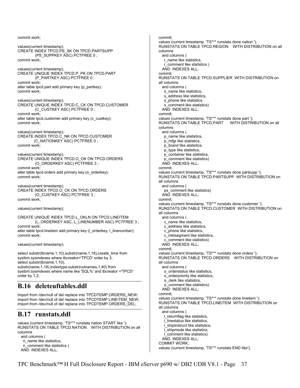commit work; values(current timestamp); CREATE INDEX TPCD.PS\_SK ON TPCD.PARTSUPP (PS\_SUPPKEY ASC) PCTFREE 0 ; commit work; values(current timestamp); CREATE UNIQUE INDEX TPCD.P\_PK ON TPCD.PART (P\_PARTKEY ASC) PCTFREE 0 ; commit work; alter table tpcd.part add primary key (p\_partkey); commit work; values(current timestamp); CREATE UNIQUE INDEX TPCD.C\_CK ON TPCD.CUSTOMER (C\_CUSTKEY ASC) PCTFREE 0 ; commit work; alter table tpcd.customer add primary key (c\_custkey); commit work; values(current timestamp); CREATE INDEX TPCD.C\_NK ON TPCD.CUSTOMER (C\_NATIONKEY ASC) PCTFREE 0 ; commit work; values(current timestamp); CREATE UNIQUE INDEX TPCD.O\_OK ON TPCD.ORDERS (O\_ORDERKEY ASC) PCTFREE 3 ; commit work; alter table tpcd.orders add primary key (o\_orderkey); commit work; values(current timestamp); CREATE INDEX TPCD.O\_CK ON TPCD.ORDERS (O\_CUSTKEY ASC) PCTFREE 3 ; commit work; values(current timestamp); CREATE UNIQUE INDEX TPCD.L\_OKLN ON TPCD.LINEITEM (L\_ORDERKEY ASC, L\_LINENUMBER ASC) PCTFREE 3 ; commit work; alter table tpcd.lineitem add primary key (I\_orderkey, I\_linenumber); commit work; values(current timestamp); select substr(tbname,1,10),substr(name,1,18),create\_time from sysibm.sysindexes where tbcreator='TPCD' order by 3; select substr(tbname, 1, 10), substr(name,1,18),indextype,substr(colnames,1,40) from sysibm.sysindexes where name like 'SQL%' and tbcreator ='TPCD' order by 1,2; **B.16 deleteuftables.ddl**  import from /dev/null of del replace into TPCDTEMP.ORDERS\_NEW; import from /dev/null of del replace into TPCDTEMP.LINEITEM\_NEW; import from /dev/null of del replace into TPCDTEMP.ORDERS\_DEL; **B.17 runstats.ddl**  values (current timestamp, 'TS\*\*\* runstats nation START like ');

RUNSTATS ON TABLE TPCD.NATION WITH DISTRIBUTION on all columns and columns ( n\_name like statistics, n\_comment like statistics ) AND INDEXES ALL;

commit; values (current timestamp, 'TS\*\*\* runstats done nation '); RUNSTATS ON TABLE TPCD.REGION WITH DISTRIBUTION on all columns and columns ( r\_name like statistics, r\_comment like statistics ) AND INDEXES ALL; commit; RUNSTATS ON TABLE TPCD.SUPPLIER WITH DISTRIBUTION on all columns and columns ( s\_name like statistics, s address like statistics, s phone like statistics, s comment like statistics) AND INDEXES ALL; commit; values (current timestamp, 'TS\*\*\* runstats done part '); RUNSTATS ON TABLE TPCD.PART WITH DISTRIBUTION on all columns and columns ( p\_name like statistics, p\_mfgr like statistics, p\_brand like statistics, p\_type like statistics, p\_container like statistics, p\_comment like statistics) AND INDEXES ALL; commit; values (current timestamp, 'TS\*\*\* runstats done partsupp '); RUNSTATS ON TABLE TPCD.PARTSUPP WITH DISTRIBUTION on all columns and columns ( ps\_comment like statistics) AND INDEXES ALL; commit; values (current timestamp, 'TS\*\*\* runstats done customer '); RUNSTATS ON TABLE TPCD.CUSTOMER WITH DISTRIBUTION on all columns and columns ( c\_name like statistics, c\_address like statistics, c\_phone like statistics, c\_mktsegment like statistics, c\_comment like statistics) AND INDEXES ALL; commit; values (current timestamp, 'TS\*\*\* runstats done orders '); RUNSTATS ON TABLE TPCD.ORDERS WITH DISTRIBUTION on all columns and columns ( o\_orderstatus like statistics, o\_orderpriority like statistics, o\_clerk like statistics, o\_comment like statistics) AND INDEXES ALL; commit; values (current timestamp, 'TS\*\*\* runstats done lineitem '); RUNSTATS ON TABLE TPCD.LINEITEM WITH DISTRIBUTION on all columns and columns ( l\_returnflag like statistics, l\_linestatus like statistics, l\_shipinstruct like statistics, l\_shipmode like statistics, l\_comment like statistics) AND INDEXES ALL; COMMIT WORK; values (current timestamp, 'TS\*\*\* runstats END like');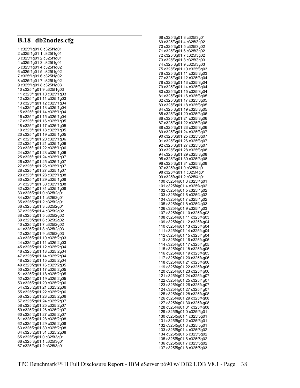| db2nodes.cfg<br><b>B.18</b>                            |
|--------------------------------------------------------|
|                                                        |
| 2 c325f1g01 1 c325f1g01                                |
| 3 c325f1g01 2 c325f1g01<br>4 c325f1g01 3 c325f1g01     |
| 5 c325f1g01 4 c325f1g02                                |
| 6 c325f1g01 5 c325f1g02                                |
| 7 c325f1g01 6 c325f1g02                                |
| 8 c325f1g01 7 c325f1g02<br>9 c325f1g01 8 c325f1g03     |
| 10 c325f1g01 9 c325f1g03                               |
| 11 c325f1g01 10 c325f1g03                              |
| 12 c325f1g01 11 c325f1g03<br>13 c325f1g01 12 c325f1g04 |
| 14 c325f1g01 13 c325f1g04                              |
| 15 c325f1g01 14 c325f1g04                              |
| 16 c325f1g01 15 c325f1g04                              |
| 17 c325f1g01 16 c325f1g05<br>18 c325f1g01 17 c325f1g05 |
| 19 c325f1g01 18 c325f1g05                              |
| 20 c325f1g01 19 c325f1g05                              |
| 21 c325f1q01 20 c325f1q06<br>22 c325f1g01 21 c325f1g06 |
|                                                        |
| 24 c325f1g01 23 c325f1g06                              |
| 25 c325f1g01 24 c325f1g07                              |
| 26 c325f1g01 25 c325f1g07<br>27 c325f1g01 26 c325f1g07 |
| 28 c325f1g01 27 c325f1g07                              |
| 29 c325f1g01 28 c325f1g08                              |
| 30 c325f1g01 29 c325f1g08<br>31 c325f1g01 30 c325f1g08 |
| 32 c325f1g01 31 c325f1g08                              |
| 33 c325f2g01 0 c325f2g01                               |
| 34 c325f2g01 1 c325f2g01<br>35 c325f2g01 2 c325f2g01   |
| 36 c325f2g01 3 c325f2g01                               |
|                                                        |
| 38 c325f2g01 5 c325f2g02<br>39 c325f2g01 6 c325f2g02   |
| 40 c325f2g01 7 c325f2g02                               |
| 41 c325f2g01 8 c325f2g03                               |
| 42 c325f2g01 9 c325f2g03                               |
| 43 c325f2g01 10 c325f2g03<br>44 c325f2g01 11 c325f2g03 |
| 45 c325f2g01 12 c325f2g04                              |
| 46 c325f2g01 13 c325f2g04                              |
| 47 c325f2g01 14 c325f2g04<br>48 c325f2g01 15 c325f2g04 |
| 49 c325f2g01 16 c325f2g05                              |
| 50 c325f2g01 17 c325f2g05                              |
| 51 c325f2g01 18 c325f2g05<br>52 c325f2g01 19 c325f2g05 |
| 53 c325f2g01 20 c325f2g06                              |
| 54 c325f2g01 21 c325f2g06                              |
| 55 c325f2g01 22 c325f2g06<br>56 c325f2g01 23 c325f2g06 |
| 57 c325f2g01 24 c325f2g07                              |
| 58 c325f2q01 25 c325f2q07                              |
| 59 c325f2g01 26 c325f2g07<br>60 c325f2g01 27 c325f2g07 |
| 61 c325f2g01 28 c325f2g08                              |
| 62 c325f2g01 29 c325f2g08                              |
| 63 c325f2g01 30 c325f2g08<br>64 c325f2g01 31 c325f2g08 |
| 65 c325f3g01 0 c325f3g01                               |
| 66 c325f3g01 1 c325f3g01                               |
| 67 c325f3g01 2 c325f3g01                               |

| 68 c325f3g01<br>3 c325f3g01<br>69 c325f3g01<br>4 c325f3g02                                                                                                            |
|-----------------------------------------------------------------------------------------------------------------------------------------------------------------------|
|                                                                                                                                                                       |
|                                                                                                                                                                       |
|                                                                                                                                                                       |
| 70 c325f3g01<br>5 c325f3g02                                                                                                                                           |
| 71 c325f3g01<br>6 c325f3g02                                                                                                                                           |
| 72 c325f3g01<br>7 c325f3g02                                                                                                                                           |
| 73 c325f3g01<br>8 c325f3g03                                                                                                                                           |
|                                                                                                                                                                       |
| 74 c325f3g01<br>9 c325f3g03                                                                                                                                           |
| 75 c325f3g01<br>10 c325f3g03                                                                                                                                          |
| 76 c325f3g01<br>11 c325f3g03                                                                                                                                          |
| 77 c325f3g01<br>12 c325f3g04                                                                                                                                          |
|                                                                                                                                                                       |
| 78 c325f3g01<br>13 c325f3g04                                                                                                                                          |
| 79 c325f3g01<br>14 c325f3g04                                                                                                                                          |
| 80 c325f3g01<br>15 c325f3g04                                                                                                                                          |
| 81 c325f3g01<br>16 c325f3q05                                                                                                                                          |
| 82 c325f3g01<br>17 c325f3g05                                                                                                                                          |
|                                                                                                                                                                       |
| 18 c325f3g05<br>83 c325f3q01                                                                                                                                          |
| 84 c325f3g01<br>19 c325f3g05                                                                                                                                          |
| 85 c325f3g01<br>20 c325f3g06                                                                                                                                          |
|                                                                                                                                                                       |
| 86 c325f3g01<br>21 c325f3g06                                                                                                                                          |
| 87 c325f3g01<br>22 c325f3g06                                                                                                                                          |
| 88 c325f3g01<br>23 c325f3g06                                                                                                                                          |
| 89 c325f3g01<br>24 c325f3g07                                                                                                                                          |
|                                                                                                                                                                       |
| 90 c325f3g01<br>25 c325f3g07                                                                                                                                          |
| 91 c325f3g01<br>26 c325f3g07                                                                                                                                          |
| 92 c325f3g01<br>27 c325f3g07                                                                                                                                          |
| 93 c325f3q01 28 c325f3q08                                                                                                                                             |
| 29 c325f3q08                                                                                                                                                          |
| 94 c325f3g01                                                                                                                                                          |
| 95 c325f3g01 30 c325f3g08                                                                                                                                             |
| 96 c325f3g01<br>31 c325f3g08                                                                                                                                          |
| 97 c325f4q01<br>0 c325f4q01                                                                                                                                           |
|                                                                                                                                                                       |
| 98 c325f4g01 1 c325f4g01                                                                                                                                              |
| 99 c325f4g01 2 c325f4g01                                                                                                                                              |
| 100 c325f4g01 3 c325f4g01                                                                                                                                             |
| 101 c325f4g01<br>4 c325f4g02                                                                                                                                          |
|                                                                                                                                                                       |
| 102 c325f4g01<br>5 c325f4g02                                                                                                                                          |
| 103 c325f4g01<br>6 c325f4g02                                                                                                                                          |
| 104 c325f4g01<br>7 c325f4g02                                                                                                                                          |
| 105 c325f4g01<br>8 c325f4g03                                                                                                                                          |
|                                                                                                                                                                       |
| 106 c325f4g01<br>9 c325f4g03                                                                                                                                          |
| 107 c325f4g01<br>10 c325f4g03                                                                                                                                         |
|                                                                                                                                                                       |
|                                                                                                                                                                       |
| 11 c325f4g03                                                                                                                                                          |
| 12 c325f4g04                                                                                                                                                          |
| 13 c325f4g04                                                                                                                                                          |
| 14 c325f4g04                                                                                                                                                          |
| 15 c325f4g04                                                                                                                                                          |
|                                                                                                                                                                       |
| 16 c325f4g05                                                                                                                                                          |
| 17 c325f4g05                                                                                                                                                          |
| 18 c325f4g05                                                                                                                                                          |
| 108 c325f4g01<br>109 c325f4g01<br>110 c325f4g01<br>111 c325f4g01<br>112 c325f4g01<br>113 c325f4g01<br>114 c325f4g01<br>115 c325f4g01<br>116 c325f4g01<br>19 c325f4g05 |
| 117 c325f4g01                                                                                                                                                         |
| 20 c325f4g06                                                                                                                                                          |
| 118 c325f4g01<br>21 c325f4g06                                                                                                                                         |
| 119 c325f4g01<br>22 c325f4g06                                                                                                                                         |
| 23 c325f4g06<br>120 c325f4g01                                                                                                                                         |
|                                                                                                                                                                       |
| 121 c325f4g01<br>24 c325f4g07                                                                                                                                         |
| 122 c325f4g01<br>25 c325f4g07                                                                                                                                         |
| 123 c325f4g01<br>26 c325f4g07                                                                                                                                         |
| 124 c325f4g01<br>27 c325f4g07                                                                                                                                         |
| 125 c325f4g01<br>28 c325f4g08                                                                                                                                         |
|                                                                                                                                                                       |
| 126 c325f4g01<br>29 c325f4g08                                                                                                                                         |
| 127 c325f4g01<br>30 c325f4g08                                                                                                                                         |
| 31 c325f4g08<br>128 c325f4g01                                                                                                                                         |
| 129 c325f5g01<br>0 c325f5g01                                                                                                                                          |
|                                                                                                                                                                       |
| 130 c325f5q01<br>c325f5q01<br>1                                                                                                                                       |
| 131 c325f5g01<br>c325f5g01<br>2                                                                                                                                       |
| 3 c325f5g01                                                                                                                                                           |
| 4 c325f5g02                                                                                                                                                           |
| 5 c325f5g02                                                                                                                                                           |
|                                                                                                                                                                       |
| 135 c325f5g01<br>6 c325f5g02                                                                                                                                          |
| 132 c325f5g01<br>133 c325f5g01<br>134 c325f5g01<br>136 c325f5g01<br>7 c325f5g02                                                                                       |
| 137 c325f5g01<br>8 c325f5g03                                                                                                                                          |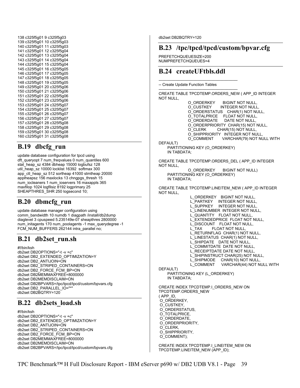| 138 c325f5g01<br>9 c325f5g03  |
|-------------------------------|
| 139 c325f5g01<br>10 c325f5g03 |
| 140 c325f5g01<br>11 c325f5g03 |
| 141 c325f5g01<br>12 c325f5g04 |
| 142 c325f5g01<br>13 c325f5g04 |
|                               |
| 143 c325f5g01<br>14 c325f5g04 |
| 144 c325f5g01<br>15 c325f5g04 |
| 145 c325f5g01<br>16 c325f5g05 |
| 146 c325f5q01<br>17 c325f5g05 |
| 147 c325f5g01<br>18 c325f5g05 |
| 148 c325f5g01<br>19 c325f5g05 |
| 149 c325f5g01<br>20 c325f5g06 |
| 150 c325f5g01<br>21 c325f5g06 |
| 151 c325f5g01<br>22 c325f5q06 |
| 152 c325f5g01<br>23 c325f5g06 |
| 153 c325f5g01<br>24 c325f5g07 |
| 154 c325f5g01<br>25 c325f5g07 |
| 155 c325f5q01<br>26 c325f5q07 |
| 156 c325f5g01<br>27 c325f5g07 |
| 157 c325f5g01<br>28 c325f5g08 |
|                               |
| 158 c325f5g01<br>29 c325f5g08 |
| 159 c325f5g01<br>30 c325f5g08 |
| 160 c325f5g01<br>31 c325f5g08 |

## **B.19 dbcfg\_run**

update database configuration for tpcd using dft\_queryopt 7 num\_freqvalues 0 num\_quantiles 600 stat\_heap\_sz 4384 dbheap 15000 logbufsz 128 util heap sz 10000 locklist 16392 softmax 300 app\_ctl\_heap\_sz 512 sortheap 41000 stmtheap 20000 applheapsz 156 maxlocks 13 chngpgs\_thresh 15 num iocleaners 1 num\_ioservers 16 maxappls 365 maxfilop 1024 logfilsiz 8192 logprimary 25 SHEAPTHRES\_SHR 250 logsecond 10;

## **B.20 dbmcfg\_run**

update database manager configuration using comm\_bandwidth 10 numdb 1 diagpath /install/db2dump diaglevel 3 cpuspeed 5.235149e-07 sheapthres 2800000 num\_initagents 170 num\_poolagents -1 max\_querydegree -1 FCM\_NUM\_BUFFERS 262144 intra\_parallel no;

## **B.21 db2set\_run.sh**

#!/bin/ksh db2set DB2OPTIONS="-t -v +c" db2set DB2\_EXTENDED\_OPTIMIZATION=Y db2set DB2\_ANTIJOIN=ON db2set DB2\_STRIPED\_CONTAINERS=ON db2set DB2\_FORCE\_FCM\_BP=ON db2set DB2MEMMAXFREE=8000000 db2set DB2MEMDISCLAIM=ON db2set DB2BPVARS=/tpc/tpcd/tpcd/custom/bpvars.cfg db2set DB2\_PARALLEL\_IO="\*" db2set DB2BQTRY=120

## **B.22 db2sets\_load.sh**

#!/bin/ksh db2set DB2OPTIONS="-t -v +c" db2set DB2\_EXTENDED\_OPTIMIZATION=Y db2set DB2\_ANTIJOIN=ON db2set DB2\_STRIPED\_CONTAINERS=ON db2set DB2\_FORCE\_FCM\_BP=ON db2set DB2MEMMAXFREE=8000000 db2set DB2MEMDISCLAIM=ON db2set DB2BPVARS=/tpc/tpcd/tpcd/custom/bpvars.cfg db2set DB2BQTRY=120

## **B.23 /tpc/tpcd/tpcd/custom/bpvar.cfg**

PREFETCHQUEUESIZE=200 NUMPREFETCHQUEUES=4

## **B.24 createUFtbls.ddl**

------------------------------------------------------------- -- Create Update Function Tables

------------------------------------------------------------- CREATE TABLE TPCDTEMP.ORDERS\_NEW ( APP\_ID INTEGER NOT NULL,

> O\_ORDERKEY BIGINT NOT NULL,<br>O\_CUSTKEY INTEGER NOT NULL INTEGER NOT NULL O\_ORDERSTATUS CHAR(1) NOT NULL, O\_TOTALPRICE FLOAT NOT NULL,<br>O\_ORDERDATE DATE NOT NULL. DATE NOT NULL. O\_ORDERPRIORITY CHAR(15) NOT NULL, O\_CLERK CHAR(15) NOT NULL, O\_SHIPPRIORITY INTEGER NOT NULL, O\_COMMENT VARCHAR(79) NOT NULL WITH

DEFAULT)

 PARTITIONING KEY (O\_ORDERKEY) IN TABDATA;

CREATE TABLE TPCDTEMP.ORDERS\_DEL ( APP\_ID INTEGER NOT NULL,

 O\_ORDERKEY BIGINT NOT NULL) PARTITIONING KEY (O\_ORDERKEY) IN TABDATA;

CREATE TABLE TPCDTEMP.LINEITEM\_NEW ( APP\_ID INTEGER NOT NULL,

 L\_ORDERKEY BIGINT NOT NULL, L\_PARTKEY INTEGER NOT NULL, L\_SUPPKEY INTEGER NOT NULL, L\_LINENUMBER INTEGER NOT NULL, L\_QUANTITY FLOAT NOT NULL, L\_EXTENDEDPRICE FLOAT NOT NULL, L\_DISCOUNT FLOAT NOT NULL,<br>L\_TAX FLOAT NOT NULL, FLOAT NOT NULL, L\_RETURNFLAG CHAR(1) NOT NULL, L\_LINESTATUS CHAR(1) NOT NULL, L\_SHIPDATE DATE NOT NULL, L\_COMMITDATE\_DATE NOT NULL, L\_RECEIPTDATE DATE NOT NULL, L\_SHIPINSTRUCT CHAR(25) NOT NULL, L\_SHIPMODE CHAR(10) NOT NULL, L\_COMMENT VARCHAR(44) NOT NULL WITH DEFAULT) PARTITIONING KEY (L\_ORDERKEY) IN TABDATA; CREATE INDEX TPCDTEMP.I\_ORDERS\_NEW ON TPCDTEMP.ORDERS\_NEW ( APP\_ID, O\_ORDERKEY, O\_CUSTKEY,

 O\_ORDERSTATUS, O\_TOTALPRICE, O\_ORDERDATE, O\_ORDERPRIORITY, O\_CLERK, O\_SHIPPRIORITY, O\_COMMENT);

CREATE INDEX TPCDTEMP.I\_LINEITEM\_NEW ON TPCDTEMP.LINEITEM\_NEW (APP\_ID);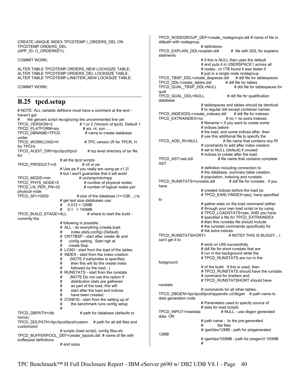CREATE UNIQUE INDEX TPCDTEMP.I\_ORDERS\_DEL ON TPCDTEMP.ORDERS\_DEL (APP\_ID, O\_ORDERKEY);

COMMIT WORK;

ALTER TABLE TPCDTEMP.ORDERS\_NEW LOCKSIZE TABLE; ALTER TABLE TPCDTEMP.ORDERS\_DEL LOCKSIZE TABLE; ALTER TABLE TPCDTEMP.LINEITEM\_NEW LOCKSIZE TABLE;

COMMIT WORK;

bufferpool definitions

## **B.25 tpcd.setup**

# NOTE: ALL variable defitions must have a comment at the end haven't got # the getvars script recognizing the uncommented line yet<br>TPCD\_VERSION=2 # 1 or 2 (Version of tpcd). # 1 or 2 (Version of tpcd). Default 1  $TPCD$ <sup>[</sup>PLATFORM=aix  $#$  aix, nt, sun .... TPCD\_DBNAME=TPCD # name to create database under<br>TPCD WORKLOAD=H # TPC version (R for TPCR, H for TPCH) TPCD\_AUDIT\_DIR=/tpc/tpcd/tpcd # top level directory of tar file for # all the tpcd scripts TPCD\_PRODUCT=v5 # v5 or pe # Use pe if you really are using pe v1.2! # but I won't guarantee that it will work! TPCD\_MODE=mln # uni/smp/mln/mpp<br>TPCD\_PHYS\_NODE=5 # number of phy # number of physical nodes TPCD LN PER PN=32 # number of logical nodes per physical node<br>TPCD\_SF=10000  $#$  size of the database (1=1GB,...) to # get test size databases use:  $\#$  0.012 = 12MB<br> $\#$  0.1 = 100MB  $0.1$  = 100MB<br># where to start the build -TPCD\_BUILD\_STAGE=ALL currently the # following is possible: # ALL - do everything (create,load, # index,stats,config) (Default) # CRTTBSP - start after create db and # config setting. Start righ at # create tbsp # LOAD - start from the load of the tables # INDEX - start from the index creation<br># (NOTE if earlyindex is specified, (NOTE if earlyindex is specified, # then this will do the create index # followed by the load...)<br># RUNSTATS - start from the # RUNSTATS - start from the runstats<br># (NOTE Do not use this option if (NOTE Do not use this option if # distribution stats are gathered  $#$  as part of the load, this will<br> $#$  start after the load and indistart after the load and indices # have been created. # CONFIG - start from the setting up of # the benchmark runs config setup # TPCD\_DBPATH=/db # path for database (defaults to home) TPCD\_DDLPATH=/tpc/tpcd/tpcd/custom # path for all ddl files and customized # scripts (load script), config files,etc TPCD\_BUFFERPOOL\_DEF=create\_bpools.ddl # name of file with

TPCD\_NODEGROUP\_DEF=create\_nodegroups.ddl # name of file in ddlpath with nodegroup # definitions TPCD\_EXPLAIN\_DDL=explain.ddl # file with DDL for explains statments # if this is NULL then uses the default # and puts it in USERSPACE1 across all # nodes...nt 1TB found it was faster if # just in a single node nodegroup<br>ate tbspaces.ddl # ddl file for tablespaces TPCD\_TBSP\_DDL=create\_tbspaces.ddl TPCD\_DDL=create\_tables.ddl # ddl file for tables TPCD\_QUAL\_TBSP\_DDL=NULL qual TPCD QUAL DDL=NULL # ddl file for qualification database # tablespaces and tables should be identical # to regular ddl except container names TPCD\_INDEXDDL=create\_indexes.ddl # ddl file for indexes TPCD\_EXTRAINDEX=no # no = no extra indexes # filename = If you want to create some # indices before # the load, and some indices after, then # use this additional file to specify the<br>TPCD ADD RI=NULL # file name that contains # file name that contains any RI # constraints to add after index creation # set to NULL (default) if unused # indices to create after the load.<br>TPCD\_AST=ast.ddl # file name that contain # file name that contains complete AST # definition including connection to # the database, summary table creation, # population, indexing and runstats.<br>stats.ddl # ddl file for runstats. If you TPCD\_RUNSTATS=runstats.ddl have # created indices before the load (ie # TPCD\_EARLYINDEX=yes), have specified to # gather stats on the load command (either # through your own load script or by using # TPCD\_LOADSTATS=yes, AND you have # specified a file for TPCD\_EXTRAINDEX # then this runstats file should include # the runstats commands specifically for # the extra indices.<br>TPCD RUNSTATSHORT=  $\# N$ # NOTE!! THIS IS BUGGY....I can't get it to # work on UNI successfully # ddl file for short runstats that are # run in the background while the # TPCD\_RUNSTATS are run in the foreground # of the build. If this is used, then # TPCD\_RUNSTATS should have the runstats # command for lineitem and # TPCD\_RUNSTATSHORT should have runstats # commands for all other tables. TPCD\_DBGEN=/tpc/tpcd/tpcd/appendix.v2/dbgen # path name to data generation code # Parameters used to specify source of data for load scripts<br>TPCD INPUT=/rawdata # NULL - u # NULL - use dbgen generated data OR # path name - to the pre-generated

# /gwl/dss/12MB - path for pregenerated

flat files

# and sizes

12MB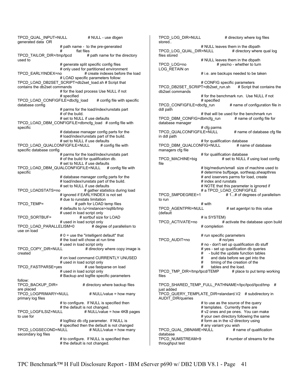TPCD\_QUAL\_INPUT=NULL # NULL - use dbgen generated data OR # path name - to the pre-generated # flat files TPCD TAILOR  $DIR = /tmp/tpcd$  # path name for the directory used to # generate split specific config files # only used for partitioned environment TPCD\_EARLYINDEX=no # create indexes before the load # LOAD specific parameters follow: TPCD\_LOAD\_DB2SET\_SCRIPT=db2set\_load.sh # Script that contains the db2set commands # for the load process Use NULL if not # specified TPCD LOAD CONFIGFILE=dbcfg\_load  $\#$  config file with specific database config # parms for the load/index/runstats part # of the build. # set to NULL if use defaults TPCD\_LOAD\_DBM\_CONFIGFILE=dbmcfg\_load # config file with specific # database manager config parts for the # load/index/runstats part of the build. # set to NULL if use defaults TPCD\_LOAD\_QUALCONFIGFILE=NULL # config file with specific database config # parms for the load/index/runstats part # of the build for qualification db. # set to NULL if use defaults TPCD\_LOAD\_DBM\_QUALCONFIGFILE=NULL # config file with specific # database manager config parts for the # load/index/runstats part of the build. # set to NULL if use defaults TPCD\_LOADSTATS=no # gather statistics during load # ignored if EARLYINDEX is not set # due to runstats limitation TPCD\_TEMP= # path for LOAD temp files # defaults to /u/<instance>/sqllib/tmp # used in load script only<br>TPCD SORTBUF= # sortbuf size # sortbuf size for LOAD # used in load script only<br>ELISM=0 # degree of parallelism to TPCD\_LOAD\_PARALLELISM=0 use on load # 0 = use the "intelligent default" that # the load will chose at run time # used in load script only<br>TPCD COPY DIR=NULL # directory # directory where copy image is created # on load command CURRENTLY UNUSED # used in load script only<br>es # use fastparse on load TPCD\_FASTPARSE=yes # used in load script only # Backup and logfile specific parameters follow: TPCD\_BACKUP\_DIR= # directory where backup files are placed TPCD\_LOGPRIMARY=NULL # NULL/value = how many primary log files # to configure. If NULL is specified then the default is not changed.<br>: TPCD LOGFILSIZ=NULL # NULL/value  $#$  NULL/value = how 4KB pages to use for # logfilsiz db cfg parameter. If NULL is # specified then the default is not changed TPCD\_LOGSECOND=NULL secondary log files # to configure. If NULL is specified then # the default is not changed. file to run files

TPCD LOG DIR=NULL # directory where log files stored.. # NULL leaves them in the dbpath TPCD\_LOG\_QUAL\_DIR=NULL # directory where qual log files stored # NULL leaves them in the dbpath<br>TPCD LOG=no # yes/no - whether to turn # yes/no - whether to turn LOG\_RETAIN on # i.e. are backups needed to be taken # CONFIG specific parameters<br>T=db2set run.sh # Script that contains the TPCD\_DB2SET\_SCRIPT=db2set\_run.sh db2set commands # for the benchmark run. Use NULL if not # specified TPCD CONFIGFILE=dbcfg\_run # name of configuration file in ddl path # that will be used for the benchmark run TPCD\_DBM\_CONFIG=dbmcfg\_run # name of config file for database manager # cfg parms TPCD QUALCONFIGFILE=NULL  $#$  name of database cfg file in ddl path # for qualification database TPCD\_DBM\_QUALCONFIG=NULL # name of database managers cfg file for qualification database<br>
TPCD MACHINE=big # set to NULL if # set to NULL if using load config # big/medium/small size of machine used to # determine buffpage, sortheap,sheapthres # and ioservers parms for load, create # index and runstats # NOTE that this parameter is ignored if a TPCD\_LOAD\_CONFIGFILE<br>TPCD SMPDEGREE=1 # 1...# of degrees  $# 1...#$  of degrees of parallelism with#<br>TPCD\_AGENTPRI=NULL # set agentpri to this value (default # is SYSTEM) TPCD\_ACTIVATE=no # activate the database upon build # completion # run specific parameters TPCD\_AUDIT=no # no/yes # no - don't set up qualification db stuff # yes - set up qualification db queries<br># - build the undate function tables  $\#$  - build the update function tables<br> $\#$  and data before we get into the and data before we get into the  $#$  timing of the creation of the  $#$  tables and the load tables and the load.<br>EMP  $\#$  place to put temp working TPCD\_TMP\_DIR=/tmp/tpcd/TEMP TPCD\_SHARED\_TEMP\_FULL\_PATHNAME=/tpc/tpcd/tpcd/tmp # just added TPCD\_QUERY\_TEMPLATE\_DIR=standard.V2 # subdirectory in AUDIT\_DIR/queries # to use as the source of the query # templates. Currently there are # v2 ones and pe ones. You can make # your own directory following the same # form as in the v2 directory using # any variant you wish<br>=NULL # name of qualification TPCD\_QUAL\_DBNAME=NULL database TPCD\_NUMSTREAM=9 # number of streams for the

throughput test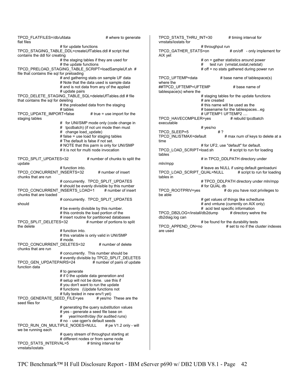TPCD\_FLATFILES=/db/ufdata # where to generate flat files # for update functions TPCD\_STAGING\_TABLE\_DDL=createUfTables.ddl # script that contains the ddl for creating # the staging tables if they are used for # the update functions TPCD\_PRELOAD\_STAGING\_TABLE\_SCRIPT=loadSampleUf.sh # file that contains the sql for preloading # and gathering stats on sample UF data # Note that the data used is sample data # and is not data from any of the applied # update pairs TPCD\_DELETE\_STAGING\_TABLE\_SQL=deleteUfTables.ddl # file that contains the sql for deleting # the preloaded data from the staging # tables TPCD UPDATE IMPORT=false  $#$  true = use import for the staging tables # for UNI/SMP mode only (code change in # tpcdbatch) (if not uni mode then must # change load update) # false = use load for staging tables # The default is false if not set. # NOTE that this parm is only for UNI/SMP # it is not for multi node invocation TPCD\_SPLIT\_UPDATES=32 # number of chunks to split the update # function into. TPCD\_CONCURRENT\_INSERTS=32 # number of insert chunks that are run # concurrently. TPCD\_SPLIT\_UPDATES # should be evenly divisible by this number TPCD\_CONCURRENT\_INSERTS\_LOAD=1 # number of insert chunks that are loaded # concurrently. TPCD SPLIT UPDATES should # be evenly divisible by this number. # this controls the load portion of the # insert routine for partitioned databases TPCD\_SPLIT\_DELETES=32 # number of portions to split the delete # function into. # this variable is only valid in UNI/SMP # mode. TPCD\_CONCURRENT\_DELETES=32 # number of delete chunks that are run # concurrently. This number should be # evently divisible by TPCD\_SPLIT\_DELETES TPCD GEN UPDATEPAIRS=24 # number of pairs of update function data # to generate # if 0 the update data generation and # setup will not be done. use this if # you don't want to run the update # functions (Update functions not # fully tested in new env't yet) TPCD GENERATE SEED FILE=yes # yes/no These are the seed files for # generating the query substitution values # yes - generate a seed file base on # year/month/day (for audited runs) # no - use qgen's default seeds TPCD\_RUN\_ON\_MULTIPLE\_NODES=NULL # pe V1.2 only - will we be running each # query stream of throughput starting at # different nodes or from same node TPCD STATS INTERVAL=5 # timing interval for vmstats/iostats TPCD STATS THRU INT=30 # timing interval for vmstats/iostats for # throughput run TPCD\_GATHER\_STATS=on # on/off - only implement for AIX yet # on = gather statistics around power # test run (vmstat,iostat,netstat) # off = no stats gathered during power run TPCD UFTEMP=data # base name of tablespace(s) where the ##TPCD UFTEMP=UFTEMP # base name of tablespace(s) where the # staging tables for the update functions # are created # this name will be used as the # basename for the tablespaces...eg # UFTEMP1 UFTEMP2 .... TPCD\_HAVECOMPILER=yes # rebuild tpcdbatch executable # yes/no TPCD SLEEP=5 # ? TPCD\_INLISTMAX=default # max num of keys to delete at a time # for UF2, use "default" for default. TPCD LOAD SCRIPT=load.sh # script to run for loading tables # in TPCD\_DDLPATH directory under mln/mpp # leave as NULL if using default genloaduni TPCD\_LOAD\_SCRIPT\_QUAL=NULL # script to run for loading tables in # TPCD\_DDLPATH directory under mln/mpp # for QUAL db TPCD ROOTPRIV=yes  $#$  do you have root privileges to be able # get values of things like schedtune # and vmtune (currently on AIX only) # acid test specific information TPCD\_DB2LOG=/install/db2dump # directory wehre the db2diag.log can # be found for the durability tests<br>TPCD APPEND ON=no # set to no if the cl # set to no if the cluster indexes are used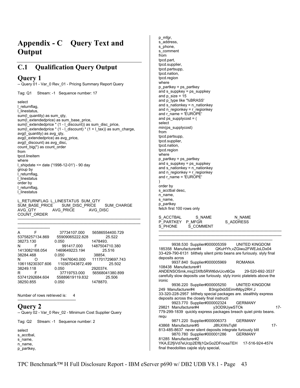# **Appendix - C Query Text and Output**

## **C.1 Qualification Query Output**

### **Query 1**

-- Query 01 - Var\_0 Rev\_01 - Pricing Summary Report Query

Tag: Q1 Stream: -1 Sequence number: 17

select l\_returnflag, l\_linestatus, sum(l\_quantity) as sum\_qty, sum(I extendedprice) as sum\_base\_price, sum(l\_extendedprice \* (1 - l\_discount)) as sum\_disc\_price, sum(l\_extendedprice \* (1 - l\_discount) \* (1 + l\_tax)) as sum\_charge, avg(l\_quantity) as avg\_qty, avg(l\_extendedprice) as avg\_price, avg(l\_discount) as avg\_disc, count\_big(\*) as count\_order from tpcd.lineitem where l\_shipdate <= date ('1998-12-01') - 90 day group by l\_returnflag, l\_linestatus order by l\_returnflag, l\_linestatus

L\_RETURNFLAG L\_LINESTATUS SUM\_QTY SUM\_BASE\_PRICE SUM\_DISC\_PRICE SUM\_CHARGE<br>AVG\_QTY AVG\_PRICE AVG\_DISC AVG\_PRICE COUNT\_ORDER

----------------------------------------------------------------------------------------------- -------------------------

-----------------------------------------------------------------------------------------------

| A                | 37734107.000     | 56586554400.729  |
|------------------|------------------|------------------|
| 53758257134.869  | 55909065222.828  | 25.522           |
| 38273.130        | 0.050            | 1478493.         |
| N<br>F           | 991417.000       | 1487504710.380   |
| 1413082168.054   | 1469649223.194   | 25.516           |
| 38284.468        | 0.050            | 38854.           |
| N<br>Ω           | 74476040.000     | 111701729697.743 |
| 106118230307.606 | 110367043872.499 | 25.502           |
| 38249.118        | 0.050            | 2920374.         |
| R<br>F           | 37719753.000     | 56568041380.899  |
| 53741292684.604  | 55889619119.832  | 25.506           |
| 38250.855        | 0.050            | 1478870.         |

Number of rows retrieved is: 4 ---------------------------------------------

### **Query 2**

-- Query 02 - Var\_0 Rev\_02 - Minimum Cost Supplier Query

Tag: Q2 Stream: -1 Sequence number: 2

select s\_acctbal, s\_name, n\_name, p\_partkey,

p\_mfgr, s\_address, s\_phone, s\_comment from tpcd.part, tpcd.supplier, tpcd.partsupp, tpcd.nation, tpcd.region where  $p$  partkey = ps partkey and s\_suppkey = ps\_suppkey and  $p$  size = 15 and p\_type like '%BRASS' and s\_ $n$ ationkey = n\_nationkey and n\_regionkey = r\_regionkey and r\_name = 'EUROPE' and ps\_supplycost = ( select min(ps\_supplycost) from tpcd.partsupp, tpcd.supplier, tpcd.nation, tpcd.region where p\_partkey = ps\_partkey and s\_suppkey = ps\_suppkey and s\_nationkey =  $n$  nationkey and  $n$ <sup>-r</sup>egionkey =  $n$ <sup>-</sup>regionkey and r\_name = 'EUROPE' ) order by s acctbal desc. n\_name, s\_name, p\_partkey fetch first 100 rows only S\_ACCTBAL S\_NAME N\_NAME<br>P\_PARTKEY P\_MFGR S\_ADDRESS P\_PARTKEY P\_MFGR<br>S\_PHONE S\_COMMENT S\_PHONE ----------------------------------------------------------------------------------------------- ----------------------------------------------------------------------------------------------- ---------------------------------------------------------------------------------------- 9938.530 Supplier#000005359 UNITED KINGDOM 185358 Manufacturer#4 QKuHYh,vZGiwu2FWEJoLDx04 33-429-790-6131 blithely silent pinto beans are furiously. slyly final deposits acros 9937.840 Supplier#000005969 ROMANIA 108438 Manufacturer#1 ANDENSOSmk,miq23Xfb5RWt6dvUcvt6Qa 29-520-692-3537 carefully slow deposits use furiously. slyly ironic platelets above the ironic 9936.220 Supplier#000005250 UNITED KINGDOM 249 Manufacturer#4 B3rqp0xbSEim4Mpy2RH J 33-320-228-2957 blithely special packages are. stealthily express deposits across the closely final instructi 9923.770 Supplier#000002324 GERMANY<br>Manufacturer#4 y3OD9UywSTOk 29821 Manufacturer#4 y3OD9UywSTOk 17- 779-299-1839 quickly express packages breach quiet pinto beans. requ 9871.220 Supplier#000006373 GERMANY 43868 Manufacturer#5 J8fcXWsTqM 17- 813-485-8637 never silent deposits integrate furiously blit 9870.780 Supplier#000001286 GERMANY 81285 Manufacturer#2 YKA,E2fjiVd7eUrzp2Ef8j1QxGo2DFnosaTEH 17-516-924-4574 final theodolites cajole slyly special,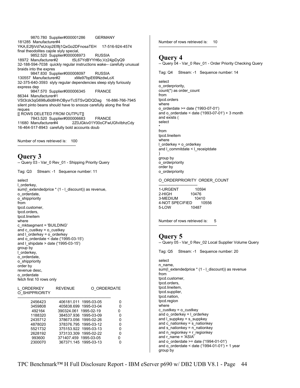9870.780 Supplier#000001286 GERMANY 181285 Manufacturer#4 YKA,E2fjiVd7eUrzp2Ef8j1QxGo2DFnosaTEH 17-516-924-4574 final theodolites cajole slyly special, 9852.520 Supplier#000008973 RUSSIA 18972 Manufacturer#2 t5L67YdBYYH6o,Vz24jpDyQ9 32-188-594-7038 quickly regular instructions wake-- carefully unusual braids into the expres 9847.830 Supplier#000008097 RUSSIA<br>7 Manufacturer#2 xMe97bpE69NzdwLoX 130557 Manufacturer#2 32-375-640-3593 slyly regular dependencies sleep slyly furiously express dep 9847.570 Supplier#000006345 FRANCE 86344 Manufacturer#1 VSt3rzk3qG698u6ld8HhOByvrTcSTSvQlDQDag 16-886-766-7945 silent pinto beans should have to snooze carefully along the final reques [[ ROWS DELETED FROM OUTPUT]] 7843.520 Supplier#000006683 FRANCE 11680 Manufacturer#4 2Z0JGkiv01Y00oCFwUGfviIbhzCdy 16-464-517-8943 carefully bold accounts doub

Number of rows retrieved is: 100

---------------------------------------------

### **Query 3**

| -- Query 03 - Var_0 Rev_01 - Shipping Priority Query |
|------------------------------------------------------|
|------------------------------------------------------|

Tag: Q3 Stream: -1 Sequence number: 11

select l\_orderkey, sum(I extendedprice \* (1 - I discount)) as revenue, o\_orderdate, o\_shippriority from tpcd.customer, tpcd.orders, tpcd.lineitem where c\_mktsegment = 'BUILDING' and c\_custkey = o\_custkey and l\_orderkey = o\_orderkey and o\_orderdate < date ('1995-03-15') and  $\overline{1}$  shipdate > date ('1995-03-15') group by l\_orderkey, o\_orderdate, o\_shippriority order by revenue desc, o\_orderdate fetch first 10 rows only

| L ORDERKEY<br>O SHIPPRIORITY | <b>REVENUE</b>        |                       | O ORDERDATE |
|------------------------------|-----------------------|-----------------------|-------------|
| 2456423                      |                       | 406181.011 1995-03-05 |             |
| 3459808                      |                       | 405838.699 1995-03-04 | ŋ           |
| 492164                       | 390324.061 1995-02-19 |                       | n           |
| 1188320                      |                       | 384537.936 1995-03-09 | n           |
| 2435712                      |                       | 378673.056 1995-02-26 | n           |
| 4878020                      |                       | 378376.795 1995-03-12 | ŋ           |
| 5521732                      |                       | 375153.922 1995-03-13 | ŋ           |
| 2628192                      |                       | 373133.309 1995-02-22 | n           |
| 993600                       | 371407.459 1995-03-05 |                       |             |
| 2300070                      |                       | 367371.145 1995-03-13 |             |

Number of rows retrieved is: 10 ---------------------------------------------

### **Query 4**

-- Query 04 - Var\_0 Rev\_01 - Order Priority Checking Query

Tag: Q4 Stream: -1 Sequence number: 14

select o\_orderpriority, count(\*) as order\_count from tpcd.orders where o\_orderdate >= date ('1993-07-01') and o\_orderdate < date ('1993-07-01') + 3 month and exists ( select \* from tpcd.lineitem where l\_orderkey = o\_orderkey and l\_commitdate < l\_receiptdate ) group by

o\_orderpriority order by o\_orderpriority

#### O\_ORDERPRIORITY ORDER\_COUNT

------------------------------ 1-URGENT 10594 2-HIGH 10476 3-MEDIUM 10410 4-NOT SPECIFIED 10556<br>5-LOW 10487 5-LOW

Number of rows retrieved is: 5 ---------------------------------------------

### **Query 5**

-- Query 05 - Var\_0 Rev\_02 Local Supplier Volume Query

Tag: Q5 Stream: -1 Sequence number: 20

select n\_name, sum(l\_extendedprice \* (1 - l\_discount)) as revenue from tpcd.customer, tpcd.orders, tpcd.lineitem, tpcd.supplier, tpcd.nation, tpcd.region where c\_custkey = o\_custkey and o  $orderkey = 1$  orderkey and l\_suppkey = s\_suppkey and  $\overline{c}$  nationkey = s\_nationkey and s\_nationkey = n\_nationkey and n\_regionkey =  $r$ \_regionkey and r\_name = 'ASIA' and o  $\alpha$  orderdate  $>=$  date ('1994-01-01') and o\_orderdate < date ('1994-01-01') + 1 year group by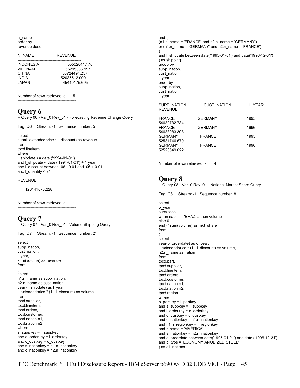n\_name order by revenue desc

| N NAME           | RFVFNUF      |
|------------------|--------------|
| <b>INDONESIA</b> | 55502041 170 |
| <b>VIFTNAM</b>   | 55295086997  |
| CHINA            | 53724494 257 |
| <b>INDIA</b>     | 52035512.000 |
| JAPAN.           | 45410175 695 |

Number of rows retrieved is: 5 ---------------------------------------------

### **Query 6**

-- Query 06 - Var\_0 Rev\_01 - Forecasting Revenue Change Query

Tag: Q6 Stream: -1 Sequence number: 5

select sum(l\_extendedprice \* l\_discount) as revenue from tpcd.lineitem where l\_shipdate >= date ('1994-01-01') and I shipdate  $<$  date ('1994-01-01') + 1 year and I discount between .06 - 0.01 and .06 + 0.01 and l\_quantity < 24

#### REVENUE

---------------------- 123141078.228

Number of rows retrieved is: 1 ---------------------------------------------

### **Query 7**

-- Query 07 - Var\_0 Rev\_01 - Volume Shipping Query

Tag: Q7 Stream: -1 Sequence number: 21

select supp\_nation, cust\_nation, l\_year, sum(volume) as revenue from ( select n1.n\_name as supp\_nation, n2.n\_name as cust\_nation, year (I\_shipdate) as I\_vear, l\_extendedprice \* (1 - l\_discount) as volume from tpcd.supplier, tpcd.lineitem, tpcd.orders, tpcd.customer, tpcd.nation n1, tpcd.nation n2 where s\_suppkey =  $l$  suppkey and o\_orderkey = l\_orderkey and  $c$  custkey =  $o$  custkey and s\_nationkey = n1.n\_nationkey and  $c$  nationkey =  $n2.n$  nationkey

and ( (n1.n\_name = 'FRANCE' and n2.n\_name = 'GERMANY') or (n1.n\_name = 'GERMANY' and n2.n\_name = 'FRANCE') ) and l\_shipdate between date('1995-01-01') and date('1996-12-31') ) as shipping group by supp\_nation, cust\_nation, l\_year order by supp\_nation, cust\_nation, l\_year SUPP\_NATION CUST\_NATION L\_YEAR REVENUE ----------------------------------------------------------------------------------------- FRANCE GERMANY 1995 54639732.734 FRANCE GERMANY 1996 54633083.308 GERMANY FRANCE 1995 52531746.670 GERMANY FRANCE 1996 52520549.022 Number of rows retrieved is: 4

### **Query 8**

-- Query 08 - Var\_0 Rev\_01 - National Market Share Query

Tag: Q8 Stream: -1 Sequence number: 8

---------------------------------------------

select o\_year, sum(case when nation = 'BRAZIL' then volume else 0 end) / sum(volume) as mkt share from ( select year(o\_orderdate) as o\_year,  $\frac{1}{2}$  extendedprice  $*(1 - \frac{1}{2})$  discount) as volume, n2.n\_name as nation from tpcd.part, tpcd.supplier, tpcd.lineitem, tpcd.orders, tpcd.customer, tpcd.nation n1, tpcd.nation n2, tpcd.region where p\_partkey = l\_partkey and s\_suppkey = l\_suppkey and l\_orderkey = o\_orderkey and o\_custkey = c\_custkey and c\_nationkey = n1.n\_nationkey and n1.n\_regionkey = r\_regionkey and r\_name = 'AMERICA' and s\_nationkey = n2.n\_nationkey and o\_orderdate between date('1995-01-01') and date ('1996-12-31') and p\_type = 'ECONOMY ANODIZED STEEL' ) as all\_nations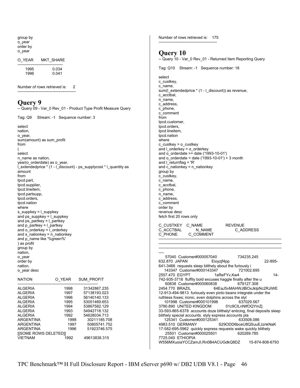| group by<br>o_year<br>order by                                               | Number of rows retrieved is: 175                                                                      |
|------------------------------------------------------------------------------|-------------------------------------------------------------------------------------------------------|
| o_year                                                                       | Query 10                                                                                              |
| O YEAR<br>MKT_SHARE                                                          | -- Query 10 - Var_0 Rev_01 - Returned Item Reporting Query                                            |
| 1995<br>0.034<br>1996<br>0.041                                               | Tag: Q10 Stream: -1 Sequence number: 18                                                               |
|                                                                              | select                                                                                                |
|                                                                              | c_custkey,                                                                                            |
| Number of rows retrieved is:<br>2                                            | c name,<br>sum(I_extendedprice * (1 - I_discount)) as revenue,                                        |
|                                                                              | c acctbal,                                                                                            |
| Query 9                                                                      | n_name,                                                                                               |
| -- Query 09 - Var_0 Rev_01 - Product Type Profit Measure Query               | c address,                                                                                            |
|                                                                              | c_phone,<br>c_comment                                                                                 |
| Tag: Q9<br>Stream: -1 Sequence number: 3                                     | from                                                                                                  |
|                                                                              | tpcd.customer,                                                                                        |
| select                                                                       | tpcd.orders,                                                                                          |
| nation,                                                                      | tpcd.lineitem,                                                                                        |
| o_year,<br>sum(amount) as sum profit                                         | tpcd.nation<br>where                                                                                  |
| from                                                                         | c_custkey = $o$ _custkey                                                                              |
|                                                                              | and $I$ orderkey = $o$ orderkey                                                                       |
| select                                                                       | and o_orderdate >= date $(1993-10-01)$                                                                |
| n_name as nation,                                                            | and o orderdate < date $('1993-10-01') + 3$ month                                                     |
| year(o orderdate) as o year,                                                 | and $L$ returnflag = 'R'                                                                              |
| Lextendedprice * (1 - Le discount) - ps_supplycost * Lequantity as<br>amount | and c_nationkey = $n$ _nationkey<br>group by                                                          |
| from                                                                         | c_custkey,                                                                                            |
| tpcd.part,                                                                   | c name,                                                                                               |
| tpcd.supplier,                                                               | c_acctbal,                                                                                            |
| tpcd.lineitem,                                                               | c_phone,                                                                                              |
| tpcd.partsupp,                                                               | n_name,                                                                                               |
| tpcd.orders,<br>tpcd.nation                                                  | c address,<br>c_comment                                                                               |
| where                                                                        | order by                                                                                              |
| s_suppkey = $\mathsf{L}$ suppkey                                             | revenue desc                                                                                          |
| and $ps$ suppkey = $l$ suppkey                                               | fetch first 20 rows only                                                                              |
| and ps_partkey = I_partkey                                                   |                                                                                                       |
| and $p$ partkey = $l$ partkey                                                | C_CUSTKEY C_NAME<br><b>REVENUE</b><br>MF<br>C ACCTBAL                                                 |
| and $o$ orderkey = $l$ orderkey<br>and s_nationkey = $n$ _nationkey          | N_NAME<br>C_ADDRESS<br>C_COMMENT<br>C PHONE                                                           |
| and p_name like '%green%'                                                    |                                                                                                       |
| ) as profit                                                                  |                                                                                                       |
| group by                                                                     |                                                                                                       |
| nation,                                                                      |                                                                                                       |
| o year<br>order by                                                           | 57040 Customer#000057040<br>734235.245<br>632.870 JAPAN<br>Eioyzjf4pp<br>22-895-                      |
| nation,                                                                      | 641-3466 requests sleep blithely about the furiously i                                                |
| o_year desc                                                                  | 143347 Customer#000143347<br>721002.695                                                               |
| <b>NATION</b><br>O_YEAR<br>SUM_PROFIT                                        | 2557.470 EGYPT<br>1aReFYv,Kw4<br>14-<br>742-935-3718 fluffily bold excuses haggle finally after the u |
| 1998                                                                         | 60838 Customer#000060838<br>679127.308<br>64EaJ5vMAHWJIBOxJklpNc2RJiWE                                |
| ALGERIA<br>31342867.235<br>1997<br><b>ALGERIA</b><br>57138193.023            | 2454.770 BRAZIL<br>12-913-494-9813 furiously even pinto beans integrate under the                     |
| <b>ALGERIA</b><br>1996<br>56140140.133                                       | ruthless foxes; ironic, even dolphins across the slyl                                                 |
| <b>ALGERIA</b><br>1995<br>53051469.653                                       | 101998 Customer#000101998<br>637029.567                                                               |
| ALGERIA<br>1994<br>53867582.129                                              | 3790.890 UNITED KINGDOM<br>01c9CILnNtfOQYmZi                                                          |
| <b>ALGERIA</b><br>1993<br>54942718.132                                       | 33-593-865-6378 accounts doze blithely! enticing, final deposits sleep                                |
| 1992<br><b>ALGERIA</b><br>54628034.713                                       | blithely special accounts. slyly express accounts pla                                                 |
| ARGENTINA<br>1998<br>30211185.708<br>ARGENTINA<br>1997<br>50805741.752       | 125341 Customer#000125341<br>633508.086<br>4983.510 GERMANY<br>S29ODD6bceU8QSuuEJznkNaK               |
| ARGENTINA<br>1996<br>51923746.575                                            | 17-582-695-5962 quickly express requests wake quickly blithely                                        |
| [[SOME ROWS DELETED]]                                                        | 25501 Customer#000025501<br>620269.785                                                                |
| <b>VIETNAM</b><br>1992<br>49613838.315                                       | 7725.040 ETHIOPIA                                                                                     |

W556MXuoiaYCCZamJI,Rn0B4ACUGdkQ8DZ 15-874-808-6793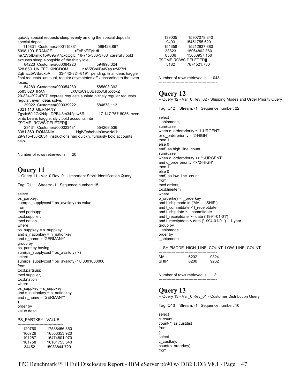quickly special requests sleep evenly among the special deposits. special deposi 115831 Customer#000115831 596423.867 5098.100 FRANCE rFeBbEEyk dl ne7zV5fDrmiq1oK09wV7pxqCgIc 16-715-386-3788 carefully bold excuses sleep alongside of the thinly idle 84223 Customer#000084223 594998.024 528.650 UNITED KINGDOM nAVZCs6BaWap rrM27N 2qBnzc5WBauxbA 33-442-824-8191 pending, final ideas haggle final requests. unusual, regular asymptotes affix according to the even foxes. 54289 Customer#000054289 585603.392 5583.020 IRAN vXCxoCsU0Bad5JQI ,oobkZ 20-834-292-4707 express requests sublate blithely regular requests. regular, even ideas solve. 39922 Customer#000039922 584878.113 7321.110 GERMANY Zgy4s50l2GKN4pLDPBU8m342glw6R 17-147-757-8036 even pinto beans haggle. slyly bold accounts inte [[SOME ROWS DELETED]] 23431 Customer#000023431 554269.536 HgiV0phqhaIa9aydNollb 29-915-458-2654 instructions nag quickly. furiously bold accounts cajol Number of rows retrieved is: 20 ---------------------------------------------

### **Query 11**

-- Query 11 - Var\_0 Rev\_01 - Important Stock Identification Query

Tag: Q11 Stream: -1 Sequence number: 15

select

ps\_partkey, sum(ps\_supplycost \* ps\_availqty) as value from tpcd.partsupp, tpcd.supplier, tpcd.nation where ps\_suppkey = s\_suppkey and s\_nationkey = n\_nationkey and n\_name = 'GERMANY' group by ps\_partkey having sum(ps\_supplycost \* ps\_availqty) > ( select sum(ps\_supplycost \* ps\_availqty) \* 0.0001000000 from tpcd.partsupp, tpcd.supplier, tpcd.nation where ps\_suppkey = s\_suppkey and s\_nationkey = n\_nationkey and n\_name = 'GERMANY' ) order by value desc

PS\_PARTKEY VALUE

| 17538456.860<br>16503353.920 |
|------------------------------|
| 16474801 970                 |
| 16101755.540<br>15983844 720 |
|                              |

| 139035                       | 15907078.340 |
|------------------------------|--------------|
| 9403                         | 15451755.620 |
| 154358                       | 15212937.880 |
| 38823                        | 15064802.860 |
| 85606                        | 15053957.150 |
| <b>IISOME ROWS DELETEDII</b> |              |
| 5182                         | 7874521.730  |
|                              |              |

Number of rows retrieved is: 1048 ---------------------------------------------

### **Query 12**

-- Query 12 - Var\_0 Rev\_02 - Shipping Modes and Order Priority Query

Tag: Q12 Stream: -1 Sequence number: 22

select l\_shipmode, sum(case when o orderpriority = '1-URGENT' or o\_orderpriority = '2-HIGH' then 1 else 0 end) as high\_line\_count, sum(case when o\_orderpriority <> '1-URGENT' and o\_orderpriority <> '2-HIGH' then  $1$ else 0 end) as low\_line\_count from tpcd.orders, tpcd.lineitem where o\_orderkey = l\_orderkey and I shipmode in ('MAIL', 'SHIP') and I commitdate < I receiptdate and l\_shipdate < l\_commitdate and  $I_{\text{receiptdate}} =$  date ('1994-01-01') and l\_receiptdate < date ('1994-01-01') + 1 year group by l\_shipmode order by l\_shipmode

L\_SHIPMODE HIGH\_LINE\_COUNT LOW\_LINE\_COUNT

| MAIL | 6202 | 9324 |
|------|------|------|
| SHIP | 6200 | 9262 |

Number of rows retrieved is: 2 ---------------------------------------------

### **Query 13**

-- Query 13 - Var\_0 Rev\_01 - Customer Distribution Query

Tag: Q13 Stream: -1 Sequence number: 10

select c\_count, count(\*) as custdist from ( select c\_custkey, count(o\_orderkey) from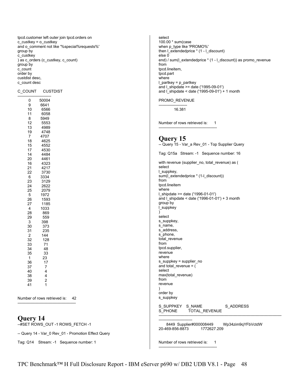tpcd.customer left outer join tpcd.orders on c\_custkey = o\_custkey and o\_comment not like '%special%requests%' group by c\_custkey ) as c\_orders (c\_custkey, c\_count) group by c\_count order by custdist desc, c\_count desc

#### C\_COUNT CUSTDIST

--------------------------

| 0              | 50004        |
|----------------|--------------|
| 9              | 6641         |
| 10             | 6566         |
| 11             | 6058         |
| 8              | 5949         |
| 12             | 5553         |
| 13             | 4989         |
| 19             | 4748         |
| 7              | 4707         |
| 18             | 4625         |
| 15             | 4552         |
| 17             | 4530         |
| 14             | 4484         |
| 20             | 4461         |
| 16             | 4323         |
| 21             | 4217         |
| 22             | 3730         |
| 6              | 3334         |
| 23             | 3129         |
| 24             | 2622         |
| 25<br>5        | 2079         |
| 26             | 1972         |
| 27             | 1593<br>1185 |
| $\overline{4}$ | 1033         |
| 28             | 869          |
| 29             | 559          |
| 3              | 398          |
| 30             | 373          |
| 31             | 235          |
| $\overline{c}$ | 144          |
| 32             | 128          |
| 33             | 71           |
| 34             | 48           |
| 35             | 33           |
| 1              | 23           |
| 36             | 17           |
| 37             | 7            |
| 40             | 4            |
| 38             | 4            |
| 39             | 2            |
| 41             | 1            |
|                |              |

Number of rows retrieved is: 42 ---------------------------------------------

### **Query 14**

--#SET ROWS\_OUT -1 ROWS\_FETCH -1

-- Query 14 - Var\_0 Rev\_01 - Promotion Effect Query

Tag: Q14 Stream: -1 Sequence number: 1

select 100.00 \* sum(case when p\_type like 'PROMO%' then l\_extendedprice \* (1 - l\_discount) else 0 end) / sum(l\_extendedprice \* (1 - l\_discount)) as promo\_revenue from tpcd.lineitem, tpcd.part where l\_partkey = p\_partkey and l\_shipdate >= date ('1995-09-01') and l\_shipdate < date ('1995-09-01') + 1 month

#### PROMO\_REVENUE

---------------------- 16.381

Number of rows retrieved is: 1

---------------------------------------------

### **Query 15**

-- Query 15 - Var\_a Rev\_01 - Top Supplier Query

Tag: Q15a Stream: -1 Sequence number: 16 with revenue (supplier\_no, total\_revenue) as ( select l\_suppkey, sum(l\_extendedprice \* (1-l\_discount)) from tpcd.lineitem where l\_shipdate >= date ('1996-01-01') and l\_shipdate < date ('1996-01-01') + 3 month group by l\_suppkey ) select s\_suppkey,

s\_name, s\_address, s\_phone, total\_revenue from tpcd.supplier, revenue where s\_suppkey = supplier\_no and total\_revenue = ( select max(total\_revenue) from revenue ) order by

s\_suppkey

S\_SUPPKEY S\_NAME S\_ADDRESS S\_PHONE TOTAL\_REVENUE

-----------------------------------------------------------------------------------------------

-------------------------- 8449 Supplier#000008449 Wp34zim9qYFbVctdW 20-469-856-8873 1772627.209

Number of rows retrieved is: 1 ---------------------------------------------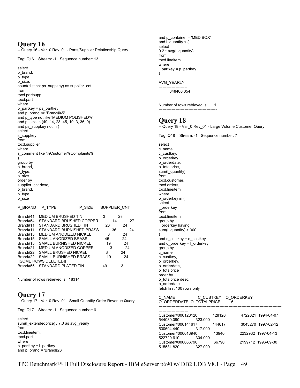## **Query 16**

-- Query 16 - Var\_0 Rev\_01 - Parts/Supplier Relationship Query

Tag: Q16 Stream: -1 Sequence number: 13

select p\_brand, p\_type, p\_size, count(distinct ps\_suppkey) as supplier\_cnt from tpcd.partsupp, tpcd.part where  $p$  partkey = ps partkey and p\_brand <> 'Brand#45' and p\_type not like 'MEDIUM POLISHED%' and p\_size in (49, 14, 23, 45, 19, 3, 36, 9) and ps\_suppkey not in ( select s\_suppkey from tpcd.supplier where s\_comment like '%Customer%Complaints%' ) group by p\_brand, p\_type, p\_size order by supplier\_cnt desc, p\_brand, p\_type, p\_size P\_BRAND P\_TYPE P\_SIZE SUPPLIER\_CNT

| Brand#41 | <b>MEDIUM BRUSHED TIN</b>    | 3  | 28       |
|----------|------------------------------|----|----------|
| Brand#54 | STANDARD BRUSHED COPPER      |    | 27<br>14 |
| Brand#11 | STANDARD BRUSHED TIN         | 23 | 24       |
| Brand#11 | STANDARD BURNISHED BRASS     |    | 36<br>24 |
| Brand#15 | MEDIUM ANODIZED NICKEL       | 3  | 24       |
| Brand#15 | <b>SMALL ANODIZED BRASS</b>  | 45 | 24       |
| Brand#15 | SMALL BURNISHED NICKEL       | 19 | 24       |
| Brand#21 | MEDIUM ANODIZED COPPER       | 3  | 24       |
| Brand#22 | SMALL BRUSHED NICKEL         | з  | 24       |
| Brand#22 | <b>SMALL BURNISHED BRASS</b> | 19 | 24       |
|          | <b>IISOME ROWS DELETEDII</b> |    |          |
|          | Brand#55 STANDARD PLATED TIN | 49 | 3        |

Number of rows retrieved is: 18314 ---------------------------------------------

## **Query 17**

-- Query 17 - Var\_0 Rev\_01 - Small-Quantity-Order Revenue Query

Tag: Q17 Stream: -1 Sequence number: 6

select sum(l\_extendedprice) / 7.0 as avg\_yearly from tpcd.lineitem, tpcd.part where p\_partkey = l\_partkey and p\_brand = 'Brand#23'

and p\_container = 'MED BOX' and l\_quantity < ( select 0.2 \* avg(l\_quantity) from tpcd.lineitem where l\_partkey = p\_partkey )

#### AVG\_YEARLY

---------------------- 348406.054

Number of rows retrieved is: 1 ---------------------------------------------

## **Query 18**

select

```
-- Query 18 - Var_0 Rev_01 - Large Volume Customer Query
```
Tag: Q18 Stream: -1 Sequence number: 7

c\_name, c\_custkey, o\_orderkey, o\_orderdate, o\_totalprice, sum(l\_quantity) from tpcd.customer, tpcd.orders, tpcd.lineitem where o\_orderkey in ( select l\_orderkey from tpcd.lineitem group by l\_orderkey having sum(I\_quantity) > 300 ) and c\_custkey = o\_custkey and  $o$ \_orderkey =  $\overline{L}$ orderkey group by c\_name, c\_custkey, o\_orderkey, o\_orderdate, o\_totalprice order by o\_totalprice desc, o\_orderdate fetch first 100 rows only C\_NAME C\_CUSTKEY O\_ORDERKEY O\_ORDERDATE O\_TOTALPRICE 6 ----------------------------------------------------------------------------------------------- ----------------------- Customer#000128120 128120 4722021 1994-04-07<br>544089.090 323.000 544089.090 Customer#000144617 144617 3043270 1997-02-12<br>530604.440 317.000 530604.440 Customer#000013940 13940 2232932 1997-04-13<br>522720.610 304.000 522720.610 Customer#000066790 66790 2199712 1996-09-30<br>515531.820 327.000 515531.820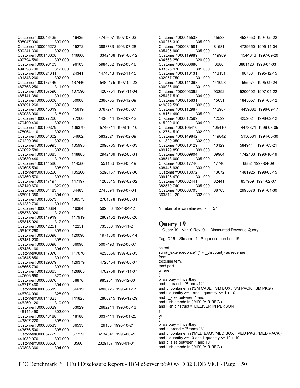| Customer#000046435                                                   | 46435  | 4745607 1997-07-03 | Customer#000045538                                                                                                     | 45538  | 4527553 1994-05-22 |
|----------------------------------------------------------------------|--------|--------------------|------------------------------------------------------------------------------------------------------------------------|--------|--------------------|
| 508047.990<br>309.000<br>Customer#000015272<br>500241.330<br>302.000 | 15272  | 3883783 1993-07-28 | 436275.310<br>305.000<br>Customer#000081581<br>435405.900<br>305.000                                                   | 81581  | 4739650 1995-11-04 |
| Customer#000146608<br>499794.580<br>303.000                          | 146608 | 3342468 1994-06-12 | Customer#000119989<br>320.000<br>434568.250                                                                            | 119989 | 1544643 1997-09-20 |
| Customer#000096103<br>494398.790<br>312.000                          | 96103  | 5984582 1992-03-16 | Customer#000003680<br>301.000<br>433525.970                                                                            | 3680   | 3861123 1998-07-03 |
| Customer#000024341<br>302.000<br>491348.260                          | 24341  | 1474818 1992-11-15 | Customer#000113131<br>301.000<br>432957.750                                                                            | 113131 | 967334 1995-12-15  |
| Customer#000137446<br>487763.250<br>311.000                          | 137446 | 5489475 1997-05-23 | Customer#000141098<br>301.000<br>430986.690                                                                            | 141098 | 565574 1995-09-24  |
| Customer#000107590<br>301.000<br>485141.380                          | 107590 | 4267751 1994-11-04 | Customer#000093392<br>425487.510<br>304.000                                                                            | 93392  | 5200102 1997-01-22 |
| Customer#000050008<br>483891.260<br>302.000                          | 50008  | 2366755 1996-12-09 | Customer#000015631<br>419879.590<br>302.000                                                                            | 15631  | 1845057 1994-05-12 |
| Customer#000015619<br>480083.960<br>318.000                          | 15619  | 3767271 1996-08-07 | Customer#000112987<br>305.000<br>418161.490                                                                            | 112987 | 4439686 1996-09-17 |
| Customer#000077260<br>479499.430<br>307.000                          | 77260  | 1436544 1992-09-12 | Customer#000012599<br>304.000<br>415200.610                                                                            | 12599  | 4259524 1998-02-12 |
| Customer#000109379<br>478064.110<br>302.000                          | 109379 | 5746311 1996-10-10 | Customer#000105410<br>302.000<br>412754.510                                                                            | 105410 | 4478371 1996-03-05 |
| Customer#000054602<br>471220.080<br>307.000                          | 54602  | 5832321 1997-02-09 | Customer#000149842<br>302.000<br>411329.350                                                                            | 149842 | 5156581 1994-05-30 |
| Customer#000105995<br>469692.580<br>307.000                          | 105995 | 2096705 1994-07-03 | Customer#000010129<br>409129.850<br>309.000                                                                            | 10129  | 5849444 1994-03-21 |
| Customer#000148885<br>469630.440<br>313.000                          | 148885 | 2942469 1992-05-31 | Customer#000069904<br>408513.000<br>305.000                                                                            | 69904  | 1742403 1996-10-19 |
| Customer#000114586<br>469605.590<br>308.000                          | 114586 | 551136 1993-05-19  | Customer#000017746<br>408446.930<br>303.000                                                                            | 17746  | 6882 1997-04-09    |
| Customer#000105260<br>469360.570<br>303.000                          | 105260 | 5296167 1996-09-06 | Customer#000013072<br>399195.470<br>301.000                                                                            | 13072  | 1481925 1998-03-15 |
| Customer#000147197<br>467149.670<br>320.000                          | 147197 | 1263015 1997-02-02 | Customer#000082441<br>382579.740<br>305.000                                                                            | 82441  | 857959 1994-02-07  |
| Customer#000064483<br>466991.350<br>304.000                          | 64483  | 2745894 1996-07-04 | Customer#000088703<br>302.000<br>363812.120                                                                            | 88703  | 2995076 1994-01-30 |
| Customer#000136573<br>461282.730<br>301.000                          | 136573 | 2761378 1996-05-31 |                                                                                                                        |        |                    |
| Customer#000016384<br>458378.920<br>312.000                          | 16384  | 502886 1994-04-12  | Number of rows retrieved is:                                                                                           | 57     |                    |
| Customer#000117919<br>317.000<br>456815.920                          | 117919 | 2869152 1996-06-20 |                                                                                                                        |        |                    |
| Customer#000012251<br>309.000<br>455107.260                          | 12251  | 735366 1993-11-24  | Query 19<br>-- Query 19 - Var_0 Rev_01 - Discounted Revenue Query                                                      |        |                    |
| Customer#000120098<br>308.000<br>453451.230                          | 120098 | 1971680 1995-06-14 | Tag: Q19 Stream: -1 Sequence number: 19                                                                                |        |                    |
| Customer#000066098<br>304.000<br>453436.160                          | 66098  | 5007490 1992-08-07 | select                                                                                                                 |        |                    |
| Customer#000117076<br>449545.850<br>301.000                          | 117076 | 4290656 1997-02-05 | sum(I extendedprice* (1 - I discount)) as revenue<br>from                                                              |        |                    |
| Customer#000129379<br>448665.790<br>303.000                          | 129379 | 4720454 1997-06-07 | tpcd.lineitem,<br>tpcd.part                                                                                            |        |                    |
| Customer#000126865<br>447606.650<br>320.000                          | 126865 | 4702759 1994-11-07 | where                                                                                                                  |        |                    |
| Customer#000088876<br>446717.460<br>304.000                          | 88876  | 983201 1993-12-30  | p_partkey = I_partkey<br>and $p$ brand = 'Brand#12'                                                                    |        |                    |
| Customer#000036619<br>446704.090<br>328.000                          | 36619  | 4806726 1995-01-17 | and p_container in ('SM CASE', 'SM BOX', 'SM PACK', 'SM PKG')<br>and I quantity $>= 1$ and I quantity $<= 1 + 10$      |        |                    |
| Customer#000141823<br>446269.120<br>310.000                          | 141823 | 2806245 1996-12-29 | and p size between 1 and 5<br>and I shipmode in ('AIR', 'AIR REG')                                                     |        |                    |
| Customer#000053029<br>446144.490<br>302.000                          | 53029  | 2662214 1993-08-13 | and I shipinstruct = 'DELIVER IN PERSON'                                                                               |        |                    |
| Customer#000018188<br>443807.220<br>308.000                          | 18188  | 3037414 1995-01-25 | or                                                                                                                     |        |                    |
| Customer#000066533<br>443576.500<br>305.000                          | 66533  | 29158 1995-10-21   | $p$ partkey = $l$ partkey<br>and $p$ brand = 'Brand#23'                                                                |        |                    |
| Customer#000037729<br>441082.970<br>309.000                          | 37729  | 4134341 1995-06-29 | and p container in ('MED BAG', 'MED BOX', 'MED PKG', 'MED PACK')<br>and I quantity $>= 10$ and I quantity $<= 10 + 10$ |        |                    |
| Customer#000003566<br>439803.360<br>304.000                          | 3566   | 2329187 1998-01-04 | and p size between 1 and 10<br>and I_shipmode in ('AIR', 'AIR REG')                                                    |        |                    |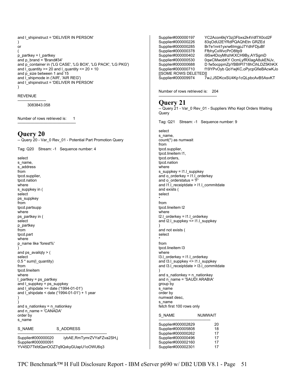```
and I shipinstruct = 'DELIVER IN PERSON'
) 
or 
( 
p partkey = l partkey
and p_brand = 'Brand#34' 
and p_container in ('LG CASE', 'LG BOX', 'LG PACK', 'LG PKG') 
and L quantity >= 20 and L quantity <= 20 + 10
and p_size between 1 and 15
and l_shipmode in ('AIR', 'AIR REG') 
and l_shipinstruct = 'DELIVER IN PERSON' 
)
```
#### REVENUE

---------------------- 3083843.058

Number of rows retrieved is: 1 ---------------------------------------------

### **Query 20**

-- Query 20 - Var\_0 Rev\_01 - Potential Part Promotion Query

Tag: Q20 Stream: -1 Sequence number: 4

select s name, s\_address from tpcd.supplier, tpcd.nation where s\_suppkey in ( select ps\_suppkey from tpcd.partsupp where ps\_partkey in ( select p\_partkey from tpcd.part where p\_name like 'forest%' ) and ps\_availqty > ( select 0.5 \* sum(l\_quantity) from tpcd.lineitem where  $l$  partkey = ps\_partkey and  $l$  suppkey = ps suppkey and  $\sqrt{\frac{1}{1}}$ shipdate >= date ('1994-01-01') and l\_shipdate < date ('1994-01-01') + 1 year ) ) and  $s$ \_nationkey =  $n$ \_nationkey and n\_name = 'CANADA' order by s\_name

S\_NAME S\_ADDRESS ---------------------------------------------------------------------

Supplier#000000020 iybAE,RmTymrZVYaFZva2SH,j Supplier#000000091 YV45D7TkfdQanOOZ7q9QxkyGUapU1oOWU6q3

Supplier#000000197 YC2Acon6kjY3zj3Fbxs2k4Vdf7X0cd2F Supplier#000000226 83qOdU2EYRdPQAQhEtn GRZEd Br7e1nnt1yxrw6ImgpJ7YdhFDjuBf Supplier#000000378 FfbhyCxWvcPrO8ltp9 Supplier#000000402 i9Sw4DoyMhzhKXCH9By,AYSgmD Supplier#000000530 0qwCMwobKY OcmLyfRXlagA8ukENJv, D fw5ocppmZpYBBIPI718hCihLDZ5KhKX Supplier#000000710 f19YPvOyb QoYwjKC,oPycpGfieBAcwKJo [[SOME ROWS DELETED]] Supplier#000009974 7wJ,J5DKcxSU4Kp1cQLpbcAvB5AsvKT

Number of rows retrieved is: 204 ---------------------------------------------

### **Query 21**

-- Query 21 - Var 0 Rev 01 - Suppliers Who Kept Orders Waiting **Query** 

Tag: Q21 Stream: -1 Sequence number: 9

select s\_name, count(\*) as numwait from tpcd.supplier, tpcd.lineitem l1, tpcd.orders, tpcd.nation where s\_suppkey = l1.l\_suppkey and o\_orderkey = l1.l\_orderkey and o\_orderstatus = 'F' and  $11.1$  receiptdate  $> 11.1$  commitdate and exists ( select \* from tpcd.lineitem I2 where l2.l\_orderkey = l1.l\_orderkey and l2.l\_suppkey <> l1.l\_suppkey ) and not exists ( select \* from tpcd.lineitem l3 where l3.l\_orderkey = l1.l\_orderkey and l3.l\_suppkey <> l1.l\_suppkey and I3.I\_receiptdate > I3.I\_commitdate ) and s\_nationkey = n\_nationkey and n\_name = 'SAUDI ARABIA' group by s\_name order by numwait desc, s\_name fetch first 100 rows only S\_NAME NUMWAIT ---------------------------------------- Supplier#000002829 20 Supplier#000005808 18 Supplier#000000262 17<br>Supplier#000000496 17 Supplier#000000496 Supplier#000002160 17 Supplier#000002301 17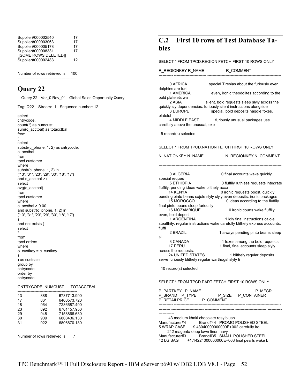| Supplier#000002540    | 17 |
|-----------------------|----|
| Supplier#000003063    | 17 |
| Supplier#000005178    | 17 |
| Supplier#000008331    | 17 |
| [[SOME ROWS DELETED]] |    |
| Supplier#000002483    | 12 |

Number of rows retrieved is: 100 ---------------------------------------------

## **Query 22**

-- Query 22 - Var\_0 Rev\_01 - Global Sales Opportunity Query Tag: Q22 Stream: -1 Sequence number: 12

select cntrycode, count(\*) as numcust, sum(c\_acctbal) as totacctbal from ( select substr(c\_phone, 1, 2) as cntrycode, c\_acctbal from tpcd.customer where substr(c\_phone, 1, 2) in ('13', '31', '23', '29', '30', '18', '17') and c\_acctbal > ( select avg(c\_acctbal) from tpcd.customer where  $c$ \_acctbal  $> 0.00$ and substr(c\_phone, 1, 2) in ('13', '31', '23', '29', '30', '18', '17') ) and not exists ( select \* from tpcd.orders where o\_custkey = c\_custkey ) ) as custsale group by cntrycode order by cntrycode CNTRYCODE NUMCUST TOTACCTBAL ---------------------------------------------- 13 888 6737713.990 17 861 6460573.720 18 964 7236687.400 6701457.950

6806670.180 Number of rows retrieved is: 7

29 948 7158866.630<br>30 909 6808436.130 30 909 6808436.130<br>31 922 6806670.180

---------------------------------------------

# **C.2 First 10 rows of Test Database Tables**

#### SELECT \* FROM TPCD.REGION FETCH FIRST 10 ROWS ONLY

| R REGIONKEY R NAME                                                                                     | R_COMMENT                                                                                                                                                 |
|--------------------------------------------------------------------------------------------------------|-----------------------------------------------------------------------------------------------------------------------------------------------------------|
| 0 AFRICA                                                                                               | special Tiresias about the furiously even                                                                                                                 |
| dolphins are furi<br>ns are turi<br>1 AMERICA<br>bold platelets wa                                     | even, ironic theodolites according to the                                                                                                                 |
| 2 ASIA<br>3 EUROPE                                                                                     | silent, bold requests sleep slyly across the<br>quickly sly dependencies. furiously silent instructions alongside<br>special, bold deposits haggle foxes. |
| platelet<br>carefully above the unusual, exp                                                           | 4 MIDDLE EAST furiously unusual packages use                                                                                                              |
| 5 record(s) selected.                                                                                  |                                                                                                                                                           |
|                                                                                                        | SELECT * FROM TPCD NATION FETCH FIRST 10 ROWS ONLY                                                                                                        |
|                                                                                                        | N_NATIONKEY N_NAME    N_REGIONKEY N_COMMENT                                                                                                               |
|                                                                                                        |                                                                                                                                                           |
| 0 ALGERIA                                                                                              | 0 final accounts wake quickly.                                                                                                                            |
| special reques<br><b>5 ETHIOPIA</b>                                                                    | 0 fluffily ruthless requests integrate                                                                                                                    |
| fluffily. pending ideas wake blithely acco<br><b>14 KENYA</b><br>15 MOROCCO                            | 0 ironic requests boost. quickly<br>pending pinto beans cajole slyly slyly even deposits. ironic packages<br>0 ideas according to the fluffily            |
| final pinto beans sleep furiously<br>16 MOZAMBIQUE                                                     | 0 ironic courts wake fluffily                                                                                                                             |
| even, bold deposi<br>1 ARGENTINA                                                                       | 1 idly final instructions cajole<br>stealthily. regular instructions wake carefully blithely express accounts.                                            |
| fluffi                                                                                                 |                                                                                                                                                           |
| 2 BRAZIL<br>sil                                                                                        | 1 always pending pinto beans sleep                                                                                                                        |
| 3 CANADA<br>17 PERU                                                                                    | 1 foxes among the bold requests<br>1 final, final accounts sleep slyly                                                                                    |
| across the requests.<br><b>24 UNITED STATES</b><br>serve furiously blithely regular warthogs! slyly fi | 1 blithely regular deposits                                                                                                                               |
| 10 record(s) selected.                                                                                 |                                                                                                                                                           |
|                                                                                                        | SELECT * FROM TPCD PART FETCH FIRST 10 ROWS ONLY                                                                                                          |
| P PARTKEY P NAME<br>P BRAND P TYPE<br>P RETAILPRICE P COMMENT                                          | P MFGR<br>P SIZE P CONTAINER                                                                                                                              |
|                                                                                                        |                                                                                                                                                           |
|                                                                                                        |                                                                                                                                                           |
| 43 medium khaki chocolate rosy blush<br>Manufacturer#4<br>242 magenta deep lawn linen navy             | Brand#44 PROMO POLISHED STEEL<br>5 WRAP CASE +9.43040000000000E+002 carefully iro                                                                         |

Manufacturer#3 Brand#35 SMALL POLISHED STEEL 42 LG BAG +1.14224000000000E+003 final pearls wake b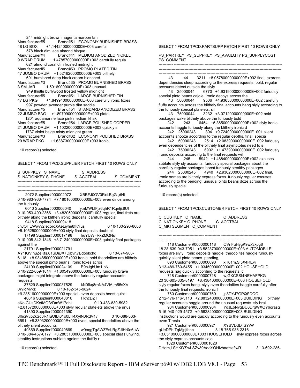244 midnight brown magenta maroon tan Manufacturer#5 Brand#51 ECONOMY BURNISHED BRASS 48 LG BOX +1.14424000000000E+003 careful 578 black dim lace almond bisque Manufacturer#4 Brand#41 MEDIUM ANODIZED NICKEL 9 WRAP DRUM +1.47857000000000E+003 carefully regula 621 almond coral dim frosted midnight Manufacturer#5 Brand#53 PROMO PLATED TIN 47 JUMBO DRUM +1.52162000000000E+003 blithely 691 burnished deep black cream blanched Manufacturer#3 Brand#35 PROMO BURNISHED BRASS 3 SM JAR +1.59169000000000E+003 unusual 949 thistle burlywood frosted yellow midnight Manufacturer#5 Brand#51 LARGE BURNISHED TIN 47 LG PKG +1.84994000000000E+003 carefully ironic foxes 997 powder lavender purple dim saddle Manufacturer#5 Brand#51 STANDARD ANODIZED BRASS 22 JUMBO BAG +1.89799000000000E+003 platel 1201 aquamarine lace pink medium khaki Manufacturer#5 Brand#54 LARGE POLISHED COPPER 21 JUMBO DRUM +1.10220000000000E+003 quickly s 1737 violet beige misty midnight green Manufacturer#3 Brand#32 ECONOMY POLISHED BRASS 29 WRAP PKG +1.63873000000000E+003 ironic 10 record(s) selected. SELECT \* FROM TPCD.SUPPLIER FETCH FIRST 10 ROWS ONLY

S\_SUPPKEY S\_NAME S\_ADDRESS S\_NATIONKEY S\_PHONE S\_ACCTBAL S\_COMMENT ----------- ------------------------- ---------------------------------------- ----------- ----- ---------- ------------------------ ----------------------------------------------------------- ------------------------------------------ 2072 Supplier#000002072 XBBFJ0OV0RxLBgG ,dNl 0 10-983-966-7774 +7.18016000000000E+003 even dinos among the furiously<br>6040 Supplier#000006040 y,nMWLIFjz6qhR1Rqnlji,8Uf 0 10-953-490-2366 +3.48205000000000E+003 regular, final frets are blithely along the blithely ironic deposits. carefully special 9418 Supplier#000009418 chJOHEWwW2Iec5roXAeLiyhe8fKYus 0 10-160-293-8608 +5.10525000000000E+003 slyly final deposits doubt bli 17198 Supplier#000017198 0 10-905-342-1346 +3.71240000000000E+003 quickly final packages against the 21791 Supplier#000021791 AY1IGVlhuZeKfs,61SDijJX7Djbvr,7Bdobkchq 0 10-674-966- 6118 +8.93485000000000E+003 ironic, bold theodolites are blithely above the special pinto beans. ironic foxes acros 24109 Supplier#000024109 B9nJgbUm1,pN 0 10-222-659-1814 +1.80549000000000E+003 furiously brave packages might integrate above the furiously regular accounts. requests 37529 Supplier#000037529 kN0fkq8rnNA4VlA m55sXV 0WloMvkz 0 10-182-345-9824 +9.28516000000000E+003 special, even deposits boost quickl 40816 Supplier#000040816 HxhcDZT eKo.GUsDKefMOfVDmW17ohk 0 10-433-830-5982 +2.81572000000000E+003 slyly regular platelets above the unus 41390 Supplier#000041390 8fhciVvp2kSq6R1IuOfBj31o0LH4XylN0RdV1v 0 10-388-363- 6591 +8.33932000000000E+003 even, special theodolites above the blithely silent accounts<br>49869 Supplier#000049869 w9oqqTqAWZEsLRqZJIHr0e6uW 0 10-684-457-6177 +8.28031000000000E+003 special ideas unwind. stealthy instructions sublate against the fluffily r ---------- ------------------------ ------------ ----------------------------------------------

10 record(s) selected.

SELECT \* FROM TPCD.PARTSUPP FETCH FIRST 10 ROWS ONLY

PS\_PARTKEY PS\_SUPPKEY PS\_AVAILQTY PS\_SUPPLYCOST PS\_COMMENT

----------- ----------- ----------- ------------------------ ----------------------------------- -----------------------------------------------------------------------------------------------

--------------------------------------------------------------------- 43 44 3211 +8.05780000000000E+002 final, express dependencies sleep according to the express requests. bold, regular accounts detect outside the slyly

 43 25000044 6770 +4.93190000000000E+002 furiously special pinto beans cajole. ironic decoys across the

 43 50000044 9506 +4.93650000000000E+002 carefully fluffy accounts across the blithely final accounts hang slyly according to the furiously special platelets. sil

 43 75000044 3232 +3.07120000000000E+002 bold packages wake blithely above the furiously bold

 242 243 6454 +5.36500000000000E+002 slyly ironic accounts haggle furiously along the blithely ironic d

 242 25000243 394 +9.72400000000000E+001 silent accounts snooze according to the regular depths. final, specia

 242 50000243 2514 +2.08390000000000E+002 furiously even dependencies of the blithely final asymptotes need to s

 242 75000243 6902 +1.47390000000000E+002 furiously ironic deposits according to the final requests will

 244 245 5942 +1.48840000000000E+002 excuses sublate slyly sly accounts. furiously special packages about the carefully regular packages boost furiously stealthy packages.

 244 25000245 4940 +2.93620000000000E+002 final, ironic somas are blithely express foxes. furiously regular excuses according to the pending, unusual pinto beans doze across the furiously special

10 record(s) selected.

SELECT \* FROM TPCD.CUSTOMER FETCH FIRST 10 ROWS ONLY

----------- ------------------------- ---------------------------------------- ----------- -----

C\_CUSTKEY C\_NAME C\_ADDRESS C\_NATIONKEY C\_PHONE C\_ACCTBAL C\_MKTSEGMENT C\_COMMENT

----------------------------------------------------------------------- 118 Customer#0000000118 OVnFuHygK9wx3xpg8 18 28-639-943-7051 +3.58237000000000E+003 AUTOMOBILE foxes are slyly. ironic deposits haggle. theodolites haggle furiously quickly silent pinto beans. pending,

 690 Customer#0000000690 xH61m,Si5X4REvi 3 13-489-760-5455 +1.03450000000000E+002 HOUSEHOLD requests nag quickly according to the requests. c

 718 Customer#0000000718 w,GXCSSI4NEHAFPKG 20 30-605-635-8197 +8.43840000000000E+003 HOUSEHOLD slyly regular foxes hang. slyly even theodolites haggle carefully after the furiously final requests. ironic f

 760 Customer#0000000760 jp8DYJ7GPQSDQC 2 12-176-116-3113 +2.88324000000000E+003 BUILDING blithely regular accounts haggle around the unusual requests. sly brai

 904 Customer#0000000904 YdJEbNygDU6DrgWXQY6orasq 5 15-940-929-4572 +9.56282000000000E+003 BUILDING instructions would are quickly according to the furiously even accounts. even Tiresia

921 Customer#0000000921 XYBVDdDifSYrW

gUeDPhITqMjpjtbnc 8 18-765-936-2316 +3.65109000000000E+003 HOUSEHOLD slyly express foxes across the slyly express accounts cajo

1020 Customer#0000001020

DHom,LSHKfYSwLSZv39AooYQHlvbaeztefjwR 3 13-692-286-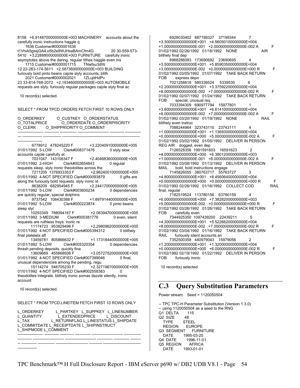8158 +6.91487000000000E+003 MACHINERY accounts about the carefully ironic instructions haggle q 1636 Customer#0000001636 t1VhiA5gssjGA4,o5b2e8WJHsaBAmCfm4G 20 30-559-573- 5410 +3.22888000000000E+003 FURNITURE carefully ironic asymptotes above the daring, regular tithes haggle even ins<br>1715 Customer#0000001715 TNwfsu3dllti 1715 Customer#0000001715 12 22-283-174-5611 +2.58736000000000E+003 BUILDING furiously bold pinto beans cajole slyly accounts. blith 2021 Customer#0000002021 1ZLujitHdPv 23 33-814-768-2072 +2.19346000000000E+003 AUTOMOBILE requests are slyly. furiously regular packages cajole slyly final ac 10 record(s) selected. SELECT \* FROM TPCD.ORDERS FETCH FIRST 10 ROWS ONLY O\_ORDERKEY O\_CUSTKEY O\_ORDERSTATUS<br>O\_TOTALPRICE O\_ORDERDATE O\_ORDERPRIC O\_ORDERDATE O\_ORDERPRIORITY O\_CLERK O\_SHIPPRIORITY O\_COMMENT -------------------- ----------- ------------- ------------------------ ----------- ------------ --- --------------- -------------- ------------------------------------------------------------ ------------------- 6778912 478245220 F +3.22040910000000E+005 01/01/1992 5-LOW Clerk#008371476 0 slyly slow accounts cajole carefully at 7031047 143106347 F +2.40468360000000E+005 01/01/1992 2-HIGH Clerk#002654843 0 regular requests sleep. slyly ironic theodolites across the 7211205 1376933353 F +2.96240010000000E+005 01/01/1992 4-NOT SPECIFIED Clerk#000093879 along the furiously bold requests. slyly ironic id 8638209 682954945 F +2.24417000000000E+005 01/01/1992 5-LOW Clerk#003600234 0 dependencies are quickly regular, special dolphins<br>9737542 108430388 F 9737542 108430388 F +1.89791440000000E+005 01/01/1992 5-LOW Clerk#000223874 0 pinto beans sleep slyl 10293349 788094167 F +2.06394700000000E+005 01/01/1992 3-MEDIUM Clerk#000381776 0 even, silent requests are ruthless frays. ironic re 11174723 953829496 F +2.29809620000000E+005 01/01/1992 4-NOT SPECIFIED Clerk#005394312 0 blithely final platelets aft 13459781 805866632 F +1.17318440000000E+005 Clerk#005320354 0 dependencies thrash pending deposits. quickly fina 13609669 455668936 F +3.05727520000000E+005 01/01/1992 4-NOT SPECIFIED Clerk#007399046 0 final, unusual dependencies among the pending, regu<br>15114274 546705230 F +2.327 +2.32719670000000E+005 01/01/1992 4-NOT SPECIFIED Clerk#002558383 0 theodolites integrate. blithely ironic somas dazzle silently. ironic account 10 record(s) selected. SELECT \* FROM TPCD.LINEITEM FETCH FIRST 10 ROWS ONLY L\_ORDERKEY L\_PARTKEY L\_SUPPKEY L\_LINENUMBER L\_QUANTITY LEXTENDEDPRICE L\_DISCOUNT L\_TAX L\_RETURNFLAG L\_LINESTATUS L\_SHIPDATE L\_COMMITDATE L\_RECEIPTDATE L\_SHIPINSTRUCT L\_SHIPMODE L\_COMMENT -------------------- ----------- ----------- ------------ ------------------------ ------------- ----------- ------------------------ ------------------------ ------------ ------------ -------- -- ------------ ------------- ------------------------- ---------- ----------------------------- ---------------

 6928030402 887199327 37199344 7 +3.30000000000000E+001 +4.56050100000000E+004 +1.00000000000000E-001 +2.00000000000000E-002 A F 01/02/1992 02/26/1992 01/18/1992 NONE AIR blithely final dep

 6968286083 173690692 23690695 4 +3.50000000000000E+001 +5.85903500000000E+004 +3.00000000000000E-002 +0.00000000000000E+000 R F 01/02/1992 03/05/1992 01/07/1992 TAKE BACK RETURN FOB express depo

 7021258818 580339524 5339530 6 +2.20000000000000E+001 +3.37592200000000E+004 +8.00000000000000E-002 +7.00000000000000E-002 R F 01/02/1992 02/07/1992 01/24/1992 TAKE BACK RETURN FOB special, unusual req

 7033394309 690977794 15977801 1 +3.60000000000000E+001 +6.61410000000000E+004 +8.00000000000000E-002 +7.00000000000000E-002 A F 01/02/1992 03/20/1992 01/19/1992 NONE RAIL blithely even instruc

 7088244964 323743110 23743111 4 +1.00000000000000E+001 +1.13693000000000E+004 +0.00000000000000E+000 +5.00000000000000E-002 A F 01/02/1992 03/02/1992 01/05/1992 DELIVER IN PERSON REG AIR dogged, even dep

 7126528356 1991591603 16591623 2 +4.00000000000000E+000 +6.38012000000000E+003 +1.00000000000000E-001 +8.00000000000000E-002 A F 01/02/1992 03/08/1992 01/13/1992 DELIVER IN PERSON MAIL bold, bold instructions engage

 7145826055 380763717 55763727 3 +4.80000000000000E+001 +8.45606400000000E+004 +0.00000000000000E+000 +0.00000000000000E+000 R F 01/02/1992 02/26/1992 01/16/1992 COLLECT COD RAIL final, regular

 7182519524 113780156 63780159 4 +6.00000000000000E+000 +7.38282000000000E+003 +5.00000000000000E-002 +0.00000000000000E+000 R F 01/02/1992 03/26/1992 01/26/1992 TAKE BACK RETURN FOB carefully even

 7344925350 1097439200 22439211 5 +4.30000000000000E+001 +5.52266200000000E+004 +8.00000000000000E-002 +7.00000000000000E-002 R F 01/02/1992 03/04/1992 01/16/1992 TAKE BACK RETURN RAIL furiously silent accounts en

 7352500358 440979043 15979056 2 +1.20000000000000E+001 +1.32000000000000E+004 +0.00000000000000E+000 +6.00000000000000E-002 R F 01/02/1992 02/19/1992 01/22/1992 DELIVER IN PERSON FOB furiously ironic

10 record(s) selected.

## **C.3 Query Substitution Parameters**

Power stream Seed = 1120050504

-- TPC TPC-H Parameter Substitution (Version 1.3.0) -- using 1120050504 as a seed to the RNG Q1 DELTA 115 Q<sub>2</sub> SIZE 48 TYPE STEEL<br>REGION EURO **EUROPE** Q3 SEGMENT FURNITURE DATE 1995-03-25 Q4 DATE 1996-11-01 Q5 REGION AFRICA DATE 1993-01-01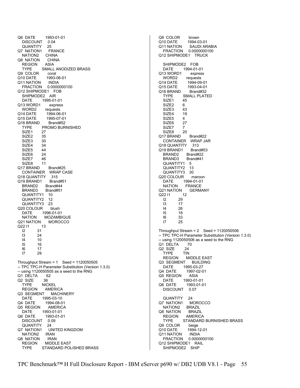Q6 DATE 1993-01-01 DISCOUNT 0.04<br>QUANTITY 25 **QUANTITY** Q7 NATION1 FRANCE NATION2 CHINA Q8 NATION CHINA<br>REGION ASIA **REGION**  TYPE SMALL ANODIZED BRASS Q9 COLOR coral Q10 DATE 1993-06-01 Q11 NATION INDIA<br>FRACTION 0.0000 0.0000000100 Q12 SHIPMODE1 FOB SHIPMODE2 AIR DATE 1995-01-01 Q13 WORD1 express WORD2 requests Q14 DATE 1994-06-01 Q15 DATE 1995-07-01<br>Q16 BRAND Brand#52 Q16 BRAND TYPE PROMO BURNISHED SIZE1 27 SIZE2 35<br>SIZE3 30 SIZE3 SIZE4 34 SIZE5 44 SIZE6 24<br>SIZE7 46 SIZE7 SIZE8 11 Q17 BRAND Brand#25 CONTAINER WRAP CASE<br>18 QUANTITY 315 Q18 QUANTITY Q19 BRAND1 Brand#51 BRAND2 Brand#44 BRAND3 Brand#51 QUANTITY1 10<br>QUANTITY2 12 QUANTITY2 QUANTITY3 23 Q20 COLOUR blush DATE 1996-01-01<br>NATION MOZAMBI MOZAMBIQUE Q21 NATION MOROCCO<br>Q22 I1 13 Q22 11 I2 31 24 I4 10 I5 16 I6 17 29 Throughput Stream = 1 Seed = 1120050505 -- TPC TPC-H Parameter Substitution (Version 1.3.0) -- using 1120050505 as a seed to the RNG Q1 DELTA 62 Q2 SIZE 36 TYPE NICKEL REGION AMERICA Q3 SEGMENT MACHINERY DATE 1995-03-10 Q4 DATE 1994-08-01 Q5 REGION AMERICA<br>DATE 1993-01-01 DATE 1993-01-01 Q6 DATE 1993-01-01 DISCOUNT 0.09 QUANTITY 24<br>Q7 NATION1 UI UNITED KINGDOM NATION2 IRAN Q8 NATION IRAN REGION MIDDLE EAST<br>TYPE STANDARD POL STANDARD POLISHED BRASS

Q9 COLOR brown Q10 DATE 1994-03-01<br>Q11 NATION SAUDI AR SAUDI ARABIA FRACTION 0.0000000100 Q12 SHIPMODE1 TRUCK SHIPMODE2 FOB DATE 1994-01-01 Q13 WORD1 express<br>WORD2 requests requests Q14 DATE 1994-09-01 Q15 DATE 1993-04-01 Q16 BRAND Brand#32 TYPE SMALL PLATED SIZE1 45<br>SIZE2 6 SIZE<sub>2</sub> SIZE3 43 SIZE4 19 SIZE5 4<br>SIZE6 27 SIZE<sub>6</sub> SIZE7 7 SIZE8 20 Q17 BRAND Brand#22 CONTAINER WRAP JAR Q18 QUANTITY 313 Q19 BRAND1 Brand#53 BRAND2 Brand#22<br>BRAND3 Brand#41 BRAND3 QUANTITY1 5 QUANTITY2 13 QUANTITY3 30 Q20 COLOUR maroon DATE 1994-01-01 NATION FRANCE Q21 NATION GERMANY<br>Q22 I1 12 Q22 11 I2 29 I3 17 I4 26 I5 18 I6 33 I7 25 Throughput Stream = 2 Seed = 1120050506 -- TPC TPC-H Parameter Substitution (Version 1.3.0) -- using 1120050506 as a seed to the RNG Q1 DELTA 70<br>Q2 SIZE 24 Q2 SIZE 24<br>TYPE TIN **TYPE**  REGION MIDDLE EAST Q3 SEGMENT BUILDING DATE 1995-03-27<br>1997-02-04 Q4 DATE 1997-02-0 Q4 DATE 1997-02-01 Q5 REGION ASIA DATE 1993-01-01 Q6 DATE 1993-01-01 DISCOUNT 0.07 QUANTITY 24<br>7 NATION1 MOROCCO Q7 NATION1 NATION2 BRAZIL<br>3 NATION BRAZIL Q8 NATION REGION AMERICA TYPE STANDARD BURNISHED BRASS Q9 COLOR beige<br>Q10 DATE 1994-1 Q10 DATE 1994-12-01 Q11 NATION INDIA FRACTION 0.0000000100 Q12 SHIPMODE1 RAIL SHIPMODE2 SHIP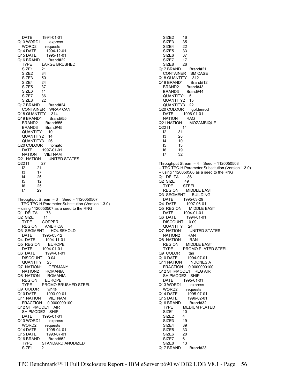DATE 1994-01-01 Q13 WORD1 express<br>WORD2 requests requests Q14 DATE 1994-12-01 Q15 DATE 1995-11-01 Q16 BRAND Brand#22<br>TYPE LARGE BRUS LARGE BRUSHED SIZE1 21 SIZE2 34<br>SIZE3 50 SIZE3 SIZE4 24<br>SIZE5 37 SIZE5 SIZE6 11 SIZE7 36 SIZE8 22 Q17 BRAND Brand#24 CONTAINER WRAP CAN Q18 QUANTITY 314 Q19 BRAND1 Brand#55 BRAND2 Brand#55 BRAND3 Brand#45 QUANTITY1 10 QUANTITY2 14 QUANTITY3 26 Q20 COLOUR tomato DATE 1997-01-01<br>NATION VIETNAM NATION VIETNAM<br>Q21 NATION UNITED UNITED STATES Q22 I1 27  $\begin{array}{ccc} 12 & 21 \\ 13 & 17 \end{array}$  I3 17 I4 26  $12$  I6 25 I7 29 Throughput Stream = 3 Seed = 1120050507 -- TPC TPC-H Parameter Substitution (Version 1.3.0) -- using 1120050507 as a seed to the RNG Q1 DELTA 78<br>Q2 SIZE 11 Q2 SIZE TYPE COPPER REGION AMERICA<br>3 SEGMENT HOUSEHOLD Q3 SEGMENT DATE 1995-03-12 Q4 DATE 1994-11-01 Q5 REGION EUROPE DATE 1994-01-01<br>Q6 DATE 1994-01-0 1994-01-01 DISCOUNT 0.04 QUANTITY 25<br>7 NATION1 GERMANY Q7 NATION1<br>NATION2 **ROMANIA** Q8 NATION ROMANIA REGION EUROPE TYPE PROMO BRUSHED STEEL Q9 COLOR white Q10 DATE 1993-09-01 Q11 NATION VIETNAM FRACTION 0.0000000100 Q12 SHIPMODE1 AIR SHIPMODE2 SHIP DATE 1995-01-01 Q13 WORD1 express WORD2 requests<br>Q14 DATE 1995-04 1995-04-01 Q15 DATE 1993-07-01 Q16 BRAND Brand#52 TYPE STANDARD ANODIZED<br>SIZE1 2 SIZE<sub>1</sub>

 SIZE2 16 SIZE3 35<br>SIZE4 22 SIZE4 SIZE5 33 SIZE6 37 SIZE7 17<br>SIZE8 26 SIZE8 Q17 BRAND Brand#21 CONTAINER SM CASE Q18 QUANTITY 312 Q19 BRAND1 Brand#12 BRAND2 Brand#43 BRAND3 Brand#44 QUANTITY1 5 QUANTITY2 15<br>QUANTITY3 22 QUANTITY3 Q20 COLOUR goldenrod DATE 1996-01-01 NATION IRAQ<br>Q21 NATION MC **MOZAMBIQUE** Q22 I1 14 I2 31 I3 28 I4 10 I5 13 I6 19 I7 32 Throughput Stream =  $4$  Seed = 1120050508 -- TPC TPC-H Parameter Substitution (Version 1.3.0)  $-$  using 1120050508 as a seed to the RNG<br>Q1 DELTA  $86$ Q1 DELTA Q<sub>2</sub> SIZE 49 TYPE STEEL REGION MIDDLE EAST Q3 SEGMENT BUILDING DATE 1995-03-29 Q4 DATE 1997-06-01 Q5 REGION MIDDLE EAST DATE 1994-01-01<br>Q6 DATE 1994-01-0 1994-01-01 DISCOUNT 0.09 QUANTITY 24 Q7 NATION1 UNITED STATES<br>NATION2 IRAN NATION<sub>2</sub> Q8 NATION IRAN REGION MIDDLE EAST TYPE PROMO PLATED STEEL Q9 COLOR tan Q10 DATE 1994-07-01 Q11 NATION INDONESIA FRACTION 0.0000000100 Q12 SHIPMODE1 REG AIR SHIPMODE2 SHIP DATE 1995-01-01 Q13 WORD1 express WORD2 requests Q14 DATE 1995-07-01 Q15 DATE 1996-02-01 Q16 BRAND Brand#32 TYPE MEDIUM PLATED<br>SIZE1 10 SIZE<sub>1</sub> SIZE<sub>2</sub> 4 SIZE3 19 SIZE4 39<br>SIZE5 33 SIZE5 33<br>SIZE6 20 SIZE6 20<br>SIZE7 6 SIZE7 SIZE8 13

Q17 BRAND Brand#23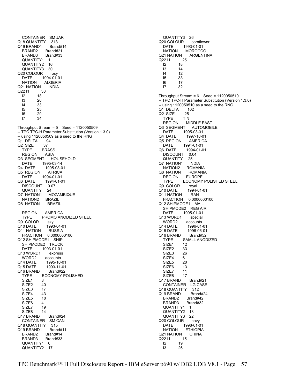CONTAINER SM JAR Q18 QUANTITY 313<br>Q19 BRAND1 Brand#14 Q19 BRAND1 BRAND2 Brand#21 BRAND3 Brand#33 QUANTITY1 1<br>QUANTITY2 16 QUANTITY2 QUANTITY3 30 Q20 COLOUR rosy DATE 1994-01-01 NATION ALGERIA<br>21 NATION INDIA Q21 NATION Q22 I1 30 I2 18 I3 26 I4 33 I5 25 I6 29 I7 34 Throughput Stream =  $5$  Seed = 1120050509 -- TPC TPC-H Parameter Substitution (Version 1.3.0) -- using 1120050509 as a seed to the RNG<br>Q1 DELTA 94 Q1 DELTA Q2 SIZE 37 TYPE BRASS REGION ASIA<br>3 SEGMENT HOUSEHOLD Q3 SEGMENT DATE 1995-03-14 Q4 DATE 1995-03-01 Q5 REGION AFRICA<br>DATE 1994-01-01 DATE 1994-01-01 Q6 DATE 1994-01-01 DISCOUNT 0.07 QUANTITY 24 Q7 NATION1 MOZAMBIQUE<br>NATION2 BRAZIL NATION<sub>2</sub> Q8 NATION BRAZIL REGION AMERICA<br>TYPE PROMO AN PROMO ANODIZED STEEL Q9 COLOR sky Q10 DATE 1993-04-01 Q11 NATION RUSSIA<br>FRACTION 0.000000 0.0000000100 Q12 SHIPMODE1 SHIP SHIPMODE2 TRUCK DATE 1993-01-01 Q13 WORD1 express WORD2 accounts Q14 DATE 1995-10-01<br>Q15 DATE 1993-11-01 1993-11-01<br>Brand#22 Q16 BRAND TYPE ECONOMY POLISHED SIZE1 8 SIZE2 40 SIZE3 17 SIZE<sub>4</sub> 43 SIZE5 18 SIZE6 4<br>SIZE7 19 SIZE7 19<br>SIZE8 14 SIZE8 Q17 BRAND Brand#24 CONTAINER SM CAN Q18 QUANTITY 315<br>Q19 BRAND1 Brand#11 Q19 BRAND1 BRAND2 Brand#14 BRAND3 Brand#33 QUANTITY1 6 QUANTITY2 17

 QUANTITY3 26 Q20 COLOUR cornflower<br>DATE 1993-01-01 DATE 1993-01-01 NATION MOROCCO Q21 NATION ARGENTINA<br>Q22 I1 25 Q22 I1<br>21 I2 18 I3 14 14 12<br>15 33 I5 33 I6 17 I7 32 Throughput Stream =  $6$  Seed = 1120050510 -- TPC TPC-H Parameter Substitution (Version 1.3.0) -- using 1120050510 as a seed to the RNG Q1 DELTA 102 Q2 SIZE 25 TYPE TIN<br>REGION M **MIDDLE EAST** Q3 SEGMENT AUTOMOBILE DATE 1995-03-31 Q4 DATE 1997-10-01 Q5 REGION AMERICA DATE 1994-01-01 Q6 DATE 1994-01-01 DISCOUNT 0.04 QUANTITY 25 Q7 NATION1 INDIA NATION2 ROMANIA Q8 NATION ROMANIA<br>REGION EUROPE **REGION**  TYPE ECONOMY POLISHED STEEL Q9 COLOR royal Q10 DATE 1994-01-01 Q11 NATION IRAN FRACTION 0.0000000100 Q12 SHIPMODE1 MAIL SHIPMODE2 REG AIR DATE 1995-01-01<br>13 WORD1 special Q13 WORD1 WORD2 accounts Q14 DATE 1996-01-01 Q15 DATE 1996-06-01 Q16 BRAND Brand#52 TYPE SMALL ANODIZED SIZE1 12 SIZE2 33<br>SIZE3 26 SIZE3 SIZE4 6 SIZE5 20 SIZE6 13<br>SIZE7 11 SIZE7 SIZE8 17 Q17 BRAND Brand#21 CONTAINER LG CASE Q18 QUANTITY 312 Q19 BRAND1 Brand#24 BRAND2 Brand#42 BRAND3 Brand#32 QUANTITY1 1 QUANTITY2 18 QUANTITY3 22 Q20 COLOUR navy DATE 1996-01-01<br>NATION ETHIOPIA **ETHIOPIA** Q21 NATION CHINA Q22 I1 15 I2 19 I3 26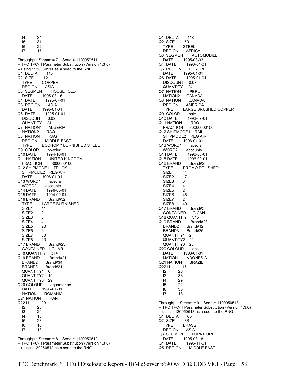I4 34 I5 31 22 I7 17 Throughput Stream = 7 Seed = 1120050511 -- TPC TPC-H Parameter Substitution (Version 1.3.0) -- using 1120050511 as a seed to the RNG Q1 DELTA 110 Q<sub>2</sub> SIZE 12 TYPE COPPER<br>REGION ASIA **REGION** Q3 SEGMENT HOUSEHOLD DATE 1995-03-16 Q4 DATE 1995-07-01<br>Q5 REGION ASIA Q5 REGION DATE 1995-01-01 Q6 DATE 1995-01-01 DISCOUNT 0.02 QUANTITY 24 Q7 NATION1 ALGERIA NATION2 IRAQ Q8 NATION IRAQ<br>REGION MIDDL **MIDDLE EAST**  TYPE ECONOMY BURNISHED STEEL Q9 COLOR powder Q10 DATE 1994-10-01<br>Q11 NATION UNITED K UNITED KINGDOM FRACTION 0.0000000100 Q12 SHIPMODE1 TRUCK SHIPMODE2 REG AIR<br>DATE 1996-01-01 DATE 1996-01-01 Q13 WORD1 special WORD2 accounts Q14 DATE 1996-05-01 Q15 DATE 1994-02-01<br>Q16 BRAND Brand#32 Q16 BRAND TYPE LARGE BURNISHED SIZE1 41<br>SIZE2 2 SIZE2 2<br>SIZE3 3 SIZE3 SIZE4 4 SIZE5 20 SIZE6 6<br>SIZE7 30 SIZE7 SIZE8 23 Q17 BRAND Brand#23 CONTAINER LG JAR<br>18 QUANTITY 314 Q18 QUANTITY Q19 BRAND1 Brand#21 BRAND2 Brand#34 BRAND3 Brand#21<br>QUANTITY1 6 QUANTITY1 QUANTITY2 19 QUANTITY3 29 Q20 COLOUR aquamarine DATE 1995-01-01<br>NATION ROMANIA **ROMANIA** Q21 NATION IRAN Q22 I1 29 I2 28 I3 20 I4 10 23 I6 16 I7 13 Throughput Stream =  $8$  Seed = 1120050512 -- TPC TPC-H Parameter Substitution (Version 1.3.0)

-- using 1120050512 as a seed to the RNG

Q1 DELTA 118 Q2 SIZE 50<br>TYPE STE **STEEL**  REGION AFRICA Q3 SEGMENT AUTOMOBILE DATE 1995-03-02<br>Q4 DATE 1993-04-0 1993-04-01 Q5 REGION EUROPE DATE 1995-01-01 Q6 DATE 1995-01-01 DISCOUNT 0.07 QUANTITY 24 Q7 NATION1 PERU NATION2 CANADA Q8 NATION CANADA<br>REGION AMERICA **AMERICA**  TYPE LARGE BRUSHED COPPER Q9 COLOR pale Q10 DATE 1993-07-01 Q11 NATION IRAQ FRACTION 0.0000000100 Q12 SHIPMODE1 RAIL SHIPMODE2 REG AIR DATE 1996-01-01 Q13 WORD1 special WORD2 accounts Q14 DATE 1996-08-01 1996-09-01 Q16 BRAND Brand#23 TYPE PROMO POLISHED SIZE1 11<br>SIZE2 17 SIZE<sub>2</sub> SIZE3 6 SIZE4 41 SIZE5 24 SIZE6 48<br>SIZE7 2 SIZE7 SIZE8 49 Q17 BRAND Brand#35 CONTAINER LG CAN<br>18 QUANTITY 315 Q18 QUANTITY Q19 BRAND1 Brand#23 BRAND2 Brand#12 BRAND3 Brand#25 QUANTITY1 2 QUANTITY2 20 QUANTITY3 25 Q20 COLOUR lace<br>-DATE 1993-01 DATE 1993-01-01 NATION INDONESIA<br>21 NATION BRAZIL Q21 NATION Q22 I1 15<br>I2 26 I2 26 I3 33 I4 29 I5 22 I6 30 I7 18 Throughput Stream =  $9$  Seed = 1120050513 -- TPC TPC-H Parameter Substitution (Version 1.3.0) -- using 1120050513 as a seed to the RNG Q1 DELTA 65<br>Q2 SIZE 38 Q2 SIZE<br>TYPF BRASS<br>ASIA **REGION** Q3 SEGMENT FURNITURE DATE 1995-03-18 Q4 DATE 1995-11-01<br>Q5 REGION MIDDLE I MIDDLE EAST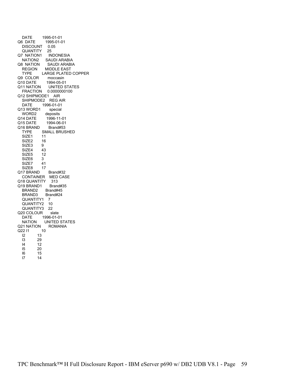| 1995-01-01<br>DATE                  |
|-------------------------------------|
| Q6 DATE<br>1995-01-01               |
| <b>DISCOUNT</b><br>0.05             |
| QUANTITY<br>25                      |
| Q7 NATION1<br><b>INDONESIA</b>      |
| <b>SAUDI ARABIA</b><br>NATION2      |
|                                     |
| Q8 NATION<br>SAUDI ARABIA           |
| <b>MIDDLE EAST</b><br><b>REGION</b> |
| <b>LARGE PLATED COPPER</b><br>TYPE  |
| Q9 COLOR<br>moccasin                |
| Q10 DATE<br>1994-05-01              |
| Q11 NATION<br><b>UNITED STATES</b>  |
| FRACTION  0.0000000100              |
| Q12 SHIPMODE1 AIR                   |
|                                     |
| SHIPMODE2 REG AIR                   |
| <b>DATE</b><br>1996-01-01           |
| Q13 WORD1<br>special                |
| WORD2<br>deposits                   |
| 1996-11-01<br>Q14 DATE              |
| Q15 DATE<br>1994-06-01              |
| Q16 BRAND<br>Brand#53               |
| <b>SMALL BRUSHED</b><br><b>TYPE</b> |
| SIZE1<br>11                         |
|                                     |
| 16<br>SIZE2                         |
| SIZE3<br>9                          |
| SIZE4<br>43                         |
| 12<br>SIZE5                         |
| SIZE6<br>3                          |
| 41<br>SIZE7                         |
| SIZE8<br>17                         |
| Q17 BRAND<br>Brand#32               |
|                                     |
| CONTAINER MED CASE                  |
| Q18 QUANTITY 313                    |
| Q19 BRAND1<br>Brand#35              |
| BRAND2<br>Brand#45                  |
| BRAND3<br>Brand#24                  |
| QUANTITY1<br>$\overline{7}$         |
| 10<br>QUANTITY2                     |
| QUANTITY3<br>22                     |
| Q20 COLOUR<br>slate                 |
|                                     |
| 1996-01-01<br>DATE                  |
| <b>UNITED STATES</b><br>NATION      |
| Q21 NATION<br><b>ROMANIA</b>        |
| Q22 I1<br>10                        |
| $\overline{2}$<br>13                |
| 13<br>29                            |
| 14<br>12                            |
| 15<br>20                            |
|                                     |
| 15<br>16                            |
| 17<br>14                            |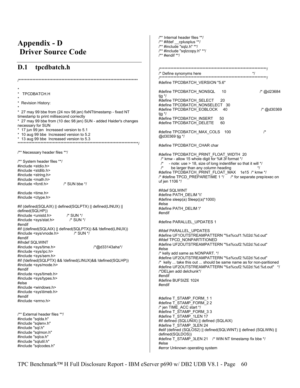## **Appendix - D Driver Source Code**

## $D.1$ tpcdbatch.h

TPCDBATCH.H \* Revision History: \* 27 may 99 bbe from (24 nov 98 jen) fixNTtimestamp - fixed NT timestamp to print millisecond correctly \* 27 may 99 bbe from (10 dec 98 jen) SUN - added Haider's changes necessary for SUN \* 17 jun 99 jen Increased version to 5.1 \* 10 aug 99 bbe Increased version to 5.2 \* 13 aug 99 bbe Increased version to 5.3  $****$ /\*\* Necessary header files \*\*/ /\*\* System header files \*\*/  $\#$ include <stdio.h> #include <stdlib.h> #include <string.h> #include <math.h> #include <fcntl.h> /\* SUN bbe \*/ #include <time.h> #include <ctype.h> #if (defined(SQLAIX) || defined(SQLPTX) || defined(LINUX) || defined(SQLHP)) #include <unistd.h>  $/*$  SUN  $*/$ #include <sys/stat.h> /\* SUN \*/ #endif #if ((defined(SQLAIX) || defined(SQLPTX)) && !defined(LINUX)) #include <sys/vnode.h>  $/*$  SUN  $*/$ #endif #ifndef SQLWINT #include <sys/time.h> /\*@d33143aha\*/ #include <sys/ipc.h> #include <sys/sem.h> #if (!defined(SQLPTX) && !defined(LINUX)&& !defined(SQLHP)) #include <sys/mode.h> #endif #include <sys/timeb.h> #include <sys/types.h> #else #include <windows.h> #include <sys\timeb.h> #endif #include <errno.h> /\*\* External header files \*\*/ #include "sqlda.h" #include "sqlenv.h" #include "sql.h" #include "sqlmon.h" #include "sqlca.h" #include "sqlutil.h" #include "sqlcodes.h"

/\*\* Internal header files \*\*/  $\frac{1}{2}$  #ifdef \_\_cplusplus \*\*/ /\*\* #include "sqlz.h" \*\*/ /\*\* #include "sqlzcopy.h" \*\*/  $/**$  #endif \*\*/

| #define TPCDBATCH_VERSION "5.6"                                                                                                                                                                                                                                                                                                                                                                                 |          |            |  |
|-----------------------------------------------------------------------------------------------------------------------------------------------------------------------------------------------------------------------------------------------------------------------------------------------------------------------------------------------------------------------------------------------------------------|----------|------------|--|
| #define TPCDBATCH_NONSQL<br>tig */                                                                                                                                                                                                                                                                                                                                                                              | 10       | /* @d23684 |  |
| #define TPCDBATCH SELECT<br>#define TPCDBATCH NONSELECT 30<br>#define TPCDBATCH EOBLOCK                                                                                                                                                                                                                                                                                                                         | 20<br>40 | /* @d30369 |  |
| tig */<br>#define TPCDBATCH_INSERT<br>#define TPCDBATCH DELETE                                                                                                                                                                                                                                                                                                                                                  | 50<br>60 |            |  |
| #define TPCDBATCH_MAX_COLS<br>@d30369 tjg */                                                                                                                                                                                                                                                                                                                                                                    | 100      | $\prime^*$ |  |
| #define TPCDBATCH_CHAR char                                                                                                                                                                                                                                                                                                                                                                                     |          |            |  |
| #define TPCDBATCH_PRINT_FLOAT_WIDTH_20<br>/* kmw - allow 15 whole digit for %#.3f format */<br>$\prime^*$<br>- note: use > 18, size of long indentifier so that it will */<br>/*<br>be larger than any column heading<br>*/<br>#define TPCDBATCH_PRINT_FLOAT_MAX 1e15 /* kmw */<br>/* #define TPCD_PREPARETIME 1 */ /* for separate prep/exec on<br>uf jen 1106 */                                              |          |            |  |
| #ifdef SQLWINT<br>#define PATH DELIM '\\'<br>#define sleep(a) Sleep((a)*1000)<br>#else<br>#define PATH DELIM '/'<br>#endif                                                                                                                                                                                                                                                                                      |          |            |  |
| #define PARALLEL_UPDATES 1                                                                                                                                                                                                                                                                                                                                                                                      |          |            |  |
| #ifdef PARALLEL UPDATES<br>#define UF1OUTSTREAMPATTERN "%s%cuf1.%02d.%d.out"<br>#ifdef TPCD NONPARTITIONED<br>#define UF2OUTSTREAMPATTERN "%s%cuf2.%02d.%d.out"<br>#else                                                                                                                                                                                                                                        |          |            |  |
| /* kelly add same as NONPART. */<br>#define UF2OUTSTREAMPATTERN "%s%cuf2.%02d.%d.out"<br>$\prime^*$ kelly  take this out  should be same name as for non-paritioned<br>#define UF2OUTSTREAMPATTERN "%s%cuf2.%02d.%d.%d.out" */<br>/*DELjen add delchunk*/<br>#endif<br>#define BUFSIZE 1024<br>#endif                                                                                                           |          |            |  |
| #define T_STAMP_FORM_1 1<br>#define T_STAMP_FORM_2 2<br>/* jen TIME_ACC start */<br>#define T_STAMP_FORM_3 3<br>#define T_STAMP_1LEN 17<br>#if defined (SQLUNIX)    defined (SQLAIX)<br>#define T_STAMP_3LEN 24<br>#elif (defined (SQLOS2)    defined(SQLWINT)    defined (SQLWIN)   <br>defined(SQLDOS))<br>#define T_STAMP_3LEN 21 /* WIN NT timestamp fix bbe */<br>#else<br>#error Unknown operating system |          |            |  |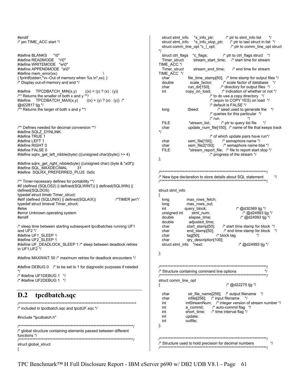#endif /\* jen TIME\_ACC start \*/ #define BLANKS "\0"<br>#define READMODE "r\0" #define READMODE #define WRITEMODE "w\0" #define APPENDMODE "a\0" #define mem\_error(xx) { fprintf(stderr,"\n--Out of memory when %s.\n",xx); } /\* Display out-of-memory and end \*/ #define  $TPCDBATCH_MIN(x,y)$   $((x) < (y) ? (x) : (y))$ /\*\* Returns the smaller of both x and y \*\*/ #define TPCDBATCH\_MAX(x,y)  $((x) > (y) ? (x) : (y))$  /\* @d22817 tjg \*/ /\*\* Returns the larger of both x and y \*\*/ /\*\* Defines needed for decimal conversion \*\*/ #define SQLZ\_DYNLINK #define TRUE 1 #define LEFT 1 #define RIGHT 0 #define FALSE 0 #define sqlrx\_get\_left\_nibble(byte) (((unsigned char)(byte)) >> 4) #define sqlrx\_get\_right\_nibble(byte) ((unsigned char) (byte & '\x0f')) #define SQL\_MAXDECIMAL 31 #define SQLRX\_PREFERRED\_PLUS 0x0c /\*\* Timer-necessary defines for portability \*\*/ #if (defined (SQLOS2) || defined(SQLWINT)) || defined(SQLWIN) || defined(SQLDOS) typedef struct timeb Timer\_struct; #elif (defined (SQLUNIX) | defined(SQLAIX)) /\*TIMER jen\*/ typedef struct timeval Timer\_struct; #else #error Unknown operating system #endif /\* sleep time between starting subsequent tpcdbatches running UF1 and  $UF2$  \*/ #define UF1\_SLEEP 1 #define UF2\_SLEEP 1 #define UF\_DEADLOCK\_SLEEP 1 /\* sleep between deadlock retries in UF1,UF2 \*/ #define MAXWAIT 50 /\* maximum retries for deadlock encounters \*/ #define DEBUG 0 /\* to be set to 1 for diagnostic purposes if needed \*/ /\* #define UF1DEBUG 1 \*/ /\* #define UF2DEBUG 1 \*/ **D.2 tpcdbatch.sqc**  /\*\*\*\*\*\*\*\*\*\*\*\*\*\*\*\*\*\*\*\*\*\*\*\*\*\*\*\*\*\*\*\*\*\*\*\*\*\*\*\*\*\*\*\*\*\*\*\*\*\*\*\*\*\*\*\*\*\*\*\*\*\*\*\*\*\*\*\*\*\*\*\*\*\*\*\*\* /\* included in tpcdbatch.sqc and tpcdUF.sqc \*/ #include "tpcdbatch.h" /\*\*\*\*\*\*\*\*\*\*\*\*\*\*\*\*\*\*\*\*\*\*\*\*\*\*\*\*\*\*\*\*\*\*\*\*\*\*\*\*\*\*\*\*\*\*\*\*\*\*\*\*\*\*\*\*\*\*\*\*\*\*\*\*\*\*\*\*\*\*\*\*\*\*\*/ /\* global structure containing elements passed between different functions \*/<br>/\*\*\*\*\*\*\*\*\*\*\*\*\*\*\* /\*\*\*\*\*\*\*\*\*\*\*\*\*\*\*\*\*\*\*\*\*\*\*\*\*\*\*\*\*\*\*\*\*\*\*\*\*\*\*\*\*\*\*\*\*\*\*\*\*\*\*\*\*\*\*\*\*\*\*\*\*\*\*\*\*\*\*\*\*\*\*\*\*\*\*/ struct global\_struct { struct stmt\_info \*s\_info\_ptr; /\* ptr to stmt\_info list \*/ struct stmt\_info  $*$ s\_info\_stop\_ptr;  $'$ \* ptr to last struct in list \*/<br>struct comm\_line\_opt \*c\_I\_opt; /\* ptr to comm\_line\_opt struct struct comm\_line\_opt \*c\_l\_opt; \*/ struct ctrl\_flags \*c\_flags; /\* ptr to ctrl\_flags struct \*/ Timer\_struct stream\_start\_time; /\* start time for stream TIME\_ACC \*/ Timer\_struct stream\_end\_time; /\* end time for stream TIME\_ACC \*/ char file\_time\_stamp[50]; /\* time stamp for output files \*/ double scale\_factor; /\* scale factor of database \*/<br>char run\_dir[150]; /\* directory for output files \*/ /\* directory for output files  $*$ / int copy\_on\_load; /\* indication of whether or not \*/ /\* to do use a copy directory \*/ /\* (equiv to COPY YES) on load \*/ /\* default is FALSE \*/ long lSeed;  $\frac{1}{2}$  is seed used to generate the  $\frac{1}{2}$  /\* queries for this particular \*/  $\frac{7}{10}$  run.  $\frac{1}{10}$ <br>FILE  $\frac{1}{10}$  \*stream list:  $\frac{7}{10}$  otr to query list \*stream\_list;  $/$ \* ptr to query list file \*/ char update\_num\_file[150]; /\* name of file that keeps track \*/ % of which update pairs have run\*/<br>sem file[150]; /\* semaphore name \*/ char sem file[150]; /\* semaphore name \*/ char sem\_file2[150]; /\* semaphore name bbe \*/ FILE \*stream\_report\_file; /\* file to report start stop \*/ /\* progress of the stream \*/ }; /\*\*\*\*\*\*\*\*\*\*\*\*\*\*\*\*\*\*\*\*\*\*\*\*\*\*\*\*\*\*\*\*\*\*\*\*\*\*\*\*\*\*\*\*\*\*\*\*\*\*\*\*\*\*\*\*\*\*\*\*\*\*\*\*\*\*\*\*\*\*/  $\frac{1}{2}$  New type declaration to store details about SQL statement  $\frac{1}{2}$ /\*\*\*\*\*\*\*\*\*\*\*\*\*\*\*\*\*\*\*\*\*\*\*\*\*\*\*\*\*\*\*\*\*\*\*\*\*\*\*\*\*\*\*\*\*\*\*\*\*\*\*\*\*\*\*\*\*\*\*\*\*\*\*\*\*\*\*\*\*\*/ struct stmt\_info { long max rows fetch; long max\_rows\_out;<br>int query\_block; int query block;  $/$ \* @d30369 tjg \*/ unsigned int stmt\_num;  $\frac{1}{2}$  /\* @d24993 tjg \*/<br>double elapse time;  $\frac{1}{2}$  /\* @d24993 tjg \*/ /\* @d24993 tjg \*/ double adjusted\_time; char start\_stamp[50]; /\* start time stamp for block \*/ char end\_stamp[50]; /\* end time stamp for block \*/ char  $tag [50]$ ;  $\frac{1}{2}$  block tag  $\frac{1}{2}$  char qry\_description[100]; struct stmt\_info  $*$ next; /\* @d24993 tjg \*/ }; /\*\*\*\*\*\*\*\*\*\*\*\*\*\*\*\*\*\*\*\*\*\*\*\*\*\*\*\*\*\*\*\*\*\*\*\*\*\*\*\*\*\*\*\*\*\*\*\*\*\*\*\*\*\*\*\*\*\*\*\*\*\*\*\*\*\*\*\*\*\*/ /\* Structure containing command line options \*/ /\*\*\*\*\*\*\*\*\*\*\*\*\*\*\*\*\*\*\*\*\*\*\*\*\*\*\*\*\*\*\*\*\*\*\*\*\*\*\*\*\*\*\*\*\*\*\*\*\*\*\*\*\*\*\*\*\*\*\*\*\*\*\*\*\*\*\*\*\*\*/ struct comm\_line\_opt  $\frac{1}{2}$  /\* @d22275 tjg \*/ char str\_file\_name[256]; /\* output filename \*/ char infile[256]; /\* input filename \*/<br>int intStreamNum; /\* integer version o intStreamNum; /\* integer version of stream number \*/ int a\_commit;  $\frac{1}{x}$  auto-commit flag \*/<br>int short time:  $\frac{1}{x}$  time interval flag \*/ short time; /\* time interval flag \*/ int update; int outfile; }; /\*\*\*\*\*\*\*\*\*\*\*\*\*\*\*\*\*\*\*\*\*\*\*\*\*\*\*\*\*\*\*\*\*\*\*\*\*\*\*\*\*\*\*\*\*\*\*\*\*\*\*\*\*\*\*\*\*\*\*\*\*\*\*\*\*\*\*\*\*\*/ /\* Structure used to hold precision for decimal numbers \*/ /\*\*\*\*\*\*\*\*\*\*\*\*\*\*\*\*\*\*\*\*\*\*\*\*\*\*\*\*\*\*\*\*\*\*\*\*\*\*\*\*\*\*\*\*\*\*\*\*\*\*\*\*\*\*\*\*\*\*\*\*\*\*\*\*\*\*\*\*\*\*/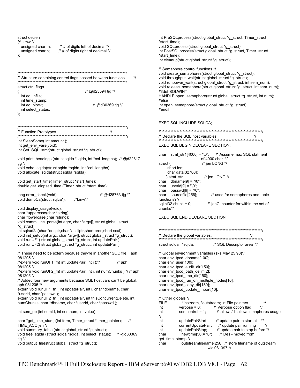struct declen int PreSQLprocess(struct global\_struct \*g\_struct, Timer\_struct  $\frac{1}{2}$  kmw \*/ \*start time): unsigned char m; /\* # of digits left of decimal \*/ void SQLprocess(struct global\_struct \*g\_struct); int PostSQLprocess(struct global\_struct \*g\_struct, Timer\_struct unsigned char n; /\* # of digits right of decimal \*/  $\mathcal{E}$ \*start\_time)<sup>.</sup> int cleanup(struct global\_struct \*g\_struct); /\* Semaphore control functions \*/ void create semaphores(struct global struct \*g struct); /\* Structure containing control flags passed between functions  $\overline{z}$ void throughput\_wait(struct global\_struct \*g\_struct); \*\*\*\*\*\*\*\*\*\*\*\*\*\*\*\*\*\*\*\*\*\*\*\*\*\*\*\*\*\*\*/ /\*\*\*\*\*\*\*\*\*\*\*\*\*\*\*\*\*\*\*\*\*\*\*\* void runpower\_wait(struct global\_struct \*g\_struct, int sem\_num); struct ctrl\_flags void release\_semaphore(struct global\_struct \*g\_struct, int sem\_num); /\* @d25594 tjg \*/ #ifdef SQLWINT ₹ int eo infile: HANDLE open\_semaphore(struct global\_struct \*g\_struct, int num); int time stamp; #else int eo block; /\* @d30369 tig \*/ int open\_semaphore(struct global\_struct \*g\_struct); int select\_status; #endif }; **EXEC SQL INCLUDE SQLCA:** /\* Function Prototypes /\* Declare the SQL host variables.  $\star$ int SleepSome( int amount ); EXEC SQL BEGIN DECLARE SECTION; int get\_env\_vars(void); int Get\_SQL\_stmt(struct global\_struct \*g\_struct); char  $\text{stmt\_str1}[4000] = "\0";$ /\* Assume max SQL statment void print\_headings (struct sqlda \*sqlda, int \*col\_lengths); /\* @d22817 of 4000 char \*/ tjg  $\frac{*}{ }$ struct { /\* jen LONG \*/ short len; void echo sqlda(struct sqlda \*sqlda, int \*col lengths); char data[32700]; void allocate\_sqlda(struct sqlda \*sqlda); /\* jen LONG \*/  $\}$  stmt\_str; char dbname[9] = "\0"; void get\_start\_time(Timer\_struct \*start\_time); double get\_elapsed\_time (Timer\_struct \*start\_time); char  $userid[9] = "\0";$ char  $passwd[9] = "0";$ long error check(void); /\* @d28763 tjg \*/ char sourcefile[256]; /\* used for semaphores and table void dumpCa(struct sqlca\*); /\*kmw\*/ functions?\*/ sqlint $32$  chunk = 0; /\* jenCl counter for within the set of void display usage(void); chunks\*/ char \*uppercase(char \*string); char \*lowercase(char \*string); **EXEC SQL END DECLARE SECTION:** void comm\_line\_parse(int agrc, char \*argv[], struct global\_struct \*a struct); int sqlrxd2a(char \*decptr,char \*asciiptr,short prec,short scal); /\* Declare the global variables. void init\_setup(int argc, char \*argv[], struct global\_struct \*g\_struct); void runUF1( struct global\_struct \*g\_struct, int updatePair ); void runUF2( struct global\_struct \*g\_struct, int updatePair ); struct sqlda \*sqlda; /\* SQL Descriptor area \*/ /\* These need to be extern because they're in another SQC file. aph /\* Global environment variables (sks May 25 98)\*/ 981205 \*/ char env\_tpcd\_dbname[100]; /\*extern void runUF1 fn( int updatePair, int i );\*/  $/*$  aph char env user[100]; char env\_tpcd\_audit\_dir[150]; 981205 \*/ /\*extern void runUF2\_fn( int updatePair, int i, int numChunks );\*/ /\* aph char env\_tpcd\_path\_delim[2]; char env\_tpcd\_tmp\_dir[150];  $981205$  \*/ /\* Added four new arguments because SQL host vars can't be global. char env\_tpcd\_run\_on\_multiple\_nodes[10]; aph 981205 \*/ char env\_tpcd\_copy\_dir[150]; extern void runUF1\_fn (int updatePair, int i, char \*dbname, char char env\_tpcd\_update\_import[10]; \*userid, char \*passwd); extern void runUF2\_fn ( int updatePair, int thisConcurrentDelete, int /\* Other globals \*/ **FILE** \*instream. \*outstream: /\* File pointers numChunks, char \*dbname, char \*userid, char \*passwd);  $\star$  / int  $verbose = 0;$ /\* Verbose option flag int sem op (int semid, int semnum, int value); semcontrol =  $1$ ; /\* allows/disallows smaphores usage int  $^{\star}$ /  $\prime^*$  update pair to start at  $\prime$ char \*get\_time\_stamp(int form, Timer\_struct \*timer\_pointer); int updatePairStart; TIME\_ACC jen \*/ int currentUpdatePair; /\* update pair running updatePairStop; /\* update pair to stop before \*/ void summary table (struct global struct \*q struct); int newtime[50]="\0"; /\* Des - moved from void free\_sqlda (struct sqlda \*sqlda, int select\_status); /\* @d30369 char tjg \*/ get time stamp \*/ outstreamfilename[256]; /\* store filename of outstream void output\_file(struct global\_struct \*g\_struct); char wlc 081397 \*/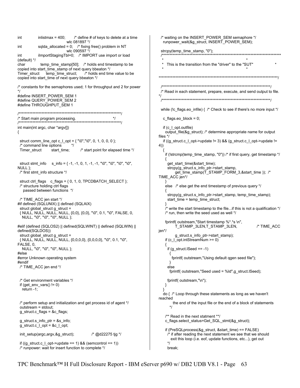```
/* waiting on the INSERT POWER SEM semaphore */
int
           inlistmax = 400;
                               /* define # of keys to delete at a time
                          wlc 081897 */
                                                                                runpower_wait(&g_struct, INSERT_POWER_SEM);
           sqlda_allocated = 0; /* fixing free() problem in NT
int
                           wlc 090597 */
                                                                               strcpy(temp_time_stamp, "0");
int
           ilmportStagingTbl=0; /* IMPORT use import or load
                                                                                                            (default) */
            temp_time_stamp[50]; /* holds end timestamp to be
                                                                                  This is the transition from the "driver" to the "SUT"
char
copied into start_time_stamp of next query bbeaton */
                                    /* holds end time value to be
Timer struct temp time struct;
                                                                              copied into start_time of next query bbeaton */
/* constants for the semaphores used; 1 for throughput and 2 for power
                                                                               ^{\star}/
                                                                               /* Read in each statement, prepare, execute, and send output to file.
#define INSERT_POWER_SEM 1
                                                                              \star#define QUERY POWER SEM 2
#define THROUGHPUT SEM 1
                                                                               while (!c_flags.eo_infile) { /* Check to see if there's no more input */
\star/* Start main program processing.
                                                                                c_flags.eo_block = 0;
                                    **************************
int main(int argc, char *argv[])
                                                                                if (c_I_opt.outfile)
                                                                                 output_file(&g_struct); /* determine appropriate name for output
₹
                                                                              files */
 struct comm line opt c l opt = \{ "\0", "\0", 0, 1, 0, 0, 0 \};
                                                                                if ((q struct.c | opt->update != 3) && (q struct.c | opt->update !=/* command line options
                             *4))
 Timer struct
                  start time;
                                  /* start point for elapsed time */
                                                                                ₹
                                                                                 if (!strcmp(temp_time_stamp, "0")) /* if first query, get timestamp */
 struct stmt_info s_info = {-1, -1, 0, 1, -1, -1, "\0", "\0", "\0", "\0",
                                                                                  get_start_time(&start_time);
NULL };
                                                                                  strcpy(g struct.s info ptr->start stamp,
                                                                                      get_time_stamp(T_STAMP_FORM_3,&start_time )); /*
 /* first stmt_info structure */
                                                                              TIME ACC jen*/
 struct ctrl_flags c_flags = { 0, 1, 0, TPCDBATCH_SELECT };
 /* structure holding ctrl flags
                                                                                 else /* else get the end timestamp of previous query */
   passed between functions */
                                                                                  strcpy(g_struct.s_info_ptr->start_stamp, temp_time_stamp);
 /* TIME ACC jen start */
                                                                                  start_time = temp_time_struct;
#if defined (SQLUNIX) || defined (SQLAIX)
 struct global_struct g_struct =
                                                                                 /* write the start timestamp to the file...if this is not a qualification */
 { NULL, NULL, NULL, NULL, {0,0}, {0,0}, "\0", 0.1, "\0", FALSE, 0,
                                                                                 /* run, then write the seed used as well */
  NULL, "\0", "\0", "\0", NULL };
                                                                                 fprintf( outstream,"Start timestamp %*.*s \n",
#elif (defined (SQLOS2) || defined(SQLWINT) || defined (SQLWIN) ||
                                                                                       T_STAMP_3LEN,T_STAMP_3LEN,
                                                                                                                                   /* TIME ACC
                                                                             jen*/
defined(SQLDOS))
 struct global struct g struct =
                                                                                       q struct.s info ptr->start stamp);
 { NULL, NULL, NULL, NULL, {0,0,0,0}, {0,0,0,0}, "\0", 0.1, "\0",
                                                                                 if (c_I_opt.intStreamNum >= 0)
FALSE, 0,
  NULL, "\0", "\0", "\0", NULL };
                                                                                  if (g_struct.ISeed == -1)#else
                                                                                   ₹
                                                                                     fprintf( outstream,"Using default qgen seed file");
#error Unknown operating system
#endif
 /* TIME_ACC jen end */
                                                                                  else
                                                                                   fprintf( outstream,"Seed used = %ld", g_struct.ISeed);
 /* Get environment variables */
                                                                                  fprintf( outstream,"\n");
 if (get\_env\_vars() != 0)₹
  return -1:
                                                                                ₹
                                                                                do \frac{1}{2} /* Loop through these statements as long as we haven't
                                                                              reached
 /* perform setup and initialization and get process id of agent */
                                                                                     the end of the input file or the end of a block of statements
                                                                                    \staroutstream = stdout;
 q struct.c flags = &c flags;
                                                                                 /** Read in the next statment **/
 g_struct.s_info_ptr = &s_info;
                                                                                 c_flags.select_status=Get_SQL_stmt(&g_struct);
 g_{\text{struct.c\_l\_opt}} = &c_l_opt;
                                                                                 if (PresQLprocess(&q struct, & start time) == FALSE))
 init_setup(argc,argv,&g_struct);
                                        /* @d22275 tjg */
                                                                                  /* if after reading the next statement we see that we should
                                                                                    exit this loop (i.e. eof, update functions, etc...), get out
                                                                                   \starif ((g_{\text{1}}\text{struct.c}_{\text{2}}\text{opt}\text{-}\text{update} == 1) && (semcontrol == 1))
 /* runpower: wait for insert function to complete */
                                                                                  break:
```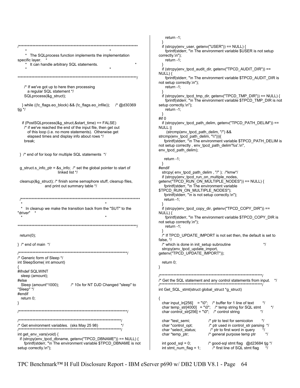return  $-1$ ; \* The SQLprocess function implements the implementation correctly.\n"); specific layer. return  $-1$ : \* It can handle arbitrary SQL statements.  $NULL$ ) { not setup correctly.\n"); return -1; /\* If we've got up to here then processing a regular SQL statement \*/ SQLprocess(&g\_struct); } while ((!c\_flags.eo\_block) && (!c\_flags.eo\_infile)); /\* @d30369 setup correctly.\n"); tjg  $\frac{*}{ }$ return -1; #if 0 if (PostSQLprocess(&q struct,&start time) == FALSE) /\* if we've reached the end of the input file, then get out NULL || of this loop (i.e. no more statements). Otherwise get elapsed times and display info about rows \*/ break: env tpcd path delim); } /\* end of for loop for multiple SQL statements \*/ return -1; - } g struct s info ptr =  $8s$  info; /\* set the global pointer to start of #endif linked list \*/ cleanup(&g\_struct); /\* finish some semaphore stuff, cleanup files, and print out summary table \*/ return -1; \* In cleanup we make the transition back from the "SUT" to the "driver" NULL) { not setup correctly.\n"); return -1;  $return(0)$ : false, \*/  $\}$  /\* end of main \*/ /\* Generic form of Sleep \*/ int SleepSome( int amount) return 0; } #ifndef SQLWINT sleep (amount); #else Sleep (amount\*1000); /\* 10x for NT DJD Changed "sleep" to "Sleep" \*/ #endif return 0: ₹ λ char \*test semi; /\* Get environment variables. (sks May 25 98)  $*$ char \*control\_opt; char \*select\_status; int get\_env\_vars(void) { char \*temp\_ptr; if (strcpy(env tpcd dbname, getenv("TPCD DBNAME")) == NULL) { fprintf(stderr, "\n The environment variable \$TPCD\_DBNAME is not int good  $\text{sgl} = 0$ ; setup correctly.\n"); int stmt\_num\_flag =  $1$ ;

if (strcpy(env\_user, getenv("USER")) == NULL) { fprintf(stderr, "\n The environment variable \$USER is not setup if (strcpy(env\_tpcd\_audit\_dir, getenv("TPCD\_AUDIT\_DIR")) == fprintf(stderr, "\n The environment variable \$TPCD\_AUDIT\_DIR is if (strcpy(env\_tpcd\_tmp\_dir, getenv("TPCD\_TMP\_DIR")) == NULL) { fprintf(stderr, "\n The environment variable \$TPCD TMP DIR is not if (strcpy(env tpcd path delim, getenv("TPCD PATH DELIM")) == (strcmp(env\_tpcd\_path\_delim, "/") && strcmp(env\_tpcd\_path\_delim, "\\"))){ fprintf(stderr, "\n The environment variable \$TPCD PATH DELIM is not setup correctly, env\_tpcd\_path\_delim'%s'.\n", strcpy(env\_tpcd\_path\_delim,"/"); /\*kmw\*/ if (strcpy(env\_tpcd\_run\_on\_multiple\_nodes, getenv("TPCD\_RUN\_ON\_MULTIPLE\_NODES")) == NULL) { fprintf(stderr, "\n The environment variable \$TPCD RUN ON MULTIPLE NODES"); fprintf(stderr, "\n is not setup correctly.\n"); if (strcpy(env\_tpcd\_copy\_dir, getenv("TPCD\_COPY\_DIR")) == fprintf(stderr, "\n The environment variable \$TPCD COPY DIR is /\* If TPCD UPDATE IMPORT is not set then, the default is set to /\* which is done in init setup subroutine  $\star$ strcpy(env\_tpcd\_update\_import, getenv("TPCD\_UPDATE\_IMPORT")); /\* Get the SQL statement and any control statements from input. \*/ int Get SQL stmt(struct global struct \*g struct) char input\_ln[256] = "\0"; /\* buffer for 1 line of text<br>char temp\_str[4000] = "\0"; /\* temp string for SQL stmt  $^*/$  $\star$ char control\_str[256] = "\0"; /\* control string  $*$ /\* ptr to test for semicolon  $*$ /\* ptr used in control\_str parsing \*/

/\* ptr to first word in query

/\* general purpose temp ptr

/\* good-sql stmt flag @d23684 tjg \*/

/\* first line of SQL stmt flag

 $\star$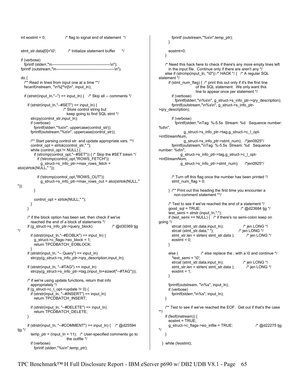```
int eostmt = 0; \frac{1}{2} \frac{1}{2} \frac{1}{2} flag to signal end of statement \frac{1}{2} stmt_str.data[0]='\0'; /* Initialize statement buffer */ 
   if (verbose) 
     fprintf (stderr,"\n---------------------------------------------\n"); 
   fprintf (outstream,"\n---------------------------------------------\n"); 
   do { 
     /** Read in lines from input one at a time **/ 
     fscanf(instream, "\n%[^\n]\n", input_ln); 
    if (strstr(input_ln,"--") == input_ln) { /* Skip all -- comments */
      if (strstr(input_ln,"--#SET") == input_ln) {
                             /* Store control string but 
                               keep going to find SQL stmt */ 
         strcpy(control_str,input_ln); 
         if (verbose) 
           fprintf(stderr,"%s\n", uppercase(control_str)); 
         fprintf(outstream,"%s\n", uppercase(control_str)); 
         /** Start parsing control str. and update appropriate vars. **/ 
         control_opt = strtok(control_str," "); 
         while (control_opt != NULL) { 
           if (strcmp(control_opt,"--#SET")) { /* Skip the #SET token */ 
             if (!strcmp(control_opt,"ROWS_FETCH")) 
               g_struct->s_info_ptr->max_rows_fetch = 
atoi(strtok(NULL," ")); 
             if (!strcmp(control_opt,"ROWS_OUT")) 
               g_struct->s_info_ptr->max_rows_out = atoi(strtok(NULL," 
")); 
          } 
          control_opt = strtok(NULL," ");
        } 
       } 
       /* if the block option has been set, then check if we've 
         reached the end of a block of statements */ 
       if (g_struct->s_info_ptr->query_block) /* @d30369 tjg 
*/ 
        if (strstr(input_ln,"--#EOBLK") == input_ln) {
           g_struct->c_flags->eo_block = 1; 
          return TPCDBATCH_EOBLOCK;
 } 
       if (strstr(input_ln, "-- Query") == input_ln) 
         strcpy(g_struct->s_info_ptr->qry_description,input_ln); 
       if (strstr(input_ln, "--#TAG") == input_ln) 
        strcpy(g_struct->s_info_ptr->tag,(input_ln+sizeof("--#TAG")));
       /* if we're using update functions, return that info 
        appropriately */ 
      if (g_ struct->c | opt->update != 0) {
         if (strstr(input_ln, "--#INSERT") == input_ln) 
           return TPCDBATCH_INSERT; 
         if (strstr(input_ln, "--#DELETE") == input_ln) 
          return TPCDBATCH_DELETE;
       } 
       if (strstr(input_ln, "--#COMMENT") == input_ln) { /* @d25594 
tjg */ 
        temp\_ptr = (input\_ln + 11); /* User-specified comments go to
                               the outfile */ 
         if (verbose) 
           fprintf (stderr,"%s\n",temp_ptr);
```

```
 fprintf (outstream,"%s\n",temp_ptr); 
       } 
       eostmt=0; 
    } 
     /* Need this hack here to check if there's any more empty lines left 
       in the input file. Continue only if there are aren't any */ 
    else if (strcmp(input_ln, "\0")) /* HACK */ { /* A regular SQL
statement */ 
      if (stmt_num_flag) \{ /* print this out only if it's the first line
                       of the SQL statement. We only want this 
                       line to appear once per statement */ 
         if (verbose) 
           fprintf(stderr,"\n%s\n", g_struct->s_info_ptr->qry_description); 
         fprintf(outstream,"\n%s\n", g_struct->s_info_ptr-
>qry_description); 
         if (verbose) 
           fprintf(stderr,"\nTag: %-5.5s Stream: %d Sequence number: 
%d\n", 
                g_struct->s_info_ptr->tag,g_struct->c_l_opt-
>intStreamNum, 
                g_struct->s_info_ptr->stmt_num); /*jen0925*/ 
         fprintf(outstream,"\nTag: %-5.5s Stream: %d Sequence 
number: %d\n", 
              g_struct->s_info_ptr->tag,g_struct->c_l_opt-
>intStreamNum, 
              g_struct->s_info_ptr->stmt_num); /*jen0925*/ 
         /* Turn off this flag once the number has been printed */ 
        stm\_num\_flag = 0; } /** Print out this heading the first time you encounter a 
          non-comment statement **/ 
       /* Test to see if we've reached the end of a statement */ 
      good sql = TRUE; \frac{1}{2} \frac{d}{23684} tig \frac{1}{2} test_semi = strstr (input_ln,";"); 
      if (test semi == NULL) \int_{0}^{x} if there's no semi-colon keep on
going */ 
        strcat (stmt_str.data,input_ln); /* jen LONG */
        strcat (stmt_str.data," "); <br>stmt_str.len = strlen(stmt_str.data); /* jen LONG */
        stmt_str.len = strlen( stmt_str.data );
        eostmt = 0;
       } 
      else { \prime /* else replace the ; with a \0 and continue */
         *test_semi = '\0'; 
        strcat (stmt_str.data,input_ln); /* jen LONG */
         stmt_str.len = strlen( stmt_str.data ); /* jen LONG */ 
        eostmt = 1;
       } 
       fprintf(outstream, "\n%s", input_ln); 
       if (verbose) 
         fprintf(stderr,"\n%s", input_ln); 
     } 
     /** Test to see if we've reached the EOF. Get out if that's the case 
**/ 
     if (feof(instream)) { 
       eostmt = TRUE; 
       g_struct->c_flags->eo_infile = TRUE; /* @d22275 tjg 
*/ 
     } 
  } while (!eostmt);
```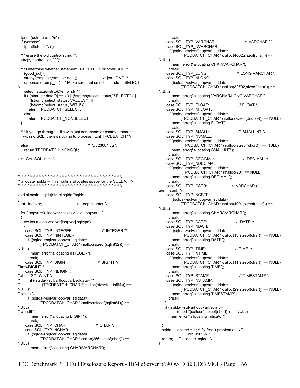```
fprintf(outstream, "\n");
 if (verbose)
   fprintf(stderr,"\n");
 /** erase the old control string **/
 strcpy(control_str,"\0");
 /** Determine whether statement is a SELECT or other SQL **/
 if (good \text{ sql}) {
   strcpy(temp_str,stmt_str.data);
                                              /* ien I ONG */
   uppercase(temp_str); /* Make sure that select is made to SELECT
   select_status=strtok(temp_str,"");
   if ((stmt_str.data[0] == '(') || (!strcmp(select_status,"SELECT")) ||<br>(!strcmp(select_status,"VALUES")) ||
      (!strcmp(select_status,"WITH")))
     return TPCDBATCH_SELECT;
   else
     return TPCDBATCH_NONSELECT;
 - 3
 /** If you go through a file with just comments or control statments
   with no SQL, there's nothing to process... Exit TPCDBATCH **/
                                      /* @d23684 tjg */
 else
   return TPCDBATCH NONSQL;
} /* Get_SQL_stmt */
/* allocate_sqlda -- This routine allocates space for the SQLDA. */
             void allocate sqlda(struct sqlda *sqlda)
₹
 int loopvar;
                                /* Loop counter */
 for (loopvar=0; loopvar<sqlda->sqld; loopvar++)
 ₹
   switch (sqlda->sqlvar[loopvar].sqltype)
    case SQL_TYP_INTEGER:
                                              /* INTEGR */case SQL TYP NINTEGER:
     if ((sqlda->sqlvar[loopvar].sqldata=
           (TPCDBATCH CHAR *)malloc(sizeof(sqlint32))) ==
NULL)
       mem_error("allocating INTEGER");
     break:
    case SQL TYP BIGINT:
                                           /* BIGINT */
/*kmwBIGINT*/
    case SQL_TYP_NBIGINT:
/*#ifdef SQLWINT */
\prime^*if ((sqlda->sqlvar[loopvar].sqldata= */
\prime^*(TPCDBATCH_CHAR *)malloc(sizeof(__int64))) ==
NULL)*/
/* #else */
     if ((sqlda->sqlvar[loopvar].sqldata=
           (TPCDBATCH CHAR *)malloc(sizeof(sqlint64))) ==
NULL)
/* #endif*/
       mem_error("allocating BIGINT");
     break;
    case SQL_TYP_CHAR:
                                          /* CHAR */
    case SQL TYP NCHAR:
     if ((sqlda->sqlvar[loopvar].sqldata=
           (TPCDBATCH CHAR *)calloc(256,sizeof(char))) ==
NULL)
       mem_error("allocating CHAR/VARCHAR");
```

```
break<sup>-</sup>
    case SQL_TYP_VARCHAR:
                                               /* VARCHAR */
    case SQL_TYP_NVARCHAR:
     if ((sqlda->sqlvar[loopvar].sqldata=
            (TPCDBATCH CHAR *)calloc(4002,sizeof(char))) ==
NULL)
       mem_error("allocating CHAR/VARCHAR");
     break
    case SQL_TYP_LONG:
                                          /* LONG VARCHAR */
    case SQL_TYP_NLONG:
     if ((sqlda->sqlvar[loopvar].sqldata=
            (TPCDBATCH_CHAR *)calloc(32702,sizeof(char))) ==
NULL)
       mem error("allocating VARCHAR/LONG VARCHAR");
     break;
    case SQL_TYP_FLOAT:
                                           /* FLOAT */
    case SQL_TYP_NFLOAT:
     if ((sqlda->sqlvar[loopvar].sqldata=
            (TPCDBATCH_CHAR *)malloc(sizeof(double))) == NULL)
       mem error("allocating FLOAT");
     break:
    case SQL_TYP_SMALL:<br>case SQL_TYP_NSMALL:
                                           /* SMALLINT */
     if ((sqlda->sqlvar[loopvar].sqldata=
            (TPCDBATCH_CHAR *)malloc(sizeof(short))) == NULL)
       mem error("allocating SMALLINT");
     break:
    case SQL_TYP_DECIMAL:
                                              /* DECIMAL */
    case SQL_TYP_NDECIMAL:
     if ((sqlda->sqlvar[loopvar].sqldata=
            (TPCDBATCH_CHAR *)malloc(20)) == NULL)
       mem_error("allocating DECIMAL");
     break:
    case SQL_TYP_CSTR:
                                        /* VARCHAR (null
terminated) */
    case SQL_TYP_NCSTR:
     if ((sqlda->sqlvar[loopvar].sqldata=
            (TPCDBATCH_CHAR *)calloc(4001,sizeof(char))) ==
NULL)
       mem_error("allocating CHAR/VARCHAR");
     hreak<sup>-</sup>
    case SQL_TYP_DATE:
                                          /* DATE */
    case SQL_TYP_NDATE:
     if ((sqlda->sqlvar[loopvar].sqldata=
           (TPCDBATCH CHAR *)calloc(13, size of (char))) == NULL)
       mem_error("allocating DATE");
     break<sup>-</sup>
    case SQL_TYP_TIME:<br>case SQL_TYP_NTIME:
                                         /* TIMF */
     if ((sqlda->sqlvar[loopvar].sqldata=
           (TPCDBATCH CHAR *)calloc(11,sizeof(char))) == NULL)
       mem_error("allocating TIME");
     break;
                                            /* TIMESTAMP */
    case SQL_TYP_STAMP:
    case SQL_TYP_NSTAMP:
     if ((sqlda->sqlvar[loopvar].sqldata=
            (TPCDBATCH_CHAR *)calloc(29,sizeof(char))) == NULL)
       mem_error("allocating TIMESTAMP");
     break:
   if ((sqlda->sqlvar[loopvar].sqlind=
          (short * )calloc(1, sizeof(short))) == NULLmem error("allocating indicator");
  sqlda allocated = 1; /* fix free() problem on NT
                wlc 090597 */
  return; /* allocate sqlda */
}
```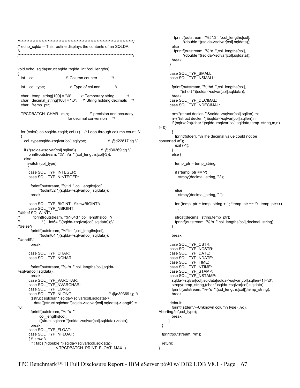```
\prime^*echo_sqlda -- This routine displays the contents of an SQLDA.
*/
void echo_sqlda(struct sqlda *sqlda, int *col_lengths)
 int
      col·
                          /* Column counter
                                                   \star/* Type of column
 int col_type;
                                                    \starchar temp\_string[100] = "\0":/* Temporary string
 char decimal_string[100] = "\0"; \prime* String holding decimals */
 char *temp ptr;
 TPCDBATCH CHAR m,n;
                                       /* precision and accuracy
                           for decimal conversion
                                                  \starfor (col=0; col<sqlda->sqld; col++) /* Loop through column count */
 {
   col type=sqlda->sqlvar[col].sqltype;
                                                 /* @d22817 tig */
   if (*(sqlda->sqlvar[col].sqlind))
                                             /* @d30369 tjg */
     fprintf(outstream, "%* n/a ",(col_lengths[col]-3));
   else
     switch (col_type)
     \{case SQL_TYP_INTEGER:
     case SQL_TYP_NINTEGER:
       fprintf(outstream, "%*ld ",col_lengths[col],
            *(sqlint32 *)(sqlda->sqlvar[col].sqldata));
       break:
      case SQL_TYP_BIGINT: /*kmwBIGINT*/
     case SQL_TYP_NBIGINT:
/*#ifdef SQLWINT*/
\prime^*fprintf(outstream, "%*I64d ",col lengths[col],*/
\prime^**(__int64 *)(sqlda->sqlvar[col].sqldata));*/
/*#else*/
       fprintf(outstream, "%*lld ",col_lengths[col],
            *(sqlint64 *)(sqlda->sqlvar[col].sqldata));
/*#endif*/
       break;
     case SQL_TYP_CHAR:
     case SQL_TYP_NCHAR:
       fprintf(outstream, "%-*s ",col_lengths[col],sqlda-
>sqlvar[col].sqldata);
      break:
      case SQL_TYP_VARCHAR:
     case SQL_TYP_NVARCHAR:<br>case SQL_TYP_LONG:
     case SQL_TYP_NLONG:
                                                 /* @d30369 tjg */
       ((struct sqlchar *)sqlda->sqlvar[col].sqldata)->
         data[((struct sqlchar *)sqlda->sqlvar[col].sqldata)->length] =
'\በ'
       fprintf(outstream, "%-*s".
           col_lengths[col],
           ((struct sqlchar *)sqlda->sqlvar[col].sqldata)->data);
       break<sup>-</sup>
     case SQL TYP FLOAT:
     case SQL_TYP_NFLOAT:
     \frac{1}{2} /* kmw */
       if ( fabs(*(double *)(sqlda->sqlvar[col].sqldata))
                    <TPCDBATCH_PRINT_FLOAT_MAX )
```

```
fprintf(outstream, "%#*.3f", col lengths[col],
               *(double *)(sqlda->sqlvar[col].sqldata));
        else
         fprintf(outstream, "%*e ",col_lengths[col],
               *(double *)(sqlda->sqlvar[col].sqldata));
       break:
      ļ
      case SQL TYP SMALL:
      case SQL_TYP_NSMALL:
        fprintf(outstream, "%*hd ",col_lengths[col],
             *(short *)(sqlda->sqlvar[col].sqldata));
        break<sup>-</sup>
      case SQL TYP DECIMAL:
      case SQL_TYP_NDECIMAL:
        m=(*(struct declen *)&sqlda->sqlvar[col].sqllen).m;
        n=(*(struct declen *)&sqlda->sqlvar[col].sqllen).n;
        if (sqlrxd2a((char *)sqlda->sqlvar[col] sqldata,temp_string,m,n)
!= 0)₹
          fprintf(stderr, "\nThe decimal value could not be
converted.\n");
          exit (-1);
        J
        else \{temp_ptr = temp_string;
          if (*temp\_ptr == '-)strcpy(decimal_string, "-");
          else
            strcpy(decimal_string, "");
          for (temp_ptr = temp_string + 1; *temp_ptr == '0'; temp_ptr++)
          strcat(decimal string, temp ptr);
          fprintf(outstream, "%*s ",col_lengths[col],decimal_string);
       }
        break;
      case SQL_TYP_CSTR:
      case SQL_TYP_NCSTR:
      case SQL_TYP_DATE:
      case SQL_TYP_NDATE:
      case SQL TYP TIME:
      case SQL_TYP_NTIME:
      case SQL TYP_STAMP:
      case SQL_TYP_NSTAMP:
        sqlda->sqlvar[col].sqldata[sqlda->sqlvar[col].sqllen+1]='\0';
        strcpy(temp_string,(char *)sqlda->sqlvar[col].sqldata);<br>fprintf(outstream, "%-*s ",(col_lengths[col]),temp_string);
        break;
      default:
        fprintf(stderr,"--Unknown column type (%d).
Aborting.\n",col_type);
        break:
      <sup>}</sup>
 \mathcal{E}fprintf(outstream, "\n");
  return:
```
 $\mathcal{E}$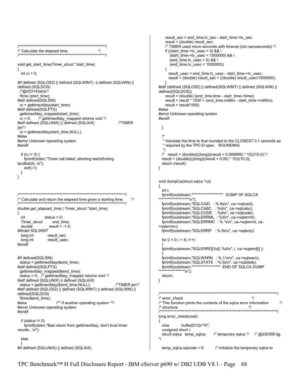```
result_sec = end_time.tv_sec - start_time->tv_sec;
                                                                            result = (double) result_sec;
/* TIMER used micro seconds with timeval (not nanoseconds) */
/* Calculate the elapsed time.
                                                                            if ((start_time->tv_usec > 0) && \
        (start time->tv usec < 1000000) && \
                                                                              (end_time.tv_usec > 0) & & \
void get_start_time(Timer_struct *start_time)
                                                                              (end_time.tv_usec < 1000000))
₹
 int rc = 0;
                                                                             result usec = end time.tv usec - start time->tv usec;
                                                                             result = (double) result_sec + ((double) result_usec/1000000);
#if defined (SQLOS2) || defined (SQLWINT) || defined (SQLWIN) ||
defined (SQLDOS)
                                                                        #elif (defined (SQLOS2) || defined(SQLWINT) || defined (SQLWIN) ||
 /*@d33143aha*/
                                                                         defined(SQLDOS))
ftime (start time):
                                                                            result = (double) (end_time.time - start_time->time);
                                                                            result = result * 1000 + (end_time.millitim - start_time - millitm);#elif defined(SQLSNI)
                                                                            result = result/1000;
 rc = qettimeofday(start time);
#elif defined(SQLPTX)
                                                                         #else
 gettimeofday mapped(start time);
                                                                         #error Unknown operating system
 rc = 0:
         /* gettimeofday_mapped returns void */
                                                                        #endif
#elif defined (SQLUNIX) | defined (SQLAIX)
                                                    /*TIMER
jen*/
                                                                          }
rc = gettimeofday(start_time,NULL);
#else
#error Unknown operating system
                                                                           * translate the time to that rounded to the CLOSEST 0.1 seconds as
                                                                           * required by the TPC-D spec. ROUNDING
#endif
                                                                          /* result = (double)(((long)((result + 0.099999) * 10))/10.0);*/
 if (rc != 0) {
   fprintf(stderr,"Timer call failed, aborting test\nExiting
                                                                          result = (double)(((long)((result + 0.05) * 10))/10.0);
tpcdbatch..\n");
                                                                          return (result);
   exit(-1);₹
 }
\mathcal{E}void dumpCa(struct sqlca *ca)
                                                                         ₹
                                                                          int i<sup>-</sup>
                                                                          fprintf(outstream,"********************** DUMP OF SQLCA
********************\n");
/* Calculate and return the elapsed time given a starting time.
                                                          \starfprintf(outstream,"SQLCAID : %.8s\n", ca->sqlcaid);
                                                                          fprintf(outstream,"SQLCABC : %d\n", ca->sqlcabc);
double get_elapsed_time (Timer_struct *start_time)
                                                                          fprintf(outstream,"SQLCODE : %d\n", ca->sqlcode);
₹
 int
              status = 0;
                                                                          fprintf(outstream,"SQLERRML: %d\n", ca->sqlerrml);
 Timer_struct
                 end_time;
                                                                          fprintf(outstream,"SQLERRMC: %.*s\n", ca->sqlerrml, ca-
 double
               result = -1.0;
                                                                         >salerrmc):
#ifndef SQLWINT
                                                                          fprintf(outstream,"SQLERRP : %.8s\n", ca->sqlerrp);
 long int
               result sec:
 long int
               result_usec;
                                                                          for (i = 0; i < 6; i++)#endif
                                                                          fprintf(outstream,"SQLERRD[%d]: %d\n", i, ca->sqlerrd[i]);
                                                                          fprintf(outstream,"SQLWARN : %.11s\n", ca->sqlwarn);
#if defined(SQLSNI)
 status = gettimeofday(&end_time);
                                                                          fprintf(outstream,"SQLSTATE: %.5s\n", ca->sqlstate);
                                                                         #elif defined(SQLPTX)
 gettimeofday_mapped(&end_time);
 status = 0; /* gettimeofday_mapped returns void */
                                                                          return;
#elif defined (SQLUNIX) || defined (SQLAIX)
                                                                        }
 status = gettimeofday(&end_time,NULL);
                                                  /*TIMER ien*/
#elif defined (SQLOS2) || defined (SQLWINT) || defined (SQLWIN) ||
                                                                         defined(SQLDOS)
                                                                         /* error check
                                                                                                                        \starftime(&end_time);
                    /** If another operating system **/
                                                                        /* This function prints the contents of the sqlca error information
                                                                                                                                       \overline{z}#else
#error Unknown operating system
                                                                        /* structure.
                                                                                                                      *#endif
                                                                         long error_check(void)
 if (status != 0){
   fprintf(stderr,"Bad return from gettimeofday, don't trust timer
                                                                          char
                                                                                    buffer[512]="\0";
results...\n");
                                                                          unsigned short i;
                                                                          struct sqlca temp_sqlca;
                                                                                                     /* temporary sqlca */ /* @d30369 tjg
 else
#if defined (SQLUNIX) || defined (SQLAIX)
                                                                          temp_sqlca.sqlcode = 0;/* initialize the temporary sqlca to
```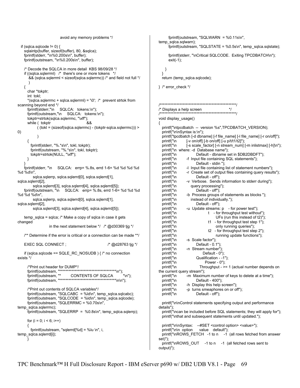```
 avoid any memory problems */ 
  if (sqlca.sqlcode != 0) {
     sqlaintp(buffer, sizeof(buffer), 80, &sqlca); 
     fprintf(stderr, "\n%0.200s\n", buffer); 
     fprintf(outstream, "\n%0.200s\n", buffer); 
     /* Decode the SQLCA in more detail KBS 98/09/28 */ 
     if ((sqlca.sqlerrml) /* there's one or more tokens */ 
       \&&8 (sqlca.sqlerrml < sizeof(sqlca.sqlerrmc)) /* and field not full */
\left( \begin{array}{cc} \end{array} \right) { 
       char *tokptr; 
       int tokl; 
      *(sqlca.sqlerrmc + sqlca.sqlerrml) = '\0'; \prime* prevent strtok from
scanning beyond end */ 
       fprintf(stderr,"\n SQLCA: tokens:\n"); 
       fprintf(outstream,"\n SQLCA: tokens:\n"); 
       tokptr=strtok(sqlca.sqlerrmc, "\xff"); 
      while ( tokptr 68
             ( (tokl = (sizeof(sqlca.sqlerrmc) - (tokptr-sqlca.sqlerrmc))) > 
0) 
\overline{\phantom{a}} { 
         fprintf(stderr, "%.*s\n", tokl, tokptr); 
         fprintf(outstream, "%.*s\n", tokl, tokptr); 
         tokptr=strtok(NULL, "\xff"); 
       } 
 } 
     fprintf(stderr, "\n SQLCA: errp= %.8s, errd 1-6= %d %d %d %d 
%d %d\n", 
          sqlca.sqlerrp, sqlca.sqlerrd[0], sqlca.sqlerrd[1], 
sqlca.sqlerrd[2], 
          sqlca.sqlerrd[3], sqlca.sqlerrd[4], sqlca.sqlerrd[5]); 
     fprintf(outstream, "\n SQLCA: errp= %.8s, errd 1-6= %d %d %d 
%d %d %d\n", 
          sqlca.sqlerrp, sqlca.sqlerrd[0], sqlca.sqlerrd[1], 
sqlca.sqlerrd[2], 
          sqlca.sqlerrd[3], sqlca.sqlerrd[4], sqlca.sqlerrd[5]); 
    temp_sqlca = sqlca; /* Make a copy of sqlca in case it gets
changed 
                     in the next statement below */ /* @d30369 tjg */ 
     /** Determine if the error is critical or a connection can be made **/ 
    EXEC SQL CONNECT ; \frac{1}{2} and \frac{1}{2} and \frac{1}{2} and \frac{1}{2} and \frac{1}{2} and \frac{1}{2} and \frac{1}{2} and \frac{1}{2} and \frac{1}{2} and \frac{1}{2} and \frac{1}{2} and \frac{1}{2} and \frac{1}{2} and \frac{1}{2} and \frac{1}{2 if (sqlca.sqlcode == SQLE_RC_NOSUDB ) { /* no connection 
exists */ 
       /*Print out header for DUMP*/ 
       fprintf(outstream, "*************************************\n"); 
      fprintf(outstream, "* CONTENTS OF SQLCA
       fprintf(outstream, "*************************************\n\n"); 
       /*Print out contents of SQLCA variables*/ 
       fprintf(outstream, "SQLCABC = %ld\n", temp_sqlca.sqlcabc); 
       fprintf(outstream, "SQLCODE = %ld\n", temp_sqlca.sqlcode); 
       fprintf(outstream, "SQLERRMC = %0.70s\n", 
temp_sqlca.sqlerrmc); 
      fprintf(outstream, "SQLERRP = %0.8s\n", temp_sqlca.sqlerrp);
      for (i = 0; i < 6; i++) { 
        fprintf(outstream, "sqlerrd[%d] = %lu \n", i,
temp_sqlca.sqlerrd[i]); 
       } 
                                                                                                  fprintf(outstream, "SQLWARN = %0.11s\n", 
                                                                                           temp_sqlca.sqlwarn); 
                                                                                                  fprintf(outstream, "SQLSTATE = %0.5s\n", temp_sqlca.sqlstate); 
                                                                                                  fprintf(stderr, "\nCritical SQLCODE. Exiting TPCDBATCH\n"); 
                                                                                                  exit(-1); 
                                                                                                } 
                                                                                            } 
                                                                                              return (temp_sqlca.sqlcode); 
                                                                                           } /* error_check */ 
                                                                                           /**************************************************/ 
                                                                                           /* Displays a help screen
                                                                                                      /**************************************************/ 
                                                                                           void display_usage() 
                                                                                           { 
                                                                                              printf("\ntpcdbatch -- version %s",TPCDBATCH_VERSION); 
                                                                                              printf("\n\nSyntax is:\n"); 
                                                                                              printf("tpcdbatch [-d dbname] [-f file_name] [-l file_name] [-r on/off]"); 
                                                                                             printf("\n [-v \text{ on} / \text{off}] [-b on/off] [-u p/t/t1/t2]");
                                                                                             printf("\n [-s scale_factor] [-n stream_num] [-m inlistmax] [-h]\n");
                                                                                              printf("\n where: -d Database name"); 
                                                                                              printf("\n Default - dbname set in $DB2DBDFT"); 
                                                                                                             -f Input file containing SQL statements");
                                                                                             printf("\n Default - stdin ");
                                                                                             printf("\n -l Input file containing list of statement numbers");<br>printf("\n - -r Create set of output files containing query result
                                                                                              printf("\n -r Create set of output files containing query results"); 
                                                                                                                   Default - off");
                                                                                             printf("\n -v Verbose. Sends information to stderr during");
                                                                                             printf("\n query processing");
                                                                                             printf("\n Default - off");
                                                                                             printf("\n -b Process groups of statements as blocks");
                                                                                              printf("\n instead of individually."); 
                                                                                             printf("\n Default - off");<br>printf("\n -u Update streams:
                                                                                                             -u Update streams: p - for power test");
                                                                                             printf("\n t - for throughput test without");<br>printf("\n UFs (run this instead of t2)");
                                                                                                                                UFs (run this instead of t2)");
                                                                                             printf("\n t1 - for throughput test step 1");<br>printf("\n cnly running queries");
                                                                                                                               only running queries");
                                                                                             printf("\n t2 - for throughput test step 2");<br>printf("\n funning update functions");
                                                                                                                                running update functions");
                                                                                             printf("\n -s Scale factor");
                                                                                             printf("\n Default - 0.1");
                                                                                             printf("\n -n Stream number");<br>printf("\n Default - 0")
                                                                                             printf("\n Default - 0");<br>printf("\n Qualification - -1
                                                                                                                   Qualification - -1");
                                                                                             printf("\n Power - 0");
                                                                                              printf("\n Throughput - >= 1 (actual number depends on 
                                                                                           the current query stream"); 
                                                                                              printf("\n -m Maximum number of keys to delete at a time"); 
                                                                                                                   Default - 400");
                                                                                             printf("\n -h Display this help screen");
                                                                                             printf("\n -p turns smeaphores on or off");
                                                                                             printf("\n Default - off");
                                                                                              printf("\n\nControl statements specifying output and performance 
                                                                                           details"); 
                                                                                              printf("\ncan be included before SQL statements; they will apply for"); 
                                                                                              printf("\nthat and subsequent statements until updated."); 
                                                                                             printf("\n\nSyntax: --#SET <control option> <value>");
                                                                                             printf("\n\n option value default");
                                                                                              printf("\nROWS_FETCH -1 to n -1 (all rows fetched from answer 
                                                                                           set)"); 
                                                                                              printf("\nROWS_OUT -1 to n -1 (all fetched rows sent to 
                                                                                           output)");
```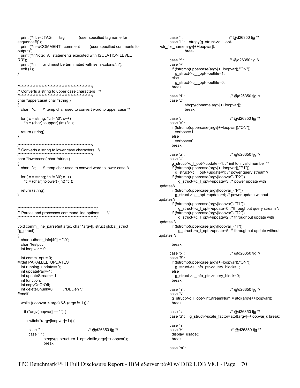```
printf("\n\n--#TAG
                               (user specified tag name for
                     tag
sequence#)");
 printf("\n--#COMMENT comment
                                     (user specified comments for
output)");
 printf("\nNote: All statements executed with ISOLATION LEVEL
RR");
             and must be terminated with semi-colons.\n");
 printf("\n
 exit (1);
\mathcal{E}/* Converts a string to upper case characters */
char *uppercase(char *string)
 char \text{*c}/* temp char used to convert word to upper case */
 for (c = string; \star c != '\0'; c++)
   *c = (char) toupper((int) *c);
 return (string);
₹
/* Converts a string to lower case characters
                                         \cdotchar *lowercase(char *string)
{
 char \starc; /* temp char used to convert word to lower case \star/
 for (c = string; *c != '0'; c++)\text{*c} = (char) tolower( (int) \text{*c} );
 return (string);
<sup>)</sup>
\star/* Parses and processes command line options.
void comm_line_parse(int argc, char *argv[], struct global_struct
*g_struct)
₹
 char authent_info[40] = "\0";
 char *testptr;
 int loopvar = 0;
 int comm_opt = 0;
#ifdef PARALLEL UPDATES
 int running_updates=0;
 int updatePair=-1;
 int updateStream=-1;
 int function:
 int copyOnOrOff:
 int deleteChunk=0;
                       /*DELjen */
#endif
 while ((loopvar < argc) & (argc != 1)) {
   if (*argv[loopvar] == '-') {
     switch(*(argv[loopvar]+1)) {
                                    /* @d26350 tjq */
     case 'f':
     case 'F':
             strcpy(g_struct->c_l_opt->infile,argv[++loopvar]);
             break:
```

```
case "I :
                                         /* @d26350 tjg */
      case 'L': strcpy(g_struct->c_l_opt-
>str_file_name,argv[++loopvar]);
               break;
      case 'r'
                                         /* @d26350 tjg */
      case 'R':
       if (!strcmp(uppercase(argv[++loopvar]),"ON"))
         g struct->c l opt->outfile=1;
       else
         g_struct->c_l_opt->outfile=0;
       break;
      case 'd':
                                          /* @d26350 tjg */
      case 'D'
               strcpy(dbname,argv[++loopvar]);
               break;
                                          /* @d26350 tjg */
      case 'v' :
      case 'V' :
       if (!strcmp(uppercase(argv[++loopvar]),"ON"))
         verbose=1;
       else
         verbose=0:
       break;
      case 'u' :
                                          /* @d26350 tjg */
      case 'U' :
        g_struct->c_l_opt->update=-1; /* init to invalid number */
        if (!strcmp(uppercase(argy[++loopvar]),"P1"))
         g_struct->c_l_opt->update=1; /* power query stream*/
        if (!strcmp(uppercase(argv[loopvar]),"P2"))
           g_struct->c_I_opt->update=3; /* power update with
updates*/
       if (!strcmp(uppercase(argv[loopvar]),"P"))
         g_struct->c_l_opt->update=4; /* power update without
updates*/
       if (!strcmp(uppercase(argv[loopvar]),"T1"))
           g_struct->c_l_opt->update=0; /*throughput query stream */
       if (!strcmp(uppercase(argv[loopvar]),"T2"))
           g_struct->c_l_opt->update=2; /* throughput update with
updates */
       if (!strcmp(uppercase(argv[loopvar]),"T"))
           g_struct->c_I_opt->update=5; /* throughput update without
updates */
       break;
      case 'b' :
                                          /* @d26350 tjg */
      case 'B':
       if (!strcmp(uppercase(argv[++loopvar]),"ON"))
         g_struct->s_info_ptr->query_block=1;
        else
         g_struct->s_info_ptr->query_block=0;
       break;
      case 'n' :
                                          /* @d26350 tjg */
      case 'N':
       g_struct->c_l_opt->intStreamNum = atoi(argv[++loopvar]);
       break:
      case 's':
                                          /* @d26350 tjg */
      case 'S':
                 g_struct->scale_factor=atof(argv[++loopvar]);                                break;
      case 'h':
                                          /* @d26350 tjq */
      case 'H':
       display_usage();
       break;
      case 'm' :
```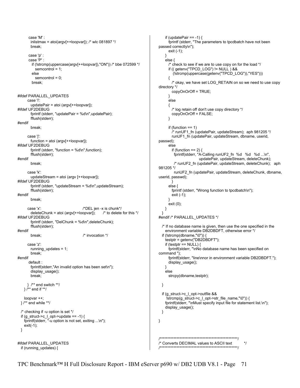```
 case 'M' : 
        inlistmax = atoi(argv[++loopvar]); /* wlc 081897 */ break; 
       case 'p' : 
       case 'P' : 
          if (!strcmp(uppercase(argv[++loopvar]),"ON")) /* bbe 072599 */ 
           semcontrol = 1:
          else 
           semcontrol = 0;
          break; 
#ifdef PARALLEL_UPDATES 
       case 'i': 
         updatePair = atoi (argv[++loopvar]); 
#ifdef UF2DEBUG 
         fprintf (stderr, "updatePair = %d\n",updatePair); 
         fflush(stderr); 
#endif 
         break; 
       case 'j': 
         function = atoi (argv[++loopvar]); 
#ifdef UF2DEBUG 
         fprintf (stderr, "function = %d\n",function); 
         fflush(stderr); 
#endif 
         break; 
       case 'k': 
         updateStream = atoi (argv [++loopvar]); 
#ifdef UF2DEBUG 
         fprintf (stderr, "updateStream = %d\n",updateStream); 
         fflush(stderr); 
#endif 
         break; 
       case 'x': /*DEL jen -x is chunk*/ 
        deleteChunk = atoi (argv[++loopvar]); \frac{1}{2} to delete for this \frac{1}{2}#ifdef UF2DEBUG 
         fprintf (stderr, "DelChunk = %d\n",deleteChunk); 
         fflush(stderr); 
#endif 
        break; /* invocation */
       case 'z': 
         running_updates = 1; 
         break; 
#endif 
        default : 
         fprintf(stderr,"An invalid option has been set\n"); 
         display_usage(); 
         break; 
       } /** end switch **/ 
     } /** end if **/ 
     loopvar ++; 
 \frac{1}{2} /** end while **/
  /* checking if -u option is set */ 
  if (g_{\text{1}}\text{struct} > c_{\text{2}}\text{opt} > \text{update} == -1) {
     fprintf(stderr, "-u option is not set, exiting ...\n"); 
     exit(-1); 
  } 
#ifdef PARALLEL_UPDATES 
   if (running_updates) {
```

```
if (updatePair == -1) {
       fprintf (stderr, "The parameters to tpcdbatch have not been 
passed correctly\n"); 
       exit (-1); 
     } 
     else { 
       /* check to see if we are to use copy on for the load */ 
       if (( getenv("TPCD_LOG") != NULL ) && 
           (!strcmp(uppercase(getenv("TPCD_LOG")),"YES"))) 
\{ \cdot \cdot \cdot \cdot \cdot \cdot \cdot \cdot \cdot \cdot \cdot \cdot \cdot \cdot \cdot \cdot \cdot \cdot \cdot \cdot \cdot \cdot \cdot \cdot \cdot \cdot \cdot \cdot \cdot \cdot \cdot \cdot \cdot \cdot \cdot \cdot 
         /* okay, we have set LOG_RETAIN on so we need to use copy 
directory */ 
          copyOnOrOff = TRUE; 
       } 
       else 
       { 
          /* log retain off don't use copy directory */ 
          copyOnOrOff = FALSE; 
       } 
      if (function == 1)
          /* runUF1_fn (updatePair, updateStream); aph 981205 */ 
          runUF1_fn (updatePair, updateStream, dbname, userid, 
passwd); 
       else 
         if (function == 2) {
          fprintf(stderr, "A-Calling runUF2_fn %d %d %d ...\n",
                            updatePair, updateStream, deleteChunk); 
           /* runUF2_fn (updatePair, updateStream, deleteChunk); aph 
981205 */ 
           runUF2_fn (updatePair, updateStream, deleteChunk, dbname, 
userid, passwd); 
 } 
       else { 
          fprintf (stderr, "Wrong function to tpcdbatch\n"); 
          exit (-1); 
       } 
       exit (0); 
     } 
   } 
#endif /* PARALLEL_UPDATES */
   /* If no database name is given, then use the one specified in the 
    environment variable DB2DBDFT, otherwise error */
   if (!strcmp(dbname,"\0")) { 
     testptr = getenv("DB2DBDFT"); 
    if (testptr == NULL) {
       fprintf(stderr, "\nNo database name has been specified on 
command "); 
       fprintf(stderr, "line\nnor in environment variable DB2DBDFT."); 
      display_usage();
     } 
     else 
      strcpy(dbname,testptr);
   } 
   if (g_struct->c_l_opt->outfile && 
     !strcmp(g_struct->c_l_opt->str_file_name,"\0")) {
     fprintf(stderr, "\nMust specify input file for statement list.\n"); 
     display_usage(); 
   } 
} 
    /***************************************************/ 
/* Converts DECIMAL values to ASCII text */ 
/***************************************************/
```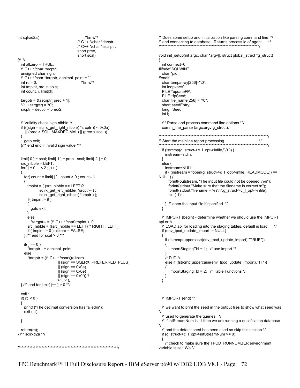```
int sqlrxd2a( /*kmw*/
                                        /* C++ */char *decptr, 
                                        /* C++ */char *asciiptr, 
                                        short prec, 
                                        short scal) 
\frac{1}{2} /* */
   int allzero = TRUE; 
   /* C++ */char *srcptr; 
   unsigned char sign; 
   /* C++ */char *targptr, decimal_point = '.'; 
  int \, \text{rc} = 0; /*kmw*/
   int tmpint, src_nibble; 
   int count, j, limit[3]; 
  targptr = 8asciiptr[ prec + 1];
  *(1 + \text{target}) = \sqrt{0};
  srcptr = decptr + prec/2; /* Validity check sign nibble */ 
   if (((sign = sqlrx_get_right_nibble( *srcptr )) < 0x0a) 
      || (prec > SQL_MAXDECIMAL) || (prec < scal )) 
   { 
     goto exit; 
   }/** end end if invalid sign value **/ 
  limit[ 0 ] = scal; limit[ 1 ] = prec - scal; limit[ 2 ] = 0;
   src_nibble = LEFT; 
  for( j = 0 ; j < 2 ; j++)
   { 
    for(count = limit[j]; count > 0; count - ) { 
       tmpint = ( (src_nibble == LEFT)? 
               sqlrx_get_left_nibble( *srcptr-- ) : 
               sqlrx_get_right_nibble( *srcptr ) ); 
      if( tmpint > 9 )
       { 
         goto exit; 
       } 
       else 
         *targptr-- = (/* C++ */char)tmpint + '0'; 
      src_nibble = ((src\nmible = LEFT) ? RIGHT : LEFT);
      if (tmpint != 0) allzero = FALSE;
    }^* /** end for scal > 0 **/
    if(j == 0)
        *targptr-- = decimal_point; 
     else 
      *targptr = \frac{7}{5} C++ */char)((allzero
                           || (sign == SQLRX_PREFERRED_PLUS) 
                           || (sign == 0x0a) 
                          || (sign == 0x0e)
                          || (sign == 0x0f)?
                           '+' : '-' ); 
 } /** end for limit[ j++ ] > 0 **/
   exit : 
  if(rc < 0)
   { 
    printf ("The decimal conversion has failed\n");
    ext (-1);
  } 
   return(rc); 
} /** sqlrxd2a **/ 
  /*****************************************************************/ 
                                                                                             { 
                                                                                             #endif 
                                                                                               int i; 
                                                                                               } 
                                                                                               else { 
                                                                                            NULL) {
                                                                                               } 
                                                                                             api or */ 
                                                                                               { 
                                                                                              { 
                                                                                              } 
                                                                                             \{ } 
                                                                                               } 
                                                                                             */ 
                                                                                             */ 
                                                                                               { 
                                                                                             variable is set. We */
```
/\* Does some setup and initialization like parsing command line \*/ /\* and connecting to database. Returns process id of agent. \*/ /\*\*\*\*\*\*\*\*\*\*\*\*\*\*\*\*\*\*\*\*\*\*\*\*\*\*\*\*\*\*\*\*\*\*\*\*\*\*\*\*\*\*\*\*\*\*\*\*\*\*\*\*\*\*\*\*\*\*\*\*\*\*\*\*\*/ void init\_setup(int argc, char \*argv[], struct global\_struct \*g\_struct) int connect=0; #ifndef SQLWINT char \*pid; char temparray[256]="\0"; int loopvar=0; FILE \*updateFP; FILE \*fpSeed; char file\_name[256] = " $\sqrt{0}$ "; short seedEntry; long lSeed; /\*\* Parse and process command line options \*\*/ comm\_line\_parse (argc,argv,g\_struct); /\*\*\*\*\*\*\*\*\*\*\*\*\*\*\*\*\*\*\*\*\*\*\*\*\*\*\*\*\*\*\*\*\*\*\*\*\*\*\*\*\*\*\*\*\*\*\*\*\*\*\*\*\*\*\*\*\*\*\*\*\*\*\*\*\*\*\*\*\*\*\*/ /\* Start the mainline report processing. \*/ /\*\*\*\*\*\*\*\*\*\*\*\*\*\*\*\*\*\*\*\*\*\*\*\*\*\*\*\*\*\*\*\*\*\*\*\*\*\*\*\*\*\*\*\*\*\*\*\*\*\*\*\*\*\*\*\*\*\*\*\*\*\*\*\*\*\*\*\*\*\*\*/ if (!strcmp(g\_struct->c\_l\_opt->infile,"\0")) { instream=stdin; instream=NULL; if ( (instream = fopen(g\_struct->c\_l\_opt->infile, READMODE)) == fprintf(outstream, "The input file could not be opened.\n\n"); fprintf(stdout,"Make sure that the filename is correct.\n"); fprintf(stdout,"filename = %s\n",g\_struct->c\_l\_opt->infile); exit(-1); } /\* open the input file if specified \*/ /\* IMPORT (begin) - determine whether we should use the IMPORT  $\frac{1}{4}$  LOAD api for loading into the staging tables, default is load  $\frac{1}{4}$  if (env\_tpcd\_update\_import != NULL) if (!strcmp(uppercase(env\_tpcd\_update\_import),"TRUE")) ilmportStagingTbl = 1; /\* use import  $^*/$  $/*$  D.ID  $*/$  else if (!strcmp(uppercase(env\_tpcd\_update\_import),"TF")) ilmportStagingTbl = 2;  $\prime^*$  Table Functions  $^*$ / /\* IMPORT (end) \*/ /\* we want to print the seed in the output files to show what seed was /\* used to generate the queries. \*/ /\* if intStreamNum is -1 then we are running a qualification database /\* and the default seed has been used so skip this section \*/ if (g\_struct->c\_l\_opt->intStreamNum >= 0) /\* check to make sure the TPCD\_RUNNUMBER environment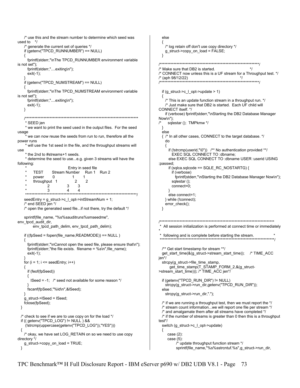```
/* use this and the stream number to determine which seed was
                                                                                        else
used to *₹
    /* generate the current set of queries */
    if (getenv("TPCD_RUNNUMBER") == NULL)
                                                                                        Ŋ
      fprintf(stderr,"\nThe TPCD_RUNNUMBER environment variable
is not set");
     fprintf(stderr,"....exiting\n");
     exit(-1);/* (aph 98/12/22)
    if (getenv("TPCD_NUMSTREAM") == NULL)
    ₹
     fprintf(stderr,"\nThe TPCD_NUMSTREAM environment variable
is not set"):
                                                                                        {
     fprintf(stderr,"....exiting\n");
     exit(-1);<sup>1</sup>
                                                                                      CONNECT itself. */
                                                                                      Now\n");
    * SFFD ien
    * we want to print the seed used in the output files. For the seed
                                                                                        }
usage
                                                                                        else
     * we can now reuse the seeds from run to run, therefore all the
power runs
                                                                                          do
    * will use the 1st seed in the file, and the throughput streams will
use
    * the 2nd to #streams+1 seeds.
    * determine the seed to use...e.g. given 3 streams will have the
following:
                                                                                      :passwd:
                              Entry in seed file
         TFST
                    Stream Number Run 1 Run 2
                                                                                              if (verbose)
         power
                    \Omega\mathbf{1}\overline{1}throughput 1
                                  \overline{2}sqlestar ();
                                         \overline{2}\overline{2}\mathbf{3}\mathbf{3}connect=0;
                  \mathbf{R}\Delta\Deltaelse connect=1;
    seedEntry = g_struct->c_l_opt->intStreamNum + 1;
                                                                                          } while (!connect);
    /* end SEED jen */
                                                                                          error_check();
    /* open the generated seed file...if not there, try the default */
                                                                                        <sup>)</sup>
    sprintf(file name, "%s%sauditruns%smseedme",
env_tpcd_audit_dir,
         env_tpcd_path_delim, env_tpcd_path_delim);
    if ((fp\text{Seed} = fopen(file name, READING)) == NULL){
     fprintf(stderr,"\nCannot open the seed file, please ensure that\n");
     fprintf(stderr,"the file exists. filename = %s\n",file name);
      exit(-1);jen*/
    for (i = 1; i \leq s seed Entry; i++{
     if (feof(fpSeed))
     \{ISeed = -1; /* seed not available for some reason */
     fscanf(fpSeed,"%ld\n",&lSeed);
                                                                                        else
   }
    g_struct->ISeed = ISeed;
    fclose(fpSeed);
 ₹
  /* check to see if we are to use copy on for the load */
  if ((getenv("TPCD LOG")!= NULL) & &
                                                                                      test^*(!strcmp(uppercase(getenv("TPCD_LOG")),"YES")))
  ł
                                                                                        ł
    /* okay, we have set LOG_RETAIN on so we need to use copy
                                                                                           case (2):
directory */
                                                                                           case (5):
   g_struct->copy_on_load = TRUE;
 \mathcal{E}
```

```
TPC Benchmark<sup>™</sup> H Full Disclosure Report - IBM eServer p690 w/ DB2 UDB V8.1 - Page
                                                                                            73
```

```
/* log retain off don't use copy directory */
   g_struct->copy_on_load = FALSE;
/* Make sure that DB2 is started.
                                                   */* CONNECT now unless this is a UF stream for a Throughput test. */
                                             \star**************/
 if (g_{\text{1}}struct \text{-}c_{\text{2}}cor)->update > 1)
   /* This is an update function stream in a throughput run. */
   /* Just make sure that DB2 is started. Each UF child will
   if (verbose) fprintf(stderr,"\nStarting the DB2 Database Manager
    sqlestar (); TMPkmw */
 { /* In all other cases, CONNECT to the target database. */
     if (!strcmp(userid,"\0")) /** No authentication provided **/
       EXEC SQL CONNECT TO :dbname;
     else EXEC SQL CONNECT TO :dbname USER :userid USING
     if (sqlca.sqlcode == SQLE RC NOSTARTG) {
         fprintf(stderr,"\nStarting the DB2 Database Manager Now\n");
  All session initialization is performed at connect time or immediately
  following and is complete before starting the stream.
                                        /** Get start timestamp for stream **/
 get_start_time(&(g_struct->stream_start_time)); /* TIME_ACC
 strcpy(g struct->file time stamp,
      get_time_stamp(T_STAMP_FORM_2,&(g_struct-
>stream_start_time))); /* TIME_ACC jen*/
 if (getenv("TPCD_RUN_DIR") != NULL)
   strcpy(g_struct->run_dir,getenv("TPCD_RUN_DIR"));
   strcpy(g_struct->run_dir,".");
 \prime^* if we are running a throughput test, then we must report the \prime\prime/* stream count information...we will report one file per stream */
 /* and amalgamate them after all streams have completed */
 \prime^* if the number of streams is greater than 0 then this is a throughput
 switch (g_struct->c_l_opt->update)
         /* update throughput function stream */
         sprintf(file_name,"%s%sstrcntuf.%s",g_struct->run_dir,
```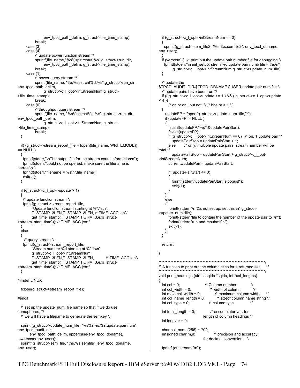```
env_tpcd_path_delim, g_struct->file_time_stamp);
           break; 
      case (3): 
      case (4): 
           /* update power function stream */ 
          sprintf(file_name,"%s%spstrcntuf.%s",g_struct->run_dir,
                env_tpcd_path_delim, g_struct->file_time_stamp);
           break; 
      case (1): 
           /* power query stream */ 
            sprintf(file_name, "%s%spstrcnt%d.%s",g_struct->run_dir, 
env_tpcd_path_delim, 
                 g_struct->c_l_opt->intStreamNum,g_struct-
>file_time_stamp); 
           break; 
      case (0): 
           /* throughput query stream */ 
           sprintf(file_name, "%s%sstrcnt%d.%s",g_struct->run_dir,
env_tpcd_path_delim, 
                 g_struct->c_l_opt->intStreamNum,g_struct-
>file_time_stamp); 
           break; 
  } 
   if( (g_struct->stream_report_file = fopen(file_name, WRITEMODE)) 
== NULL)
 { 
    fprintf(stderr,"\nThe output file for the stream count information\n"); 
    fprintf(stderr,"could not be opened, make sure the filename is 
correct\n"); 
    fprintf(stderr,"filename = %s\n",file_name); 
    exit(-1); 
  } 
   if (g_struct->c_l_opt->update > 1) 
 \mathbf{f} /* update function stream */ 
    fprintf(g_struct->stream_report_file, 
          "Update function stream starting at %*.*s\n", 
          T_STAMP_3LEN,T_STAMP_3LEN, /* TIME_ACC jen*/ 
        get_time_stamp(T_STAMP_FORM_3,&(g_struct-
>stream_start_time))); /* TIME_ACC jen*/ 
  } 
   else 
   { 
    /* query stream */ 
   fprintf(g_struct->stream_report_file,
          "Stream number %d starting at %*.*s\n", 
          g_struct->c_l_opt->intStreamNum, 
          T_STAMP_3LEN,T_STAMP_3LEN, /* TIME_ACC jen*/ 
         get_time_stamp(T_STAMP_FORM_3,&(g_struct-
>stream_start_time))); /* TIME_ACC jen*/ 
  } 
#ifndef LINUX 
  fclose(q_struct->stream_report_file);
#endif 
   /* set up the update_num_file name so that if we do use 
semaphores, */ 
  /* we will have a filename to generate the semkey */ 
   sprintf(g_struct->update_num_file, "%s%s%s.%s.update.pair.num", 
env_tpcd_audit_dir, 
        env_tpcd_path_delim, uppercase(env_tpcd_dbname), 
lowercase(env_user));
   sprintf(g_struct->sem_file, "%s.%s.semfile", env_tpcd_dbname, 
env_user); 
                                                                                           if (g_struct->c_l_opt->intStreamNum == 0)
                                                                                           { 
                                                                                              sprintf(g_struct->sem_file2, "%s.%s.semfile2", env_tpcd_dbname, 
                                                                                         env_user); 
                                                                                           } 
                                                                                           if (verbose) \{ /* print out the update pair number file for debugging */
                                                                                              fprintf(stderr,"\n init_setup: strem %d update pair numb file = %s\n", 
                                                                                                   g_struct->c_l_opt->intStreamNum,g_struct->update_num_file); 
                                                                                            } 
                                                                                            /* update the 
                                                                                         $TPCD_AUDIT_DIR/$TPCD_DBNAME.$USER.update.pair.num file */ 
                                                                                            /* update pairs have been run */ 
                                                                                           if ((g_{\text{1}}struct->c_l_opt->update >= 1 ) && (g_{\text{1}}struct->c_l_opt->update
                                                                                         (4)\prime^* on or onl, but not \prime /\prime bbe or > 1 \prime/
                                                                                            { 
                                                                                             updateFP = fopen(g_struct->update_num_file,"r");
                                                                                             if (updateFP != NULL) { 
                                                                                                fscanf(updateFP,"%d",&updatePairStart); 
                                                                                                fclose(updateFP); 
                                                                                               if (g_{\text{1}}\text{-}src\_l_{\text{2}}\text{-}virt\text{-}simt\text{-}streamNum == 0) /* on, 1 update pair */
                                                                                                  updatePairStop = updatePairStart + 1; 
                                                                                                else /* only, multiple update pairs, stream number will be 
                                                                                         total */ 
                                                                                                  updatePairStop = updatePairStart + g_struct->c_l_opt-
                                                                                         >intStreamNum; 
                                                                                                currentUpdatePair = updatePairStart; 
                                                                                                if (updatePairStart <= 0) 
                                                                                           { 
                                                                                                   fprintf(stderr,"updatePairStart is bogus!"); 
                                                                                                   exit(-1); 
                                                                                                } 
                                                                                              } 
                                                                                              else 
                                                                                          \{ fprintf(stderr,"\n %s not set up, set this \n",g_struct-
                                                                                         >update_num_file); 
                                                                                               fprintf(stderr,"file to contain the number of the update pair to \n");
                                                                                                fprintf(stderr,"run and resubmit\n"); 
                                                                                                exit(-1); 
                                                                                              } 
                                                                                            } 
                                                                                            return ; 
                                                                                         } 
                                                                                         /*********************************************************************/ 
                                                                                         /* A function to print out the column titles for a returned set
                                                                                                            /*********************************************************************/ 
                                                                                         void print_headings (struct sqlda *sqlda, int *col_lengths) 
                                                                                          { 
                                                                                           int col = 0; \frac{1}{2} /* Column number \frac{1}{2}<br>int col width = 0; \frac{1}{2} /* width of column \frac{1}{2}int col width = 0; /* width of column
                                                                                           int max_col_width = 0; \frac{1}{2} /* maximum column width \frac{1}{2}int col_name_length = 0; <br>
\frac{1}{2} /* sizeof column name string */<br>
int col_type = 0; <br>
\frac{1}{2} /* column type \frac{1}{2}int col_type = 0; \frac{1}{2} /* column type \frac{1}{2}int total_length = 0; \frac{1}{2} accumulator var. for
                                                                                            int loopvar = 0; 
                                                                                           char col name[256] = "0";
                                                                                            unsigned char m,n; /* precision and accuracy 
                                                                                            fprintf (outstream,"\n");
```
length of column headings \*/

for decimal conversion \*/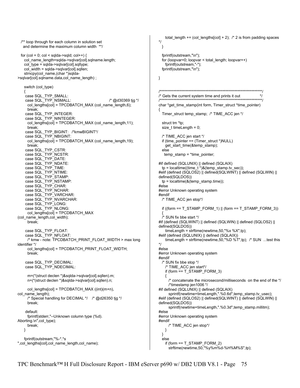```
 /** loop through for each column in solution set 
   and determine the maximum column width **/ 
 for (col = 0; col < sqlda->sqld; col++) {
    col_name_length=sqlda->sqlvar[col].sqlname.length; 
    col_type = sqlda->sqlvar[col].sqltype; 
    col_width = sqlda->sqlvar[col].sqllen; 
   strncpy(col_name,(char *)sqlda-
>sqlvar[col].sqlname.data,col_name_length) ; 
    switch (col_type) 
    { 
 case SQL_TYP_SMALL: 
 case SQL_TYP_NSMALL: /* @d30369 tjg */ 
      col_lengths[col] = TPCDBATCH_MAX (col_name_length,6); 
      break; 
 case SQL_TYP_INTEGER: 
 case SQL_TYP_NINTEGER: 
     col lengths[col] = TPCDBATCH_MAX (col_name_length,11);
      break; 
 case SQL_TYP_BIGINT: /*kmwBIGINT*/ 
 case SQL_TYP_NBIGINT: 
     col lengths[col] = TPCDBATCH_MAX (col_name_length,19);
      break; 
     case SQL_TYP_CSTR: 
     case SQL_TYP_NCSTR: 
     case SQL_TYP_DATE: 
     case SQL_TYP_NDATE: 
 case SQL_TYP_TIME: 
 case SQL_TYP_NTIME: 
     case SQL_TYP_STAMP: 
     case SQL_TYP_NSTAMP: 
     case SQL_TYP_CHAR: 
    case SQL_TYP_NCHAR:
     case SQL_TYP_VARCHAR: 
     case SQL_TYP_NVARCHAR: 
     case SQL_TYP_LONG: 
     case SQL_TYP_NLONG: 
      col_lengths[col] = TPCDBATCH_MAX 
(col_name_length,col_width); 
      break; 
     case SQL_TYP_FLOAT: 
     case SQL_TYP_NFLOAT: 
      /* kmw - note: TPCDBATCH_PRINT_FLOAT_WIDTH > max long 
identifier */ 
      col_lengths[col] = TPCDBATCH_PRINT_FLOAT_WIDTH; 
      break; 
     case SQL_TYP_DECIMAL: 
     case SQL_TYP_NDECIMAL: 
      m=(*(struct declen *)&sqlda->sqlvar[col].sqllen).m; 
      n=(*(struct declen *)&sqlda->sqlvar[col].sqllen).n; 
      col_lengths[col] = TPCDBATCH_MAX ((int)(m+n), 
col_name_length); 
      /* Special handling for DECIMAL */ /* @d26350 tjg */ 
      break; 
     default: 
      fprintf(stderr,"--Unknown column type (%d). 
Aborting.\n",col_type); 
      break; 
    } 
    fprintf(outstream,"%-*.*s 
",col_lengths[col],col_name_length,col_name);
```

```
total_length += \text{(col_length} = 2); /* 2 is from padding spaces
*/ 
  } 
   fprintf(outstream,"\n"); 
   for (loopvar=0; loopvar < total_length; loopvar++) 
     fprintf(outstream,"-"); 
   fprintf(outstream,"\n"); 
} 
/*******************************************************************/ 
\frac{1}{2} Gets the current system time and prints it out \frac{1}{2}/*******************************************************************/ 
char *get_time_stamp(int form, Timer_struct *time_pointer)
{ 
  Timer_struct temp_stamp; /* TIME_ACC jen */
   struct tm *tp; 
   size_t timeLength = 0; 
   /* TIME_ACC jen start */ 
  if (time_pointer == (Timer\ struct^*)NULL) get_start_time(&temp_stamp); 
   else 
    temp_stamp = *time_pointer; 
#if defined (SQLUNIX) || defined (SQLAIX) 
  tp = localtime((time t<sup>*</sup>)&(temp-stamp.tv sec));#elif (defined (SQLOS2) || defined(SQLWINT) || defined (SQLWIN) || 
defined(SQLDOS)) 
   tp = localtime(&(temp_stamp.time)); 
#else 
#error Unknown operating system 
#endif 
   /* TIME_ACC jen stop*/ 
  if ((form == T_STAMP_FORM_1) || (form == T_STAMP_FORM_3))
 { 
   /* SUN fix bbe start */ 
#if (defined (SQLWINT) || defined (SQLWIN) || defined (SQLOS2) || 
defined(SQLDOS)) 
     timeLength = strftime(newtime,50,"%x %X",tp); 
#elif (defined (SQLUNIX) || defined (SQLAIX)) 
     timeLength = strftime(newtime,50,"%D %T",tp); /* SUN ...test this 
*/ 
#else 
#error Unknown operating system 
#endif 
   /* SUN fix bbe stop */ 
     /* TIME_ACC jen start*/ 
     if (form == T_STAMP_FORM_3) 
\{ /* concatenate the microsecond/milliseconds on the end of the */ 
       /*timestamp jen1006 */ 
#if defined (SQLUNIX) || defined (SQLAIX) 
       sprintf(newtime+timeLength,".%0.6d",temp_stamp.tv_usec); 
#elif (defined (SQLOS2) || defined(SQLWINT) || defined (SQLWIN) || 
defined(SQLDOS)) 
       sprintf(newtime+timeLength,".%0.3d",temp_stamp.millitm); 
#else 
#error Unknown operating system 
#endif 
       /* TIME_ACC jen stop*/ 
     } 
  } 
   else 
    if (form == T_STAMP_FORM_2)
       strftime(newtime,50,"%y%m%d-%H%M%S",tp);
```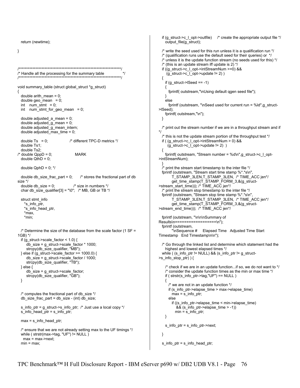return (newtime);

}

```
/*******************************************************************/ 
\frac{1}{2} Handle all the processing for the summary table \frac{1}{2}/*******************************************************************/ 
void summary_table (struct global_struct *g_struct) 
{ 
   double arith_mean = 0; 
  double geo mean = 0;
  int num \sin t = 0;
   int num_stmt_for_geo_mean = 0; 
   double adjusted_a_mean = 0; 
  double adjusted q mean = 0;
   double adjusted_g_mean_intern; 
   double adjusted_max_time = 0; 
  double Ts = 0; \frac{1}{2} /* different TPC-D metrics */
   double Ts1; 
   double Ts2; 
/* double QppD = 0; MARK
  double QthD = 0;
  double QphD = 0; */
  double db_size_frac_part = 0; \quad /* stores the fractional part of db
size */ 
  double db size = 0; /* size in numbers */
  char db_size_qualifier[3] = "\0"; /* MB, GB or TB */
   struct stmt_info 
     *s_info_ptr, 
    *s_info_head_ptr,
     *max, 
     *min; 
 \prime* Determine the size of the database from the scale factor (1 SF =
1GB) */ 
   if (g_struct->scale_factor < 1.0) { 
     db size = g struct->scale factor * 1000;
      strcpy(db_size_qualifier, "MB"); 
  } else if (g_struct->scale_factor >= 1000.0) { 
      db_size = g_struct->scale_factor / 1000; 
     strcpy(db_size_qualifier, "TB");
  } else { 
      db_size = g_struct->scale_factor; 
      strcpy(db_size_qualifier, "GB"); 
  } 
  /* computes the fractional part of db_size */ 
   db_size_frac_part = db_size - (int) db_size; 
   s_info_ptr = g_struct->s_info_ptr; /* Just use a local copy */ 
  \overline{s} info_head_ptr = s_info_ptr;
  max = s info head ptr;
 \prime^* ensure that we are not already setting max to the UF timings */
   while ( strstr(max->tag, "UF") != NULL ) 
   max = max \rightarrow next;min = max
```

```
if (g_struct->c_l_opt->outfile) /* create the appropriate output file */
    output_file(g_struct); 
  /* write the seed used for this run unless it is a qualification run */ 
  /* (qualification runs use the default seed for their queries) or */ 
  /* unless it is the update function stream (no seeds used for this) */ 
 \prime^* (this is an update stream iff update is 2) \prime if ((g_struct->c_l_opt->intStreamNum >=0) && 
    (g_struct->c_l_opt->update != 2))
  { 
   if (g_<sub>1</sub>struct-&gt;|Seed == -1)\{ fprintf( outstream,"\nUsing default qgen seed file"); 
    } 
    else 
     fprintf (outstream, "\nSeed used for current run = %ld", q_struct-
>lSeed); 
    fprintf( outstream,"\n"); 
  } 
  /* print out the stream number if we are in a throughput stream and if 
*/ 
  /* this is not the update stream portion of the throughput test */ 
  if ( (g_struct->c_l_opt->intStreamNum > 0) && 
      (g_struct->c_l_opt->update != 2) ) 
  { 
    fprintf( outstream, "Stream number = %d\n",g_struct->c_l_opt-
>intStreamNum); 
 } 
  /* print the stream start timestamp to the inter file */ 
  fprintf (outstream, "Stream start time stamp %*.*s\n", 
        T_STAMP_3LEN,T_STAMP_3LEN, /* TIME_ACC jen*/ 
        get_time_stamp(T_STAMP_FORM_3,&(g_struct-
>stream_start_time))); /* TIME_ACC jen*/ 
  /* print the stream stop timestamp to the inter file */ 
  fprintf (outstream, "Stream stop time stamp %*.*s\n", 
 T_STAMP_3LEN,T_STAMP_3LEN, /* TIME_ACC jen*/ 
 get_time_stamp(T_STAMP_FORM_3,&(g_struct-
>stream_end_time))); /* TIME_ACC jen*/
  fprintf (outstream, "\n\n\nSummary of 
Results\n==================\n"); 
  fprintf (outstream, 
         "\nSequence # Elapsed Time Adjusted Time Start 
Timestamp End Timestamp\n\n"); 
  /* Go through the linked list and determine which statement had the 
    highest and lowest elapsed times */ 
 while ( (s_info_ptr != NULL) && (s_info_ptr != g_struct-
>s_info_stop_ptr) ) { 
    /* check if we are in an update function...if so, we do not want to */ 
    /* consider the update function times as the min or max time */ 
    if ( strstr(s_info_ptr->tag,"UF") == NULL ) 
    { 
      /* we are not in an update function */ 
      if (s_info_ptr->elapse_time > max->elapse_time) 
       max = s_info__ptr; else 
       if ((s info ptr->elapse time \le min->elapse time)
           && (s_info_ptr->elapse_time > -1)) 
         min = s_info_ptr;
 } 
    s_info_ptr = s_info_ptr->next; 
  } 
  s_info_ptr = s_info_head_ptr;
```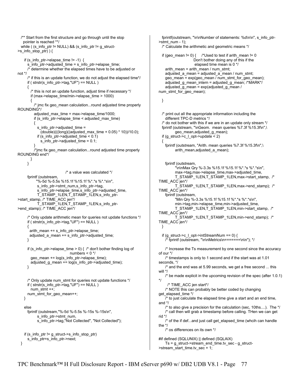```
 /** Start from the first structure and go through until the stop 
    pointer is reached **/ 
  while ( (s_info_ptr != NULL) && (s_info_ptr != g_struct-
>s_info_stop_ptr) ) { 
   if (s_info_ptr->elapse_time != -1) \{s_info_ptr->adjusted_time = s_info_ptr->elapse_time;
      /* determine whether the elapsed times have to be adjusted or 
not */ 
      /* if this is an update function, we do not adjust the elapsed time*/ 
      if ( strstr(s_info_ptr->tag,"UF") == NULL ) 
      { 
        /* this is not an update function, adjust time if necessary */ 
        if (max->elapse_time/min->elapse_time > 1000) 
\{/* jmc fix geo mean calculation...round adjusted time properly
ROUNDING*/ 
         adjusted_max_time = max->elapse_time/1000;
          if (s_info_ptr->elapse_time < adjusted_max_time) 
\{ \} s_info_ptr->adjusted_time = 
              (double)(((long)((adjusted_max_time + 0.05) * 10))/10.0); 
            if (s_info_ptr->adjusted_time < 0.1) 
             s info ptr->adjusted time = 0.1;
 } 
          /*jmc fix geo_mean calculation...round adjusted time properly 
ROUNDING end*/ 
        } 
      } 
                             /* a value was calculated */ 
      fprintf (outstream, 
           "%-5d %-5.5s %15.1f %15.1f %*.*s %*.*s\n", 
            s_info_ptr->stmt_num,s_info_ptr->tag, 
            s_info_ptr->elapse_time,s_info_ptr->adjusted_time, 
            T_STAMP_1LEN,T_STAMP_1LEN,s_info_ptr-
>start_stamp, /* TIME_ACC jen*/ 
 T_STAMP_1LEN,T_STAMP_1LEN,s_info_ptr-
>end_stamp); /* TIME_ACC jen*/
      /* Only update arithmetic mean for queries not update functions */ 
     if ( strstr(s_info_ptr->tag,"UF") == NULL )
      { 
       arith_mean += s_info_ptr->elapse_time; 
      adjusted a mean += s info ptr->adjusted time;
      } 
      if (s_info_ptr->elapse_time > 0) { /* don't bother finding log of 
                              numbers < 0 */
        geo_mean += log(s_info_ptr->elapse_time); 
        adjusted_g_mean += log(s_info_ptr->adjusted_time); 
      } 
      /* Only update num_stmt for queries not update functions */ 
     if ( strstr(s info ptr->tag, "UF") == NULL )
       num_stmt ++;
      num_stmt_for_geo_mean++; 
    } 
    else 
      fprintf (outstream,"%-5d %-5.5s %-15s %-15s\n", 
            s_info_ptr->stmt_num, 
            s_info_ptr->tag,"Not Collected", "Not Collected"); 
    if (s_info_ptr != g_struct->s_info_stop_ptr) 
      s_info_ptr=s_info_ptr->next;
  }
```
 fprintf(outstream, "\n\nNumber of statements: %d\n\n", s\_info\_ptr-  $\text{2}$ stmt\_num - 1); /\* Calculate the arithmetic and geometric means \*/ if (geo mean != 0) { /\*Used to test if arith mean != 0 Don't bother doing any of this if the elapsed time mean is 0 \*/ arith\_mean = arith\_mean / num\_stmt; adjusted a mean = adjusted a mean / num\_stmt; geo\_mean = exp(geo\_mean / num\_stmt\_for\_geo\_mean); adjusted\_g\_mean\_intern = adjusted\_g\_mean; /\*MARK\*/ adjusted\_g\_mean = exp(adjusted\_g\_mean / num\_stmt\_for\_geo\_mean); } /\* print out all the appropriate information including the different TPC-D metrics \*/ /\* do not bother with this if we are in an update only stream \*/ fprintf (outstream, "\nGeom. mean queries %7.3f %15.3f\n",\ geo\_mean,adjusted\_g\_mean); if (g\_struct->c\_l\_opt->update < 2) { fprintf (outstream, "Arith. mean queries %7.3f %15.3f\n",\ arith\_mean,adjusted\_a\_mean); fprintf (outstream, "\n\nMax Qry %-3.3s %15.1f %15.1f %\*.\*s %\*.\*s\n", max->tag,max->elapse\_time,max->adjusted\_time, T\_STAMP\_1LEN,T\_STAMP\_1LEN,max->start\_stamp, /\* TIME\_ACC jen\*/ T\_STAMP\_1LEN,T\_STAMP\_1LEN,max->end\_stamp); /\* TIME\_ACC jen\*/ fprintf (outstream, "Min Qry %-3.3s %15.1f %15.1f %\*.\*s %\*.\*s\n", min->tag,min->elapse\_time,min->adjusted\_time, T\_STAMP\_1LEN,T\_STAMP\_1LEN,min->start\_stamp, /\* TIME\_ACC jen\*/ T\_STAMP\_1LEN,T\_STAMP\_1LEN,min->end\_stamp); /\* TIME\_ACC jen\*/ } if (g\_struct->c\_l\_opt->intStreamNum ==  $0$ ) { /\* fprintf (outstream, "\n\nMetrics\n=======\n\n"); \*/ /\* Increase the Ts measurement by one second since the accuracy of our \*/ /\* timestamps is only to 1 second and if the start was at 1.01 seconds, \*/ /\* and the end was at 5.99 seconds, we get a free second ... this will \*/ /\* be made explicit in the upcoming revision of the spec (after 1.0.1) \*/ /\* TIME\_ACC jen start\*/ /\* NOTE this can probably be better coded by changing get\_elapsed\_time \*/ /\* to just calculate the elapsed time give a start and an end time, and \*/ /\* to also give a precision for the calculation (sec, 10ths....). The \*/ /\* call then will grab a timestamp before calling. THen we can get rid \*/ /\* of the if def...and just call get\_elapsed\_time (whcih can handle the \*/ /\* os differences on its own \*/ #if defined (SQLUNIX) || defined (SQLAIX) Ts = g\_struct->stream\_end\_time.tv\_sec - g\_struct- >stream\_start\_time.tv\_sec + 1;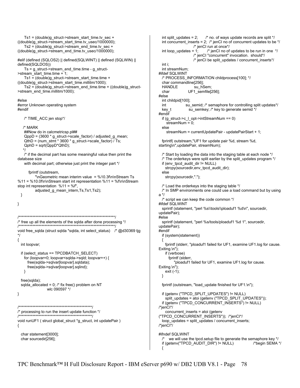```
Ts1 = (double)g_struct->stream_start_time.tv_sec +
((double)g_struct->stream_start_time.tv_usec/1000000); 
    Ts2 = (double)g<sub>5</sub> struct-&gt;stream<sub>6</sub>end time.tv<sub>5</sub>sec +((double)g_struct->stream_end_time.tv_usec/1000000); 
#elif (defined (SQLOS2) || defined(SQLWINT) || defined (SQLWIN) || 
defined(SQLDOS)) 
     Ts = g_struct->stream_end_time.time - g_struct-
>stream_start_time.time + 1;
     Ts1 = (double)g_struct->stream_start_time.time + 
((double)g_struct->stream_start_time.millitm/1000); 
     Ts2 = (double)g_struct->stream_end_time.time + ((double)g_struct-
>stream_end_time.millitm/1000); 
#else 
#error Unknown operating system 
#endif 
    /* TIME_ACC jen stop*/ 
    /* MARK 
   ##Now do in calcmetricsp.pl##
     QppD = (3600 * g_struct->scale_factor) / adjusted_g_mean; 
    QthD = (num\_stmt * 3600 * g\_struct->scale_factor) / Ts;QphD = sqrt(QppD^*QthD); */ 
    /* if the decimal part has some meaningful value then print the 
database size 
     with decimal part; otherwise just print the integer part */ 
       fprintf (outstream, 
            "\nGeometric mean interim value = %10.3f\n\nStream Ts 
%11 = %10.0f\n\nStream start int representation %11 = %f\n\nStream 
stop int representation %11 = %f", 
           adjusted_g_mean_intern,Ts,Ts1,Ts2); 
  } 
} 
/***************************************************************/ 
/* free up all the elements of the sqlda after done processing */ 
/***************************************************************/ 
void free_sqlda (struct sqlda *sqlda, int select_status) /* @d30369 tjg 
*/ 
{ 
   int loopvar; 
   if (select_status == TPCDBATCH_SELECT) 
     for (loopvar=0; loopvar<sqlda->sqld; loopvar++) { 
      free(sqlda->sqlvar[loopvar].sqldata); 
      free(sqlda->sqlvar[loopvar].sqlind); 
    } 
   free(sqlda); 
  sqlda_allocated = 0; \prime* fix free() problem on NT
                  wlc 090597 */ 
} 
/************************************************/ 
/* processing to run the insert update function */ 
/************************************************/ 
void runUF1 ( struct global_struct *g_struct, int updatePair ) 
{ 
   char statement[3000]; 
   char sourcedir[256]; 
                                                                                       int split updates = 2; /* no. of ways update records are split */int concurrent_inserts = 2; \prime^* jenCl no of concurrent updates to be \prime\prime /* jenCI run at once*/ 
                                                                                       int loop_updates = 1; \frac{1}{2} /* jenCl no of updates to be run in one */
                                                                                                           /* jenCI "concurrent" invocation. should*/ 
                                                                                                           /* jenCI be split_updates / concurrent_inserts*/ 
                                                                                        int i; 
                                                                                        int streamNum; 
                                                                                     #ifdef SQLWINT 
                                                                                        /* PROCESS_INFORMATION childprocess[100]; */ 
                                                                                        char commandline[256]; 
                                                                                       HANDLE su_hSem;
                                                                                        char UF1_semfile[256]; 
                                                                                     #else 
                                                                                        int childpid[100]; 
                                                                                                     su_semid; /* semaphore for controlling split updates*/
                                                                                       key_t su_semkey; /* key to generate semid */
                                                                                     #endif 
                                                                                        if (g_struct->c_l_opt->intStreamNum == 0) 
                                                                                          streamNum = 0; 
                                                                                        else 
                                                                                          streamNum = currentUpdatePair - updatePairStart + 1; 
                                                                                        fprintf( outstream,"UF1 for update pair %d, stream %d, 
                                                                                     starting\n",updatePair, streamNum); 
                                                                                        /* Start by loading the data into the staging table at each node */ 
                                                                                        /* The orderkeys were split earlier by the split_updates program */ 
                                                                                        if (env_tpcd_audit_dir != NULL) 
                                                                                         strcpy(sourcedir,env_tpcd_audit_dir);
                                                                                        else 
                                                                                          strcpy(sourcedir,"."); 
                                                                                        /* Load the orderkeys into the staging table */ 
                                                                                        /* In SMP environments one could use a load command but by using 
                                                                                     a */ 
                                                                                        /* script we can keep the code common */ 
                                                                                     #ifdef SQLWINT 
                                                                                       sprintf (statement, "perl %s\\tools\\ploaduf1 %d\n", sourcedir,
                                                                                     updatePair); 
                                                                                     #else 
                                                                                        sprintf (statement, "perl %s/tools/ploaduf1 %d 1", sourcedir, 
                                                                                     updatePair); 
                                                                                     #endif 
                                                                                        if (system(statement)) 
                                                                                        { 
                                                                                          fprintf (stderr, "ploaduf1 failed for UF1, examine UF1.log for cause. 
                                                                                     Exiting.\n"); 
                                                                                          if (verbose) 
                                                                                            fprintf (stderr, 
                                                                                                "ploaduf1 failed for UF1, examine UF1.log for cause. 
                                                                                     Exiting.\n"); 
                                                                                          exit (-1); 
                                                                                        } 
                                                                                        fprintf (outstream, "load_update finished for UF1.\n"); 
                                                                                        if (getenv ("TPCD_SPLIT_UPDATES") != NULL) 
                                                                                          split_updates = atoi (getenv ("TPCD_SPLIT_UPDATES")); 
                                                                                        if (getenv ("TPCD_CONCURRENT_INSERTS") != NULL) 
                                                                                     /*jenCI*/ 
                                                                                          concurrent_inserts = atoi (getenv 
                                                                                     ("TPCD_CONCURRENT_INSERTS")); /*jenCI*/ 
                                                                                        loop_updates = split_updates / concurrent_inserts; 
                                                                                     /*jenCI*/ 
                                                                                     #ifndef SQLWINT 
                                                                                       \prime^* we will use the tpcd setup file to generate the semaphore key \prime\primeif (getenv("TPCD_AUDIT_DIR") != NULL) /*begin SEMA */
                                                                                      {
```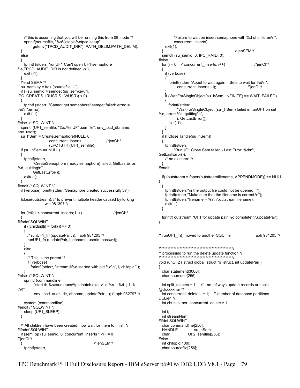```
 /* this is assuming that you will be running this from 0th node */ 
    sprintf(sourcefile, "%s%ctools%ctpcd.setup", 
         getenv("TPCD_AUDIT_DIR"), PATH_DELIM,PATH_DELIM); 
  } 
  else 
 { 
    fprintf (stderr, "runUF1 Can't open UF1 semaphore 
file,TPCD_AUDIT_DIR is not defined.\n"); 
    exit (-1); 
 } 
  /*end SEMA */ 
  su_semkey = ftok (sourcefile, 'J'); 
  if ( (su_semid = semget (su_semkey, 1, 
IPC_CREAT|S_IRUSR|S_IWUSR)) < 0) 
 { 
    fprintf (stderr, "Cannot get semaphore! semget failed: errno = 
%d\n",errno); 
    exit (-1); 
 } 
#else /* SQLWINT */ 
  sprintf (UF1_semfile, "%s.%s.UF1.semfile", env_tpcd_dbname, 
env_user); 
  su_hSem = CreateSemaphore(NULL, 0, 
                  concurrent_inserts, /*jenCI*/
                   (LPCTSTR)(UF1_semfile)); 
  if (su_hSem == NULL) 
 { 
    fprintf(stderr, 
          "CreateSemaphore (ready semaphore) failed, GetLastError: 
%d, quitting\n", 
         GetLastError()); 
    exit(-1); 
 } 
#endif /* SQLWINT */ 
  if (verbose) fprintf(stderr,"Semaphore created successfully!\n"); 
  fclose(outstream); /* to prevent multiple header caused by forking 
                wlc 081397 */ 
  for (i=0; i < concurrent_inserts; i++) /*jenCI*/ 
 { 
#ifndef SQLWINT 
   if ((childpid[i] = fork()) == 0) { 
     /* runUF1 fn (updatePair, i); aph 981205 */ runUF1_fn (updatePair, i, dbname, userid, passwd); 
    } 
    else 
    { 
      /* This is the parent */ 
      if (verbose) 
        fprintf (stderr, "stream #%d started with pid %d\n", i, childpid[i]); 
 } 
#else /* SQLWINT */ 
    sprintf (commandline, 
          "start /b %s\\auditruns\\tpcdbatch.exe -z -d %s -i %d -j 1 -k 
%d", 
          env_tpcd_audit_dir, dbname, updatePair, i ); /* aph 082797 */ 
    system (commandline); 
#endif /* SQLWINT */ 
   sleep (UF1_SLEEP);
  } 
  /* All children have been created, now wait for them to finish */ 
#ifndef SQLWINT 
  if (sem_op (su_semid, 0, concurrent_inserts * -1) != 0) 
/*jenCI*/ 
 \{ /*jenSEM*/
    fprintf(stderr,
```

```
 "Failure to wait on insert semaphone with %d of children\n", 
          concurrent_inserts); 
     exit(1); 
  } /*jenSEM*/ 
  semctl (su_semid, 0, IPC_RMID, 0);
#else 
  for (i = 0; i < concurrent_inserts; i++) /*jenCl*/
   { 
     if (verbose) 
\{ fprintf(stderr,"About to wait again ...Sets to wait for %d\n", 
            concurrent_inserts - i); /*jenCI*/ 
 } 
     if (WaitForSingleObject(su_hSem, INFINITE) == WAIT_FAILED) 
     { 
      fprintf(stderr, 
            "WaitForSingleObject (su _hSem) failed in runUF1 on set 
%d, error: %d, quitting\n", 
            i, GetLastError()); 
      exit(-1); 
    } 
 } 
   if (! CloseHandle(su_hSem)) 
   { 
     fprintf(stderr, 
          "RunUF1 Close Sem failed - Last Error: %d\n", 
GetLastError()); 
     /* no exit here */ 
 } 
#endif 
   if( (outstream = fopen(outstreamfilename, APPENDMODE)) == NULL 
) 
   { 
     fprintf(stderr,"\nThe output file could not be opened. "); 
     fprintf(stderr,"Make sure that the filename is correct.\n"); 
     fprintf(stderr,"filename = %s\n",outstreamfilename); 
     exit(-1); 
  } 
   fprintf( outstream,"UF1 for update pair %d complete\n",updatePair); 
} 
/* runUF1 fn() moved to another SQC file aph 981205 *//************************************************/ 
/* processing to run the delete update function */ 
/************************************************/ 
void runUF2 ( struct global struct *g_struct, int updatePair )
{ 
   char statement[3000]; 
   char sourcedir[256]; 
  int split_deletes = 1; \prime^* no. of ways update records are split
@dxxxxxhar */ 
  int concurrent_deletes = 1; \prime^* number of database partitions
DELjen */ 
  int chunks_per_concurrent_delete = 1; 
   int i; 
   int streamNum; 
#ifdef SQLWINT 
  char commandline[256];<br>HANDLE su h
                     su hSem;
   char UF2_semfile[256]; 
#else 
   int childpid[100]; 
   char sourcefile[256];
```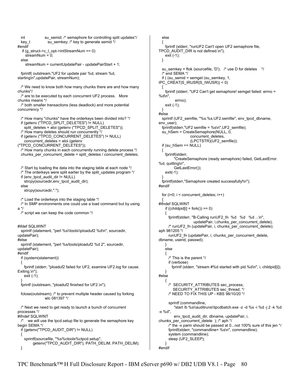```
int su_semid; /* semaphore for controlling split updates*/
 key_t su_semkey; /* key to generate semid */
#endif 
   if (g_struct->c_l_opt->intStreamNum == 0) 
     streamNum = 0; 
  else 
     streamNum = currentUpdatePair - updatePairStart + 1; 
  fprintf( outstream,"UF2 for update pair %d, stream %d, 
starting\n",updatePair, streamNum); 
 \prime* We need to know both how many chunks there are and how many
chunks*/ 
  /* are to be executed by each concurrent UF2 process. More 
chunks means */ 
  /* both smaller transactions (less deadlock) and more potential 
concurrency */ 
  /* How many "chunks" have the orderkeys been divided into? */ 
  if (getenv ("TPCD_SPLIT_DELETES") != NULL) 
    split_deletes = atoi (getenv ("TPCD_SPLIT_DELETES")); 
  /* How many deletes should run concurrently */ 
  if (getenv ("TPCD_CONCURRENT_DELETES") != NULL) 
   concurrent_deletes = atoi (getenv
("TPCD_CONCURRENT_DELETES")); 
  /* How many chunks in each concurrently running delete process */ 
  chunks_per_concurrent_delete = split_deletes / concurrent_deletes; 
  /* Start by loading the data into the staging table at each node */ 
  /* The orderkeys were split earlier by the split_updates program */ 
  if (env_tpcd_audit_dir != NULL) 
    strcpy(sourcedir,env_tpcd_audit_dir); 
  else 
    strcpy(sourcedir,"."); 
  /* Load the orderkeys into the staging table */ 
  /* In SMP environments one could use a load command but by using 
a */ 
  /* script we can keep the code common */ 
#ifdef SQLWINT 
  sprintf (statement, "perl %s\\tools\\ploaduf2 %d\n", sourcedir, 
updatePair); 
#else 
  sprintf (statement, "perl %s/tools/ploaduf2 %d 2", sourcedir, 
updatePair); 
#endif 
  if (system(statement)) 
 { 
    fprintf (stderr, "ploaduf2 failed for UF2, examine UF2.log for cause. 
Exiting.\n"); 
    exit (-1); 
 } 
  fprintf (outstream, "ploaduf2 finished for UF2.\n"); 
  fclose(outstream); /* to prevent multiple header caused by forking 
                wlc 081397 */ 
  /* Next we need to get ready to launch a bunch of concurrent 
processes */ 
#ifndef SQLWINT 
 \prime^* we will use the tpcd setup file to generate the semaphore key
begin SEMA */ 
  if (getenv("TPCD_AUDIT_DIR") != NULL) 
  { 
    sprintf(sourcefile, "%s%ctools%ctpcd.setup", 
          getenv("TPCD_AUDIT_DIR"), PATH_DELIM, PATH_DELIM); 
  }
```

```
 else 
 { 
    fprintf (stderr, "runUF2 Can't open UF2 semaphore file, 
TPCD_AUDIT_DIR is not defined.\n"); 
    exit (-1); 
  } 
  su_semkey = ftok (sourcefile, 'D'); /* use D for deletes */ 
  /* end SEMA */ 
  if ( (su_semid = semget (su_semkey, 1, 
IPC_CREAT|S_IRUSR|S_IWUSR)) < 0) 
  { 
    fprintf (stderr, "UF2 Can't get semaphore! semget failed: errno = 
%d\n", 
          errno); 
    exit (-1); 
 } 
#else 
  sprintf (UF2_semfile, "%s.%s.UF2.semfile", env_tpcd_dbname, 
env_user);
  fprintf(stderr,"UF2 semfile = %s\n",UF2_semfile); 
 su_hSem = CreateSemaphore(NULL, 0,
                   concurrent_deletes, 
                   (LPCTSTR)(UF2_semfile)); 
  if (su_hSem == NULL) 
  { 
    fprintf(stderr, 
          "CreateSemaphore (ready semaphore) failed, GetLastError: 
%d, quitting\n", 
          GetLastError()); 
    exit(-1); 
 } 
  fprintf(stderr,"Semaphore created successfully!\n"); 
#endif 
 for (i=0; i < concurrent deletes; i++)
 { 
#ifndef SQLWINT 
   if ((childpid[i] = fork()) == 0)\{fprintf(stderr, "B-Calling runUF2_fn %d %d %d ...\n",
                     updatePair, i,chunks_per_concurrent_delete); 
      /* runUF2_fn (updatePair, i, chunks_per_concurrent_delete); 
aph 981205 */ 
     runUF2_fn (updatePair, i, chunks_per_concurrent_delete,
dbname, userid, passwd); 
    } 
    else 
    { 
      /* This is the parent */ 
      if (verbose) 
        fprintf (stderr, "stream #%d started with pid %d\n", i, childpid[i]); 
 } 
#else 
    { 
     /* SECURITY_ATTRIBUTES sec_process;
        SECURITY_ATTRIBUTES sec_thread; */
      /* NEED TO FIX THIS UP - KBS 98/10/20 */ 
      sprintf (commandline, 
          "start /b %s\\auditruns\\tpcdbatch.exe -z -d %s -i %d -j 2 -k %d 
-x %d", 
         env_tpcd_audit_dir, dbname, updatePair, i,
chunks per concurrent delete ); /* aph */
      /* the -x parm should be passed at 0...not 100% sure of this jen */ 
      fprintf(stderr, "commandline= %s\n", commandline); 
      system (commandline); 
     sleep (UF2_SLEEP);
 } 
#endif
```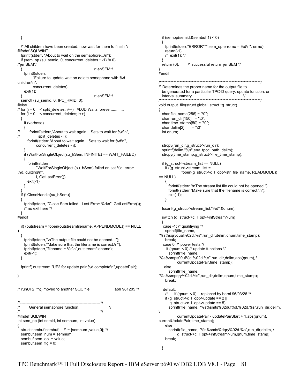```
 } 
   /* All children have been created, now wait for them to finish */ 
#ifndef SQLWINT 
   fprintf(stderr, "About to wait on the semaphore...\n"); 
   if (sem_op (su_semid, 0, concurrent_deletes * -1) != 0) 
/*jenSEM*/ 
                                               { /*jenSEM*/ 
     fprintf(stderr, 
          "Failure to update wait on delete semaphone with %d 
children\n", 
          concurrent_deletes); 
     exit(1); 
   } /*jenSEM*/ 
  semctl (su_semid, 0, IPC_RMID, 0);
#else 
// for (i = 0; i < split deletes; i++) //DJD Waits forever............
  for (i = 0; i < concurrent deletes; i++)
   { 
     if (verbose) 
\frac{1}{\sqrt{2}}fprintf(stderr,"About to wait again ...Sets to wait for %d\n",
// split_deletes - i); 
       fprintf(stderr,"About to wait again ...Sets to wait for %d\n", 
            concurrent_deletes - i); 
 } 
     if (WaitForSingleObject(su_hSem, INFINITE) == WAIT_FAILED) 
     { 
       fprintf(stderr, 
             "WaitForSingleObject (su_hSem) failed on set %d, error: 
%d, quitting\n", 
            i, GetLastError()); 
       exit(-1); 
     } 
 } 
  if (! CloseHandle(su_hSem))
   { 
     fprintf(stderr, "Close Sem failed - Last Error: %d\n", GetLastError()); 
     /* no exit here */ 
 } 
#endif 
   if( (outstream = fopen(outstreamfilename, APPENDMODE)) == NULL 
) 
   { 
     fprintf(stderr,"\nThe output file could not be opened. "); 
     fprintf(stderr,"Make sure that the filename is correct.\n"); 
     fprintf(stderr,"filename = %s\n",outstreamfilename); 
     exit(-1); 
  } 
   fprintf( outstream,"UF2 for update pair %d complete\n",updatePair); 
} 
\frac{1}{2} runUF2 fn() moved to another SQC file aph 981205 \frac{*}{2}/*--------------------------------------------------------------*/ 
       General semaphore function. */
/*--------------------------------------------------------------*/ 
#ifndef SQLWINT 
int sem_op (int semid, int semnum, int value) 
{ 
  struct sembuf sembuf; \prime^* = {semnum , value, 0}; \prime/
   sembuf.sem_num = semnum; 
  sembuf.sem_op = value;
   sembuf.sem_flg = 0;
```

```
 if (semop(semid,&sembuf,1) < 0) 
   { 
     fprintf(stderr,"ERROR*** sem_op errorno = %d\n", errno); 
     return(-1); 
     /* exit(1); */ 
 } 
   return (0); /* successful return jenSEM */ 
} 
#endif 
/******************************************************************/ 
/* Determines the proper name for the output file to 
   be generated for a particular TPC-D query, update function, or 
   interval summary */ 
/******************************************************************/ 
void output_file(struct global_struct *g_struct)
{ 
   char file_name[256] = "\0"; 
  char run_dir[150] = "\0";
  char time_stamp[50] = "0";
  char delim[2] = "\0";
   int qnum; 
   strcpy(run_dir,g_struct->run_dir); 
  sprintf(delim,"%s",env_tpcd_path_delim);
   strcpy(time_stamp,g_struct->file_time_stamp); 
   if (g_struct->stream_list == NULL) 
    if ((g_struct->stream_list =
               fopen(g_struct->c_l_opt->str_file_name, READMODE)) 
== NULL) { 
       fprintf(stderr,"\nThe stream list file could not be opened."); 
       fprintf(stderr,"Make sure that the filename is correct.\n"); 
       exit(-1); 
     } 
   fscanf(g_struct->stream_list,"%d",&qnum); 
  switch (g_struct->c_l_opt->intStreamNum)
 { 
   case -1: /* qualifiying */ 
     sprintf(file_name, 
"%s%sqryqual%02d.%s",run_dir,delim,qnum,time_stamp); 
     break; 
   case 0: /* power tests */ 
    if (qnum < 0) /* update functions <sup>*</sup>/</sup>
       sprintf(file_name, 
"%s%smps00uf%d.%02d.%s",run_dir,delim,abs(qnum), \ 
           currentUpdatePair,time_stamp);
    else 
       sprintf(file_name, 
"%s%smpqry%02d.%s",run_dir,delim,qnum,time_stamp); 
     break; 
   default: 
         if (qnum < 0) - replaced by berni 96/03/26 */
    if (g_{\text{1}}\text{struct} > c_{\text{2}}\text{const} > \text{update} = 2|
      g_{\text{start}} ->c_l_opt->update == 5)
       sprintf(file_name, "%s%smts%02duf%d.%02d.%s",run_dir,delim, 
\lambda currentUpdatePair - updatePairStart + 1,abs(qnum), 
currentUpdatePair,time_stamp); 
     else 
      sprintf(file_name, "%s%smts%dqry%02d.%s",run_dir,delim, \
            g_struct->c_l_opt->intStreamNum,qnum,time_stamp); 
     break; 
  }
```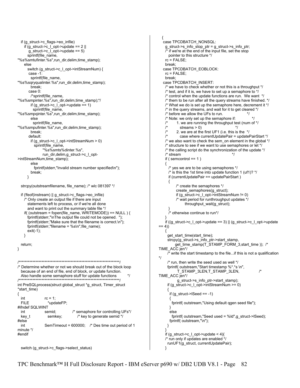```
 if (g_struct->c_flags->eo_infile) 
    if (g_ struct->c | opt->update == 2 ||
       g_struct->c_l_opt->update == 5) 
      sprintf(file_name,
"%s%smtufinter.%s",run_dir,delim,time_stamp); 
     else 
       switch (g_struct->c_l_opt->intStreamNum) { 
       case -1: 
        sprintf(file_name,
"%s%sqryqualinter.%s",run_dir,delim,time_stamp); 
         break; 
       case 0: 
         /*sprintf(file_name, 
"%s%smpinter.%s",run_dir,delim,time_stamp);*/ 
        if (g_ struct->c | opt->update == 1)
          sprintf(file_name, 
"%s%smpqinter.%s",run_dir,delim,time_stamp); 
         else 
         sprintf(file_name,
"%s%smpufinter.%s",run_dir,delim,time_stamp); 
         break; 
       default: 
        if (g_struct->c_l_opt->intStreamNum > 0)
           sprintf(file_name, 
                "%s%smts%dinter.%s", 
                run_dir,delim,g_struct->c_l_opt-
>intStreamNum,time_stamp); 
         else 
           fprintf(stderr,"Invalid stream number specified\n"); 
         break; 
       } 
   strcpy(outstreamfilename, file_name); /* wlc 081397 */ 
   if (!feof(instream) || g_struct->c_flags->eo_infile) 
     /* Only create an output file if there are input 
       statements left to process, or if we're all done 
       and want to print out the summary table file */ 
     if( (outstream = fopen(file_name, WRITEMODE)) == NULL ) { 
       fprintf(stderr,"\nThe output file could not be opened. "); 
       fprintf(stderr,"Make sure that the filename is correct.\n"); 
      fprintf(stderr,"filename = %s\n", file_name);
       exit(-1); 
     } 
   return; 
} 
/******************************************************************/ 
/* Determine whether or not we should break out of the block loop 
   because of an end of file, end of block, or update function. 
   Also handle some semaphore stuff for update functions */ 
              /******************************************************************/ 
int PreSQLprocess(struct global_struct *g_struct, Timer_struct 
*start_time)
{ 
  int rc = 1;
  FILE *updateFP:
#ifndef SQLWINT 
                                 i^* semaphore for controlling UFs*/
  key_t semkey; \frac{1}{x} key to generate semid */
#else 
   int SemTimeout = 600000; /* Des time out period of 1 
minute */ 
#endif 
   switch (g_struct->c_flags->select_status)
```

```
 { 
   case TPCDBATCH_NONSQL:
     g_struct->s_info_stop_ptr = g_struct->s_info_ptr; 
     /* if we're at the end of the input file, set the stop 
        pointer to this structure */ 
     rc = FALSE; 
     break; 
    case TPCDBATCH_EOBLOCK: 
     rc = FALSE; 
     break; 
    case TPCDBATCH_INSERT: 
     /* we have to check whether or not this is a throughput */ 
     /* test, and if it is, we have to set up a semaphore to */ 
     /* control when the update functions are run. We want */ 
     /* them to be run after all the query streams have finished. */ 
     /* What we do is set up the semaphore here, decrement it */ 
     /* in the query streams, and wait for it to get cleared */ 
    \prime^* before we allow the UFs to run. \prime\prime^* Note: we only set up the semaphore if: \prime\prime/* 1. we are running the throughput test (num of \frac{*}{4})
    \frac{7}{10} streams > 0)<br>\frac{1}{2} 2. we are at the
             2. we are at the first UF1 (i.e. this is the */
                case where currentUpdatePair = updatePairStart */
    \prime* we also want to check the sem on element in the global \prime\prime /* structure to see if we want to use semaphores or let */ 
     /* the calling script do the synchronization of the update */ 
    \frac{1}{x} stream \frac{1}{x} if ( semcontrol == 1 ) 
     { 
         yes we are to be using semaphores */
       \prime^* is this the 1st time into update function 1 (uf1)? */
        if (currentUpdatePair == updatePairStart ) 
\{ \cdot \cdot \cdot \cdot \cdot \cdot \cdot \cdot \cdot \cdot \cdot \cdot \cdot \cdot \cdot \cdot \cdot \cdot \cdot \cdot \cdot \cdot \cdot \cdot \cdot \cdot \cdot \cdot \cdot \cdot \cdot \cdot \cdot \cdot \cdot \cdot 
              /* create the semaphores */ 
              create_semaphores(g_struct); 
              if (g_struct->c_l_opt->intStreamNum != 0) 
              /* wait period for runthroughput updates */ 
                    throughput_wait(g_struct); 
 } 
        /* otherwise continue to run*/ 
     } 
    if ((g_{\text{1}}<sub>0</sub>, s<sub>0</sub><sub>0</sub>, s<sub>0</sub><sub>0</sub>, s<sub>0</sub><sub>0</sub><sub>0</sub>) = (g_{\text{1}}<sub>0</sub>s<sub>0</sub><sub>0</sub><sub>0</sub><sub>0</sub><sub>0</sub><sub>0</sub><sub>0</sub><sub>0</sub><sub>0</sub><sub>0</sub><sub>0</sub><sub>0</sub><sub>0</sub><sub>0</sub><sub>0</sub><sub>0</sub><sub>0</sub><sub>0</sub><sub>0</sub><sub>0</sub><sub>0</sub><sub>0</sub><sub>== 4) { 
      get_start_time(start_time);
       strcpy(g_struct->s_info_ptr->start_stamp, 
             get_time_stamp(T_STAMP_FORM_3,start_time )); /* 
TIME_ACC jen*/ 
      \overline{I}^* write the start timestamp to the file...if this is not a qualification
*/ 
       /* run, then write the seed used as well */ 
       fprintf( outstream,"Start timestamp %*.*s \n", 
               T_STAMP_3LEN,T_STAMP_3LEN, /* 
TIME_ACC jen*/ 
              g_struct->s_info_ptr->start_stamp); 
       if (g_struct->c_l_opt->intStreamNum >= 0) 
\{ if (g_struct->lSeed == -1) 
         { 
          fprintf( outstream,"Using default qgen seed file"); 
 } 
        else 
          fprintf( outstream,"Seed used = %ld",g_struct->lSeed); 
         fprintf( outstream,"\n"); 
       } 
 } 
    if (g_{\text{1}}\text{struct} > c_{\text{2}}\text{opt} > \text{update} < 4\prime^* run only if updates are enabled * runUF1(g_struct, currentUpdatePair); 
     }
```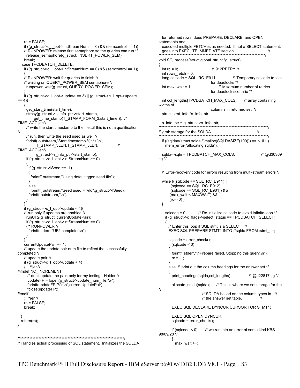```
rc = FAI SF;
    if ((g\_struct \text{-}c\_l\_opt \text{-}intStreamNum == 0) && (semcontrol == 1))
     /* RUNPOWER: release first semaphore so the queries can run */ 
      release_semaphore(g_struct, INSERT_POWER_SEM); 
     break; 
    case TPCDBATCH_DELETE: 
     if ((g_struct->c_l_opt->intStreamNum == 0) && (semcontrol == 1)) 
 { 
     /* RUNPOWER: wait for queries to finish */ 
     /* waiting on QUERY_POWER_SEM semaphore */ 
      runpower_wait(g_struct, QUERY_POWER_SEM); 
 } 
    if ((g_{\text{1}}\text{struct} > c_{\text{1}}\text{opt} > \text{update}) || (g_{\text{2}}\text{struct} > c_{\text{2}}\text{opt} > \text{update})== 4) { 
      get_start_time(start_time); 
     strcpy(g_struct->s_info_ptr->start_stamp,
           get_time_stamp(T_STAMP_FORM_3,start_time )); /* 
TIME_ACC jen*/ 
      /* write the start timestamp to the file...if this is not a qualification 
*/ 
      /* run, then write the seed used as well */ 
      fprintf( outstream,"Start timestamp %*.*s \n", 
            T_STAMP_3LEN,T_STAMP_3LEN, /* 
TIME_ACC jen*/ 
            g_struct->s_info_ptr->start_stamp); 
     if (g_struct->c_l_opt->intStreamNum >= 0)
      { 
       if (g_struct->ISeed == -1)
\{ fprintf( outstream,"Using default qgen seed file"); 
       } 
        else 
         fprintf( outstream,"Seed used = %ld",g_struct->lSeed); 
        fprintf( outstream,"\n"); 
      } 
 } 
     if (g_struct->c_l_opt->update < 4){ 
     /* run only if updates are enabled */ 
      runUF2(g_struct, currentUpdatePair); 
     if (g_ struct-\geq c_ opt-\geq intStreamNum == 0) {/* RUNPOWER */ 
       fprintf(stderr, "UF2 completed\n"); 
      } 
 } 
     currentUpdatePair += 1; 
     /* update the update.pair.num file to reflect the successfully 
completed */ 
     /* update pair */ 
    if (g_structure--c_l_opt\text{-}update < 4) { /*jen*/ 
#ifndef NO_INCREMENT 
       /* don't update the pair, only for my testing - Haider */ 
       updateFP = fopen(g_struct->update_num_file,"w"); 
       fprintf(updateFP,"%d\n",currentUpdatePair); 
       fclose(updateFP); 
#endif 
     } /*jen*/ 
     rc = FALSE; 
     break; 
 } 
   return(rc); 
} 
/*********************************************************************/ 
/* Handles actual processing of SQL statement. Initializes the SQLDA 
                                                                                            for returned rows, does PREPARE, DECLARE, and OPEN 
                                                                                         statements and 
                                                                                            executed multiple FETCHes as needed. If not a SELECT statement, 
                                                                                           goes into EXECUTE IMMEDIATE section */
                                                                                         /*********************************************************************/ 
                                                                                         void SQLprocess(struct global_struct *g_struct) 
                                                                                         { 
                                                                                            int rc = 0; /* 912RETRY */ 
                                                                                           int rows fectch = 0;
                                                                                            long sqlcode = SQL_RC_E911; /* Temporary sqlcode to test 
                                                                                                                           for deadlocks */ 
                                                                                           int max wait = 1; /* Maximum number of retries
                                                                                                                           for deadlock scenario */ 
                                                                                           int col_lengths[TPCDBATCH_MAX_COLS]; /* array containing
                                                                                         widths of 
                                                                                                                           columns in returned set */ 
                                                                                           struct stmt_info *s_info_ptr;
                                                                                            s_info_ptr = g_struct->s_info_ptr; 
                                                                                           /***********************************************************************/ 
                                                                                         /* grab storage for the SQLDA */ 
                                                                                                                         /***********************************************************************/ 
                                                                                            if ((sqlda=(struct sqlda *)malloc(SQLDASIZE(100))) == NULL) 
                                                                                              mem_error("allocating sqlda"); 
                                                                                           sqlda->sqln = TPCDBATCH_MAX_COLS; /* @d30369
                                                                                         tjg */ 
                                                                                            /* Error-recovery code for errors resulting from multi-stream errors */ 
                                                                                           while (((\text{sqlcode} == \text{SQL\_RC\_E911}) || (sqlcode == SQL_RC_E912) || 
                                                                                                 (sqlcode == SQL_RC_E901)) && 
                                                                                                 (max_wait < MAXWAIT) && 
                                                                                                (rc == 0))
                                                                                            { 
                                                                                             sqlcode = 0; \frac{1}{2} /* Re-initialize sqlcode to avoid infinite-loop */
                                                                                              if (g_struct->c_flags->select_status == TPCDBATCH_SELECT) 
                                                                                              { 
                                                                                                /* Enter this loop if SQL stmt is a SELECT */ 
                                                                                                EXEC SQL PREPARE STMT1 INTO :*sqlda FROM :stmt_str; 
                                                                                                sqlcode = error_check(); 
                                                                                               if (sqlcode < 0)
                                                                                         \{ \cdot \cdot \cdot \cdot \cdot \cdot \cdot \cdot \cdot \cdot \cdot \cdot \cdot \cdot \cdot \cdot \cdot \cdot \cdot \cdot \cdot \cdot \cdot \cdot \cdot \cdot \cdot \cdot \cdot \cdot \cdot \cdot \cdot \cdot \cdot \cdot 
                                                                                                  fprintf (stderr,"\nPrepare failed. Stopping this query.\n"); 
                                                                                                 rc = -1;
                                                                                                } 
                                                                                                else /* print out the column headings for the answer set */ 
                                                                                          { 
                                                                                                  print_headings(sqlda,col_lengths); /* @d22817 tjg */ 
                                                                                                  allocate_sqlda(sqlda); /* This is where we set storage for the 
                                                                                         */ 
                                                                                                                     /* SQLDA based on the column types in */ 
                                                                                                                    /* the answer set table.
                                                                                                  EXEC SQL DECLARE DYNCUR CURSOR FOR STMT1; 
                                                                                                  EXEC SQL OPEN DYNCUR; 
                                                                                                  sqlcode = error_check(); 
                                                                                                 if (sqlcode \leq 0) /* we ran into an error of some kind KBS
                                                                                         98/09/28 */ 
                                                                                                  { 
                                                                                                    max_wait ++;
```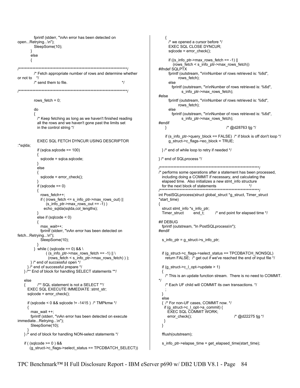```
fprintf (stderr, "\nAn error has been detected on
                                                                                ₹
open...Retrying...\n");
                                                                                 /* we opened a cursor before */
        SleepSome(10);
                                                                                 EXEC SQL CLOSE DYNCUR:
                                                                                 sqlcode = error_check();
      else
                                                                                 if ((s info ptr->max rows fetch == -1) ||\{(rows fetch < s info ptr->max rows fetch))
#ifndef SOI PTX
        /* Fetch appropriate number of rows and determine whether
                                                                                 fprintf (outstream, "\n\nNumber of rows retrieved is: %6d",
or not to */
                                                                                      rows_fetch);
        /* send them to file.
                                                        *else
                                                                                   fprintf (outstream, "\n\nNumber of rows retrieved is: %6d",
s_info_ptr->max_rows_fetch);
                                                                            #else
        rows fetch = 0;
                                                                                 fprintf (outstream, "\n\nNumber of rows retrieved is: %6d",
                                                                                      rows fetch);
        do
                                                                                 else
                                                                                   fprintf (outstream, "\n\nNumber of rows retrieved is: %6d",
        ₹
          /* Keep fetching as long as we haven't finished reading
                                                                                        s_info_ptr->max_rows_fetch);
                                                                            #endif
          all the rows and we haven't gone past the limits set
                                                                                                                 /* @d28763 tjg */
          in the control string */
                                                                               }
                                                                                if (s_info_ptr->query_block == FALSE) /* if block is off don't loop */
          EXEC SQL FETCH DYNCUR USING DESCRIPTOR
                                                                                 q struct->c flags->eo block = TRUE;
:*sqlda:
          if (sqlca.sqlcode == 100)
                                                                              }/* end of while loop to retry if needed */
          ₹
            sqlcode = sqlca.sqlcode;
                                                                            }/* end of SQLprocess */
          ł
                                                                              else
                                                                            /* performs some operations after a statement has been processed,
            sqlcode = error_check();
                                                                              including doing a COMMIT if necessary, and calculating the
                                                                              elapsed time. Also initializes a new stmt_info structure
          if (sqlcode == 0)for the next block of statements
                                                                                                       ₹
                                                                            int PostSQLprocess(struct qlobal struct *q struct, Timer struct
            rows fetch++;
            if ((rows_f, f) fetch \leq s_f info ptr->max rows out) ||
                                                                            *start_time)
               (s_info_ptr>max_rows_out == -1))
                                                                            i
              echo sqlda(sqlda,col lengths);
                                                                              struct stmt info *s info ptr;
                                                                                                           /* end point for elapsed time */
                                                                              Timer_struct
                                                                                              end t:
          else if (sqlcode < 0)
                                                                            #if DEBUG
                                                                              fprintf (outstream, "In PostSQLprocess\n");
            max wait++:
                                                                            #endif
            fprintf (stderr, "\nAn error has been detected on
fetch...Retrying...\n");
            SleepSome(10);
                                                                              s_info_ptr = g_struct->s_info_ptr;
        } while ( (sqlcode == 0) && \
               ((s info ptr->max rows fetch == -1) || \
                                                                              if (g_struct->c_flags->select_status == TPCDBATCH_NONSQL)
                (rows_fetch < s_info_ptr->max_rows_fetch) ) );
                                                                                return FALSE; /* get out if we've reached the end of input file */
      }/* end of successful open */
     } /* end of successful prepare */
                                                                              if (g_struct \n> c_l_opt \n> update \n> 1)} /** End of block for handling SELECT statements **/
                                                                              ł
                                                                                /* This is an update function stream. There is no need to COMMIT.
                                                                            \starelse
          /** SQL statement is not a SELECT **/
                                                                                /* Each UF child will COMMIT its own transactions. */
   ₹
     EXEC SQL EXECUTE IMMEDIATE :stmt str;
     sqlcode = error_check();
                                                                              }
                                                                              else
     if (sqlcode < 0 && sqlcode != -1415) /* TMPkmw */
                                                                              { /* For non-UF cases, COMMIT now. */
                                                                               if (g_ struct->c | opt->a_commit) {
     ₹
       max wait ++EXEC SQL COMMIT WORK;
      fprintf (stderr, "\nAn error has been detected on execute
                                                                                 error_check();
                                                                                                                     /* @d22275 tjg */
immediate...Retrying...\n");
                                                                               ł
                                                                              \}SleepSome(10);
   } /* end of block for handling NON-select statements */
                                                                              fflush(outstream);
   if (\left(\text{sqlcode} > = 0\right) & &
                                                                              s_info_ptr->elapse_time = get_elapsed_time(start_time);
      (g_struct->c_flags->select_status == TPCDBATCH_SELECT))
```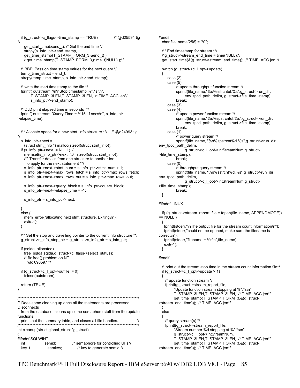if (g\_struct->c\_flags->time\_stamp == TRUE) /\* @d25594 tjg \*/ get\_start\_time(&end\_t); /\* Get the end time \*/ strcpy(s\_info\_ptr->end\_stamp, get\_time\_stamp(T\_STAMP\_FORM\_3,&end\_t) ); /\*get\_time\_stamp(T\_STAMP\_FORM\_3,(time\_t)NULL) );\*/ /\* BBE: Pass on time stamp values for the next query \*/ temp\_time\_struct = end\_t; strcpy(temp\_time\_stamp, s\_info\_ptr->end\_stamp); /\* write the start timestamp to the file \*/ fprintf( outstream,"\n\nStop timestamp %\*.\*s \n", T\_STAMP\_3LEN,T\_STAMP\_3LEN, /\* TIME\_ACC jen\*/ s\_info\_ptr->end\_stamp); /\* DJD print elapsed time in seconds \*/ fprintf( outstream,"Query Time = %15.1f secs\n", s\_info\_ptr- >elapse\_time); /\*\* Allocate space for a new stmt\_info structure \*\*/ /\* @d24993 tjg \*/ s info ptr->next = (struct stmt\_info \*) malloc(sizeof(struct stmt\_info)); if (s\_info\_ptr->next != NULL)  $\{$ memset(s\_info\_ptr->next, '\0', sizeof(struct stmt\_info)); /\*\* Transfer details from one structure to another for to apply for the next statement \*\*/ s info ptr->next->stmt num = s info ptr->stmt num + 1; s\_info\_ptr->next->max\_rows\_fetch = s\_info\_ptr->max\_rows\_fetch; s\_info\_ptr->next->max\_rows\_out = s\_info\_ptr->max\_rows\_out; s\_info\_ptr->next->query\_block = s\_info\_ptr->query\_block; s\_info\_ptr->next->elapse\_time = -1; s\_info\_ptr = s\_info\_ptr->next; } else { mem\_error("allocating next stmt structure. Exiting\n"); exit(-1); } /\*\* Set the stop and travelling pointer to the current info structure \*\*/ g\_struct->s\_info\_stop\_ptr = g\_struct->s\_info\_ptr = s\_info\_ptr; if (sqlda\_allocated) free\_sqlda(sqlda,g\_struct->c\_flags->select\_status); /\* fix free() problem on NT wlc 090597 \*/ if  $(g_$  struct->c\_l\_opt->outfile != 0) fclose(outstream); return (TRUE); } /\*\*\*\*\*\*\*\*\*\*\*\*\*\*\*\*\*\*\*\*\*\*\*\*\*\*\*\*\*\*\*\*\*\*\*\*\*\*\*\*\*\*\*\*\*\*\*\*\*\*\*\*\*\*\*\*\*\*\*\*\*\*\*\*\*\*\*\*\*\*\*\*\*\*\*\*\*\*/ /\* Does some cleaning up once all the statements are processed. **Disconnects**  from the database, cleans up some semaphore stuff from the update functions, prints out the summary table, and closes all file handles. /\*\*\*\*\*\*\*\*\*\*\*\*\*\*\*\*\*\*\*\*\*\*\*\*\*\*\*\*\*\*\*\*\*\*\*\*\*\*\*\*\*\*\*\*\*\*\*\*\*\*\*\*\*\*\*\*\*\*\*\*\*\*\*\*\*\*\*\*\*\*\*\*\*\*\*\*\*\*/ int cleanup(struct global\_struct \*g\_struct) { #ifndef SQLWINT int semid; /\* semaphore for controlling UFs\*/ key\_t semkey; /\* key to generate semid \*/

#endif char file\_name[256] = "\0"; /\*\* End timestamp for stream \*\*/ /\*g\_struct->stream\_end\_time = time(NULL);\*/ get\_start\_time(&(g\_struct->stream\_end\_time)); /\* TIME\_ACC jen \*/ switch (g\_struct->c\_l\_opt->update) { case (2): case (5): /\* update throughput function stream \*/ sprintf(file\_name,"%s%sstrcntuf.%s",g\_struct->run\_dir, env\_tpcd\_path\_delim, g\_struct->file\_time\_stamp); break; case (3): case (4): /\* update power function stream \*/ sprintf(file\_name,"%s%spstrcntuf.%s",g\_struct->run\_dir, env\_tpcd\_path\_delim, g\_struct->file\_time\_stamp); break; case (1): /\* power query stream \*/ sprintf(file\_name, "%s%spstrcnt%d.%s",g\_struct->run\_dir, env\_tpcd\_path\_delim, g\_struct->c\_l\_opt->intStreamNum,g\_struct- >file\_time\_stamp); break; case (0): /\* throughput query stream \*/ sprintf(file\_name, "%s%sstrcnt%d.%s",g\_struct->run\_dir, env\_tpcd\_path\_delim, g\_struct->c\_l\_opt->intStreamNum,g\_struct- >file\_time\_stamp); break; } #ifndef LINUX if( (g\_struct->stream\_report\_file = fopen(file\_name, APPENDMODE))  $== NULL$  { fprintf(stderr,"\nThe output file for the stream count information\n"); fprintf(stderr,"could not be opened, make sure the filename is correct\n"); fprintf(stderr,"filename = %s\n",file\_name); exit(-1); } #endif /\* print out the stream stop time in the stream count information file\*/ if  $(g_$  struct- $\geq c_$  | opt- $\geq$ update  $\geq 1$ ) { /\* update function stream \*/ fprintf(g\_struct->stream\_report\_file, "Update function stream stopping at %\*.\*s\n", T\_STAMP\_3LEN,T\_STAMP\_3LEN, /\* TIME\_ACC jen\*/ get\_time\_stamp(T\_STAMP\_FORM\_3,&(g\_struct- >stream\_end\_time))); /\* TIME\_ACC jen\*/ } else { /\* query stream(s) \*/ fprintf(g\_struct->stream\_report\_file, "Stream number %d stopping at %\*.\*s\n", g\_struct->c\_l\_opt->intStreamNum, T\_STAMP\_3LEN,T\_STAMP\_3LEN, /\* TIME\_ACC jen\*/ get\_time\_stamp(T\_STAMP\_FORM\_3,&(g\_struct- >stream\_end\_time))); /\* TIME\_ACC jen\*/

```
TPC Benchmark™ H Full Disclosure Report - IBM eServer p690 w/ DB2 UDB V8.1 - Page 85
```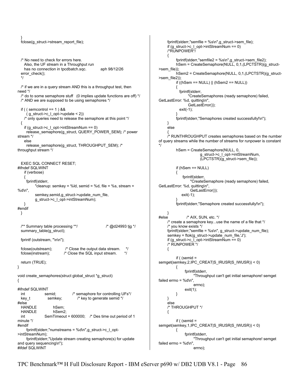```
 } 
  fclose(g_struct->stream_report_file);
   /* No need to check for errors here. 
     Also, the UF stream in a Throughput run 
    has no connection in tpcdbatch.sqc. aph 98/12/26
  error_check();
   */ 
   /* if we are in a query stream AND this is a throughput test, then 
need */ 
  \prime* do to some semaphore stuff (0 implies update functions are off) \prime/
   /* AND we are supposed to be using semaphores */ 
  if ( ( semcontrol == 1 ) & &
     (g_1 \text{ struct} > c_1 \text{ opt}-\text{update} < 2))
     /* only queries need to release the semaphore at this point */ 
   { 
    if (g_ struct-\geq c_ opt-\geq intStreamNum == 0)release_semaphore(g_struct, QUERY_POWER_SEM); /* power
stream */ 
     else 
      release_semaphore(g_struct, THROUGHPUT_SEM); /* 
throughput stream */ 
   EXEC SQL CONNECT RESET; 
#ifndef SQLWINT 
     if (verbose) 
 { 
      fprintf(stderr, 
            "cleanup: semkey = %ld, semid = %d, file = %s, stream = 
%d\n", 
           semkey,semid,g_struct->update_num_file, 
           g_struct->c_l_opt->intStreamNum); 
 } 
#endif 
   } 
  \frac{1}{4} Summary table processing **/ \frac{1}{4} (@d24993 tig */
   summary_table(g_struct); 
   fprintf (outstream, "\n\n"); 
  fclose(outstream);  Close the output data stream. <i>'</i> fclose(instream); <i>'</i> Close the SQL input stream. <i>'</i>/* Close the SQL input stream.
   return (TRUE); 
} 
void create_semaphores(struct global_struct *g_struct) 
{ 
#ifndef SQLWINT 
   int semid; /* semaphore for controlling UFs*/ 
  key_t semkey; \frac{1}{2} /* key to generate semid */
#else 
  HANDLE hSem;<br>HANDLE hSem2:
  HANDLE
   int SemTimeout = 600000; /* Des time out period of 1 
minute */ 
#endif 
     fprintf(stderr,"numstreams = %d\n",q_struct->c_l_opt-
>intStreamNum); 
      fprintf(stderr,"Update stream creating semaphore(s) for update 
and query sequencing\n"); 
#ifdef SQLWINT
```

```
 fprintf(stderr,"semfile = %s\n",g_struct->sem_file); 
      if (g_struct->c_l_opt->intStreamNum == 0) 
     /*RUNPOWER*/ 
\{ fprintf(stderr,"semfile2 = %s\n",g_struct->sem_file2); 
           hSem = CreateSemaphore(NULL, 0,1,(LPCTSTR)(g_struct-
>sem_file)); 
           hSem2 = CreateSemaphore(NULL, 0,1,(LPCTSTR)(g_struct-
>sem_file2));
          if ((hSem == NULL) || (hSem2 == NULL))\{ fprintf(stderr, 
                  "CreateSemaphores (ready semaphore) failed, 
GetLastError: %d, quitting\n", 
                  GetLastError()); 
             exit(-1); 
 } 
           fprintf(stderr,"Semaphores created successfully!\n"); 
     } 
      else 
\{ /* RUNTHROUGHPUT creates semaphores based on the number 
of query streams while the number of streams for runpower is constant 
*/ 
           hSem = CreateSemaphore(NULL, 0, 
                         g_struct->c_l_opt->intStreamNum, 
                         (LPCTSTR)(g_struct->sem_file)); 
           if (hSem == NULL) 
\{ fprintf(stderr, 
                   "CreateSemaphore (ready semaphore) failed, 
GetLastError: %d, quitting\n", 
                   GetLastError()); 
              exit(-1); 
 } 
           fprintf(stderr,"Semaphore created successfully!\n"); 
 } 
#else /* AIX, SUN, etc. */ 
     /* create a semaphore key...use the name of a file that */ 
      /* you know exists */ 
      fprintf(stderr,"semfile = %s\n", g_struct->update_num_file); 
     semkey = ftok(q<sub>struct</sub> > update<sub>num</sub>file, 'J'); if (g_struct->c_l_opt->intStreamNum == 0) 
      /* RUNPOWER */ 
     { 
           if ( (semid = 
semget(semkey, 2, IPC_CREAT|S_IRUSR|S_IWUSR)) < 0)
           { 
                fprintf(stderr, 
                     "Throughput can't get initial semaphore! semget 
failed errno = %d\nu",
                     errno); 
                exit(1); 
           } 
     } 
      else 
     /* THROUGHPUT */ 
 { 
           if ( (semid = 
semget(semkey,1,IPC_CREAT|S_IRUSR|S_IWUSR)) < 0) 
 { 
                fprintf(stderr, 
                     "Throughput can't get initial semaphore! semget 
failed errno = %d\nu".
                     errno);
```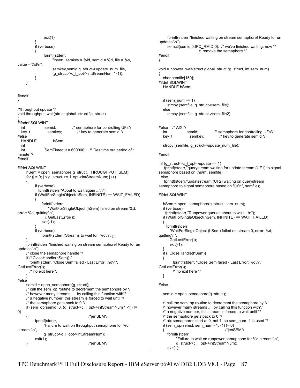```
 exit(1); 
 } 
          if (verbose) 
\{ fprintf(stderr, 
                    "insert: semkey = %ld, semid = %d, file = %s,
value = %d\n"
                    semkey,semid,g_struct->update_num_file, 
                   (g_struct->c_l_opt->intStreamNum * -1));
          } 
      } 
#endif 
} 
/*throughput update */ 
void throughput_wait(struct global_struct *g_struct)
{ 
#ifndef SQLWINT 
  int semid; /* semaphore for controlling UFs*/ 
 key t semkey; /* key to generate semid */
#else 
  HANDLE hSem; 
 int
  int SemTimeout = 600000; /* Des time out period of 1 
minute */ 
#endif 
#ifdef SQLWINT 
      hSem = open_semaphore(g_struct, THROUGHPUT_SEM); 
     for (j = 0; j < g struct->c_l_opt->intStreamNum; j++)
      { 
           if (verbose) 
            fprintf(stderr,"About to wait again ...\n"); 
           if (WaitForSingleObject(hSem, INFINITE) == WAIT_FAILED) 
\{ fprintf(stderr, 
                  "WaitForSingleObject (hSem) failed on stream %d, 
error: %d, quitting\n", 
                j, GetLastError()); 
              exit(-1); 
 } 
           if (verbose) 
              fprintf(stderr,"Streams to wait for %d\n", j); 
 } 
      fprintf(stderr,"finished waiting on stream semaphore! Ready to run 
updates!\n"); 
      /* close the semaphore handle */ 
      if (! CloseHandle(hSem)) { 
       fprintf(stderr, "Close Sem failed - Last Error: %d\n", 
GetLastError()); 
       /* no exit here */ 
      } 
#else 
      semid = open_semaphore(g_struct); 
      /* call the sem_op routine to decrement the semaphore by */ 
     \prime^* however many streams .... by calling this function with*\prime /* a negative number, this stream is forced to wait until */ 
     \prime^* the semaphore gets back to 0 \prime\prime if (sem_op(semid, 0, (g_struct->c_l_opt->intStreamNum * -1)) != 
\Omega { /*jenSEM*/ 
           fprintf(stderr, 
                "Failure to wait on throughput semaphone for %d 
streams\n", 
                g_struct->c_l_opt->intStreamNum); 
           exit(1); 
     } /*jenSEM*/
```

```
 fprintf(stderr,"finished waiting on stream semaphore! Ready to run 
updates!\n"); 
      semctl(semid,0,IPC_RMID,0); /* we've finished waiting, now */
                               /* remove the semaphore */ 
#endif 
} 
void runpower_wait(struct global_struct *g_struct, int sem_num) 
{ 
    char semfile[150]; 
#ifdef SQLWINT 
    HANDLE hSem; 
   if (sem_num == 1)
      strcpy (semfile, g_struct->sem_file);
    else 
      strcpy (semfile, g_struct->sem_file2);
#else /* AIX */ 
    int semid; /* semaphore for controlling UFs*/ 
    key_t semkey; /* key to generate semid */ 
    strcpy (semfile, g_struct->update_num_file); 
#endif 
 if (g_{\text{1}}\text{struct} > c_{\text{2}}\text{opt} > \text{update} == 1) fprintf(stderr,"querystream waiting for update stream (UF1) to signal 
semaphore based on %s\n", semfile); 
   else 
     fprintf(stderr,"updatestream (UF2) waiting on querystream 
semaphore to signal semaphore based on %s\n", semfile); 
#ifdef SQLWINT 
    hSem = open_semaphore(g_struct, sem_num); 
    if (verbose) 
      fprintf(stderr,"Runpower queries about to wait ...\n"); 
    if (WaitForSingleObject(hSem, INFINITE) == WAIT_FAILED) 
 { 
       fprintf(stderr, 
         "WaitForSingleObject (hSem) failed on stream 0, error: %d, 
quitting\n", 
         GetLastError()); 
         exit(-1); 
 } 
    if (! CloseHandle(hSem)) 
    { 
            fprintf(stderr, "Close Sem failed - Last Error: %d\n", 
GetLastError()); 
            /* no exit here */ 
    } 
#else 
    semid = open_semaphore(g_struct); 
   \prime* call the sem op routine to decrement the semaphore by \prime\prime /* however many streams .... by calling this function with*/ 
    /* a negative number, this stream is forced to wait until */ 
   /* the semaphore gets back to 0 \gamma /* aix semaphores start at 0, not 1, so sem_num -1 is used */ 
    if (sem_op(semid, sem_num - 1, -1) != 0) 
   \left\{\n \begin{array}{ccc}\n \overline{1} & \overline{1} & \overline{1} \\
 \overline{1} & \overline{1} & \overline{1} \\
 \overline{1} & \overline{1} & \overline{1} \\
 \overline{1} & \overline{1} & \overline{1} \\
 \overline{1} & \overline{1} & \overline{1} \\
 \overline{1} & \overline{1} & \overline{1} \\
 \overline{1} & \overline{1} & \overline{1} \\
 \overline{1} & \overline{1} & \overline{1} \\
 \overline{1} & \overline{1} & \overline{1} \\
 \overline{1} & \overline{1} & \overline{ fprintf(stderr, 
              "Failure to wait on runpower semaphone for %d streams\n", 
              g_struct->c_l_opt->intStreamNum);
```

```
exit(1);
```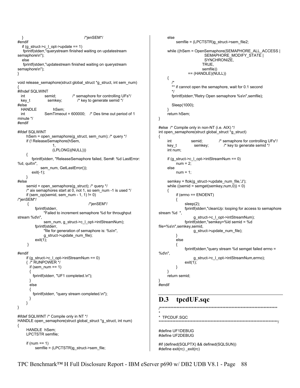```
 } /*jenSEM*/ 
#endif 
  if (g_ struct-\geq c_ opt-\gequpdate == 1)
    fprintf(stderr,"querystream finished waiting on updatestream 
semaphore\n"); 
   else 
    fprintf(stderr,"updatestream finished waiting on querystream 
semaphore\n"); 
} 
void release_semaphore(struct global_struct *g_struct, int sem_num) 
{ 
#ifndef SQLWINT 
  int semid; /* semaphore for controlling UFs*/ 
  key t semkey; /* key to generate semid */
#else 
  HANDLE hSem; 
   int SemTimeout = 600000; /* Des time out period of 1 
minute */ 
#endif 
#ifdef SQLWINT 
      hSem = open_semaphore(g_struct, sem_num); /* query */ 
      if (! ReleaseSemaphore(hSem, 
1, (LPLONG)(NULL))) 
      { 
         fprintf(stderr, "ReleaseSemaphore failed, Sem#: %d LastError: 
%d, quit\n", 
            sem_num, GetLastError());
        exit(-1); 
     } 
#else 
      semid = open_semaphore(g_struct); /* query */ 
      /* aix semaphores start at 0, not 1, so sem_num -1 is used */ 
     if (sem_op(semid, sem_num - 1, 1) != 0)
/*jenSEM*/ 
      { /*jenSEM*/ 
          fprintf(stderr, 
               "Failed to increment semaphore %d for throughput 
stream %d\n", 
               sem_num, g_struct->c_l_opt->intStreamNum); 
          fprintf(stderr, 
               "file for generation of semaphore is: %s\n", 
               g_struct->update_num_file); 
          exit(1); 
      } 
#endif 
      if (g_struct->c_l_opt->intStreamNum == 0) 
     { /* RUNPOWER */ 
       if (sem_num == 1) 
 { 
         fprintf(stderr, "UF1 completed.\n"); 
 } 
       else 
 { 
         fprintf(stderr, "query stream completed.\n"); 
       } 
      } 
} 
#ifdef SQLWINT /* Compile only in NT */ 
HANDLE open_semaphore(struct global_struct *g_struct, int num) 
{ 
      HANDLE hSem; 
      LPCTSTR semfile; 
     if (num == 1)
          semfile = (LPCTSTR)g_struct->sem_file;
```

```
 else 
           semfile = (LPCTSTR)g_struct->sem_file2; 
      while ((hSem = OpenSemaphore(SEMAPHORE_ALL_ACCESS | 
                          SEMAPHORE_MODIFY_STATE |
                           SYNCHRONIZE, 
                          TRUE, 
                         semfile)) 
                 == (HANDLE)(NULL)) 
      { 
        /* 
       ** if cannot open the semaphore, wait for 0.1 second
        */ 
        fprintf(stderr,"Retry Open semaphore %s\n",semfile); 
        Sleep(1000); 
 } 
      return hSem; 
} 
#else /* Compile only in non-NT (i.e. AIX) */ 
int open_semaphore(struct global_struct *g_struct) 
{ 
      int semid; /* semaphore for controlling UFs*/ 
      key_t semkey; /* key to generate semid */ 
      int num; 
      if (g_struct->c_l_opt->intStreamNum == 0) 
          num = 2;
      else 
          num = 1:
      semkey = ftok(g_struct->update_num_file,'J'); 
      while ((semid = semget(semkey,num,0)) < 0) 
 { 
           if (errno == ENOENT) 
           { 
                sleep(2); 
                fprintf(stderr,"cleanUp: looping for access to semaphore 
stream %d ", 
                     g_struct->c_l_opt->intStreamNum); 
                fprintf(stderr,"semkey=%ld semid = %d 
file=%s\n",semkey,semid, 
                    g_struct->update_num_file); 
 } 
           else 
 { 
                fprintf(stderr,"query stream %d semget failed errno = 
%d\n", 
                     g_struct->c_l_opt->intStreamNum,errno); 
                exit(1); 
           } 
 } 
      return semid; 
} 
#endif
```
## **D.3 tpcdUF.sqc**

```
/***************************************************************************** 
 TPCDUF SQC
```

```
******************************************************************************/
```

```
#define UF1DEBUG 
#define UF2DEBUG
```
\*

```
#if (defined(SQLPTX) && defined(SQLSUN)) 
#define exit(rc) _exit(rc)
```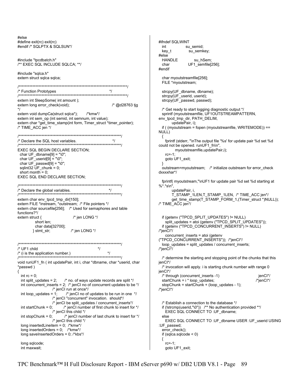#else #ifndef SQLWINT #define exit(rc) exit(rc) #endif /\* SQLPTX & SQLSUN\*/ int su\_semid; key\_t su\_semkey; #else **HANDLE** #include "tpcdbatch.h" su hSem: /\*\* EXEC SQL INCLUDE SQLCA; \*\*/ UF1\_semfile[256]; char #endif #include "sqlca.h" char myoutstreamfile[256]; extern struct sqlca sqlca; FILE \*myoutstream; /\* Function Prototypes strcpy(UF\_dbname, dbname); strcpy(UF\_userid, userid); extern int SleepSome( int amount ); strcpy(UF\_passwd, passwd); extern long error\_check(void); /\* @d28763 tig  $*$ /\* Get ready to start logging diagnostic output \*/ extern void dumpCa(struct sqlca\*); /\*kmw\*/ sprintf (myoutstreamfile, UF1OUTSTREAMPATTERN, extern int sem\_op (int semid, int semnum, int value); env\_tpcd\_tmp\_dir, PATH\_DELIM, extern char \*qet\_time\_stamp(int form, Timer\_struct \*timer\_pointer); updatePair, i); if ( (myoutstream = fopen (myoutstreamfile, WRITEMODE)) == /\* TIME\_ACC jen \*/ NULL) ₹ /\* Declare the SQL host variables.  $*$ fprintf (stderr, "\nThe output file '%s' for update pair %d set %d could not be opened. runUF1\_fn\n", EXEC SQL BEGIN DECLARE SECTION; myoutstreamfile,updatePair,i); char  $UF_dbname[9] = "\0";$  $rc = -1$ char  $UF$  userid[9] = "\0"; goto UF1\_exit; char UF\_passwd $[9]$  = "\0"; sqlint $32$  UF chunk = 0; outstream=myoutstream; /\* initialize outstream for error check short month =  $0$ dxxxxhar\*/ **EXEC SQL END DECLARE SECTION:** fprintf( myoutstream,"\nUF1 for update pair %d set %d starting at %\*.\*s\n", /\* Declare the global variables.  $*$ / undatePair i T\_STAMP\_1LEN,T\_STAMP\_1LEN, /\* TIME\_ACC jen\*/ extern char env\_tpcd\_tmp\_dir[150]; get\_time\_stamp(T\_STAMP\_FORM\_1,(Timer\_struct \*)NULL)); extern FILE \*instream, \*outstream; /\* File pointers \*/ /\* TIME\_ACC jen\*/ extern char sourcefile[256]; /\* Used for semaphores and table functions?\*/ extern struct { /\* jen LONG \*/ if (getenv ("TPCD SPLIT UPDATES") != NULL) split\_updates = atoi (getenv ("TPCD\_SPLIT\_UPDATES")); short len; char data[32700]; if (getenv ("TPCD\_CONCURRENT\_INSERTS") != NULL) } stmt\_str; /\* jen LONG \*/ /\*jenCl\*/ concurrent inserts = atoi (getenv ("TPCD\_CONCURRENT\_INSERTS")); /\*jenCl\*/ loop\_updates = split\_updates / concurrent\_inserts;  $/*$  UF1 child  $\star$ /\*jenCl\*/  $\prime^*$  (i is the application number.)  $\star$ /\* determine the starting and stopping point of the chunks that this void runUF1 fn (int updatePair, int i, char \*dbname, char \*userid, char jenCl\*/ \*passwd) /\* invocation will apply. i is starting chunk number with range 0 jenCl\*/ ł int  $rc = 0$ ; /\* through (concurrent\_inserts -1) int split\_updates = 2;  $\frac{1}{2}$  no. of ways update records are split \*/ startChunk =  $i * loop\_updates$ ; int concurrent\_inserts = 2; /\* jenCl no of concurrent updates to be \*/ stopChunk = startChunk + (loop\_updates - 1); /\* jenCl run at once\*/ /\*jenCl\*/ int loop\_updates = 1;  $\frac{1}{2}$  /\* jenCl no of updates to be run in one \*/ /\* jenCl "concurrent" invocation. should\*/ /\* jenCl be split\_updates / concurrent inserts\*/ /\* Establish a connection to the database \*/ /\* jenCl number of first chunk to insert for \*/ if (!strcmp(userid,"\0")) /\*\* No authentication provided \*\*/ int startChunk =  $0$ ;  $/*$  jenCl this child  $*$ / EXEC SQL CONNECT TO : UF\_dbname; int stopChunk =  $0$ ; /\* jenCI number of last chunk to insert for \*/ else  $/*$  jenCl this child  $*$ / EXEC SQL CONNECT TO : UF\_dbname USER : UF\_userid USING long insertedLineitem = 0; /\*kmw\*/ :UF\_passwd; long inserted Orders =  $0$ ; /\*kmw\*/ error check(); long saveInsertedOrders = 0; /\*kbs\*/ if  $(sqlca.sqlcode < 0)$ ſ long sqlcode;  $rc=-1$ goto UF1\_exit; int maxwait:

jenCl\*/

/\*jenCl\*/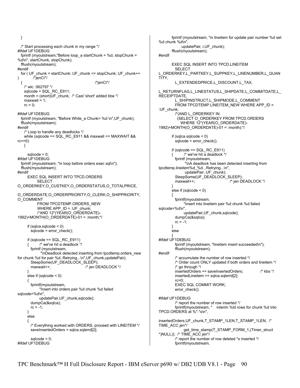} /\* Start processing each chunk in my range \*/ #ifdef UF1DEBUG fprintf (myoutstream,"Before loop\_a startChunk = %d, stopChunk = %d\n", startChunk, stopChunk); fflush(myoutstream); #endif for ( UF\_chunk = startChunk; UF\_chunk <= stopChunk; UF\_chunk++ )  $/$ \*jenCl\*/ { /\*jenCI\*/ /\* wlc 062797 \*/ sqlcode = SQL\_RC\_E911; month = (short)UF\_chunk; /\* Cast 'short' added bbe \*/ maxwait  $= 1$ :  $rc = 0$ ; #ifdef UF1DEBUG fprintf (myoutstream, "Before While\_a Chunk= %d \n",UF\_chunk); fflush(myoutstream); #endif /\* Loop to handle any deadlocks \*/ while (sqlcode == SQL\_RC\_E911 && maxwait <= MAXWAIT &&  $rc==0)$  { sqlcode  $= 0$ : #ifdef UF1DEBUG fprintf (myoutstream, "in loop before orders exec sql\n"); fflush(myoutstream); #endif EXEC SQL INSERT INTO TPCD.ORDERS SELECT O\_ORDERKEY,O\_CUSTKEY,O\_ORDERSTATUS,O\_TOTALPRICE, O\_ORDERDATE,O\_ORDERPRIORITY,O\_CLERK,O\_SHIPPRIORITY, O\_COMMENT FROM TPCDTEMP.ORDERS\_NEW WHERE APP  $ID = :UF$  chunk; /\*AND 12\*(YEAR(O\_ORDERDATE)- 1992)+MONTH(O\_ORDERDATE)-01 = :month;\*/ if (sqlca.sqlcode < 0) sqlcode = error\_check(); if (sqlcode == SQL\_RC\_E911) /\* we've hit a deadlock \*/ fprintf (myoutstream, "\nDeadlock detected inserting from tpcdtemp.orders\_new for chunk %d for pair %d..Retrying...\n",UF\_chunk,updatePair); SleepSome(UF\_DEADLOCK\_SLEEP); maxwait++;  $\overline{\phantom{a}}$  /\* jen DEADLOCK \*/ } else if (sqlcode < 0) { fprintf(myoutstream, "Insert into orders pair %d chunk %d failed sqlcode=%d\n", updatePair,UF\_chunk,sqlcode); dumpCa(&sqlca);  $rc = -1;$  } else { /\* Everything worked with ORDERS, proceed with LINEITEM \*/ saveInsertedOrders = sqlca.sqlerrd[2];  $sqlcode = 0;$ #ifdef UF1DEBUG

 fprintf (myoutstream, "in lineitem for update pair number %d set %d chunk %d\n", updatePair, i,UF\_chunk); fflush(myoutstream); #endif EXEC SQL INSERT INTO TPCD.LINEITEM SELECT L\_ORDERKEY,L\_PARTKEY,L\_SUPPKEY,L\_LINENUMBER,L\_QUAN TITY, L\_EXTENDEDPRICE,L\_DISCOUNT,L\_TAX, L\_RETURNFLAG,L\_LINESTATUS,L\_SHIPDATE,L\_COMMITDATE,L\_ **RECEIPTDATE**  L\_SHIPINSTRUCT,L\_SHIPMODE,L\_COMMENT FROM TPCDTEMP.LINEITEM\_NEW WHERE APP\_ID = :UF\_chunk; /\*(AND L\_ORDERKEY IN (SELECT O\_ORDERKEY FROM TPCD.ORDERS WHERE 12\*(YEAR(O\_ORDERDATE)-1992)+MONTH(O\_ORDERDATE)-01 = :month);\*/ if (sqlca.sqlcode < 0)  $sqcode = error$  check(); if (sqlcode  $==$  SQL RC E911)  $\prime^*$  we've hit a deadlock  $\prime\prime$  fprintf (myoutstream, "\nA deadlock has been detected inserting from tpcdtemp.lineitem%d\_%d...Retrying...\n", updatePair, UF\_chunk); SleepSome(UF\_DEADLOCK\_SLEEP); maxwait++;  $/$ \* jen DEADLOCK \*/ } else if (sqlcode < 0) { fprintf(myoutstream, "Insert into lineitem pair %d chunk %d failed sqlcode=%d\n", updatePair,UF\_chunk,sqlcode); dumpCa(&sqlca);  $rc = -1$ ; } else  $\left\{\begin{array}{ccc} \end{array}\right\}$ #ifdef UF1DEBUG fprintf (myoutstream, "lineitem insert succeeded\n"); fflush(myoutstream); #endif /\* accumulate the number of row inserted \*/ /\* Order count ONLY updated if both orders and lineitem \*/ /\* go through \*/ insertedOrders += saveInsertedOrders; /\* kbs \*/ insertedLineitem += sqlca.sqlerrd[2]; rc=0; EXEC SQL COMMIT WORK; error\_check(); #ifdef UF1DEBUG /\* report the number of row inserted \*/<br>fprintf(myoutstream, " interim %ld ro interim %ld rows for chunk %d into TPCD.ORDERS at %\*.\*s\n", insertedOrders, UF\_chunk, T\_STAMP\_1LEN, T\_STAMP\_1LEN, /\* TIME\_ACC jen\*/ get\_time\_stamp(T\_STAMP\_FORM\_1,(Timer\_struct \*)NULL)); /\* TIME\_ACC jen\*/ /\* report the number of row deleted \*s inserted \*/ fprintf(myoutstream,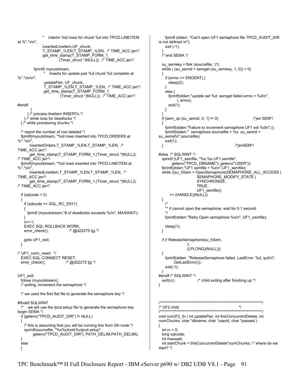interim %ld rows for chunk %d into TPCD.LINEITEM at %\*.\*s\n", insertedLineitem,UF\_chunk, T\_STAMP\_1LEN,T\_STAMP\_1LEN, /\* TIME\_ACC jen\*/ get\_time\_stamp(T\_STAMP\_FORM\_1, (Timer\_struct \*)NULL)); /\* TIME\_ACC jen\*/ fprintf( myoutstream, inserts for update pair %d chunk %d complete at %\*.\*s\n\n", updatePair, UF\_chunk, T\_STAMP\_1LEN,T\_STAMP\_1LEN, /\* TIME\_ACC jen\*/ get\_time\_stamp(T\_STAMP\_FORM\_1, (Timer\_struct \*)NULL)); /\* TIME\_ACC jen\*/ #endif } } /\* process lineitem INSERTs \*/ } /\* while loop for deadlocks \*/ } /\* while processing chunks \*/ /\* report the number of row deleted \*/ fprintf(myoutstream, "%ld rows inserted into TPCD.ORDERS at  $% * *s\infty"$ , insertedOrders,T\_STAMP\_1LEN,T\_STAMP\_1LEN, /\* TIME\_ACC jen\*/ get\_time\_stamp(T\_STAMP\_FORM\_1,(Timer\_struct \*)NULL)); /\* TIME\_ACC jen\*/ fprintf(myoutstream, "%ld rows inserted into TPCD.LINEITEM at %\*.\*s\n", insertedLineitem,T\_STAMP\_1LEN,T\_STAMP\_1LEN, /\* TIME\_ACC jen\*/ get\_time\_stamp(T\_STAMP\_FORM\_1,(Timer\_struct \*)NULL)); /\* TIME\_ACC jen\*/ if (sqlcode < 0) { if (sqlcode == SQL\_RC\_E911) { fprintf (myoutstream,"# of deadlocks exceeds %i\n", MAXWAIT); } rc=-1; EXEC SQL ROLLBACK WORK; error\_check(); /\* @d22275 tjg \*/ goto UF1\_exit; } /\* UF1\_conn\_reset: \*/ EXEC SQL CONNECT RESET; error check();  $/$  /\* @d22275 tjg \*/ UF1\_exit: fclose (myoutstream); /\* exiting, increment the semaphore \*/ /\* we used the first flat file to generate the semaphore key \*/ #ifndef SQLWINT  $/*$  we will use the tpcd. setup file to generate the semaphore key begin SEMA \*/ if (getenv("TPCD\_AUDIT\_DIR") != NULL) { /\* this is assuming that you will be running this from 0th node \*/ sprintf(sourcefile, "%s%ctools%ctpcd.setup", getenv("TPCD\_AUDIT\_DIR"), PATH\_DELIM,PATH\_DELIM); } else { } { } } } { {  $/$ \* \*/ } { } } { start? \*/

 fprintf (stderr, "Can't open UF1 semaphore file TPCD\_AUDIT\_DIR is not defined.\n"); exit (-1); /\* end SEMA \*/ su\_semkey = ftok (sourcefile, 'J'); while ( $(su$ \_semid = semget  $(su$ \_semkey,  $1, 0$ ) < 0) if (errno ==  $ENOENT$ ) { sleep(2); else { fprintf(stderr,"update set %d: semget failed errno = %d\n", i, errno); exit(1); if (sem\_op (su\_semid,  $0, 1$ ) != 0)  $\sqrt{\pi}$  /\*jen SEM\*/ fprintf(stderr,"Failure to increment semaphore UF1 set %d\n",i); fprintf(stderr," semaphore sourcefile = %s su\_semid = su\_semid\n",sourcefile); exit(1); } /\*jenSEM\*/ #else /\* SQLWINT \*/ sprintf (UF1\_semfile, "%s.%s.UF1.semfile", getenv("TPCD\_DBNAME"), getenv("USER")); fprintf(stderr,"UF1 semfile = %s\n",UF1\_semfile); while ((su\_hSem = OpenSemaphore(SEMAPHORE\_ALL\_ACCESS | SEMAPHORE\_MODIFY\_STATE | SYNCHRONIZE, TRUE, UF1\_semfile))  $==$  (HANDLE)(NULL)) \*\* if cannot open the semaphore, wait for 0.1 second fprintf(stderr,"Retry Open semaphore %s\n", UF1\_semfile); sleep(1); if (! ReleaseSemaphore(su\_hSem, 1, (LPLONG)(NULL))) fprintf(stderr, "ReleaseSemaphore failed, LastError: %d, quit\n", GetLastError()); exit(-1); #endif /\* SQLWINT \*/ exit(rc);  $\frac{1}{2}$  /\* child exiting after finishing up \*/ /\*\*\*\*\*\*\*\*\*\*\*\*\*\*\*\*\*\*\*\*\*\*\*\*\*\*\*\*\*\*\*\*\*\*\*\*\*\*\*\*\*\*\*\*\*\*\*\*\*\*\*\*\*\*\*\*\*\*\*\*\*\*\*\*\*\*\*/ /\* UF2 child \*/ /\*\*\*\*\*\*\*\*\*\*\*\*\*\*\*\*\*\*\*\*\*\*\*\*\*\*\*\*\*\*\*\*\*\*\*\*\*\*\*\*\*\*\*\*\*\*\*\*\*\*\*\*\*\*\*\*\*\*\*\*\*\*\*\*\*\*\*/ void runUF2 fn ( int updatePair, int thisConcurrentDelete, int numChunks, char \*dbname, char \*userid, char \*passwd ) int  $rc = 0$ ; long sqlcode; int maxwait; int startChunk = thisConcurrentDelete\*numChunks; /\* where do we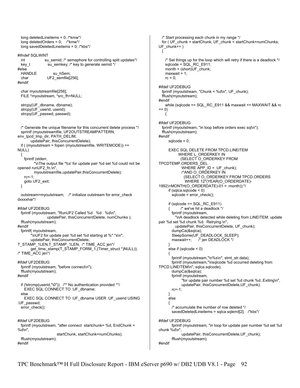```
 long deletedLineitems = 0; /*kmw*/ 
  long deletedOrders = 0; /*kmw*/ 
  long savedDeletedLineitems = 0; /*kbs*/ 
#ifndef SQLWINT 
 int su_semid; /* semaphore for controlling split updates*/
  key_t su_semkey; /* key to generate semid */
#else 
 HANDLE su_hSem;
  char UF2_semfile[256]; 
#endif 
  char myoutstreamfile[256]; 
  FILE *myoutstream, *src_fh=NULL; 
 strcpy(UF_dbname, dbname);
   strcpy(UF_userid, userid); 
  strcpy(UF_passwd, passwd); 
  /* Generate the unique filename for this concurrent delete process */ 
  sprintf (myoutstreamfile, UF2OUTSTREAMPATTERN, 
env_tpcd_tmp_dir, PATH_DELIM, 
        updatePair, thisConcurrentDelete); 
  if ( (myoutstream = fopen (myoutstreamfile, WRITEMODE)) == 
NULL) 
 { 
    fprintf (stderr, 
          "\nThe output file '%s' for update pair %d set %d could not be 
opened runUF2_fn.\n", 
          myoutstreamfile,updatePair,thisConcurrentDelete); 
    rc=-1; 
    goto UF2_exit; 
  } 
 outstream=myoutstream; /* initialize outstream for error_check
dxxxxhar*/ 
#ifdef UF2DEBUG 
  fprintf (myoutstream, "RunUF2 Called %d %d %d\n", 
                 updatePair, thisConcurrentDelete, numChunks ); 
  fflush(myoutstream); 
#endif 
  fprintf( myoutstream, 
        "\nUF2 for update pair %d set %d starting at %*.*s\n", 
        updatePair, thisConcurrentDelete, 
T_STAMP_1LEN,T_STAMP_1LEN, /* TIME_ACC jen*/
        get_time_stamp(T_STAMP_FORM_1,(Timer_struct *)NULL)); 
/* TIME_ACC jen*/ 
#ifdef UF2DEBUG 
  fprintf (myoutstream, "before connect\n"); 
  fflush(myoutstream); 
#endif 
  if (!strcmp(userid,"\0")) /** No authentication provided **/ 
    EXEC SQL CONNECT TO :UF_dbname; 
   else 
    EXEC SQL CONNECT TO :UF_dbname USER :UF_userid USING 
:UF_passwd; 
  error_check(); 
#ifdef UF2DEBUG 
  fprintf (myoutstream, "after connect startchunk= %d, EndChunk = 
%d\n", 
                       startChunk, startChunk+numChunks); 
  fflush(myoutstream); 
#endif
```

```
 /* Start processing each chunk in my range */ 
  for ( UF_chunk = startChunk; UF_chunk < startChunk+numChunks; 
UF_chunk++ ) 
  { 
    /* Set things up for the loop which will retry if there is a deadlock */ 
    sqlcode = SQL_RC_E911; 
    month = (short)UF_chunk; 
   maxwait = 1:
   rc = 0:
#ifdef UF2DEBUG 
  fprintf (myoutstream, "Chunk = %d\n", UF_chunk); 
  fflush(myoutstream); 
#endif 
   while (sqlcode == SQL_RC_E911 && maxwait <= MAXWAIT && rc
== 0) { 
#ifdef UF2DEBUG 
  fprintf (myoutstream, "in loop before orders exec sql\n"); 
  fflush(myoutstream); 
#endif 
     sabcode = 0;
      EXEC SQL DELETE FROM TPCD.LINEITEM 
          WHERE L_ORDERKEY IN
            (SELECT O_ORDERKEY FROM 
TPCDTEMP.ORDERS_DEL 
            WHERE APP ID = :UF chunk);
             /*AND O_ORDERKEY IN 
               (SELECT O_ORDERKEY FROM TPCD.ORDERS 
               WHERE 12*(YEAR(O_ORDERDATE)-
1992)+MONTH(O_ORDERDATE)-01 = :month));*/ 
     if (sq)ca.sqlcode < 0)
       sqlcode = error check();
      if (sqlcode == SQL_RC_E911) 
            /* we've hit a deadlock */
        fprintf (myoutstream, 
          "\nA deadlock detected while deleting from LINEITEM: update 
pair %d set %d chunk %d. Retrying.\n", 
         updatePair, thisConcurrentDelete, UF_chunk);
        dumpCa(&sqlca); 
       SleepSome(UF_DEADLOCK_SLEEP);
        maxwait++; /* jen DEADLOCK */ 
      } 
      else if (sqlcode < 0) 
      { 
        fprintf (myoutstream,"\n%s\n", stmt_str.data); 
        fprintf (myoutstream,"\nsqlcode %d occurred deleting from 
TPCD.LINEITEM\n", sqlca.sqlcode); 
        dumpCa(&sqlca); 
        fprintf (myoutstream, 
              "for update pair number %d set %d chunk %d..Exiting\n", 
            updatePair, thisConcurrentDelete,UF_chunk);
        rc=-1; 
      } 
      else 
      { 
        /* accumulate the number of row deleted */ 
        savedDeletedLineitems = sqlca.sqlerrd[2]; /*kbs*/ 
#ifdef UF2DEBUG 
        fprintf (myoutstream, "in loop for update pair number %d set %d 
chunk %d\n", 
              updatePair, thisConcurrentDelete,UF_chunk); 
        fflush(myoutstream); 
#endif
```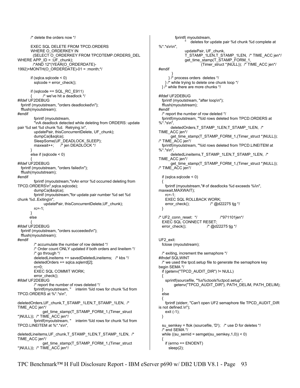```
 /* delete the orders now */ 
        EXEC SQL DELETE FROM TPCD.ORDERS 
        WHERE O_ORDERKEY IN 
         (SELECT O_ORDERKEY FROM TPCDTEMP.ORDERS_DEL 
WHERE APP_ID = :UF_chunk);
         /*AND 12*(YEAR(O_ORDERDATE)-
1992)+MONTH(O_ORDERDATE)-01 = :month;*/ 
       if (sqlca.sqlcode \leq 0)
          sqlcode = error_check(); 
        if (sqlcode == SQL_RC_E911) 
              /* we've hit a deadlock */
#ifdef UF2DEBUG 
  fprintf (myoutstream, "orders deadlocked\n"); 
  fflush(myoutstream); 
#endif 
          fprintf (myoutstream, 
          "\nA deadlock detected while deleting from ORDERS: update 
pair %d set %d chunk %d. Retrying.\n", 
         updatePair, thisConcurrentDelete, UF_chunk);
          dumpCa(&sqlca); 
         SleepSome(UF_DEADLOCK_SLEEP);
          maxwait++; /* jen DEADLOCK */ 
 } 
        else if (sqlcode < 0) 
\left\{\begin{array}{ccc} \end{array}\right\}#ifdef UF2DEBUG 
  fprintf (myoutstream, "orders failed\n"); 
  fflush(myoutstream); 
#endif 
          fprintf (myoutstream,"\nAn error %d occurred deleting from 
TPCD.ORDERS\n",sqlca.sqlcode); 
          dumpCa(&sqlca); 
          fprintf (myoutstream,"for update pair number %d set %d 
chunk %d..Exiting\n", 
                updatePair, thisConcurrentDelete,UF_chunk); 
          rc=-1; 
 } 
       else 
 { 
#ifdef UF2DEBUG 
  fprintf (myoutstream, "orders succeeded\n"); 
  fflush(myoutstream); 
#endif 
          /* accumulate the number of row deleted */ 
          /* Order count ONLY updated if both orders and lineitem */ 
          /* go through */ 
          deletedLineitems += savedDeletedLineitems; /* kbs */ 
          deletedOrders += sqlca.sqlerrd[2]; 
         rc=0 EXEC SQL COMMIT WORK; 
          error_check(); 
#ifdef UF2DEBUG 
         /* report the number of rows deleted */<br>fprintf(myoutstream, " interim %ld row
                                interim %ld rows for chunk %d from
TPCD.ORDERS at %*.*s\n", 
deletedOrders, UF_chunk, T_STAMP_1LEN, T_STAMP_1LEN, /*
TIME_ACC jen*/ 
               get_time_stamp(T_STAMP_FORM_1,(Timer_struct 
*)NULL)); /* TIME_ACC jen*/ 
          fprintf(myoutstream, " interim %ld rows for chunk %d from 
TPCD.LINEITEM at %*.*s\n", 
deletedLineitems, UF_chunk, T_STAMP_1LEN, T_STAMP_1LEN, /*
TIME_ACC jen*/ 
               get_time_stamp(T_STAMP_FORM_1,(Timer_struct 
*)NULL)); /* TIME_ACC jen*/
```

```
 fprintf( myoutstream, 
                  deletes for update pair %d chunk %d complete at
%*.*s\n\n", 
                updatePair, UF_chunk, 
               T_STAMP_1LEN,T_STAMP_1LEN, /* TIME_ACC jen*/
               get_time_stamp(T_STAMP_FORM_1, 
                         (Timer_struct *)NULL)); /* TIME_ACC jen*/ 
#endif 
 } 
      } /* process orders deletes */ 
    } /* while trying to delete one chunk loop */ 
  } /* while there are more chunks */ 
#ifdef UF2DEBUG 
   fprintf (myoutstream, "after loop\n"); 
   fflush(myoutstream); 
#endif 
   /* report the number of row deleted */ 
   fprintf(myoutstream, "%ld rows deleted from TPCD.ORDERS at 
%*.*s\n", 
       deletedOrders,T_STAMP_1LEN,T_STAMP_1LEN, /*
TIME_ACC jen*/ 
        get_time_stamp(T_STAMP_FORM_1,(Timer_struct *)NULL)); 
/* TIME_ACC jen*/ 
   fprintf(myoutstream, "%ld rows deleted from TPCD.LINEITEM at 
%*.*s\n", 
       deletedLineitems,T_STAMP_1LEN,T_STAMP_1LEN, /*
TIME_ACC jen*/ 
        get_time_stamp(T_STAMP_FORM_1,(Timer_struct *)NULL)); 
/* TIME_ACC jen*/ 
  if (sq)ca.sqlcode < 0)
   { 
    fprintf (myoutstream,"# of deadlocks %d exceeds %i\n", 
maxwait,MAXWAIT); 
    rc=-1; 
    EXEC SQL ROLLBACK WORK; 
    error_check(); /* @d22275 tjg */ 
  } 
/* UF2_conn_reset: */ /*971101jen*/ 
   EXEC SQL CONNECT RESET; 
   error_check(); /* @d22275 tjg */ 
UF2_exit: 
   fclose (myoutstream); 
   /* exiting, increment the semaphore */ 
#ifndef SQLWINT 
   /* we used the tpcd.setup file to generate the semaphore key 
begin SEMA */ 
   if (getenv("TPCD_AUDIT_DIR") != NULL) 
   { 
    sprintf(sourcefile, "%s%ctools%ctpcd.setup", 
         getenv("TPCD_AUDIT_DIR"), PATH_DELIM, PATH_DELIM); 
   } 
   else 
 { 
    fprintf (stderr, "Can't open UF2 semaphore file TPCD_AUDIT_DIR 
is not defined.\n"); 
    exit (-1); 
  } 
   su_semkey = ftok (sourcefile, 'D'); /* use D for deletes */ 
   /* end SEMA */ 
   while ((su_semid = semget(su_semkey,1,0)) < 0) 
   { 
    if (errno == ENOENT) 
      sleep(2);
```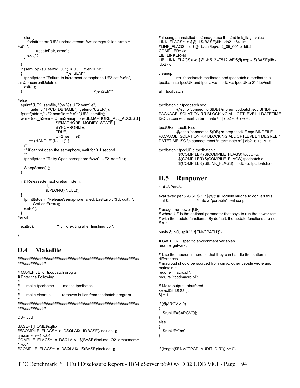```
 else { 
      fprintf(stderr,"UF2 update stream %d: semget failed errno = 
%d\n updatePair, errno); 
      exit(1); 
    } 
 } 
  if (sem_op (su_semid, 0, 1) != 0 ) /*jenSEM*/
                           { /*jenSEM*/ 
    fprintf(stderr,"Failure to increment semaphone UF2 set %d\n", 
thisConcurrentDelete); 
    exit(1); 
  } /*jenSEM*/ 
#else 
  sprintf (UF2_semfile, "%s.%s.UF2.semfile",
        getenv("TPCD_DBNAME"), getenv("USER")); 
   fprintf(stderr,"UF2 semfile = %s\n",UF2_semfile); 
   while ((su_hSem = OpenSemaphore(SEMAPHORE_ALL_ACCESS | 
                     SEMAPHORE_MODIFY_STATE |
                      SYNCHRONIZE, 
                      TRUE, 
                      UF2_semfile)) 
       == (HANDLE)(NULL)) { 
    /* 
   ** if cannot open the semaphore, wait for 0.1 second
    */ 
    fprintf(stderr,"Retry Open semaphore %s\n", UF2_semfile); 
    SleepSome(1); 
  } 
   if (! ReleaseSemaphore(su_hSem, 
 1, 
                (LPLONG)(NULL))) 
   { 
     fprintf(stderr, "ReleaseSemaphore failed, LastError: %d, quit\n", 
         GetLastError()); 
    exit(-1); 
 } 
#endif 
  exit(rc); \frac{1}{2} /* child exiting after finishing up */
} 
D.4 Makefile 
########################################################
############# 
# MAKEFILE for tpcdbatch program 
# Enter the Following: 
# 
# make tpcdbatch -- makes tpcdbatch 
# 
# make cleanup -- removes builds from tpcdbatch program
# 
########################################################
############# 
DB=tpcd 
BASE=$(HOME)/sqllib 
##COMPILE_FLAGS= -c -DSQLAIX -I$(BASE)/include -g -
qmaxmem=-1 -q64 
COMPILE_FLAGS= -c -DSQLAIX -I$(BASE)/include -O2 -qmaxmem=-
1 -q64 
#COMPILE_FLAGS= -c -DSQLAIX -I$(BASE)/include -g 
                                                                             # if using an installed db2 image use the 2nd link flags value
                                                                             LINK_FLAGS= -o $@ -L$(BASE)/lib -ldb2 -q64 -lm 
                                                                             #LINK_FLAGS= -o $@ -L/usr/lpp/db2_05_00/lib -ldb2 
                                                                             COMPILER=xlc 
                                                                             LIB_LINKER=ld
                                                                             LIB_LINK_FLAGS= -o $@ -H512 -T512 -bE:$@.exp -L$(BASE)/lib -
                                                                             \overline{lab2} -lc
                                                                             cleanup : 
                                                                                        rm -f tpcdbatch tpcdbatch.bnd tpcdbatch.o tpcdbatch.c 
                                                                             tpcdbatch.u tpcdUF.bnd tpcdUF.o tpcdUF.c tpcdUF.u 2>/dev/null 
                                                                              all : tpcdbatch 
                                                                              tpcdbatch.c : tpcdbatch.sqc 
                                                                                        @echo 'connect to $(DB) \n prep tpcdbatch.sqc BINDFILE 
                                                                              PACKAGE ISOLATION RR BLOCKING ALL OPTLEVEL 1 DATETIME 
                                                                             ISO \n connect reset \n terminate \n' | db2 -c +p -v +t 
                                                                              tpcdUF.c : tpcdUF.sqc 
                                                                                         @echo 'connect to $(DB) \n prep tpcdUF.sqc BINDFILE 
                                                                             PACKAGE ISOLATION RR BLOCKING ALL OPTLEVEL 1 DEGREE 1 
                                                                              DATETIME ISO \n connect reset \n terminate \n' | db2 -c +p -v +t 
                                                                              tpcdbatch : tpcdUF.c tpcdbatch.c 
                                                                                        $(COMPILER) $(COMPILE_FLAGS) tpcdUF.c
                                                                                         $(COMPILER) $(COMPILE_FLAGS) tpcdbatch.c 
                                                                                         $(COMPILER) $(LINK_FLAGS) tpcdUF.o tpcdbatch.o 
                                                                             D.5 Runpower 
                                                                              : # -*-Perl-*- 
                                                                              eval 'exec perl5 -S $0 ${1+"$@"}' # Horrible kludge to convert this 
                                                                                if 0; \# into a "portable" perl script
                                                                             # usage runpower [UF] 
                                                                             # where UF is the optional parameter that says to run the power test
                                                                              # with the update functions. By default, the update functions are not
                                                                             # run 
                                                                              push(@INC, split(':', $ENV{'PATH'})); 
                                                                              # Get TPC-D specific environment variables 
                                                                             require 'getvars'; 
                                                                              # Use the macros in here so that they can handle the platform
                                                                              differences. 
                                                                              # macro.pl should be sourced from cmvc, other people wrote and
                                                                             maintain it. 
                                                                              require "macro.pl"; 
                                                                              require "tpcdmacro.pl"; 
                                                                              # Make output unbuffered. 
                                                                              select(STDOUT); 
                                                                              |S| = 1 ;
                                                                              if (Q \triangle RGV > 0){ 
                                                                                 $runUF=$ARGV[0]; 
                                                                              } 
                                                                              else 
                                                                              { 
                                                                                 $runUF="no"; 
                                                                             } 
                                                                              if (length(ENV{"TPCD_AUDIT_DIR"}) <= 0)
```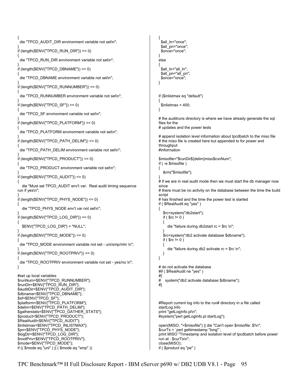```
{ 
 die "TPCD_AUDIT_DIR environment variable not set\n";
} 
if (length($ENV{"TPCD_RUN_DIR"}) <= 0) 
{ 
  die "TPCD_RUN_DIR environment variable not set\n"; 
} 
if (length($ENV{"TPCD_DBNAME"}) <= 0) 
{ 
  die "TPCD_DBNAME environment variable not set\n"; 
} 
if (length($ENV{"TPCD_RUNNUMBER"}) <= 0) 
{ 
  die "TPCD_RUNNUMBER environment variable not set\n"; 
} 
if (length($ENV{"TPCD_SF"}) <= 0) 
{ 
 die "TPCD_SF environment variable not set\n";
} 
if (length($ENV{"TPCD_PLATFORM"}) <= 0) 
{ 
  die "TPCD_PLATFORM environment variable not set\n"; 
} 
if (length(ENV{"TPCD_PATH_DELIM"}) <= 0)
{ 
 die "TPCD_PATH_DELIM environment variable not set\n";
} 
if (length($ENV{"TPCD_PRODUCT"}) <= 0) 
{ 
  die "TPCD_PRODUCT environment variable not set\n"; 
} 
if (length(ENV{"TPCD_AUDIT"}) <= 0)
{ 
   die "Must set TPCD_AUDIT env't var. Real audit timing sequence 
run if yes\n"; 
} 
if (length($ENV{"TPCD_PHYS_NODE"}) <= 0) 
{ 
   die "TPCD_PHYS_NODE env't var not set\n"; 
} 
if (length(ENV{"TPCD_LOG_DIR"}) <= 0)
{ 
   $ENV{"TPCD_LOG_DIR"} = "NULL"; 
} 
if (length(ENV{"TPCD_MODE"}) <= 0)
{ 
 die "TPCD_MODE environment variable not set - uni/smp/mln \n";
} 
if (length($ENV{"TPCD_ROOTPRIV"}) <= 0) 
{ 
 die "TPCD_ROOTPRIV environment variable not set - yes/no \n";
} 
#set up local variables 
$runNum=$ENV{"TPCD_RUNNUMBER"}; 
$runDir=$ENV{"TPCD_RUN_DIR"}; 
$auditDir=$ENV{"TPCD_AUDIT_DIR"};
$dbname=$ENV{"TPCD_DBNAME"}; 
$sf=$ENV{"TPCD_SF"}; 
$platform=$ENV{"TPCD_PLATFORM"}; 
$delim=$ENV{"TPCD_PATH_DELIM"}; 
$gatherstats=$ENV{"TPCD_GATHER_STATS"};
$product=$ENV{"TPCD_PRODUCT"}; 
$RealAudit=$ENV{"TPCD_AUDIT"}; 
$inlistmax=$ENV{"TPCD_INLISTMAX"}; 
$pn=$ENV{"TPCD_PHYS_NODE"};
$logDir=$ENV{"TPCD_LOG_DIR"}; 
$rootPriv=$ENV{"TPCD_ROOTPRIV"}; 
$mode=$ENV{"TPCD_MODE"}; 
if (( $mode eq "uni" ) || ( $mode eq "smp" )) 
                                                                                  { 
                                                                                   $all_In="once":
                                                                                   $all_pn="once";
                                                                                   $once="once"; 
                                                                                 } 
                                                                                 else 
                                                                                  { 
                                                                                    $all_ln="all_ln"; 
                                                                                   $all_pn="all_pn";
                                                                                   $once="once"; 
                                                                                 } 
                                                                                 if ($inlistmax eq "default") 
                                                                                  { 
                                                                                   \text{Sinlistmax} = 400;
                                                                                 } 
                                                                                 # the auditruns directory is where we have already generate the sql
                                                                                 files for the 
                                                                                 # updates and the power tests 
                                                                                 # append isolation level information about tpcdbatch to the miso file 
                                                                                 # the miso file is created here but appended to for power and
                                                                                 throughput 
                                                                                 #information 
                                                                                 $misofile="$runDir${delim}miso$runNum"; 
                                                                                 if ( -e $misofile ) 
                                                                                  { 
                                                                                     &rm("$misofile"); 
                                                                                  } 
                                                                                 # if we are in real audit mode then we must start the db manager now
                                                                                 since 
                                                                                 # there must be no activity on the database between the time the build
                                                                                 script 
                                                                                 # has finished and the time the power test is started 
                                                                                 if ( $RealAudit eq "yes" ) 
                                                                                  { 
                                                                                     $rc=system("db2start"); 
                                                                                    if (\text{Src} != 0)
                                                                                     { 
                                                                                       die "failure during db2start rc = $rc \n"; 
                                                                                   } 
                                                                                     $rc=system("db2 activate database $dbname"); 
                                                                                    if ( $rc != 0 ) { 
                                                                                       die "failure during db2 activate rc = $rc \n"; 
                                                                                     } 
                                                                                 } 
                                                                                 # do not activate the database 
                                                                                 #if ( $RealAudit ne "yes" ) 
                                                                                 #{ 
                                                                                 # system("db2 activate database $dbname"); 
                                                                                 #} 
                                                                                 #Report current log info to the run# directory in a file called 
                                                                                 startLog.Info 
                                                                                 print "getLogInfo.pl\n"; 
                                                                                 #system("perl getLogInfo.pl startLog"); 
                                                                                 open(MISO, ">$misofile") || die "Can't open $misofile: $!\n"; 
                                                                                 $curTs = `perl gettimestamp "long"`; 
                                                                                 print MISO "Timestamp and isolation level of tpcdbatch before power 
                                                                                 run at : $curTs\n"; 
                                                                                 close(MISO); 
                                                                                 if ( $product eq "pe" )
```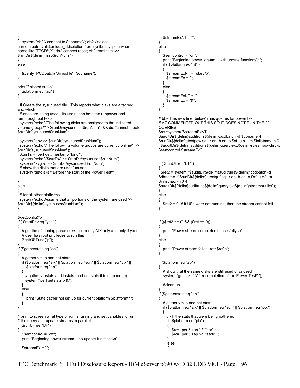```
{ 
   system("db2 \"connect to $dbname\"; db2 \"select 
name,creator,valid,unique_id,isolation from sysibm.sysplan where 
name like 'TPCD%'\"; db2 connect reset; db2 terminate >> 
$runDir${delim}miso$runNum "); 
} 
else 
{ 
    &verifyTPCDbatch("$misofile","$dbname"); 
} 
print "finished sub\n"; 
if ($platform eq "aix") 
{ 
 # Create the sysunused file. This reports what disks are attached,
and which 
  # ones are being used. Its use spans both the runpower and 
runthroughtput tests 
  system("echo \"The following disks are assigned to the indicated 
volume groups\" > $runDir/sysunused$runNum") && die "cannot create 
$runDir/sysunused$runNum"; 
  system("lspv >> $runDir/sysunused$runNum"); 
  system("echo \"The following volume groups are currently online\" >> 
$runDir/sysunused$runNum"); 
  $curTs = `perl gettimestamp "long"`; 
  system("echo \"$curTs\" >> $runDir/sysunused$runNum"); 
  system("lsvg -o >> $runDir/sysunused$runNum"); 
  # show the disks that are used/unused 
  system("getdisks \"Before the start of the Power Test\""); 
} 
else 
{ 
  # for all other platforms 
  system("echo Assume that all portions of the system are used >> 
$runDir${delim}sysunused$runNum"); 
} 
&getConfig("p"); 
if ( $rootPriv eq "yes" ) 
{ 
  # get the o/s tuning parameters...currently AIX only and only if your
   # user has root privileges to run this 
    &getOSTune("p"); 
} 
if ($gatherstats eq "on") 
{ 
    # gather vm io and net stats 
   if ($platform eq "aix" || $platform eq "sun" || $platform eq "ptx" || 
      $platform eq "hp") 
 { 
     # gather vmstats and iostats (and net stats if in mpp mode) 
     system("perl getstats p &"); 
   } 
   else 
    { 
     print "Stats gather not set up for current platform $platform\n";
   } 
} 
# print to screen what type of run is running and set variables to run
# the query and update streams in parallel
if ($runUF ne "UF") 
{ 
    $semcontrol = "off"; 
   print "Beginning power stream....no update functions\n"; 
    $streamEx = ""; 
                                                                                          $streamExNT = ""; 
                                                                                      } 
                                                                                       else 
                                                                                       { 
                                                                                          $semcontrol = "on"; 
                                                                                          print "Beginning power stream....with update functions\n"; 
                                                                                          if ( $platform eq "nt" ) 
                                                                                          { 
                                                                                            $streamExNT = "start /b"; 
                                                                                            $streamEx = ""; 
                                                                                          } 
                                                                                          else 
                                                                                          { 
                                                                                            $streamExNT = ""; 
                                                                                           $streamEx = "&"; } 
                                                                                      } 
                                                                                      # bbe This new line (below) runs queries for power test 
                                                                                      # AZ COMMENTED OUT THIS SO IT DOES NOT RUN THE 22 
                                                                                       QUERIES 
                                                                                       $ret=system("$streamExNT 
                                                                                       $auditDir${delim}auditruns${delim}tpcdbatch -d $dbname -f 
                                                                                       $runDir${delim}qtextpow.sql -r on -b on -s $sf -u p1 -m $inlistmax -n 0 -
                                                                                      l $auditDir${delim}auditruns${delim}querytext${delim}streampow.list -p 
                                                                                       $semcontrol $streamEx"); 
                                                                                       if ( $runUF eq "UF" ) 
                                                                                       { 
                                                                                         $ret2 = system("$auditDir${delim}auditruns${delim}tpcdbatch -d 
                                                                                       $dbname -f $runDir${delim}qtextquf.sql -r on -b on -s $sf -u p2 -m 
                                                                                       $inlistmax -n 0 -l 
                                                                                       $auditDir${delim}auditruns${delim}querytext${delim}streampuf.list"); 
                                                                                       } 
                                                                                       else 
                                                                                       { 
                                                                                          $ret2 = 0; # If UFs were not running, then the stream cannot fail 
                                                                                      } 
                                                                                       if (($ret2 == 0) && ($ret == 0)) 
                                                                                      { 
                                                                                         print "Power stream completed succesfully.\n";
                                                                                      } 
                                                                                       else 
                                                                                       { 
                                                                                          print "Power stream failed. ret=$ret\n"; 
                                                                                      } 
                                                                                       if ($platform eq "aix") 
                                                                                       { 
                                                                                          # show that the same disks are still used or unused 
                                                                                          system("getdisks \"After completion of the Power Test\""); 
                                                                                          #clean up 
                                                                                       } 
                                                                                      if ($gatherstats eq "on") 
                                                                                      { 
                                                                                          # gather vm io and net stats 
                                                                                          if ($platform eq "aix" || $platform eq "sun" || $platform eq "ptx") 
                                                                                        { 
                                                                                            # kill the stats that were being gathered 
                                                                                            if ($platform eq "ptx") 
                                                                                             { 
                                                                                               $rc= `perl5 zap "-f" "sar"`; 
                                                                                               $rc= `perl5 zap "-f" "sadc"`; 
                                                                                        } 
                                                                                             else 
                                                                                            {
```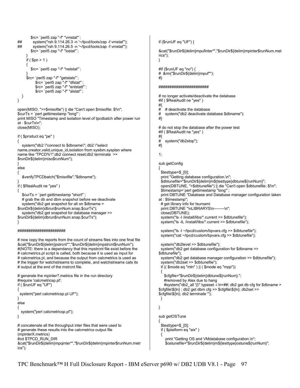```
 $rc= `perl5 zap "-f" "vmstat"`; 
## system("rsh 9.114.26.3 -n '~/tpcd/tools/zap -f vmstat'"); 
         system("rsh 9.114.26.5 -n '~/tpcd/tools/zap -f vmstat");
         $rc= `perl5 zap "-f" "iostat"`; 
 } 
     if ($pn > 1)
      { 
         $rc= `perl5 zap "-f" "netstat"`; 
 } 
      $rc= `perl5 zap "-f" "getstats"`; 
           $rc= `perl5 zap "-f" "dfstat"`; 
           $rc= `perl5 zap "-f" "entstatt"`; 
           $rc= `perl5 zap "-f" "alstat"`; 
   } 
} 
open(MISO, ">>$misofile") || die "Can't open $misofile: $!\n"; 
$curTs = `perl gettimestamp "long"`; 
print MISO "Timestamp and isolation level of tpcdbatch after power run 
at : $curTs\n"; 
close(MISO); 
if ( $product eq "pe" ) 
{ 
   system("db2 \"connect to $dbname\"; db2 \"select 
name, creator, valid, unique id, isolation from sysibm.sysplan where
name like 'TPCD%'\";db2 connect reset;db2 terminate >> 
$runDir${delim}miso$runNum"); 
} 
else 
{ 
   &verifyTPCDbatch("$misofile","$dbname"); 
} 
if ( $RealAudit ne "yes" ) 
{ 
    $curTs = `perl gettimestamp "short"`; 
  # grab the db and dbm snapshot before we deactivate
    system("db2 get snapshot for all on $dbname > 
$runDir${delim}dbrun$runNum.snap.$curTs"); 
    system("db2 get snapshot for database manager >> 
$runDir${delim}dbrun$runNum.snap.$curTs"); 
} 
###################### 
# now copy the reports from the count of streams files into one final file 
&cat("$runDir${delim}pstrcnt*","$runDir${delim}mpstrcnt$runNum"); 
#(NOTE: there is a dependancy that this mpstrcnt file exist before the 
# calcmetrics.pl script is called, both because it is used as input for 
# calcmetrics.pl, and because the output from calcmetrics is used as 
# the trigger for watchstreams to complete, and watchstreams cats its
# output at the end of the mstrcnt file. 
# generate the mpinter?.metrics file in the run directory 
#require 'calcmetricsp.pl'; 
if ( $runUF eq "UF") 
{ 
  system("perl calcmetricsp.pl UF"); 
} 
else 
{ 
   system("perl calcmetricsp.pl"); 
} 
# concatenate all the throughput inter files that were used to 
# generate these results into the calcmetrics output file 
(mpinterX.metrics) 
#cd $TPCD_RUN_DIR 
&cat("$runDir${delim}mpqinter*","$runDir${delim}mpinter$runNum.metr
ics"); 
                                                                                     if ($runUF eq "UF") { 
                                                                                     &cat("$runDir${delim}mpufinter*","$runDir${delim}mpinter$runNum.met
                                                                                     rics"); 
                                                                                     } 
                                                                                     #if ($runUF eq "no") { 
                                                                                     # &rm("$runDir${delim}mpuf*"); 
                                                                                     #} 
                                                                                     ####################### 
                                                                                     # no longer activate/deactivate the database 
                                                                                     #if ( $RealAudit ne "yes" ) 
                                                                                     #{ 
                                                                                     # # deactivate the database 
                                                                                     # system("db2 deactivate database $dbname"); 
                                                                                     #} 
                                                                                     # do not stop the database after the power test 
                                                                                     #if ( $RealAudit ne "yes" ) 
                                                                                     #{<br>#
                                                                                         system("db2stop");
                                                                                     #} 
                                                                                     1; 
                                                                                     sub getConfig 
                                                                                      { 
                                                                                        $testtype=$_[0]; 
                                                                                       print "Getting database configuration.\n";
                                                                                        $dbtunefile="$runDir${delim}m${testtype}dbtune${runNum}"; 
                                                                                        open(DBTUNE, ">$dbtunefile") || die "Can't open $dbtunefile: $!\n"; 
                                                                                        $timestamp=`perl gettimestamp "long"`; 
                                                                                        print DBTUNE "Database and Database manager configuration taken 
                                                                                     at : $timestamp"; 
                                                                                        # get library info for tsumami 
                                                                                       print DBTUNE "\nLIBRARYS\n--------\n";
                                                                                        close(DBTUNE); 
                                                                                        system("ls -l /install/libs/*.current >> $dbtunefile"); 
                                                                                        system("ls -lL /install/libs/*.current >> $dbtunefile"); 
                                                                                        system("ls -l ~/tpcd/custom/bpvars.cfg >> $dbtunefile"); 
                                                                                        system("cat ~/tpcd/custom/bpvars.cfg >> $dbtunefile"); 
                                                                                        system("db2level >> $dbtunefile"); 
                                                                                        system("db2 get database configuration for $dbname >> 
                                                                                     $dbtunefile"); 
                                                                                        system("db2 get database manager configuration >> $dbtunefile"); 
                                                                                        system("db2set >> $dbtunefile"); 
                                                                                        if (( $mode eq "mln" ) || ( $mode eq "mpp")) 
                                                                                       { 
                                                                                          $cfgfile="$runDir${delim}dbtune${runNum}."; 
                                                                                          #removed by Alex due to hang 
                                                                                         #system("db2_all '||\" typeset -i ln=##; db2 get db cfq for $dbname >
                                                                                     $cfgfile\${ln} ; db2 get dbm cfg >> $cfgfile\${ln}; db2set >> 
                                                                                     $cfgfile\${ln}; db2 terminate '"); 
                                                                                       } 
                                                                                     } 
                                                                                     sub getOSTune 
                                                                                      { 
                                                                                        $testtype=$_[0]; 
                                                                                        if ( $platform eq "aix" ) 
                                                                                        { 
                                                                                         print "Getting OS and VMdatabase configuration.\n";
                                                                                          $ostunefile="$runDir${delim}m${testtype}ostune${runNum}";
```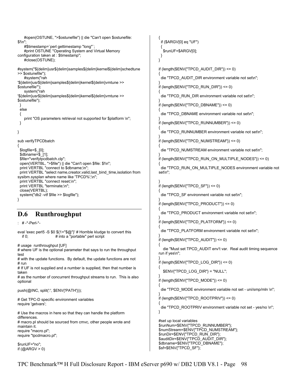```
 #open(OSTUNE, ">$ostunefile") || die "Can't open $ostunefile: 
$!\n"; 
     #$timestamp=`perl gettimestamp "long"`; 
     #print OSTUNE "Operating System and Virtual Memory 
configuration taken at : $timestamp"; 
    #close(OSTUNE); 
#system("${delim}usr${delim}samples${delim}kernel${delim}schedtune 
>> $ostunefile"); 
    #system("rah 
'${delim}usr${delim}samples${delim}kernel${delim}vmtune >> 
$ostunefile'"); 
     system("rah 
'${delim}usr${delim}samples${delim}kernel${delim}vmtune >> 
$ostunefile"); 
  } 
  else 
  { 
    print "OS parameters retrieval not supported for $platform \n";
  } 
} 
sub verifyTPCDbatch 
{ 
  $logfile=$_[0]; 
  $dbname=$_[1]; 
  $file="verifytpcdbatch.clp"; 
  open(VERTBL, ">$file") || die "Can't open $file: $!\n"; 
 print VERTBL "connect to $dbname;\n";
  print VERTBL "select name,creator,valid,last_bind_time,isolation from 
sysibm.sysplan where name like 'TPCD%';\n";
  print VERTBL "connect reset;\n"; 
 print VERTBL "terminate;\n";
  close(VERTBL); 
  system("db2 -vtf $file >> $logfile"); 
} 
D.6 Runthroughput 
  : # -*-Perl-*- 
eval 'exec perl5 -S $0 ${1+"$@"}' # Horrible kludge to convert this<br>if 0; # into a "portable" perl script
                     # into a "portable" perl script
# usage runthroughput [UF] 
# where UF is the optional parameter that says to run the throughput
test 
# with the update functions. By default, the update functions are not 
# run 
# If UF is not supplied and a number is supplied, then that number is
taken 
# as the number of concurrent throughput streams to run. This is also
optional 
push(@INC, split(':', $ENV{'PATH'}));
# Get TPC-D specific environment variables 
require 'getvars'; 
# Use the macros in here so that they can handle the platform
differences. 
# macro.pl should be sourced from cmvc, other people wrote and 
maintain it. 
require "macro.pl"; 
require "tpcdmacro.pl"; 
$runUF="no"; 
if (QARGV > 0){ 
                                                                                    if ($ARGV[0] eq "UF") 
                                                                                   { 
                                                                                     $runUF=$ARGV[0]; 
                                                                                   } 
                                                                                 } 
                                                                                  if (length($ENV{"TPCD_AUDIT_DIR"}) <= 0) 
                                                                                  { 
                                                                                   die "TPCD_AUDIT_DIR environment variable not set\n";
                                                                                  } 
                                                                                  if (length(ENV{"TPCD_RUN_DIR"}) <= 0)
                                                                                  { 
                                                                                   die "TPCD_RUN_DIR environment variable not set\n";
                                                                                  } 
                                                                                  if (length($ENV{"TPCD_DBNAME"}) <= 0) 
                                                                                  { 
                                                                                    die "TPCD_DBNAME environment variable not set\n"; 
                                                                                  } 
                                                                                  if (length($ENV{"TPCD_RUNNUMBER"}) <= 0) 
                                                                                  { 
                                                                                    die "TPCD_RUNNUMBER environment variable not set\n"; 
                                                                                  } 
                                                                                  if (length($ENV{"TPCD_NUMSTREAM"}) <= 0) 
                                                                                  { 
                                                                                    die "TPCD_NUMSTREAM environment variable not set\n"; 
                                                                                  } 
                                                                                  if (length($ENV{"TPCD_RUN_ON_MULTIPLE_NODES"}) <= 0) 
                                                                                 { 
                                                                                    die "TPCD_RUN_ON_MULTIPLE_NODES environment variable not 
                                                                                 set\n"; 
                                                                                  } 
                                                                                  if (length($ENV{"TPCD_SF"}) <= 0) 
                                                                                  { 
                                                                                    die "TPCD_SF environment variable not set\n"; 
                                                                                  } 
                                                                                  if (length($ENV{"TPCD_PRODUCT"}) <= 0) 
                                                                                  { 
                                                                                   die "TPCD_PRODUCT environment variable not set\n";
                                                                                  } 
                                                                                  if (length($ENV{"TPCD_PLATFORM"}) <= 0) 
                                                                                  { 
                                                                                    die "TPCD_PLATFORM environment variable not set\n"; 
                                                                                  } 
                                                                                  if (length($ENV{"TPCD_AUDIT"}) <= 0) 
                                                                                  { 
                                                                                     die "Must set TPCD_AUDIT env't var. Real audit timing sequence 
                                                                                  run if yes\n"; 
                                                                                  } 
                                                                                  if (length($ENV{"TPCD_LOG_DIR"}) <= 0)
                                                                                 { 
                                                                                     $ENV{"TPCD_LOG_DIR"} = "NULL"; 
                                                                                  } 
                                                                                  if (length(ENV{"TPCD MODE"}) <= 0)
                                                                                  { 
                                                                                   die "TPCD_MODE environment variable not set - uni/smp/mln \n";
                                                                                  } 
                                                                                  if (length($ENV{"TPCD_ROOTPRIV"}) <= 0) 
                                                                                 { 
                                                                                    die "TPCD_ROOTPRIV environment variable not set - yes/no \n"; 
                                                                                 } 
                                                                                 #set up local variables 
                                                                                  $runNum=$ENV{"TPCD_RUNNUMBER"}; 
                                                                                  $numStream=$ENV{"TPCD_NUMSTREAM"}; 
                                                                                  $runDir=$ENV{"TPCD_RUN_DIR"}; 
                                                                                  $auditDir=$ENV{"TPCD_AUDIT_DIR"};
                                                                                  $dbname=$ENV{"TPCD_DBNAME"};
                                                                                  $sf=$ENV{"TPCD_SF"};
```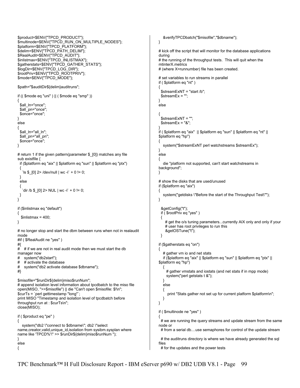```
$product=$ENV{"TPCD_PRODUCT"}; 
$multinode=$ENV{"TPCD_RUN_ON_MULTIPLE_NODES"}; 
$platform=$ENV{"TPCD_PLATFORM"}; 
$delim=$ENV{"TPCD_PATH_DELIM"}; 
$RealAudit=$ENV{"TPCD_AUDIT"}; 
$inlistmax=$ENV{"TPCD_INLISTMAX"}; 
$gatherstats=$ENV{"TPCD_GATHER_STATS"}; 
$logDir=$ENV{"TPCD_LOG_DIR"}; 
$rootPriv=$ENV{"TPCD_ROOTPRIV"}; 
$mode=$ENV{"TPCD_MODE"}; 
$path="$auditDir${delim}auditruns"; 
if (( $mode eq "uni" ) || ( $mode eq "smp" )) 
{ 
 $all_In="once";
  $all_pn="once"; 
  $once="once"; 
} 
else 
{ 
 $all_ln="all_ln";
  $all_pn="all_pn"; 
  $once="once"; 
} 
# return 1 if the given pattern(parameter $_[0]) matches any file 
sub existfile { 
  if ($platform eq "aix" || $platform eq "sun" || $platform eq "ptx") 
  { 
   `Is \S[0] 2> /dev/null | wc -l` + 0 != 0;
  } 
  else 
  { 
    `dir /b $_[0] 2> NUL | wc -l` + 0 != 0; 
  } 
} 
if ($inlistmax eq "default") 
{ 
  \text{Sinlistmax} = 400;
} 
# no longer stop and start the dbm between runs when not in realaudit
mode 
#if ( $RealAudit ne "yes" ) 
#{ 
   # if we are not in real audit mode then we must start the db
manager now 
# system("db2start"); 
# # activate the database<br># system("db2 activate da
   system("db2 activate database $dbname");
#} 
$misofile="$runDir${delim}miso$runNum"; 
# append isolation level information about tpcdbatch to the miso file
open(MISO, ">>$misofile") || die "Can't open $misofile: $!\n"; 
$curTs = `perl gettimestamp "long"`; 
print MISO "Timestamp and isolation level of tpcdbatch before 
throughput run at : $curTs\n"; 
close(MISO); 
if ( $product eq "pe" ) 
{ 
   system("db2 \"connect to $dbname\"; db2 \"select 
name, creator, valid, unique id, isolation from sysibm. sysplan where
name like 'TPCD%'\" >> $runDir${delim}miso$runNum "); 
} 
else 
{ 
                                                                                          &verifyTPCDbatch("$misofile","$dbname"); 
                                                                                      } 
                                                                                      # kick off the script that will monitor for the database applications 
                                                                                      during 
                                                                                      # the running of the throughput tests. This will quit when the 
                                                                                      mtinterX.metrics 
                                                                                      # (where X=runnumber) file has been created. 
                                                                                      # set variables to run streams in parallel 
                                                                                      if ( $platform eq "nt" ) 
                                                                                      { 
                                                                                         $streamExNT = "start /b"; 
                                                                                        $streamEx = ""; 
                                                                                      } 
                                                                                      else 
                                                                                      { 
                                                                                        $streamExNT = ""; 
                                                                                       $streamEx = "&":} 
                                                                                      if ( $platform eq "aix" || $platform eq "sun" || $platform eq "nt" || 
                                                                                      $platform eq "hp") 
                                                                                      { 
                                                                                          system("$streamExNT perl watchstreams $streamEx"); 
                                                                                      } 
                                                                                      else 
                                                                                      { 
                                                                                          die "platform not supported, can't start watchstreams in 
                                                                                      background"; 
                                                                                      } 
                                                                                      # show the disks that are used/unused 
                                                                                      if ($platform eq "aix") 
                                                                                      { 
                                                                                          system("getdisks \"Before the start of the Throughput Test\""); 
                                                                                      } 
                                                                                        &getConfig("t"); 
                                                                                        if ( $rootPriv eq "yes" ) 
                                                                                       { 
                                                                                           # get the o/s tuning parameters...currently AIX only and only if your 
                                                                                           # user has root privileges to run this 
                                                                                           &getOSTune("t"); 
                                                                                        } 
                                                                                      if ($gatherstats eq "on") 
                                                                                      { 
                                                                                          # gather vm io and net stats 
                                                                                          if ($platform eq "aix" || $platform eq "sun" || $platform eq "ptx" || 
                                                                                      $platform eq "hp") 
                                                                                       { 
                                                                                            # gather vmstats and iostats (and net stats if in mpp mode) 
                                                                                            system("perl getstats t &"); 
                                                                                       } 
                                                                                          else 
                                                                                          { 
                                                                                           print "Stats gather not set up for current platform $platform\n";
                                                                                          } 
                                                                                      } 
                                                                                      if ( $multinode ne "yes" ) 
                                                                                      { 
                                                                                       # we are running the query streams and update stream from the same
                                                                                      node or 
                                                                                        # from a serial db....use semaphores for control of the update stream 
                                                                                       # the auditruns directory is where we have already generated the sql
                                                                                      files 
                                                                                        # for the updates and the power tests
```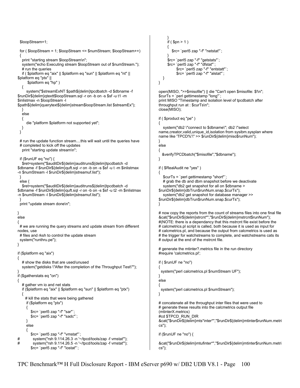```
 $loopStream=1; 
  for ( $loopStream = 1; $loopStream <= $numStream; $loopStream++) 
  { 
  print "starting stream $loopStream\n";
   system("echo Executing stream $loopStream out of $numStream."); 
   # run the queries 
    if ( $platform eq "aix" || $platform eq "sun" || $platform eq "nt" || 
$platform eq "ptx" || 
       $platform eq "hp" ) 
   { 
      system("$streamExNT $path${delim}tpcdbatch -d $dbname -f 
$runDir${delim}qtextt$loopStream.sql -r on -b on -s $sf -u t1 -m 
$inlistmax -n $loopStream -l 
$path${delim}querytext${delim}stream$loopStream.list $streamEx"); 
   } 
   else 
   { 
      die "platform $platform not supported yet"; 
   } 
  } 
 # run the update function stream....this will wait until the queries have
  # completed to kick off the updates 
   print "starting update stream\n"; 
  if ($runUF eq "no") { 
    $ret=system("$auditDir${delim}auditruns${delim}tpcdbatch -d 
$dbname -f $runDir${delim}quft.sql -r on -b on -s $sf -u t -m $inlistmax 
-n $numStream -l $runDir${delim}streamuf.list"); 
  } 
  else { 
   $ret=system("$auditDir${delim}auditruns${delim}tpcdbatch -d 
$dbname -f $runDir${delim}quft.sql -r on -b on -s $sf -u t2 -m $inlistmax 
-n $numStream -l $runDir${delim}streamuf.list"); 
  } 
  print "update stream done\n"; 
} 
else 
{ 
 # we are running the query streams and update stream from different
nodes, use 
  # files and rksh to control the update stream 
  system("runthru.pe"); 
} 
if ($platform eq "aix") 
{ 
   # show the disks that are used/unused 
   system("getdisks \"After the completion of the Throughput Test\""); 
} 
if ($gatherstats eq "on") 
{ 
   # gather vm io and net stats 
   if ($platform eq "aix" || $platform eq "sun" || $platform eq "ptx") 
 { 
     # kill the stats that were being gathered 
      if ($platform eq "ptx") 
      { 
         $rc= `perl5 zap "-f" "sar"`; 
         $rc= `perl5 zap "-f" "sadc"`; 
      } 
      else 
 { 
         $rc= `perl5 zap "-f" "vmstat"`; 
# system("rsh 9.114.26.3 -n '~/tpcd/tools/zap -f vmstat'"); 
# system("rsh 9.114.26.5 -n '~/tpcd/tools/zap -f vmstat'"); 
         $rc= `perl5 zap "-f" "iostat"`; 
                                                                                       } 
                                                                                           if ($pn > 1)
                                                                                       { 
                                                                                               $rc= `perl5 zap "-f" "netstat"`; 
                                                                                       } 
                                                                                            $rc= `perl5 zap "-f" "getstats"`; 
                                                                                            $rc= `perl5 zap "-f" "dfstat"`; 
                                                                                                  $rc= `perl5 zap "-f" "entstatt"`; 
                                                                                                  $rc= `perl5 zap "-f" "alstat"`; 
                                                                                         } 
                                                                                      } 
                                                                                      open(MISO, ">>$misofile") || die "Can't open $misofile: $!\n"; 
                                                                                      $curTs = `perl gettimestamp "long"`; 
                                                                                      print MISO "Timestamp and isolation level of tpcdbatch after 
                                                                                      throughput run at : $curTs\n"; 
                                                                                      close(MISO); 
                                                                                      if ( $product eq "pe" ) 
                                                                                      { 
                                                                                          system("db2 \"connect to $dbname\"; db2 \"select 
                                                                                      name, creator, valid, unique id, isolation from sysibm.sysplan where
                                                                                      name like 'TPCD%'\" >> $runDir${delim}miso$runNum"); 
                                                                                      } 
                                                                                      else 
                                                                                      { 
                                                                                         &verifyTPCDbatch("$misofile","$dbname"); 
                                                                                      } 
                                                                                      if ( $RealAudit ne "yes" ) 
                                                                                      { 
                                                                                          $curTs = `perl gettimestamp "short"`; 
                                                                                         # grab the db and dbm snapshot before we deactivate
                                                                                          system("db2 get snapshot for all on $dbname > 
                                                                                      $runDir${delim}dbTrun$runNum.snap.$curTs"); 
                                                                                          system("db2 get snapshot for database manager >> 
                                                                                      $runDir${delim}dbTrun$runNum.snap.$curTs"); 
                                                                                      } 
                                                                                      # now copy the reports from the count of streams files into one final file 
                                                                                      &cat("$runDir${delim}strcnt*","$runDir${delim}mstrcnt$runNum"); 
                                                                                      #(NOTE: there is a dependancy that this mstrcnt file exist before the 
                                                                                      # calcmetrics.pl script is called, both because it is used as input for 
                                                                                      # calcmetrics.pl, and because the output from calcmetrics is used as 
                                                                                      # the trigger for watchstreams to complete, and watchstreams cats its
                                                                                      # output at the end of the mstrcnt file. 
                                                                                      # generate the mtinter?.metrics file in the run directory 
                                                                                      #require 'calcmetrics.pl'; 
                                                                                      if ( $runUF ne "no") 
                                                                                      { 
                                                                                         system("perl calcmetrics.pl $numStream UF"); 
                                                                                      } 
                                                                                      else 
                                                                                      { 
                                                                                         system("perl calcmetrics.pl $numStream"); 
                                                                                      } 
                                                                                      # concatenate all the throughput inter files that were used to 
                                                                                      # generate these results into the calcmetrics output file 
                                                                                      (mtinterX.metrics) 
                                                                                      #cd $TPCD_RUN_DIR 
                                                                                      &cat("$runDir${delim}mts*inter*","$runDir${delim}mtinter$runNum.metri
                                                                                      cs"); 
                                                                                      if ($runUF ne "no") { 
                                                                                      &cat("$runDir${delim}mtufinter*","$runDir${delim}mtinter$runNum.metri
                                                                                      cs");
```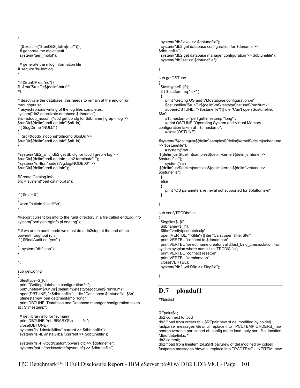```
} 
if (&existfile("$runDir${delim}mp*")) { 
  # generate the mplot stuff 
  system("gen_mplot"); 
  # generate the mlog information file 
# require 'buildmlog'; 
} 
#if ($runUF eq "no") { 
# &rm("$runDir${delim}mtuf*"); 
#} 
# deactivate the database this needs to remain at the end of run 
throughput so 
# asynchronous writing of the log files completes.
system("db2 deactivate database $dbname"); 
$rc=&dodb_noconn("db2 get db cfg for $dbname | grep -i log >> 
$runDir${delim}endLog.Info",$all_ln); 
if ( $logDir ne "NULL" ) 
{ 
   $rc=&dodb_noconn("$dircmd $logDir >> 
$runDir${delim}endLog.Info",$all_ln); 
} 
#system("db2_all \']}db2 get db cfg for tpcd | grep -i log >> 
$runDir${delim}endLog.Info ; db2 terminate\' "); 
#system("ls -ltra /node??vg.log/NODE00* >> 
$runDir${delim}endLog.Info"); 
#Create Catalog info 
$rc = system("perl catinfo.pl p"); 
if ( \text{S}rc != 0 )
{ 
 warn "catinfo failed!!!\n";
} 
#Report current log info to the run# directory in a file called endLog.Info 
system("perl getLogInfo.pl endLog"); 
# if we are in audit mode we must do a db2stop at the end of the 
power/throughput run 
if ( $RealAudit eq "yes" ) 
{ 
   system("db2stop"); 
} 
1; 
sub getConfig 
{ 
  $testtype=$_[0]; 
 print "Getting database configuration.\n";
  $dbtunefile="$runDir${delim}m${testtype}dbtune${runNum}"; 
  open(DBTUNE, ">$dbtunefile") || die "Can't open $dbtunefile: $!\n"; 
  $timestamp=`perl gettimestamp "long"`; 
  print DBTUNE "Database and Database manager configuration taken 
at : $timestamp"; 
  # get library info for tsumami 
 print DBTUNE "\nLIBRARYS\n--------\n";
  close(DBTUNE); 
  system("ls -l /install/libs/*.current >> $dbtunefile"); 
  system("ls -lL /install/libs/*.current >> $dbtunefile");
```
 system("ls -l ~/tpcd/custom/bpvars.cfg >> \$dbtunefile"); system("cat ~/tpcd/custom/bpvars.cfg >> \$dbtunefile");

```
 system("db2level >> $dbtunefile"); 
  system("db2 get database configuration for $dbname >> 
$dbtunefile"); 
  system("db2 get database manager configuration >> $dbtunefile"); 
  system("db2set >> $dbtunefile"); 
} 
sub getOSTune 
{ 
  $testtype=$_[0]; 
  if ( $platform eq "aix" ) 
 { 
    print "Getting OS and VMdatabase configuration.\n";
     $ostunefile="$runDir${delim}m${testtype}ostune${runNum}"; 
     #open(OSTUNE, ">$ostunefile") || die "Can't open $ostunefile: 
$"\n"
     #$timestamp=`perl gettimestamp "long"`; 
     #print OSTUNE "Operating System and Virtual Memory 
configuration taken at : $timestamp"; 
     #close(OSTUNE); 
#system("${delim}usr${delim}samples${delim}kernel${delim}schedtune 
>> $ostunefile"); 
     #system("rah 
'${delim}usr${delim}samples${delim}kernel${delim}vmtune >> 
$ostunefile'"); 
     system("rah 
'${delim}usr${delim}samples${delim}kernel${delim}vmtune >> 
$ostunefile"); 
  } 
  else 
 { 
    print "OS parameters retrieval not supported for $platform \n";
  } 
} 
sub verifyTPCDbatch 
{ 
  $logfile=$_[0]; 
  $dbname=$_[1]; 
  $file="verifytpcdbatch.clp"; 
  open(VERTBL, ">$file") || die "Can't open $file: $!\n"; 
 print VERTBL "connect to $dbname;\n"
 print VERTBL "select name, creator, valid, last_bind_time, isolation from
sysibm.sysplan where name like 'TPCD%';\n"; 
  print VERTBL "connect reset;\n"; 
 print VERTBL "terminate;\n";
  close(VERTBL); 
  system("db2 -vtf $file >> $logfile");
```
}

### **D.7 ploaduf1**

#!/bin/ksh

RFpair=\$1; db2 connect to tpcd db2 "load from orders.tbl.u\$RFpair.new of del modified by coldel| fastparse messages /dev/null replace into TPCDTEMP.ORDERS\_new nonrecoverable partitioned db config mode load\_only part\_file\_location /db/ufdata/links; " db2 commit; db2 "load from lineitem.tbl.u\$RFpair.new of del modified by coldel| fastparse messages /dev/null replace into TPCDTEMP.LINEITEM\_new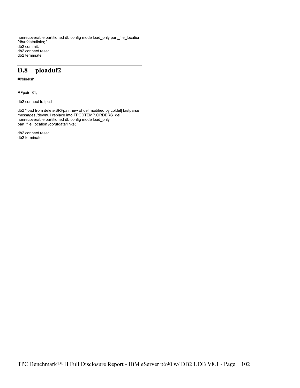nonrecoverable partitioned db config mode load\_only part\_file\_location /db/ufdata/links; " db2 commit; db2 connect reset db2 terminate

#### **D.8 ploaduf2**

#!/bin/ksh

RFpair=\$1;

db2 connect to tpcd

db2 "load from delete.\$RFpair.new of del modified by coldel| fastparse messages /dev/null replace into TPCDTEMP.ORDERS\_del nonrecoverable partitioned db config mode load\_only part\_file\_location /db/ufdata/links; "

db2 connect reset db2 terminate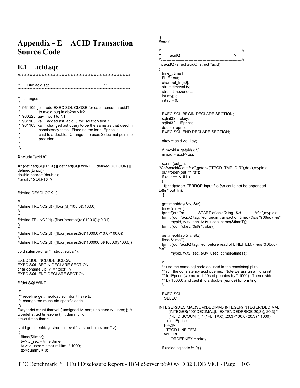## **Appendix - E ACID Transaction Source Code**

#### **E.1 acid.sqc**

/\*\*\*\*\*\*\*\*\*\*\*\*\*\*\*\*\*\*\*\*\*\*\*\*\*\*\*\*\*\*\*\*\*\*\*\*\*\*\*\*\*\*\*\*\*\*\*\*\*\*\*\*\*\*\*\*\*\*\*\*\*\*\*\*\*\*\*\*\*\*\*\*/ File: acid.sqc  $*$ / /\*\*\*\*\*\*\*\*\*\*\*\*\*\*\*\*\*\*\*\*\*\*\*\*\*\*\*\*\*\*\*\*\*\*\*\*\*\*\*\*\*\*\*\*\*\*\*\*\*\*\*\*\*\*\*\*\*\*\*\*\*\*\*\*\*\*\*\*\*\*\*\*/ /\* changes: \* 961109 jel add EXEC SQL CLOSE for each cursor in acidT to avoid bug in db2pe v1r2  $*$  980225 gav port to NT<br> $*$  081103 kel edded ast 981103 kal added ast\_acidQ for isolation test 7 981103 kal changed ast query to be the same as that used in consistency tests. Fixed so the long lEprice is cast to a double. Changed so uses 3 decimal points of precision. \* \*/ #include "acid.h" #if (defined(SQLPTX) || defined(SQLWINT) || defined(SQLSUN) || defined(Linux)) double nearest(double); #endif /\* SQLPTX \*/ #define DEADLOCK -911 /\* #define TRUNC2(d) ((floor((d)\*100.0))/100.0) \*/ /\* #define TRUNC2(d) ((floor(nearest((d)\*100.0)))\*0.01) \*/ /\* #define TRUNC2(d) ((floor(nearest((d)\*1000.0)/10.0)/100.0)) \*/ #define TRUNC2(d) ((floor(nearest((d)\*100000.0)/1000.0)/100.0)) void sqlerror(char \* , struct sqlca \*); EXEC SQL INCLUDE SQLCA; EXEC SQL BEGIN DECLARE SECTION; char dbname[8];  $\prime^*$  = "tpcd";  $\prime\prime$ EXEC SQL END DECLARE SECTION; #ifdef SQLWINT /\* \*\* redefine gettimeofday so I don't have to \*\* change too much aix-specific code \*/ /\*#typedef struct timeval { unsigned tv\_sec; unsigned tv\_usec; }; \*/ typedef struct timezone { int dummy; }; struct timeb timer; void gettimeofday( struct timeval \*tv, struct timezone \*tz) { ftime(&timer); tv->tv\_sec = timer.time;  $tv$ ->tv\_usec = timer.millitm  $*$  1000;  $tz$ ->dummy = 0; if (sqlca.sqlcode  $!= 0$ ) {

 } #endif /\*--------------------------------------------------------------\*/  $\alpha$  acidQ  $\alpha$   $\gamma$ /\*--------------------------------------------------------------\*/ int acidQ (struct acidQ\_struct \*acid) { time\_t timeT; FILE<sup>\*</sup>out; char out\_fn[50]; struct timeval tv; struct timezone tz; int mypid; int  $rc = 0$ : EXEC SQL BEGIN DECLARE SECTION; sqlint32 okey; sqlint32 IEprice; double eprice; EXEC SQL END DECLARE SECTION;  $okev = acid \rightarrow o$  key;  $/*$  mypid = getpid();  $*$ / mypid = acid->tag; sprintf(out fn, "%s%cacidQ.out.%d",getenv("TPCD\_TMP\_DIR"),del(),mypid); out=fopen(out\_fn,"a"); if (out  $==$  NULL) { fprintf(stderr, "ERROR input file %s could not be appended to!!\n",out\_fn); } gettimeofday(&tv, &tz); time(&timeT); fprintf(out,"\n---------- START of acidQ tag: %d ----------\n\n",mypid); fprintf(out, "acidQ tag: %d, begin transaction time: (%us %06uu) %s", mypid, tv.tv\_sec, tv.tv\_usec, ctime(&timeT)); fprintf(out, "okey: %d\n", okey); gettimeofday(&tv, &tz); time(&timeT); fprintf(out,"acidQ tag: %d, before read of LINEITEM: (%us %06uu) %s", mypid, tv.tv\_sec, tv.tv\_usec, ctime(&timeT)); /\* \*\* use the same sql code as used in the consistsql.pl to \*\* run the consistency acid queries. Note we assign an long int \*\* to IEprice (we make it 10s of pennies by \* 1000). Then divide \*\* by 1000.0 and cast it to a double (eprice) for printing \*/ EXEC SQL SELECT INTEGER(DECIMAL(SUM(DECIMAL(INTEGER(INTEGER(DECIMAL (INTEGER(100\*DECIMAL(L\_EXTENDEDPRICE,20,3)), 20,3) \* (1-L\_DISCOUNT)) \* (1+L\_TAX)),20,3)/100.0),20,3) \* 1000) into :lEprice FROM TPCD.LINEITEM WHERE L\_ORDERKEY = :okey;

TPC Benchmark™ H Full Disclosure Report - IBM eServer p690 w/ DB2 UDB V8.1 - Page 103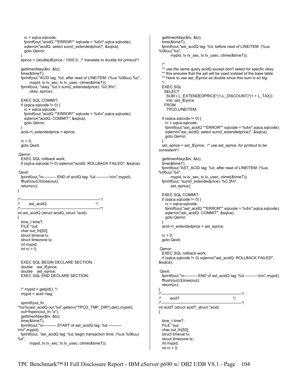```
 rc = sqlca.sqlcode; 
     fprintf(out,"acidQ **ERROR** sqlcode = %d\n",sqlca.sqlcode); 
    sqlerror("acidQ: select sum(l_extendedprice)", &sqlca);
     goto Qerror; 
 } 
  eprice = (double) Eprice / 1000.0; /* translate to double for printout*/ gettimeofday(&tv, &tz); 
   time(&timeT); 
   fprintf(out,"ACID tag: %d, after read of LINEITEM: (%us %06uu) %s", 
         mypid, tv.tv_sec, tv.tv_usec, ctime(&timeT)); 
   fprintf(out, "okey: %d \t sum(l_extendedprice): %0.3f\n", 
         okey, eprice); 
   EXEC SQL COMMIT; 
  if (sqlca.sqlcode != 0) {
     rc = sqlca.sqlcode; 
     fprintf(out,"acidQ **ERROR** sqlcode = %d\n",sqlca.sqlcode); 
     sqlerror("acidQ: COMMIT", &sqlca); 
     goto Qerror; 
 } 
   acid->l_extendedprice = eprice; 
  rc = 0:
   goto Qexit; 
  Qerror: 
   EXEC SQL rollback work; 
   if (sqlca.sqlcode != 0) sqlerror("acidQ: ROLLBACK FAILED", &sqlca); 
  Qexit: 
   fprintf(out,"\n---------- END of acidQ tag: %d ----------\n\n",mypid); 
   fflush(out);fclose(out); 
   return(rc); 
} 
/*--------------------------------------------------------------*/ 
\frac{1}{2} ast_acidQ \frac{1}{2} \frac{1}{2} \frac{1}{2} \frac{1}{2} \frac{1}{2} \frac{1}{2} \frac{1}{2} \frac{1}{2} \frac{1}{2} \frac{1}{2} \frac{1}{2} \frac{1}{2} \frac{1}{2} \frac{1}{2} \frac{1}{2} \frac{1}{2} \frac{1}{2} \frac{1}{2} \frac{1}{2} \frac{1}{2} /*--------------------------------------------------------------*/ 
int ast_acidQ (struct acidQ_struct *acid) 
{ 
   time_t timeT; 
   FILE *out; 
   char out_fn[50]; 
  struct timeval tv;
   struct timezone tz; 
   int mypid; 
  int rc = 0:
   EXEC SQL BEGIN DECLARE SECTION; 
   double ast_lEprice; 
   double ast_eprice; 
   EXEC SQL END DECLARE SECTION; 
  /* mypid = qetpid(); */ mypid = acid->tag; 
  sprintf(out_fn,
"%s%cast_acidQ.out.%d",getenv("TPCD_TMP_DIR"),del(),mypid); 
  out=fopen(out_fn,"a");
   gettimeofday(&tv, &tz); 
   time(&timeT); 
   fprintf(out,"\n---------- START of ast_acidQ tag: %d ----------
\n\n",mypid); 
   fprintf(out, "ast_acidQ tag: %d, begin transaction time: (%us %06uu) 
%s", 
         mypid, tv.tv_sec, tv.tv_usec, ctime(&timeT)); 
                                                                                                     gettimeofday(&tv, &tz); 
                                                                                                     time(&timeT); 
                                                                                                     fprintf(out,"ast_acidQ tag: %d, before read of LINEITEM: (%us 
                                                                                                  %06uu) %s", 
                                                                                                          mypid, tv.tv_sec, tv.tv_usec, ctime(&timeT));
                                                                                                     /* 
                                                                                                     ** use the same query acidQ except don't select for specfic okey. 
                                                                                                    ** this ensures that the ast will be used instead of the base table
                                                                                                    ** Have to use ast_IEprice as double since this sum is so big
                                                                                                   */ 
                                                                                                     EXEC SQL 
                                                                                                       SELECT 
                                                                                                        SUM ( L_EXTENDEDPRICE*(1-L_DISCOUNT)*(1 + L_TAX)) 
                                                                                                        into :ast_lEprice 
                                                                                                      FROM
                                                                                                        TPCD.LINEITEM; 
                                                                                                    if (sqlca.sqlcode != 0) {
                                                                                                       rc = sqlca.sqlcode; 
                                                                                                       fprintf(out,"ast_acidQ **ERROR** sqlcode = %d\n",sqlca.sqlcode); 
                                                                                                       sqlerror("ast_acidQ: select sum(l_extendedprice)", &sqlca); 
                                                                                                       goto Qerror; 
                                                                                                     } 
                                                                                                     ast_eprice = ast_lEprice; /* use ast_eprice for printout to be 
                                                                                                  consistent*/ 
                                                                                                     gettimeofday(&tv, &tz); 
                                                                                                     time(&timeT); 
                                                                                                     fprintf(out,"AST_ACID tag: %d, after read of LINEITEM: (%us 
                                                                                                  %06uu) %s", 
                                                                                                           mypid, tv.tv_sec, tv.tv_usec, ctime(&timeT)); 
                                                                                                     fprintf(out, "sum(l_extendedprice): %0.3f\n", 
                                                                                                           ast_eprice); 
                                                                                                     EXEC SQL COMMIT; 
                                                                                                    if (sqlca.sqlcode != 0) {
                                                                                                       rc = sqlca.sqlcode; 
                                                                                                       fprintf(out,"ast_acidQ **ERROR** sqlcode = %d\n",sqlca.sqlcode); 
                                                                                                       sqlerror("ast_acidQ: COMMIT", &sqlca); 
                                                                                                       goto Qerror; 
                                                                                                   } 
                                                                                                     acid->l_extendedprice = ast_eprice; 
                                                                                                    rc = 0;
                                                                                                     goto Qexit; 
                                                                                                    Qerror: 
                                                                                                     EXEC SQL rollback work; 
                                                                                                     if (sqlca.sqlcode != 0) sqlerror("ast_acidQ: ROLLBACK FAILED", 
                                                                                                  &sqlca); 
                                                                                                    Qexit: 
                                                                                                     fprintf(out,"\n---------- END of ast_acidQ tag: %d ----------\n\n",mypid); 
                                                                                                     fflush(out);fclose(out); 
                                                                                                     return(rc); 
                                                                                                  } 
                                                                                                  /*--------------------------------------------------------------*/ 
                                                                                                  \frac{1}{2} acidT \frac{1}{2} acidT \frac{1}{2} \frac{1}{2} \frac{1}{2} \frac{1}{2} \frac{1}{2} \frac{1}{2} \frac{1}{2} \frac{1}{2} \frac{1}{2} \frac{1}{2} \frac{1}{2} \frac{1}{2} \frac{1}{2} \frac{1}{2} \frac{1}{2} \frac{1}{2} \frac{1}{2} \frac{1}{2} \frac{1}{2}/*--------------------------------------------------------------*/ 
                                                                                                  int acidT (struct acidT_struct *acid) 
                                                                                                  { 
                                                                                                     time_t timeT; 
                                                                                                     FILE *out; 
                                                                                                    char out_fn[50];
                                                                                                     struct timeval tv; 
                                                                                                     struct timezone tz; 
                                                                                                     int mypid; 
                                                                                                    int rc = 0:
```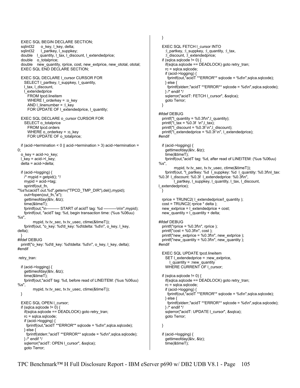EXEC SQL BEGIN DECLARE SECTION; sqlint32 o key, l key, delta; sqlint32 l\_partkey, l\_suppkey; double l\_quantity, l\_tax, l\_discount, l\_extendedprice; double o\_totalprice; double new\_quantity, rprice, cost, new\_extprice, new\_ototal, ototal; EXEC SQL END DECLARE SECTION; EXEC SQL DECLARE I cursor CURSOR FOR SELECT l\_partkey, l\_suppkey, l\_quantity, l\_tax, l\_discount, l\_extendedprice FROM tpcd.lineitem WHERE  $\vdash$  orderkey = :o\_key AND  $\mid$  linenumber = :  $\mid$  key FOR UPDATE OF I\_extendedprice, I\_quantity; EXEC SQL DECLARE o\_cursor CURSOR FOR SELECT o\_totalprice FROM tpcd.orders WHERE o orderkey = : o key FOR UPDATE OF o\_totalprice; if (acid->termination < 0 || acid->termination > 3) acid->termination =  $0^{\circ}$  o\_key = acid->o\_key;  $\log$  = acid->l key; delta = acid->delta; if (acid->logging) {  $/*$  mypid = getpid();  $*$ / mypid = acid->tag; sprintf(out\_fn, "%s%cacidT.out.%d",getenv("TPCD\_TMP\_DIR"),del(),mypid); out=fopen(out\_fn,"a"); gettimeofday(&tv, &tz); time(&timeT); fprintf(out,"\n---------- START of acidT tag: %d ----------\n\n",mypid); fprintf(out, "acidT tag: %d, begin transaction time: (%us %06uu) %s", mypid, tv.tv\_sec, tv.tv\_usec, ctime(&timeT)); fprintf(out, "o\_key: %d\tl\_key: %d\tdelta: %d\n", o\_key, l\_key, delta); } #ifdef DEBUG printf("o\_key: %d\tl\_key: %d\tdelta: %d\n", o\_key, l\_key, delta); #endif retry\_tran: if (acid->logging) { gettimeofday(&tv, &tz); time(&timeT); fprintf(out,"acidT tag: %d, before read of LINEITEM: (%us %06uu) %s", mypid, tv.tv\_sec, tv.tv\_usec, ctime(&timeT)); } EXEC SQL OPEN I cursor: if (sqlca.sqlcode  $!= 0$ ) {  $if(sq)$ ca.sqlcode == DEADLOCK) goto retry tran; rc = sqlca.sqlcode; if (acid->logging) { fprintf(out,"acidT \*\*ERROR\*\* sqlcode = %d\n",sqlca.sqlcode); } else { fprintf(stderr,"acidT \*\*ERROR\*\* sqlcode = %d\n",sqlca.sqlcode); } /\* endif \*/ sqlerror("acidT: OPEN l\_cursor", &sqlca); goto Terror;

```
 }
```
 EXEC SQL FETCH l\_cursor INTO :l\_partkey, :l\_suppkey, :l\_quantity, :l\_tax, :l\_discount, :l\_extendedprice; if (sqlca.sqlcode  $!= 0$ ) if(sqlca.sqlcode == DEADLOCK) goto retry\_tran; rc = sqlca.sqlcode; if (acid->logging) { fprintf(out,"acidT \*\*ERROR\*\* sqlcode = %d\n",sqlca.sqlcode); } else { fprintf(stderr,"acidT \*\*ERROR\*\* sqlcode = %d\n",sqlca.sqlcode); } /\* endif \*/ sqlerror("acidT: FETCH I\_cursor", &sqlca); goto Terror; } #ifdef DEBUG printf("l\_quantity = %0.3f\n",l\_quantity); printf("I\_tax = %0.3f \n", I\_tax); printf("l\_discount = %0.3f \n",l\_discount); printf("l\_extendedprice = %0.3f \n", l\_extendedprice); #endif if (acid->logging) { gettimeofday(&tv, &tz); time(&timeT); fprintf(out,"acidT tag: %d, after read of LINEITEM: (%us %06uu)  $%s"$ mypid, tv.tv\_sec, tv.tv\_usec, ctime(&timeT)); fprintf(out, "l\_partkey: %d l\_suppkey: %d l\_quantity: %0.3f\nl\_tax: %0.3f l\_discount: %0.3f l\_extendedprice: %0.3f\n", l\_partkey, l\_suppkey, l\_quantity, l\_tax, l\_discount, l\_extendedprice); } rprice = TRUNC2( l\_extendedprice/l\_quantity ); cost = TRUNC2( rprice \* delta ); new  $ext{price} = 1$  extendedprice + cost;  $new_quantity = l_quantity + delta;$ #ifdef DEBUG printf("rprice = %0.3f\n", rprice );  $print("cost = %0.3f\cdot n", cost);$ printf("new\_extprice =  $%0.3$ f\n", new\_extprice ); printf("new\_quantity = %0.3f\n", new\_quantity ); #endif EXEC SQL UPDATE tpcd.lineitem SET l\_extendedprice = :new\_extprice,  $l$  quantity = :new quantity WHERE CURRENT OF l\_cursor; if (sqlca.sqlcode  $!= 0$ ) { if(sqlca.sqlcode == DEADLOCK) goto retry\_tran; rc = sqlca.sqlcode; if (acid->logging) { fprintf(out,"acidT \*\*ERROR\*\* sqlcode = %d\n",sqlca.sqlcode); } else { fprintf(stderr,"acidT \*\*ERROR\*\* sqlcode = %d\n",sqlca.sqlcode); } /\* endif \*/ sqlerror("acidT: UPDATE l\_cursor", &sqlca); goto Terror; } if (acid->logging) { gettimeofday(&tv, &tz);

time(&timeT);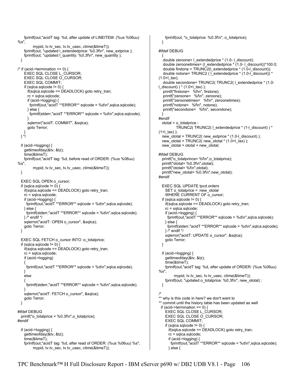fprintf(out,"acidT tag: %d, after update of LINEITEM: (%us %06uu) %s", mypid, tv.tv\_sec, tv.tv\_usec, ctime(&timeT)); fprintf(out, "updated l\_extendedprice: %0.3f\n", new\_extprice ); fprintf(out, "updated I quantity: %0.3f\n", new\_quantity ); } /\* if (acid->termination ==  $0$ ) { EXEC SQL CLOSE L\_CURSOR; EXEC SQL CLOSE O\_CURSOR; EXEC SQL COMMIT; if (sqlca.sqlcode  $!= 0$ ) { if(sqlca.sqlcode == DEADLOCK) goto retry\_tran; rc = sqlca.sqlcode; if (acid->logging) {  $fprint(out, "acidT **ERROR**q, q, l, q, d)$ ",sqlca.sqlcode); } else { fprintf(stderr,"acidT \*\*ERROR\*\* sqlcode = %d\n",sqlca.sqlcode); } sqlerror("acidT: COMMIT", &sqlca); goto Terror; } } \*/ if (acid->logging) { gettimeofday(&tv, &tz); time(&timeT); fprintf(out,"acidT tag: %d, before read of ORDER: (%us %06uu) %s", mypid, tv.tv\_sec, tv.tv\_usec, ctime(&timeT)); } EXEC SQL OPEN o\_cursor; if (sqlca.sqlcode  $!= 0$ ) { if(sqlca.sqlcode == DEADLOCK) goto retry\_tran; rc = sqlca.sqlcode; if (acid->logging) { fprintf(out,"acidT \*\*ERROR\*\* sqlcode = %d\n",sqlca.sqlcode); } else { fprintf(stderr,"acidT \*\*ERROR\*\* sqlcode = %d\n",sqlca.sqlcode); } /\* endif \*/ sqlerror("acidT: OPEN o\_cursor", &sqlca); goto Terror; } EXEC SQL FETCH o\_cursor INTO :o\_totalprice; if (sqlca.sqlcode  $!= 0$ ) { if(sqlca.sqlcode == DEADLOCK) goto retry\_tran; rc = sqlca.sqlcode; if (acid->logging) { fprintf(out,"acidT \*\*ERROR\*\* sqlcode = %d\n",sqlca.sqlcode); } else { fprintf(stderr,"acidT \*\*ERROR\*\* sqlcode = %d\n",sqlca.sqlcode); } sqlerror("acidT: FETCH o\_cursor", &sqlca); goto Terror; } #ifdef DEBUG printf("o\_totalprice = %0.3f\n",o\_totalprice); #endif if (acid->logging) { gettimeofday(&tv, &tz); time(&timeT); fprintf(out,"acidT tag: %d, after read of ORDER: (%us %06uu) %s", mypid, tv.tv\_sec, tv.tv\_usec, ctime(&timeT));

 fprintf(out, "o\_totalprice: %0.3f\n", o\_totalprice); } #ifdef DEBUG { double zeroone= l\_extendedprice \* (1.0- l\_discount); double zeroonetimes= (l\_extendedprice \* (1.0- l\_discount))\*100.0; double firstone = TRUNC2(l\_extendedprice \* (1.0-l\_discount)); double notone= TRUNC2 (1 extendedprice \* (1.0-l\_discount)) \* (1.0+l\_tax); double secondone= TRUNC2( TRUNC2( l\_extendedprice \* (1.0 l\_discount) ) \* (1.0+l\_tax) ); printf("firstone= %f\n", firstone); printf("zeroone= %f\n", zeroone); printf("zeroonetimes= %f\n", zeroonetimes); printf("notone= %f\n", notone); printf("secondone= %f\n", secondone); } #endif ototal = o\_totalprice - TRUNC2( TRUNC2( l\_extendedprice \* (1-l\_discount) ) \*  $(1+|$  tax) ): new\_ototal = TRUNC2( new\_extprice \* (1.0-l\_discount) ); new\_ototal = TRUNC2( new\_ototal  $*$  (1.0+l\_tax) ); new\_ototal = ototal + new\_ototal; #ifdef DEBUG printf("o\_totalprince= %f\n",o\_totalprice); printf("ototal= %0.3f\n",ototal); printf("ototal= %f\n",ototal); printf("new\_ototal= %0.3f\n",new\_ototal); #endif EXEC SQL UPDATE tpcd.orders SET o\_totalprice = :new\_ototal WHERE CURRENT OF o\_cursor; if (sqlca.sqlcode  $!= 0$ ) { if(sqlca.sqlcode == DEADLOCK) goto retry\_tran; rc = sqlca.sqlcode; if (acid->logging) { fprintf(out,"acidT \*\*ERROR\*\* sqlcode = %d\n",sqlca.sqlcode); } else { fprintf(stderr,"acidT \*\*ERROR\*\* sqlcode = %d\n",sqlca.sqlcode); } /\* endif \*/ sqlerror("acidT: UPDATE o\_cursor", &sqlca); goto Terror; } if (acid->logging) { gettimeofday(&tv, &tz); time(&timeT); fprintf(out,"acidT tag: %d, after update of ORDER: (%us %06uu) %s", mypid, tv.tv\_sec, tv.tv\_usec, ctime(&timeT)); fprintf(out, "updated o\_totalprice: %0.3f\n", new\_ototal) ; } /\* \*\* why is this code in here? we don't want to \*\* commit until the history table has been updated as well if (acid->termination ==  $0$ ) { EXEC SQL CLOSE L\_CURSOR; EXEC SQL CLOSE O\_CURSOR; EXEC SQL COMMIT; if (sqlca.sqlcode  $!= 0$ ) if(sqlca.sqlcode == DEADLOCK) goto retry\_tran; rc = sqlca.sqlcode; if (acid->logging) { fprintf(out,"acidT \*\*ERROR\*\* sqlcode = %d\n",sqlca.sqlcode); } else {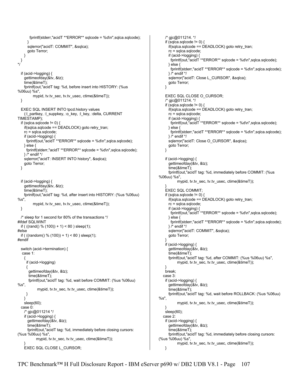```
 fprintf(stderr,"acidT **ERROR** sqlcode = %d\n",sqlca.sqlcode); 
 } 
      sqlerror("acidT: COMMIT", &sqlca); 
      goto Terror; 
    } 
 } 
*/ 
   if (acid->logging) { 
     gettimeofday(&tv, &tz); 
     time(&timeT); 
     fprintf(out,"acidT tag: %d, before insert into HISTORY: (%us 
%06uu) %s", 
          mypid, tv.tv_sec, tv.tv_usec, ctime(&timeT)); 
  } 
   EXEC SQL INSERT INTO tpcd.history values 
     (:l_partkey, :l_suppkey, :o_key, :l_key, :delta, CURRENT 
TIMESTAMP); 
  if (sqlca.sqlcode != 0) {
     if(sqlca.sqlcode == DEADLOCK) goto retry_tran; 
     rc = sqlca.sqlcode; 
     if (acid->logging) { 
      fprintf(out,"acidT **ERROR** sqlcode = %d\n",sqlca.sqlcode); 
     } else { 
      fprintf(stderr,"acidT **ERROR** sqlcode = %d\n",sqlca.sqlcode); 
    } /* endif */ 
    sqlerror("acidT: INSERT INTO history", &sqlca); 
    goto Terror; 
  } 
   if (acid->logging) { 
     gettimeofday(&tv, &tz); 
     time(&timeT); 
     fprintf(out,"acidT tag: %d, after insert into HISTORY: (%us %06uu) 
%s", 
          mypid, tv.tv_sec, tv.tv_usec, ctime(&timeT)); 
  } 
  /* sleep for 1 second for 80% of the transactions */ 
#ifdef SQLWINT 
  if ( ((rand() % (100)) + 1) < 80 ) sleep(1);
#else 
 if ( ((random() % (100)) + 1) < 80 ) sleep(1);
#endif 
   switch (acid->termination) { 
   case 1: 
     { 
      if (acid->logging) 
      { 
       gettimeofday(&tv, &tz); 
       time(&timeT); 
       fprintf(out,"acidT tag: %d, wait before COMMIT: (%us %06uu) 
%s" mypid, tv.tv_sec, tv.tv_usec, ctime(&timeT)); 
      } 
    } 
    sleep(60); 
   case 0: 
     /* gjc@011214 */ 
     if (acid->logging) { 
      gettimeofday(&tv, &tz); 
      time(&timeT); 
      fprintf(out,"acidT tag: %d, immediately before closing cursors: 
(%us %06uu) %s", 
            mypid, tv.tv_sec, tv.tv_usec, ctime(&timeT)); 
 } 
     EXEC SQL CLOSE L_CURSOR;
```

```
 /* gjc@011214. */ 
   if (sqlca.sqlcode != 0) {
      if(sqlca.sqlcode == DEADLOCK) goto retry_tran; 
      rc = sqlca.sqlcode; 
      if (acid->logging) { 
        fprintf(out,"acidT **ERROR** sqlcode = %d\n",sqlca.sqlcode); 
      } else { 
        fprintf(stderr,"acidT **ERROR** sqlcode = %d\n",sqlca.sqlcode); 
      } /* endif */ 
      sqlerror("acidT: Close L_CURSOR", &sqlca); 
      goto Terror; 
    } 
    EXEC SQL CLOSE O_CURSOR; 
    /* gjc@011214. */ 
   if (sqlca.sqlcode != 0) {
      if(sqlca.sqlcode == DEADLOCK) goto retry_tran; 
      rc = sqlca.sqlcode; 
      if (acid->logging) { 
        fprintf(out,"acidT **ERROR** sqlcode = %d\n",sqlca.sqlcode); 
      } else { 
        fprintf(stderr,"acidT **ERROR** sqlcode = %d\n",sqlca.sqlcode); 
      } /* endif */ 
     sqlerror("acidT: Close O_CURSOR", &sqlca);
      goto Terror; 
    } 
    if (acid->logging) { 
      gettimeofday(&tv, &tz); 
      time(&timeT); 
      fprintf(out,"acidT tag: %d, immediately before COMMIT: (%us 
%06uu) %s", 
           mypid, tv.tv_sec, tv.tv_usec, ctime(&timeT)); 
 } 
    EXEC SQL COMMIT; 
   if (sqlca.sqlcode != 0) {
      if(sqlca.sqlcode == DEADLOCK) goto retry_tran; 
      rc = sqlca.sqlcode; 
      if (acid->logging) { 
        fprintf(out,"acidT **ERROR** sqlcode = %d\n",sqlca.sqlcode); 
      } else { 
        fprintf(stderr,"acidT **ERROR** sqlcode = %d\n",sqlca.sqlcode); 
      } /* endif */ 
      sqlerror("acidT: COMMIT", &sqlca); 
      goto Terror; 
 } 
    if (acid->logging) { 
      gettimeofday(&tv, &tz); 
      time(&timeT); 
      fprintf(out,"acidT tag: %d, after COMMIT: (%us %06uu) %s", 
            mypid, tv.tv_sec, tv.tv_usec, ctime(&timeT)); 
 } 
    break; 
   case 3: 
    if (acid->logging) { 
      gettimeofday(&tv, &tz); 
      time(&timeT); 
      fprintf(out,"acidT tag: %d, wait before ROLLBACK: (%us %06uu) 
%s", 
            mypid, tv.tv_sec, tv.tv_usec, ctime(&timeT)); 
 } 
    sleep(60); 
   case 2: 
    if (acid->logging) { 
      gettimeofday(&tv, &tz); 
      time(&timeT); 
      fprintf(out,"acidT tag: %d, immediately before closing cursors: 
(%us %06uu) %s", 
            mypid, tv.tv_sec, tv.tv_usec, ctime(&timeT)); 
    }
```
TPC Benchmark™ H Full Disclosure Report - IBM eServer p690 w/ DB2 UDB V8.1 - Page 107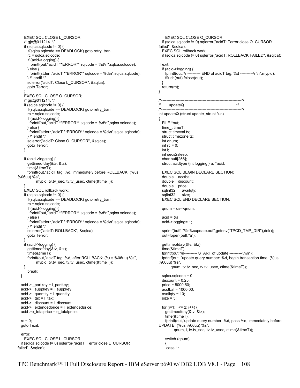```
 EXEC SQL CLOSE L_CURSOR; 
     /* gjc@011214. */ 
    if (sqlca.sqlcode != 0) {
      if(sqlca.sqlcode == DEADLOCK) goto retry_tran; 
      rc = sqlca.sqlcode; 
      if (acid->logging) { 
        fprintf(out,"acidT **ERROR** sqlcode = %d\n",sqlca.sqlcode); 
      } else { 
        fprintf(stderr,"acidT **ERROR** sqlcode = %d\n",sqlca.sqlcode); 
      } /* endif */ 
      sqlerror("acidT: Close L_CURSOR", &sqlca); 
      goto Terror; 
 } 
     EXEC SQL CLOSE O_CURSOR; 
     /* gjc@011214. */ 
    if (sqlca.sqlcode != 0) {
       if(sqlca.sqlcode == DEADLOCK) goto retry_tran; 
      rc = sqlca.sqlcode; 
      if (acid->logging) { 
        fprintf(out,"acidT **ERROR** sqlcode = %d\n",sqlca.sqlcode); 
      } else { 
        fprintf(stderr,"acidT **ERROR** sqlcode = %d\n",sqlca.sqlcode); 
      } /* endif */ 
     sqlerror("acidT: Close O_CURSOR", &sqlca);
      goto Terror; 
    } 
     if (acid->logging) { 
      gettimeofday(&tv, &tz); 
       time(&timeT); 
      fprintf(out,"acidT tag: %d, immediately before ROLLBACK: (%us 
%06uu) %s", 
            mypid, tv.tv_sec, tv.tv_usec, ctime(&timeT)); 
 } 
     EXEC SQL rollback work; 
    if (sqlca.sqlcode != 0) {
       if(sqlca.sqlcode == DEADLOCK) goto retry_tran; 
       rc = sqlca.sqlcode; 
      if (acid->logging) { 
        fprintf(out,"acidT **ERROR** sqlcode = %d\n",sqlca.sqlcode); 
      } else { 
        fprintf(stderr,"acidT **ERROR** sqlcode = %d\n",sqlca.sqlcode); 
      } /* endif */ 
      sqlerror("acidT: ROLLBACK", &sqlca); 
      goto Terror; 
 } 
     if (acid->logging) { 
      gettimeofday(&tv, &tz); 
      time(&timeT); 
      fprintf(out,"acidT tag: %d, after ROLLBACK: (%us %06uu) %s", 
           mypid, tv.tv_sec, tv.tv_usec, ctime(&timeT));
    } 
       break; 
  } 
   acid->l_partkey = l_partkey; 
   acid->l_suppkey = l_suppkey; 
   acid->l_quantity = l_quantity; 
  acid->1 tax = l_tax;
  acid->\overline{\phantom{a}} discount = \overline{\phantom{a}} discount:
  acid->l_extendedprice = l_extendedprice; 
 acid-\overline{>o} totalprice = o_totalprice;
 rc = 0; goto Texit; 
 Terror: 
    EXEC SQL CLOSE L_CURSOR; 
   if (sqlca.sqlcode != 0) sqlerror("acidT: Terror close L_CURSOR 
failed", &sqlca);
```

```
 EXEC SQL CLOSE O_CURSOR; 
   if (sqlca.sqlcode != 0) sqlerror("acidT: Terror close O_CURSOR 
failed", &sqlca); 
   EXEC SQL rollback work; 
   if (sqlca.sqlcode != 0) sqlerror("acidT: ROLLBACK FAILED", &sqlca); 
 Texit: 
   if (acid->logging) { 
     fprintf(out,"\n---------- END of acidT tag: %d ----------\n\n",mypid); 
     fflush(out);fclose(out); 
 } 
   return(rc); 
} 
/*--------------------------------------------------------------*/ 
      updateQ */
/*--------------------------------------------------------------*/ 
int updateQ (struct update_struct *us) 
{ 
   FILE *out; 
   time_t timeT; 
  struct timeval tv;
   struct timezone tz; 
   int qnum; 
  int rc = 0;
   int i; 
   int secs2sleep; 
   char buff[256]; 
   struct acidtype {int logging;} a, *acid; 
   EXEC SQL BEGIN DECLARE SECTION; 
   double acctbal; 
   double discount; 
   double price; 
   sqlint32 availqty; 
   sqlint32 size; 
   EXEC SQL END DECLARE SECTION; 
   qnum = us->qnum; 
  acid = <math>8a</math> acid->logging= 1; 
   sprintf(buff, "%s%cupdate.out",getenv("TPCD_TMP_DIR"),del()); 
   out=fopen(buff,"a"); 
   gettimeofday(&tv, &tz); 
  time(&timeT);<br>fprintf(out,"\n--
                      --- START of update ----------\n\n");
   fprintf(out, "update query number: %d, begin transaction time: (%us 
%06uu) %s", 
        qnum, tv.tv_sec, tv.tv_usec, ctime(&timeT)); 
   sqlca.sqlcode = 0; 
  discount = 0.25;
   price = 5000.50; 
   acctbal = 1000.00; 
   availqty = 10; 
  size = 5;
  for (i=1; i \le 2; i++) {
     gettimeofday(&tv, &tz); 
     time(&timeT); 
     fprintf(out,"update query number: %d, pass %d, immediately before 
UPDATE: (%us %06uu) %s", 
          qnum, i, tv.tv_sec, tv.tv_usec, ctime(&timeT)); 
     switch (qnum) 
 {
```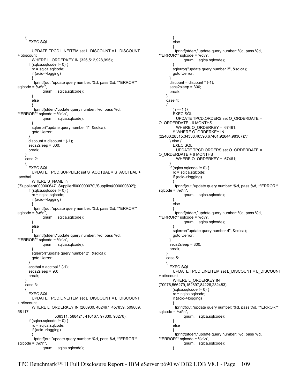```
 { 
       EXEC SQL 
         UPDATE TPCD.LINEITEM set L_DISCOUNT = L_DISCOUNT 
+ :discount 
        WHERE L_ORDERKEY IN (326,512,928,995);
      if (sqlca.sqlcode != 0) {
         rc = sqlca.sqlcode; 
         if (acid->logging) 
\{ fprintf(out,"update query number: %d, pass %d, **ERROR** 
sqlcode = %d\ln",
               qnum, i, sqlca.sqlcode); 
         } 
         else 
 { 
          fprintf(stderr,"update query number: %d, pass %d, 
**ERROR** sqlcode = %d\n", 
               qnum, i, sqlca.sqlcode); 
        } 
         sqlerror("update query number 1", &sqlca); 
         goto Uerror; 
 } 
      discount = discount * (-1); secs2sleep = 300; 
       break; 
     } 
     case 2: 
 { 
       EXEC SQL 
         UPDATE TPCD.SUPPLIER set S_ACCTBAL = S_ACCTBAL + 
:acctbal 
         WHERE S_NAME in 
('Supplier#000000647','Supplier#000000070','Supplier#000000802'); 
      if (sqlca.sqlcode != 0) {
         rc = sqlca.sqlcode; 
         if (acid->logging) 
         { 
          fprintf(out,"update query number: %d, pass %d, **ERROR** 
sqlcode = %d\ln",
               qnum, i, sqlca.sqlcode); 
         } 
         else 
 { 
          fprintf(stderr,"update query number: %d, pass %d, 
**ERROR** sqlcode = %d\n",
               qnum, i, sqlca.sqlcode); 
 } 
         sqlerror("update query number 2", &sqlca); 
         goto Uerror; 
       } 
      accthal = accthal * (-1); secs2sleep = 90; 
       break; 
     } 
     case 3: 
 { 
       EXEC SQL 
         UPDATE TPCD.LINEITEM set L_DISCOUNT = L_DISCOUNT 
+ :discount 
         WHERE L_ORDERKEY IN (260930, 402497, 457859, 509889, 
58117, 
                      538311, 588421, 416167, 97830, 90276); 
      if (sqlca.sqlcode != 0) {
         rc = sqlca.sqlcode; 
         if (acid->logging) 
         { 
          fprintf(out,"update query number: %d, pass %d, **ERROR** 
sqlcode = %d\ln".
               qnum, i, sqlca.sqlcode);
```

```
 } 
        else 
 { 
         fprintf(stderr,"update query number: %d, pass %d, 
**ERROR** sqlcode = %d\n", 
              qnum, i, sqlca.sqlcode); 
 } 
        sqlerror("update query number 3", &sqlca); 
        goto Uerror; 
 } 
     discount = discount * (-1); secs2sleep = 300; 
      break; 
    } 
    case 4: 
    { 
     if ( i == 1 ) {
        EXEC SQL 
          UPDATE TPCD.ORDERS set O_ORDERDATE = 
O_ORDERDATE - 6 MONTHS 
          WHERE O_ORDERKEY = 67461; 
        /* WHERE O_ORDERKEY IN 
(22400,28515,34338,46596,67461,92644,98307);*/ 
      } else { 
        EXEC SQL 
          UPDATE TPCD.ORDERS set O_ORDERDATE = 
O_ORDERDATE + 6 MONTHS 
          WHERE O_ORDERKEY = 67461; 
 } 
     if (sqlca.sqlcode != 0) {
        rc = sqlca.sqlcode; 
        if (acid->logging) 
\{ fprintf(out,"update query number: %d, pass %d, **ERROR** 
sqlcode = %d\ln".
              qnum, i, sqlca.sqlcode); 
 } 
        else 
 { 
         fprintf(stderr,"update query number: %d, pass %d, 
**ERROR** sqlcode = %d\n", 
              qnum, i, sqlca.sqlcode); 
 } 
        sqlerror("update query number 4", &sqlca); 
        goto Uerror; 
 } 
      secs2sleep = 300; 
      break; 
    } 
    case 5: 
 { 
      EXEC SQL 
        UPDATE TPCD.LINEITEM set L_DISCOUNT = L_DISCOUNT 
+ :discount 
        WHERE L_ORDERKEY IN 
(70976,566279,152897,84226,232483); 
     if (sqlca.sqlcode != 0) {
        rc = sqlca.sqlcode; 
        if (acid->logging) 
\{ fprintf(out,"update query number: %d, pass %d, **ERROR** 
sqlcode = %d\ln",
              qnum, i, sqlca.sqlcode); 
 } 
        else 
 { 
         fprintf(stderr,"update query number: %d, pass %d, 
**ERROR** sqlcode = %d\n",
              qnum, i, sqlca.sqlcode); 
        }
```
TPC Benchmark™ H Full Disclosure Report - IBM eServer p690 w/ DB2 UDB V8.1 - Page 109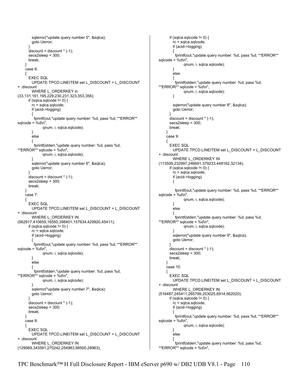```
 sqlerror("update query number 5", &sqlca); 
        goto Uerror; 
       } 
      discount = discount * (-1); secs2sleep = 300; 
       break; 
     } 
     case 6: 
 { 
       EXEC SQL 
        UPDATE TPCD.LINEITEM set L_DISCOUNT = L_DISCOUNT 
+ :discount 
         WHERE L_ORDERKEY in 
(33,131,161,195,229,230,231,323,353,356); 
      if (sqlca.sqlcode != 0) {
         rc = sqlca.sqlcode; 
         if (acid->logging) 
         { 
          fprintf(out,"update query number: %d, pass %d, **ERROR** 
sqlcode = %d\ln",
               qnum, i, sqlca.sqlcode); 
 } 
         else 
 { 
          fprintf(stderr,"update query number: %d, pass %d, 
**ERROR** sqlcode = %d\n", 
               qnum, i, sqlca.sqlcode); 
        } 
         sqlerror("update query number 6", &sqlca); 
        goto Uerror; 
 } 
      discount = discount * (-1); secs2sleep = 300; 
       break; 
     } 
     case 7: 
 { 
       EXEC SQL 
        UPDATE TPCD.LINEITEM set L_DISCOUNT = L_DISCOUNT 
+ :discount 
       WHERE L_ORDERKEY IN
(562917,410659,16550,398401,157634,429920,45411); 
      if (sqlca.sqlcode != 0) {
         rc = sqlca.sqlcode; 
         if (acid->logging) 
         { 
          fprintf(out,"update query number: %d, pass %d, **ERROR** 
sqlcode = %d\ln".
               qnum, i, sqlca.sqlcode); 
        } 
         else 
\{ fprintf(stderr,"update query number: %d, pass %d, 
**ERROR** sqlcode = %d\n", 
               qnum, i, sqlca.sqlcode); 
 } 
         sqlerror("update query number 7", &sqlca); 
        goto Uerror; 
 } 
      discount = discount * (-1):
       secs2sleep = 300; 
       break; 
     } 
     case 8: 
 { 
       EXEC SQL 
        UPDATE TPCD.LINEITEM set L_DISCOUNT = L_DISCOUNT 
+ :discount 
       WHERE L_ORDERKEY IN
(129569,343591,270242,254983,98500,28963);
```

```
if (sqlca.sqlcode != 0) {
        rc = sqlca.sqlcode; 
        if (acid->logging) 
\{ fprintf(out,"update query number: %d, pass %d, **ERROR** 
sqlcode = %d\ln",
              qnum, i, sqlca.sqlcode); 
 } 
        else 
\{ fprintf(stderr,"update query number: %d, pass %d, 
**ERROR** sqlcode = %d\n", 
               qnum, i, sqlca.sqlcode); 
        } 
       sqlerror("update query number 8", &sqlca);
        goto Uerror; 
 } 
     discount = discount * (-1);
      secs2sleep = 300; 
      break; 
    } 
    case 9: 
 { 
       EXEC SQL 
        UPDATE TPCD.LINEITEM set L_DISCOUNT = L_DISCOUNT 
+ :discount 
        WHERE L_ORDERKEY IN 
(113509,232997,246691,379233,448162,32134); 
     if (sqlca.sqlcode != 0) {
        rc = sqlca.sqlcode; 
        if (acid->logging) 
        { 
          fprintf(out,"update query number: %d, pass %d, **ERROR** 
sqlcode = %d\nu",
              qnum, i, sqlca.sqlcode); 
 } 
        else 
 { 
          fprintf(stderr,"update query number: %d, pass %d, 
**ERROR** sqlcode = %d\n", 
               qnum, i, sqlca.sqlcode); 
 } 
        sqlerror("update query number 9", &sqlca); 
        goto Uerror; 
 } 
     discount = discount * (-1); secs2sleep = 300; 
      break; 
    } 
    case 10: 
 { 
      EXEC SQL 
        UPDATE TPCD.LINEITEM set L_DISCOUNT = L_DISCOUNT 
+ :discount 
       WHERE L_ORDERKEY IN
(516487,245411,265799,253025,6914,562020); 
     if (sqlca.sqlcode != 0) {
        rc = sqlca.sqlcode; 
        if (acid->logging) 
\{ fprintf(out,"update query number: %d, pass %d, **ERROR** 
sqlcode = %d\ln",
              qnum, i, sqlca.sqlcode); 
        } 
        else 
\{ fprintf(stderr,"update query number: %d, pass %d, 
**ERROR** sqlcode = %d\n",
```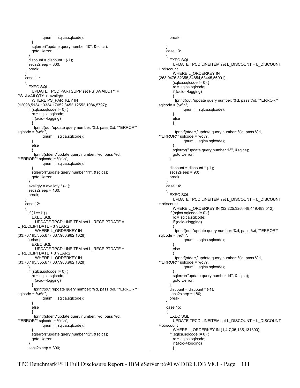```
 qnum, i, sqlca.sqlcode); 
 } 
         sqlerror("update query number 10", &sqlca); 
         goto Uerror; 
       } 
      distance discount = discount * (-1);
       secs2sleep = 300; 
       break; 
     } 
     case 11: 
 { 
       EXEC SQL 
         UPDATE TPCD.PARTSUPP set PS_AVAILQTY = 
PS_AVAILQTY + :availqty
        WHERE PS_PARTKEY IN
(12098,5134,13334,17052,3452,12552,1084,5797); 
      if (sqlca.sqlcode != 0) {
         rc = sqlca.sqlcode; 
         if (acid->logging) 
\{ fprintf(out,"update query number: %d, pass %d, **ERROR** 
sqlcode = %d\nu",
               qnum, i, sqlca.sqlcode); 
         } 
         else 
         { 
          fprintf(stderr,"update query number: %d, pass %d, 
**ERROR** sqlcode = %d\n", 
               qnum, i, sqlca.sqlcode); 
 } 
         sqlerror("update query number 11", &sqlca); 
         goto Uerror; 
       } 
      availqty = availqty * (-1);
      secs2sleep = 180;
       break; 
     } 
     case 12: 
 { 
      if ( i == 1 ) {
         EXEC SQL 
           UPDATE TPCD.LINEITEM set L_RECEIPTDATE = 
L_RECEIPTDATE - 3 YEARS 
          WHERE L_ORDERKEY IN
(33,70,195,355,677,837,960,962,1028); 
       } else { 
         EXEC SQL 
          UPDATE TPCD.LINEITEM set L_RECEIPTDATE = 
L_RECEIPTDATE + 3 YEARS 
          WHERE L_ORDERKEY IN 
(33,70,195,355,677,837,960,962,1028); 
 } 
      if (sqlca.sqlcode != 0) {
         rc = sqlca.sqlcode; 
         if (acid->logging) 
         { 
          fprintf(out,"update query number: %d, pass %d, **ERROR** 
sqlcode = %d\ln",
               qnum, i, sqlca.sqlcode); 
         } 
         else 
\{ fprintf(stderr,"update query number: %d, pass %d, 
**ERROR** sqlcode = %d\n", 
               qnum, i, sqlca.sqlcode); 
         } 
         sqlerror("update query number 12", &sqlca); 
         goto Uerror; 
 } 
       secs2sleep = 300;
```

```
 break; 
    } 
     case 13: 
 { 
       EXEC SQL 
        UPDATE TPCD.LINEITEM set L_DISCOUNT = L_DISCOUNT 
+ :discount 
       WHERE L_ORDERKEY IN
(263,9476,32355,34854,53445,56901); 
     if (sqlca.sqlcode != 0) {
        rc = sqlca.sqlcode; 
        if (acid->logging) 
        { 
         fprintf(out,"update query number: %d, pass %d, **ERROR** 
sqlcode = %d\ln",
              qnum, i, sqlca.sqlcode); 
 } 
        else 
        { 
         fprintf(stderr,"update query number: %d, pass %d, 
**ERROR** sqlcode = %d\n", 
               qnum, i, sqlca.sqlcode); 
 } 
        sqlerror("update query number 13", &sqlca); 
        goto Uerror; 
 } 
      discount = discount * (-1); secs2sleep = 90; 
      break; 
    } 
     case 14: 
 { 
       EXEC SQL 
        UPDATE TPCD.LINEITEM set L_DISCOUNT = L_DISCOUNT 
+ :discount 
        WHERE L_ORDERKEY IN (32,225,326,448,449,483,512); 
      if (sqlca.sqlcode != 0) {
        rc = sqlca.sqlcode; 
        if (acid->logging) 
 { 
          fprintf(out,"update query number: %d, pass %d, **ERROR** 
sqlcode = %d\nu",
               qnum, i, sqlca.sqlcode); 
 } 
        else 
        { 
         fprintf(stderr,"update query number: %d, pass %d, 
**ERROR** sqlcode = %d\n", 
              qnum, i, sqlca.sqlcode); 
 } 
        sqlerror("update query number 14", &sqlca); 
        goto Uerror; 
 } 
     discount = discount * (-1); secs2sleep = 180; 
      break; 
    } 
    case 15: 
 { 
       EXEC SQL 
        UPDATE TPCD.LINEITEM set L_DISCOUNT = L_DISCOUNT 
+ :discount 
       WHERE L_ORDERKEY IN (1,4,7,35,135,131300);
      if (sqlca.sqlcode != 0) {
        rc = sqlca.sqlcode; 
        if (acid->logging) 
 {
```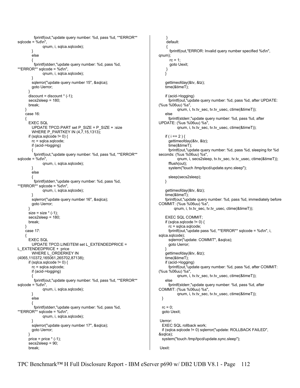```
 fprintf(out,"update query number: %d, pass %d, **ERROR** 
sqlcode = %d\n"
               qnum, i, sqlca.sqlcode); 
 } 
         else 
 { 
          fprintf(stderr,"update query number: %d, pass %d, 
**ERROR** sqlcode = %d\n", 
               qnum, i, sqlca.sqlcode); 
 } 
         sqlerror("update query number 15", &sqlca); 
         goto Uerror; 
       } 
      discount = discount * (-1):
       secs2sleep = 180; 
       break; 
     } 
     case 16: 
     { 
       EXEC SQL 
         UPDATE TPCD.PART set P_SIZE = P_SIZE + :size 
         WHERE P_PARTKEY IN (4,7,15,1313); 
      if (sqlca.sqlcode != 0) {
         rc = sqlca.sqlcode; 
         if (acid->logging) 
         { 
          fprintf(out,"update query number: %d, pass %d, **ERROR** 
sqlcode = %d\ln",
               qnum, i, sqlca.sqlcode); 
         } 
         else 
 { 
          fprintf(stderr,"update query number: %d, pass %d, 
**ERROR** sqlcode = %d\n", 
               qnum, i, sqlca.sqlcode); 
 } 
         sqlerror("update query number 16", &sqlca); 
         goto Uerror; 
       } 
      size = size * (-1); secs2sleep = 180; 
       break; 
     } 
     case 17: 
 { 
       EXEC SQL 
         UPDATE TPCD.LINEITEM set L_EXTENDEDPRICE = 
L_EXTENDEDPRICE + :price 
         WHERE L_ORDERKEY IN 
(4065,110372,165061,265702,87138); 
      if (sqlca.sqlcode != 0) {
         rc = sqlca.sqlcode; 
         if (acid->logging) 
         { 
          fprintf(out,"update query number: %d, pass %d, **ERROR** 
sqlcode = %d\ln".
               qnum, i, sqlca.sqlcode); 
         } 
         else 
 { 
          fprintf(stderr,"update query number: %d, pass %d, 
**ERROR** sqlcode = %d\ln",
               qnum, i, sqlca.sqlcode); 
 } 
         sqlerror("update query number 17", &sqlca); 
         goto Uerror; 
 } 
      price = price * (-1);
       secs2sleep = 90; 
       break;
```

```
 } 
     default: 
     { 
       fprintf(out,"ERROR: Invalid query number specified %d\n", 
qnum); 
      rc = 1;
       goto Uexit; 
     } 
    } 
    gettimeofday(&tv, &tz); 
    time(&timeT); 
    if (acid->logging) 
      fprintf(out,"update query number: %d, pass %d, after UPDATE: 
(%us %06uu) %s", 
            qnum, i, tv.tv_sec, tv.tv_usec, ctime(&timeT)); 
    else 
      fprintf(stderr,"update query number: %d, pass %d, after 
UPDATE: (%us %06uu) %s", 
            qnum, i, tv.tv_sec, tv.tv_usec, ctime(&timeT)); 
   if ( i == 2 ) {
      gettimeofday(&tv, &tz); 
      time(&timeT); 
      fprintf(out,"update query number: %d, pass %d, sleeping for %d 
seconds: (%us %06uu) %s", 
            qnum, i, secs2sleep, tv.tv_sec, tv.tv_usec, ctime(&timeT)); 
      fflush(out); 
      system("touch /tmp/tpcd/update.sync.sleep"); 
      sleep(secs2sleep); 
    } 
    gettimeofday(&tv, &tz); 
    time(&timeT); 
    fprintf(out,"update query number: %d, pass %d, immediately before 
COMMIT: (%us %06uu) %s", 
          qnum, i, tv.tv_sec, tv.tv_usec, ctime(&timeT)); 
    EXEC SQL COMMIT; 
   if (sqlca.sqlcode != 0) {
      rc = sqlca.sqlcode; 
      fprintf(out,"update pass %d, **ERROR** sqlcode = %d\n", i, 
sqlca.sqlcode); 
      sqlerror("update: COMMIT", &sqlca); 
      goto Uerror; 
    } 
    gettimeofday(&tv, &tz); 
    time(&timeT); 
    if (acid->logging) 
      fprintf(out,"update query number: %d, pass %d, after COMMIT: 
(%us %06uu) %s", 
            qnum, i, tv.tv_sec, tv.tv_usec, ctime(&timeT)); 
    else 
      fprintf(stderr,"update query number: %d, pass %d, after 
COMMIT: (%us %06uu) %s", 
            qnum, i, tv.tv_sec, tv.tv_usec, ctime(&timeT)); 
  } 
 rc = 0;
  goto Uexit; 
 Uerror: 
  EXEC SQL rollback work; 
  if (sqlca.sqlcode != 0) sqlerror("update: ROLLBACK FAILED", 
&sqlca); 
  system("touch /tmp/tpcd/update.sync.sleep"); 
 Uexit:
```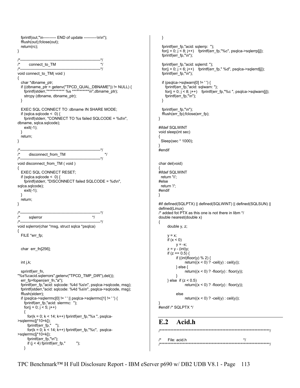fprintf(out,"\n---------- END of update ----------\n\n"); fflush(out);fclose(out); return(rc); } /\*--------------------------------------------------------------\*/ /\* connect\_to\_TM \*/ /\*--------------------------------------------------------------\*/ void connect to TM( void ) { char \*dbname\_ptr; if ((dbname\_ptr = getenv("TPCD\_QUAL\_DBNAME")) != NULL) { fprintf(stderr,"\*\*\*\*\*\*\*\*\*\*\* %s \*\*\*\*\*\*\*\*\*\*\*\n",dbname\_ptr); strcpy (dbname, dbname\_ptr); } EXEC SQL CONNECT TO :dbname IN SHARE MODE; if (sqlca.sqlcode  $\leq$  0) { fprintf(stderr, "CONNECT TO %s failed SQLCODE = %d\n", dbname, sqlca.sqlcode); exit(-1); } return; } -------\*/<br>\*/ /\* disconnect\_from\_TM \*/ /\*--------------------------------------------------------------\*/ void disconnect\_from\_TM ( void ) { EXEC SQL CONNECT RESET; if (sqlca.sqlcode  $\leq$  0) { fprintf(stderr, "DISCONNECT failed SQLCODE = %d\n", sqlca.sqlcode); exit(-1); } return; } /\*--------------------------------------------------------------\*/  $\frac{1}{2}$  sqlerror  $\frac{1}{2}$  sqlerror /\*--------------------------------------------------------------\*/ void sqlerror(char \*msg, struct sqlca \*psqlca) { FILE \*err\_fp; char err\_fn[256]; int  $j, k$ ; sprintf(err\_fn, "%s%cacid.sqlerrors",getenv("TPCD\_TMP\_DIR"),del()); err\_fp=fopen(err\_fn,"a"); fprintf(err\_fp,"acid: sqlcode: %4d %s\n", psqlca->sqlcode, msg); fprintf(stderr,"acid: sqlcode: %4d %s\n", psqlca->sqlcode, msg); fflush(stderr); if (psqlca->sqlerrmc[0] != ' ' || psqlca->sqlerrmc[1] != ' ') { fprintf(err\_fp,"acid: slerrmc: "); for( $j = 0$ ;  $j < 5$ ;  $j++)$  { for( $k = 0$ ;  $k < 14$ ;  $k++$ ) fprintf(err\_fp,"%x", psqlca->sqlerrmc[j\*10+k]); fprintf(err\_fp," "); for( $k = 0$ ;  $k < 14$ ;  $k++$ ) fprintf(err\_fp,"%c", psqlca->sqlerrmc[j\*10+k]); fprintf(err\_fp,"\n"); if  $(j < 4)$  fprintf(err\_fp," "); }

 } fprintf(err\_fp,"acid: sqlerrp: ");  $for(j = 0; j < 8; j++)$  fprintf(err\_fp,"%c", psqlca->sqlerrp[j]); fprintf(err\_fp,"\n"); fprintf(err\_fp,"acid: sqlerrd: ");  $for(j = 0; j < 6; j++)$  fprintf(err\_fp,"%d", psqlca->sqlerrd[j]); fprintf(err\_fp,"\n"); if (psqlca->sqlwarn[0] != '') { fprintf(err\_fp,"acid: sqlwarn: ");  $for(j = 0; j < 8; j++)$  fprintf(err\_fp,"%c", psqlca->sqlwarn[j]); fprintf(err\_fp,"\n"); } fprintf(err\_fp,"\n"); fflush(err\_fp);fclose(err\_fp); #ifdef SQLWINT void sleep(int sec) { Sleep(sec \* 1000); } #endif char del(void) { #ifdef SQLWINT return '\\'; #else return '/'; #endif #if defined(SQLPTX) || defined(SQLWINT) || defined(SQLSUN) || defined(Linux) /\* added fot PTX as this one is not there in libm \*/ double nearest(double x) double y, z;  $y = x$ ; if  $(x < 0)$  $y = -x$ ;  $z = y - (int)y;$ if  $(z == 0.5)$  { if ((int)floor(y) % 2) { return( $(x < 0)$  ? -ceil(y) : ceil(y)); } else { return( $(x < 0)$  ? -floor(y) : floor(y)); } } else if  $(z < 0.5)$ return( $(x < 0)$  ? -floor(y) : floor(y)); else return( $(x < 0)$  ? -ceil $(y)$  : ceil $(y)$ ); } #endif /\* SQLPTX \*/ **E.2 Acid.h**  /\*\*\*\*\*\*\*\*\*\*\*\*\*\*\*\*\*\*\*\*\*\*\*\*\*\*\*\*\*\*\*\*\*\*\*\*\*\*\*\*\*\*\*\*\*\*\*\*\*\*\*\*\*\*\*\*\*\*\*\*\*\*\*\*\*\*\*\*\*\*\*\*/

}

}

{

 $\frac{1}{2}$  File: acid.h  $\frac{1}{2}$ /\*\*\*\*\*\*\*\*\*\*\*\*\*\*\*\*\*\*\*\*\*\*\*\*\*\*\*\*\*\*\*\*\*\*\*\*\*\*\*\*\*\*\*\*\*\*\*\*\*\*\*\*\*\*\*\*\*\*\*\*\*\*\*\*\*\*\*\*\*\*\*\*/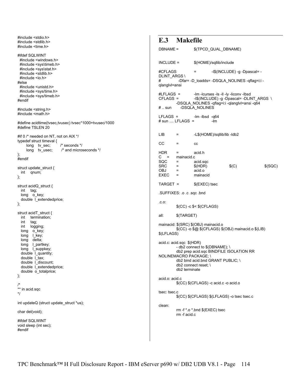```
#include <stdio.h> 
#include <stdlib.h> 
#include <time.h>
#ifdef SQLWINT 
  #include <windows.h> 
  #include <sys\timeb.h> 
  #include <sys\stat.h> 
  #include <stdlib.h> 
  #include <io.h> 
#else 
  #include <unistd.h> 
  #include <sys/time.h> 
  #include <sys/timeb.h> 
#endif 
#include <string.h> 
#include <math.h> 
#define acidtime(tvsec,tvusec) tvsec*1000+tvusec/1000 
#define TSLEN 20 
#if 0 /* needed on NT, not on AIX */
typedef struct timeval { 
      long tv_sec; /* seconds */ 
      long tv_usec; /* and microseconds */ 
}; 
#endif 
struct update_struct { 
  int qnum; 
}; 
struct acidQ_struct { 
  int tag; 
   long o_key; 
  double Lextendedprice;
}; 
struct acidT_struct { 
  int termination; 
  int tag; 
   int logging; 
   long o_key; 
  long I key;
   long delta; 
   long l_partkey; 
  long I_suppkey;
   double l_quantity; 
   double l_tax; 
  double I discount;
   double l_extendedprice; 
   double o_totalprice; 
}; 
/* 
** in acid.sqc 
*/ 
int updateQ (struct update_struct *us); 
char del(void); 
#ifdef SQLWINT 
void sleep (int sec); 
#endif
```

| E.3 Makefile                                        |                                                              |                                                                                              |        |                                                                                                                                     |         |
|-----------------------------------------------------|--------------------------------------------------------------|----------------------------------------------------------------------------------------------|--------|-------------------------------------------------------------------------------------------------------------------------------------|---------|
| DBNAME =                                            |                                                              | \$(TPCD_QUAL_DBNAME)                                                                         |        |                                                                                                                                     |         |
| $INCLUDE =$                                         |                                                              | \$(HOME)/sqllib/include                                                                      |        |                                                                                                                                     |         |
| #CFLAGS<br><b>DLINT ARGS\</b><br>#<br>qlanglvl=ansi |                                                              | $=$                                                                                          |        | -I\$(INCLUDE) -g -Dpascal= -<br>-Dfar= -D_loadds= -DSQLA_NOLINES -qflag=i:i -                                                       |         |
| #LFLAGS =<br>CFLAGS =<br>#  sun_                    |                                                              | -DSQLA_NOLINES                                                                               |        | -Im -Icurses -Is -II -Iy -Iiconv -Ibsd<br>-I\$(INCLUDE) -g -Dpascal= -DLINT_ARGS \<br>-DSQLA NOLINES -qflaq=i:i -qlanqlvl=ansi -q64 |         |
| $LFLAGS =$ -Im-Ibsd -q64<br># sun $LFLAGS =$        |                                                              |                                                                                              | $-$ Im |                                                                                                                                     |         |
| LIB                                                 | $=$                                                          | -L\$(HOME)/sqllib/lib -ldb2                                                                  |        |                                                                                                                                     |         |
| СC                                                  | $=$                                                          | CC                                                                                           |        |                                                                                                                                     |         |
| HDR<br>$C =$<br>SQC<br>SRC<br>OBJ<br>$EXEC =$       | $=$<br>mainacid.c<br>$=$<br>$\mathbf{r} = \mathbf{r}$<br>$=$ | acid.h<br>acid.sqc<br>\$(HDR)<br>acid.o<br>mainacid                                          |        | \$(C)                                                                                                                               | \$(SQC) |
| TARGET =                                            |                                                              | $E(EXEC)$ tsec                                                                               |        |                                                                                                                                     |         |
| SUFFIXES: .o .c .sqc .bnd                           |                                                              |                                                                                              |        |                                                                                                                                     |         |
| .C.O.                                               |                                                              | $$(CC) - c $< $(CFLAGS)$                                                                     |        |                                                                                                                                     |         |
| all:                                                | \$(TARGET)                                                   |                                                                                              |        |                                                                                                                                     |         |
| mainacid: \$(SRC) \$(OBJ) mainacid.o<br>\$(LFLAGS)  |                                                              |                                                                                              |        | \$(CC) -o \$@ \$(CFLAGS) \$(OBJ) mainacid.o \$(LIB)                                                                                 |         |
| acid.c: acid.sqc \$(HDR)<br>NOLINEMACRO PACKAGE; \  | db2 terminate                                                | - db2 connect to $$(DBNAME); \$<br>db2 bind acid.bnd GRANT PUBLIC; \<br>db2 connect reset; \ |        | db2 prep acid.sqc BINDFILE ISOLATION RR                                                                                             |         |
| acid.o: acid.c                                      |                                                              | \$(CC) \$(CFLAGS) -c acid.c -o acid.o                                                        |        |                                                                                                                                     |         |
| tsec: tsec.c                                        |                                                              |                                                                                              |        | \$(CC) \$(CFLAGS) \$(LFLAGS) -o tsec tsec.c                                                                                         |         |
| clean:                                              | rm -f acid.c                                                 | rm -f $*$ o $*$ bnd $$(EXEC)$ tsec                                                           |        |                                                                                                                                     |         |